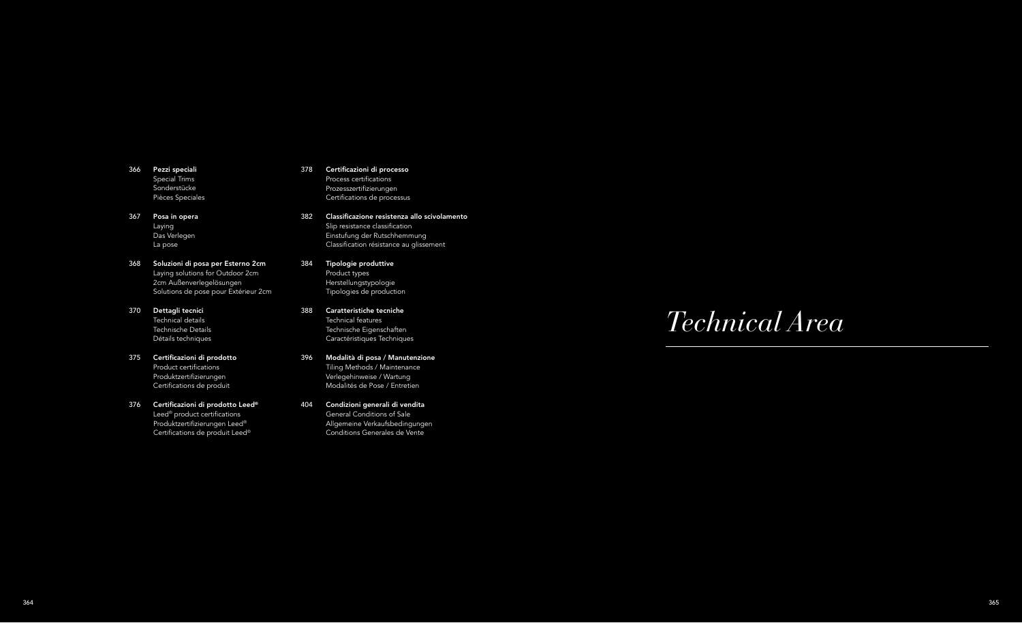# *Technical Area*

- Pezzi speciali 366 Special Trims Sonderstücke Pièces Speciales
- Posa in opera 367 Laying Das Verlegen La pose
- Soluzioni di posa per Esterno 2cm 368 Laying solutions for Outdoor 2cm 2cm Außenverlegelösungen Solutions de pose pour Extérieur 2cm
- Dettagli tecnici 370 Technical details Technische Details Détails techniques
- Certificazioni di prodotto 375 Product certifications Produktzertifizierungen Certifications de produit
- $376$   $\,$  Certificazioni di prodotto Leed® Leed® product certifications Produktzertifizierungen Leed® Certifications de produit Leed®
- 378 Certificazioni di processo Process certifications Prozesszertifizierungen Certifications de processus
- 382 Classificazione resistenza allo scivolamento Slip resistance classification Einstufung der Rutschhemmung Classification résistance au glissement
- 384 Tipologie produttive Product types Herstellungstypologie Tipologies de production
- 388 Caratteristiche tecniche Technical features Technische Eigenschaften Caractéristiques Techniques
- 396 Modalità di posa / Manutenzione Tiling Methods / Maintenance Verlegehinweise / Wartung Modalités de Pose / Entretien
- 404 Condizioni generali di vendita General Conditions of Sale Allgemeine Verkaufsbedingungen Conditions Generales de Vente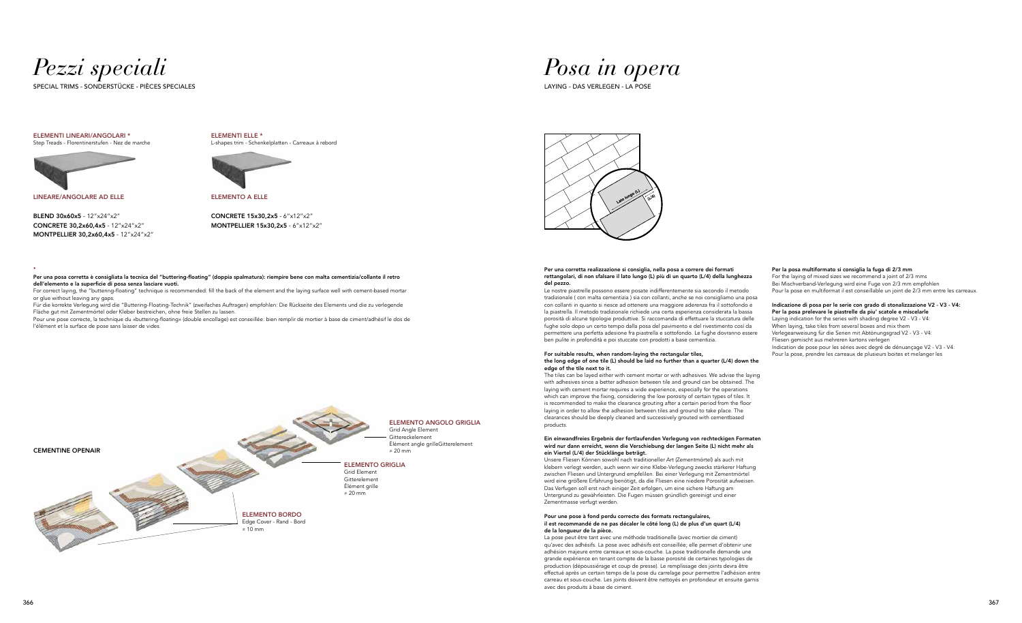

*Posa in opera*



SPECIAL TRIMS - SONDERSTÜCKE - PIÈCES SPECIALES LAYING - DAS VERLEGEN - LA POSE

#### ELEMENTI LINEARI/ANGOLARI \* Step Treads - Florentinerstufen - Nez de marche



ELEMENTI ELLE \* L-shapes trim - Schenkelplatten - Carreaux à rebord



**\***

Per una posa corretta è consigliata la tecnica del "buttering-floating" (doppia spalmatura): riempire bene con malta cementizia/collante il retro dell'elemento e la superficie di posa senza lasciare vuoti.

For correct laying, the "buttering-floating" technique is recommended: fill the back of the element and the laying surface well with cement-based mortar or glue without leaving any gaps.

Für die korrekte Verlegung wird die "Buttering-Floating-Technik" (zweifaches Auftragen) empfohlen: Die Rückseite des Elements und die zu verlegende Fläche gut mit Zementmörtel oder Kleber bestreichen, ohne freie Stellen zu lassen.

Pour une pose correcte, la technique du «buttering-floating» (double encollage) est conseillée: bien remplir de mortier à base de ciment/adhésif le dos de l'élément et la surface de pose sans laisser de vides.

LINEARE/ANGOLARE AD ELLE

BLEND 30x60x5 - 12"x24"x2" CONCRETE 30,2x60,4x5 - 12"x24"x2" MONTPELLIER 30,2x60,4x5 - 12"x24"x2" ELEMENTO A ELLE

CONCRETE 15x30,2x5 - 6"x12"x2" MONTPELLIER 15x30,2x5 - 6"x12"x2"

#### Per una corretta realizzazione si consiglia, nella posa a correre dei formati rettangolari, di non sfalsare il lato lungo (L) più di un quarto (L/4) della lunghezza del pezzo.

Le nostre piastrelle possono essere posate indifferentemente sia secondo il metodo tradizionale ( con malta cementizia ) sia con collanti, anche se noi consigliamo una posa con collanti in quanto si riesce ad ottenere una maggiore aderenza fra il sottofondo e la piastrella. Il metodo tradizionale richiede una certa esperienza considerata la bassa porosità di alcune tipologie produttive. Si raccomanda di effettuare la stuccatura delle fughe solo dopo un certo tempo dalla posa del pavimento e del rivestimento cosí da permettere una perfetta adesione fra piastrella e sottofondo. Le fughe dovranno essere ben pulite in profondità e poi stuccate con prodotti a base cementizia.

#### For suitable results, when random-laying the rectangular tiles, the long edge of one tile (L) should be laid no further than a quarter (L/4) down the edge of the tile next to it.

#### Indicazione di posa per le serie con grado di stonalizzazione V2 - V3 - V4: Per la posa prelevare le piastrelle da piu' scatole e miscelarle Laying indication for the series with shading degree V2 - V3 - V4: When laying, take tiles from several boxes and mix them

The tiles can be layed either with cement mortar or with adhesives. We advise the laying with adhesives since a better adhesion between tile and ground can be obtained. The laying with cement mortar requires a wide experience, especially for the operations which can improve the fixing, considering the low porosity of certain types of tiles. It is recommended to make the clearance grouting after a certain period from the floor laying in order to allow the adhesion between tiles and ground to take place. The clearances should be deeply cleaned and successively grouted with cementbased products.

#### Ein einwandfreies Ergebnis der fortlaufenden Verlegung von rechteckigen Formaten wird nur dann erreicht, wenn die Verschiebung der langen Seite (L) nicht mehr als ein Viertel (L/4) der Stücklänge beträgt.

Unsere Fliesen Können sowohl nach traditioneller Art (Zementmörtel) als auch mit klebern verlegt werden, auch wenn wir eine Klebe-Verlegung zwecks stärkerer Haftung zwischen Fliesen und Untergrund empfelilen. Bei einer Verlegung mit Zementmörtel wird eine größere Erfahrung benötigt, da die Fliesen eine niedere Porosität aufweisen. Das Verfugen soll erst nach einiger Zeit erfolgen, um eine sichere Haftung am Untergrund zu gewährleisten. Die Fugen müssen gründlich gereinigt und einer Zementmasse verfugt werden.

#### Pour une pose à fond perdu correcte des formats rectangulaires, il est recommandé de ne pas décaler le côté long (L) de plus d'un quart (L/4) de la longueur de la pièce.

La pose peut être tant avec une méthode traditionelle (avec mortier de ciment) qu'avec des adhésifs. La pose avec adhésifs est conseillée; elle permet d'obtenir une adhésion majeure entre carreaux et sous-couche. La pose traditionelle demande une grande expérience en tenant compte de la basse porosité de certaines typologies de production (dépoussiérage et coup de presse). Le remplissage des joints devra être effectué après un certain temps de la pose du carrelage pour permettre l'adhésion entre carreau et sous-couche. Les joints doivent être nettoyés en profondeur et ensuite garnis avec des produits à base de ciment.

### Per la posa multiformato si consiglia la fuga di 2/3 mm

For the laying of mixed sizes we recommend a joint of 2/3 mms Bei Mischverband-Verlegung wird eine Fuge von 2/3 mm empfohlen Pour la pose en multiformat il est conseillable un joint de 2/3 mm entre les carreaux.

Verlegeanweisung für die Serien mit Abtönungsgrad V2 - V3 - V4: Fliesen gemischt aus mehreren kartons verlegen Indication de pose pour les séries avec degré de dénuançage V2 - V3 - V4: Pour la pose, prendre les carreaux de plusieurs boites et melanger les

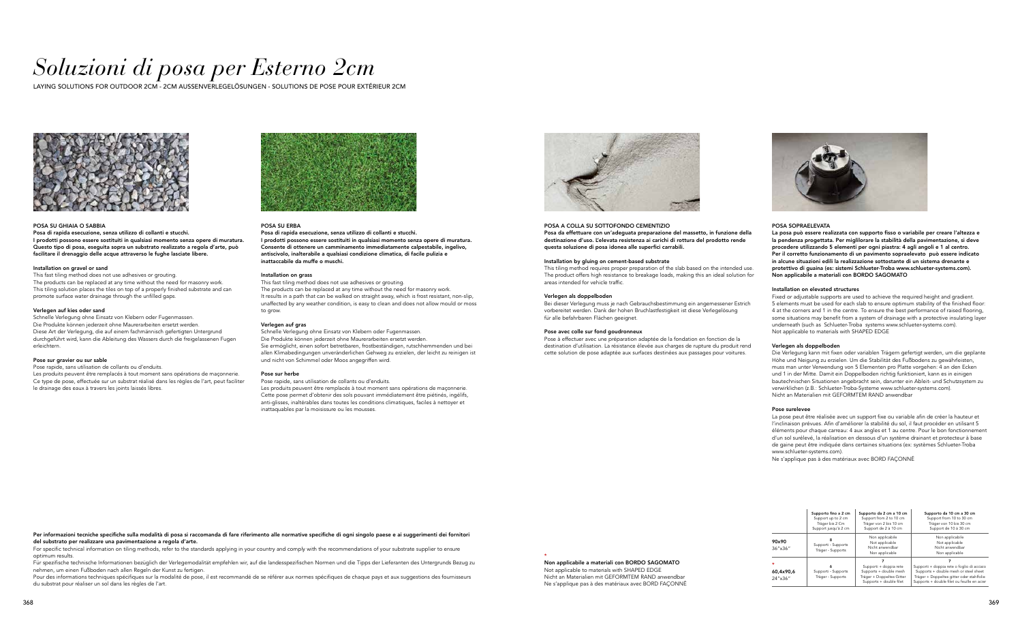# *Soluzioni di posa per Esterno 2cm*

LAYING SOLUTIONS FOR OUTDOOR 2CM - 2CM AUSSENVERLEGELÖSUNGEN - SOLUTIONS DE POSE POUR EXTÉRIEUR 2CM



#### POSA SU GHIAIA O SABBIA

Posa di rapida esecuzione, senza utilizzo di collanti e stucchi. I prodotti possono essere sostituiti in qualsiasi momento senza opere di muratura. Questo tipo di posa, eseguita sopra un substrato realizzato a regola d'arte, può facilitare il drenaggio delle acque attraverso le fughe lasciate libere.

#### Installation on gravel or sand

This fast tiling method does not use adhesives or grouting. The products can be replaced at any time without the need for masonry work. This tiling solution places the tiles on top of a properly finished substrate and can promote surface water drainage through the unfilled gaps.

#### Verlegen auf kies oder sand

For specific technical information on tiling methods, refer to the standards applying in your country and comply with the recommendations of your substrate supplier to ensure optimum results.

Schnelle Verlegung ohne Einsatz von Klebern oder Fugenmassen. Die Produkte können jederzeit ohne Maurerarbeiten ersetzt werden. Diese Art der Verlegung, die auf einem fachmännisch gefertigten Untergrund durchgeführt wird, kann die Ableitung des Wassers durch die freigelassenen Fugen erleichtern.

Für spezifische technische Informationen bezüglich der Verlegemodalität empfehlen wir, auf die landesspezifischen Normen und die Tipps der Lieferanten des Untergrunds Bezug zu nehmen, um einen Fußboden nach allen Regeln der Kunst zu fertigen.

#### Pose sur gravier ou sur sable

Pour des informations techniques spécifiques sur la modalité de pose, il est recommandé de se référer aux normes spécifiques de chaque pays et aux suggestions des fournisseurs du substrat pour réaliser un sol dans les règles de l'art.

Pose rapide, sans utilisation de collants ou d'enduits. Les produits peuvent être remplacés à tout moment sans opérations de maçonnerie. Ce type de pose, effectuée sur un substrat réalisé dans les règles de l'art, peut faciliter

le drainage des eaux à travers les joints laissés libres.



Per informazioni tecniche specifiche sulla modalità di posa si raccomanda di fare riferimento alle normative specifiche di ogni singolo paese e ai suggerimenti dei fornitori del substrato per realizzare una pavimentazione a regola d'arte.

> \* Non applicabile a materiali con BORDO SAGOMATO Not applicable to materials with SHAPED EDGE Nicht an Materialien mit GEFORMTEM RAND anwendbar Ne s'applique pas à des matériaux avec BORD FAÇONNÉ



#### POSA A COLLA SU SOTTOFONDO CEMENTIZIO Posa da effettuare con un'adeguata preparazione del massetto, in funzione della destinazione d'uso. L'elevata resistenza ai carichi di rottura del prodotto rende questa soluzione di posa idonea alle superfici carrabili.

#### Installation by gluing on cement-based substrate

This tiling method requires proper preparation of the slab based on the intended use. The product offers high resistance to breakage loads, making this an ideal solution for areas intended for vehicle traffic.

#### Verlegen als doppelboden

Bei dieser Verlegung muss je nach Gebrauchsbestimmung ein angemessener Estrich vorbereitet werden. Dank der hohen Bruchlastfestigkeit ist diese Verlegelösung für alle befahrbaren Flächen geeignet.

#### Pose avec colle sur fond goudronneux

Pose à effectuer avec une préparation adaptée de la fondation en fonction de la destination d'utilisation. La résistance élevée aux charges de rupture du produit rend cette solution de pose adaptée aux surfaces destinées aux passages pour voitures.

#### POSA SU ERBA

Posa di rapida esecuzione, senza utilizzo di collanti e stucchi. I prodotti possono essere sostituiti in qualsiasi momento senza opere di muratura. Consente di ottenere un camminamento immediatamente calpestabile, ingelivo, antiscivolo, inalterabile a qualsiasi condizione climatica, di facile pulizia e inattaccabile da muffe o muschi.

#### Installation on grass

This fast tiling method does not use adhesives or grouting. The products can be replaced at any time without the need for masonry work. It results in a path that can be walked on straight away, which is frost resistant, non-slip, unaffected by any weather condition, is easy to clean and does not allow mould or moss to grow.

#### Verlegen auf gras

Schnelle Verlegung ohne Einsatz von Klebern oder Fugenmassen. Die Produkte können jederzeit ohne Maurerarbeiten ersetzt werden. Sie ermöglicht, einen sofort betretbaren, frostbeständigen, rutschhemmenden und bei allen Klimabedingungen unveränderlichen Gehweg zu erzielen, der leicht zu reinigen ist und nicht von Schimmel oder Moos angegriffen wird.

#### Pose sur herbe

Pose rapide, sans utilisation de collants ou d'enduits.

Les produits peuvent être remplacés à tout moment sans opérations de maçonnerie. Cette pose permet d'obtenir des sols pouvant immédiatement être piétinés, ingélifs, anti-glisses, inaltérables dans toutes les conditions climatiques, faciles à nettoyer et inattaquables par la moisissure ou les mousses.



### POSA SOPRAELEVATA

La posa può essere realizzata con supporto fisso o variabile per creare l'altezza e la pendenza progettata. Per miglilorare la stabilità della pavimentazione, si deve procedere utilizzando 5 elementi per ogni piastra: 4 agli angoli e 1 al centro. Per il corretto funzionamento di un pavimento sopraelevato può essere indicato in alcune situazioni edili la realizzazione sottostante di un sistema drenante e protettivo di guaina (es: sistemi Schlueter-Troba www.schlueter-systems.com). Non applicabile a materiali con BORDO SAGOMATO

#### Installation on elevated structures

Fixed or adjustable supports are used to achieve the required height and gradient. 5 elements must be used for each slab to ensure optimum stability of the finished floor: 4 at the corners and 1 in the centre. To ensure the best performance of raised flooring, some situations may benefit from a system of drainage with a protective insulating layer underneath (such as Schlueter-Troba systems www.schlueter-systems.com). Not applicable to materials with SHAPED EDGE

#### Verlegen als doppelboden

Die Verlegung kann mit fixen oder variablen Trägern gefertigt werden, um die geplante Höhe und Neigung zu erzielen. Um die Stabilität des Fußbodens zu gewährleisten, muss man unter Verwendung von 5 Elementen pro Platte vorgehen: 4 an den Ecken und 1 in der Mitte. Damit ein Doppelboden richtig funktioniert, kann es in einigen bautechnischen Situationen angebracht sein, darunter ein Ableit- und Schutzsystem zu verwirklichen (z.B.: Schlueter-Troba-Systeme www.schlueter-systems.com). Nicht an Materialien mit GEFORMTEM RAND anwendbar

#### Pose surelevee

La pose peut être réalisée avec un support fixe ou variable afin de créer la hauteur et l'inclinaison prévues. Afin d'améliorer la stabilité du sol, il faut procéder en utilisant 5 éléments pour chaque carreau: 4 aux angles et 1 au centre. Pour le bon fonctionnement d'un sol surélevé, la réalisation en dessous d'un système drainant et protecteur à base de gaine peut être indiquée dans certaines situations (ex: systèmes Schlueter-Troba www.schlueter-systems.com).

Ne s'applique pas à des matériaux avec BORD FAÇONNÉ

|                                         | Supporto fino a 2 cm<br>Support up to 2 cm<br>Träger bis 2 Cm<br>Support jusqu'à 2 cm | Supporto da 2 cm a 10 cm<br>Support from 2 to 10 cm<br>Träger von 2 bis 10 cm<br>Support de 2 à 10 cm    | Supporto da 10 cm a 30 cm<br>Support from 10 to 30 cm<br>Träger von 10 bis 30 cm<br>Support de 10 à 30 cm                                                                       |
|-----------------------------------------|---------------------------------------------------------------------------------------|----------------------------------------------------------------------------------------------------------|---------------------------------------------------------------------------------------------------------------------------------------------------------------------------------|
| 90x90<br>$36''$ $\times 36''$           | 8<br>Supporti - Supports<br>Träger - Supports                                         | Non applicabile<br>Not applicable<br>Nicht anwendbar<br>Non applicable                                   | Non applicabile<br>Not applicable<br>Nicht anwendbar<br>Non applicable                                                                                                          |
| $\star$<br>60,4x90,6<br>$24''$ x $36''$ | 6<br>Supporti - Supports<br>Träger - Supports                                         | Supporti + doppia rete<br>Supports + double mesh<br>Träger + Doppeltes Gitter<br>Supports + double filet | Supporti + doppia rete o foglio di acciaio<br>Supports + double mesh or steel sheet<br>Träger + Doppeltes gitter oder stahlfolie<br>Supports + double filet ou feuille en acier |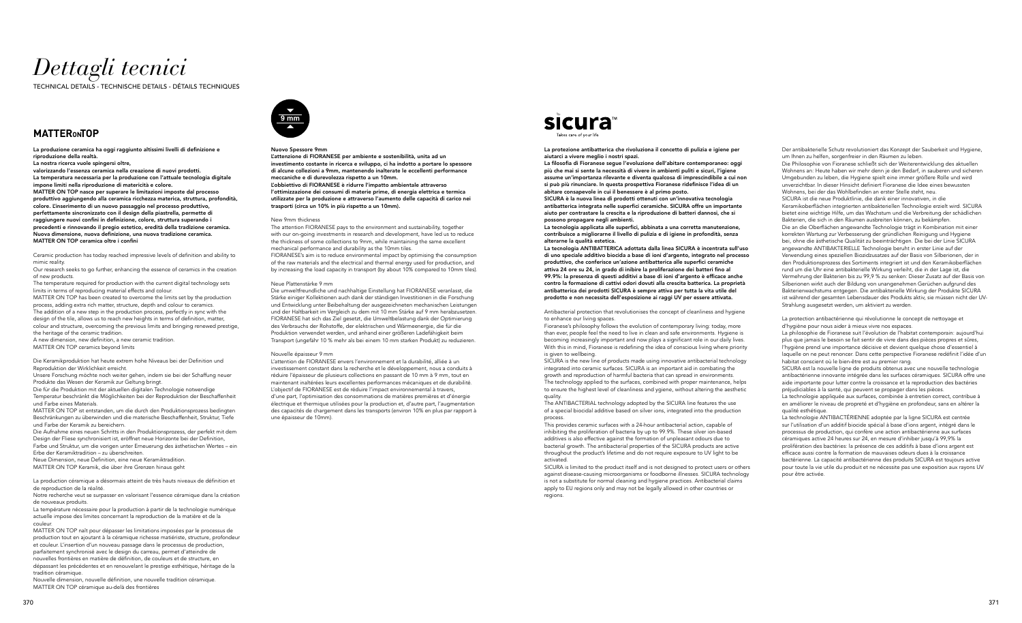## *Dettagli tecnici*

TECHNICAL DETAILS - TECHNISCHE DETAILS - DÉTAILS TECHNIQUES

## **MATTERONTOP**

La produzione ceramica ha oggi raggiunto altissimi livelli di definizione e riproduzione della realtà.

La nostra ricerca vuole spingersi oltre,

valorizzando l'essenza ceramica nella creazione di nuovi prodotti. La temperatura necessaria per la produzione con l'attuale tecnologia digitale impone limiti nella riproduzione di matericità e colore. MATTER ON TOP nasce per superare le limitazioni imposte dal processo produttivo aggiungendo alla ceramica ricchezza materica, struttura, profondità, colore. L'inserimento di un nuovo passaggio nel processo produttivo, perfettamente sincronizzato con il design della piastrella, permette di raggiungere nuovi confini in definizione, colore, struttura superando i precedenti e rinnovando il pregio estetico, eredità della tradizione ceramica. Nuova dimensione, nuova definizione, una nuova tradizione ceramica. MATTER ON TOP ceramica oltre i confini

Ceramic production has today reached impressive levels of definition and ability to mimic reality.

Our research seeks to go further, enhancing the essence of ceramics in the creation of new products.

The temperature required for production with the current digital technology sets limits in terms of reproducing material effects and colour.

MATTER ON TOP has been created to overcome the limits set by the production process, adding extra rich matter, structure, depth and colour to ceramics. The addition of a new step in the production process, perfectly in sync with the design of the tile, allows us to reach new heights in terms of definition, matter, colour and structure, overcoming the previous limits and bringing renewed prestige, the heritage of the ceramic tradition.

A new dimension, new definition, a new ceramic tradition. MATTER ON TOP ceramics beyond limits

Die Keramikproduktion hat heute extrem hohe Niveaus bei der Definition und Reproduktion der Wirklichkeit erreicht.

Unsere Forschung möchte noch weiter gehen, indem sie bei der Schaffung neuer Produkte das Wesen der Keramik zur Geltung bringt.

Die für die Produktion mit der aktuellen digitalen Technologie notwendige Temperatur beschränkt die Möglichkeiten bei der Reproduktion der Beschaffenheit und Farbe eines Materials.

MATTER ON TOP ist entstanden, um die durch den Produktionsprozess bedingten Beschränkungen zu überwinden und die materische Beschaffenheit, Struktur, Tiefe und Farbe der Keramik zu bereichern.

Die Aufnahme eines neuen Schritts in den Produktionsprozess, der perfekt mit dem Design der Fliese synchronisiert ist, eröffnet neue Horizonte bei der Definition, Farbe und Struktur, um die vorigen unter Erneuerung des ästhetischen Wertes – ein Erbe der Keramiktradition – zu überschreiten.

Neue Dimension, neue Definition, eine neue Keramiktradition.

MATTER ON TOP Keramik, die über ihre Grenzen hinaus geht

La production céramique a désormais atteint de très hauts niveaux de définition et de reproduction de la réalité.

Notre recherche veut se surpasser en valorisant l'essence céramique dans la création de nouveaux produits.

La température nécessaire pour la production à partir de la technologie numérique actuelle impose des limites concernant la reproduction de la matière et de la couleur.

MATTER ON TOP naît pour dépasser les limitations imposées par le processus de production tout en ajoutant à la céramique richesse matiériste, structure, profondeur et couleur. L'insertion d'un nouveau passage dans le processus de production, parfaitement synchronisé avec le design du carreau, permet d'atteindre de nouvelles frontières en matière de définition, de couleurs et de structure, en dépassant les précédentes et en renouvelant le prestige esthétique, héritage de la tradition céramique.

Nouvelle dimension, nouvelle définition, une nouvelle tradition céramique. MATTER ON TOP céramique au-delà des frontières

Der antibakterielle Schutz revolutioniert das Konzept der Sauberkeit und Hygiene, um Ihnen zu helfen, sorgenfreier in den Räumen zu leben.

Die Philosophie von Fioranese schließt sich der Weiterentwicklung des aktuellen Wohnens an: Heute haben wir mehr denn je den Bedarf, in sauberen und sicheren Umgebunden zu leben, die Hygiene spielt eine immer größere Rolle und wird unverzichtbar. In dieser Hinsicht definiert Fioranese die Idee eines bewussten Wohnens, bei der das Wohlbefinden an erster Stelle steht, neu. SICURA ist die neue Produktlinie, die dank einer innovativen, in die Keramikoberflächen integrierten antibakteriellen Technologie erzielt wird. SICURA bietet eine wichtige Hilfe, um das Wachstum und die Verbreitung der schädlichen Bakterien, die sich in den Räumen ausbreiten können, zu bekämpfen. Die an die Oberflächen angewandte Technologie trägt in Kombination mit einer korrekten Wartung zur Verbesserung der gründlichen Reinigung und Hygiene bei, ohne die ästhetische Qualität zu beeinträchtigen. Die bei der Linie SICURA angewandte ANTIBAKTERIELLE Technologie beruht in erster Linie auf der Verwendung eines speziellen Biozidzusatzes auf der Basis von Silberionen, der in den Produktionsprozess des Sortiments integriert ist und den Keramikoberflächen rund um die Uhr eine antibakterielle Wirkung verleiht, die in der Lage ist, die Vermehrung der Bakterien bis zu 99,9 % zu senken: Dieser Zusatz auf der Basis von Silberionen wirkt auch der Bildung von unangenehmen Gerüchen aufgrund des Bakterienwachstums entgegen. Die antibakterielle Wirkung der Produkte SICURA ist während der gesamten Lebensdauer des Produkts aktiv, sie müssen nicht der UV-Strahlung ausgesetzt werden, um aktiviert zu werden.

La protection antibactérienne qui révolutionne le concept de nettoyage et d'hygiène pour nous aider à mieux vivre nos espaces.

La philosophie de Fioranese suit l'évolution de l'habitat contemporain: aujourd'hui plus que jamais le besoin se fait sentir de vivre dans des pièces propres et sûres, l'hygiène prend une importance décisive et devient quelque chose d'essentiel à laquelle on ne peut renoncer. Dans cette perspective Fioranese redéfinit l'idée d'un habitat conscient où le bien-être est au premier rang.

SICURA est la nouvelle ligne de produits obtenus avec une nouvelle technologie antibactérienne innovante intégrée dans les surfaces céramiques. SICURA offre une aide importante pour lutter contre la croissance et la reproduction des bactéries préjudiciables à la santé, qui peuvent se propager dans les pièces.

La technologie appliquée aux surfaces, combinée à entretien correct, contribue à en améliorer le niveau de propreté et d'hygiène en profondeur, sans en altérer la qualité esthétique.

La technologie ANTIBACTÉRIENNE adoptée par la ligne SICURA est centrée sur l'utilisation d'un additif biocide spécial à base d'ions argent, intégré dans le processus de production, qui confère une action antibactérienne aux surfaces céramiques active 24 heures sur 24, en mesure d'inhiber jusqu'à 99,9% la prolifération des bactéries: la présence de ces additifs à base d'ions argent est efficace aussi contre la formation de mauvaises odeurs dues à la croissance bactérienne. La capacité antibactérienne des produits SICURA est toujours active pour toute la vie utile du produit et ne nécessite pas une exposition aux rayons UV pour être activée.

#### Nuovo Spessore 9mm

L'attenzione di FIORANESE per ambiente e sostenibilità, unita ad un investimento costante in ricerca e sviluppo, ci ha indotto a portare lo spessore di alcune collezioni a 9mm, mantenendo inalterate le eccellenti performance meccaniche e di durevolezza rispetto a un 10mm. L'obbiettivo di FIORANESE è ridurre l'impatto ambientale attraverso l'ottimizzazione dei consumi di materie prime, di energia elettrica e termica utilizzate per la produzione e attraverso l'aumento delle capacità di carico nei

trasporti (circa un 10% in più rispetto a un 10mm).

New 9mm thickness The attention FIORANESE pays to the environment and sustainability, together with our on-going investments in research and development, have led us to reduce the thickness of some collections to 9mm, while maintaining the same excellent mechanical performance and durability as the 10mm tiles.

FIORANESE's aim is to reduce environmental impact by optimising the consumption of the raw materials and the electrical and thermal energy used for production, and by increasing the load capacity in transport (by about 10% compared to 10mm tiles).

#### Neue Plattenstärke 9 mm

Die umweltfreundliche und nachhaltige Einstellung hat FIORANESE veranlasst, die Stärke einiger Kollektionen auch dank der ständigen Investitionen in die Forschung und Entwicklung unter Beibehaltung der ausgezeichneten mechanischen Leistungen und der Haltbarkeit im Vergleich zu dem mit 10 mm Stärke auf 9 mm herabzusetzen. FIORANESE hat sich das Ziel gesetzt, die Umweltbelastung dank der Optimierung des Verbrauchs der Rohstoffe, der elektrischen und Wärmeenergie, die für die Produktion verwendet werden, und anhand einer größeren Ladefähigkeit beim Transport (ungefähr 10 % mehr als bei einem 10 mm starken Produkt) zu reduzieren.

#### Nouvelle épaisseur 9 mm

L'attention de FIORANESE envers l'environnement et la durabilité, alliée à un investissement constant dans la recherche et le développement, nous a conduits à réduire l'épaisseur de plusieurs collections en passant de 10 mm à 9 mm, tout en maintenant inaltérées leurs excellentes performances mécaniques et de durabilité. L'objectif de FIORANESE est de réduire l'impact environnemental à travers, d'une part, l'optimisation des consommations de matières premières et d'énergie électrique et thermique utilisées pour la production et, d'autre part, l'augmentation des capacités de chargement dans les transports (environ 10% en plus par rapport à une épaisseur de 10mm).

## **sicura**

La protezione antibatterica che rivoluziona il concetto di pulizia e igiene per aiutarci a vivere meglio i nostri spazi.

La filosofia di Fioranese segue l'evoluzione dell'abitare contemporaneo: oggi più che mai si sente la necessità di vivere in ambienti puliti e sicuri, l'igiene assume un'importanza rilevante e diventa qualcosa di imprescindibile a cui non si può più rinunciare. In questa prospettiva Fioranese ridefinisce l'idea di un abitare consapevole in cui il benessere è al primo posto.

SICURA è la nuova linea di prodotti ottenuti con un'innovativa tecnologia antibatterica integrata nelle superfici ceramiche. SICURA offre un importante aiuto per contrastare la crescita e la riproduzione di batteri dannosi, che si possono propagare negli ambienti.

La tecnologia applicata alle superfici, abbinata a una corretta manutenzione, contribuisce a migliorarne il livello di pulizia e di igiene in profondità, senza alterarne la qualità estetica.

La tecnologia ANTIBATTERICA adottata dalla linea SICURA è incentrata sull'uso di uno speciale additivo biocida a base di ioni d'argento, integrato nel processo produttivo, che conferisce un'azione antibatterica alle superfici ceramiche attiva 24 ore su 24, in grado di inibire la proliferazione dei batteri fino al 99.9%: la presenza di questi additivi a base di ioni d'argento è efficace anche contro la formazione di cattivi odori dovuti alla crescita batterica. La proprietà antibatterica dei prodotti SICURA è sempre attiva per tutta la vita utile del prodotto e non necessita dell'esposizione ai raggi UV per essere attivata.

Antibacterial protection that revolutionises the concept of cleanliness and hygiene to enhance our living spaces.

Fioranese's philosophy follows the evolution of contemporary living: today, more than ever, people feel the need to live in clean and safe environments. Hygiene is becoming increasingly important and now plays a significant role in our daily lives. With this in mind, Fioranese is redefining the idea of conscious living where priority is given to wellbeing.

SICURA is the new line of products made using innovative antibacterial technology integrated into ceramic surfaces. SICURA is an important aid in combating the growth and reproduction of harmful bacteria that can spread in environments. The technology applied to the surfaces, combined with proper maintenance, helps to ensure the highest level of cleanliness and ygiene, without altering the aesthetic quality.

The ANTIBACTERIAL technology adopted by the SICURA line features the use of a special biocidal additive based on silver ions, integrated into the production process.

This provides ceramic surfaces with a 24-hour antibacterial action, capable of inhibiting the proliferation of bacteria by up to 99.9%. These silver ion-based additives is also effective against the formation of unpleasant odours due to bacterial growth. The antibacterial properties of the SICURA products are active throughout the product's lifetime and do not require exposure to UV light to be activated.

SICURA is limited to the product itself and is not designed to protect users or others against disease-causing microorganisms or foodborne illnesses. SICURA technology is not a substitute for normal cleaning and hygiene practices. Antibacterial claims apply to EU regions only and may not be legally allowed in other countries or regions.

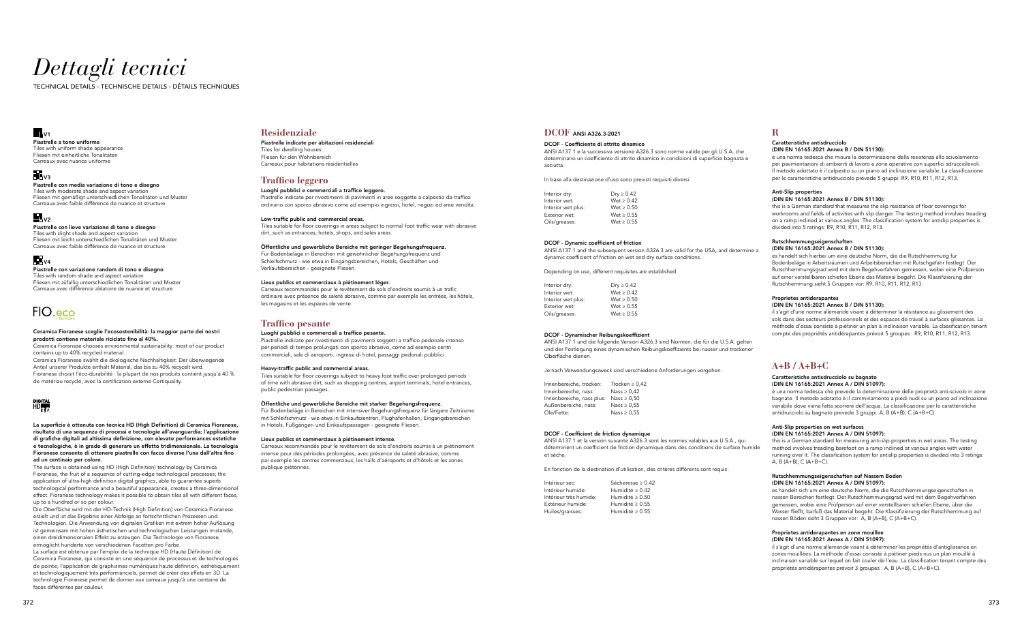## *Dettagli tecnici*

TECHNICAL DETAILS - TECHNISCHE DETAILS - DÉTAILS TECHNIQUES

### $\blacksquare_{\vee}$

### **Residenziale**

### Piastrelle indicate per abitazioni residenziali

Tiles for dwelling houses Fliesen für den Wohnbereich Carreaux pour habitations résidentielles

### **Traffico leggero**

### Luoghi pubblici e commerciali a traffico leggero.

Piastrelle indicate per rivestimenti di pavimenti in aree soggette a calpestio da traffico ordinario con sporco abrasivo come ad esempio ingressi, hotel, negozi ed aree vendita.

#### Low-traffic public and commercial areas.

Tiles suitable for floor coverings in areas subject to normal foot traffic wear with abrasive dirt, such as entrances, hotels, shops, and sales areas.

#### Öffentliche und gewerbliche Bereiche mit geringer Begehungsfrequenz.

Für Bodenbeläge in Bereichen mit gewöhnlicher Begehungsfrequenz und Schleifschmutz - wie etwa in Eingangsbereichen, Hotels, Geschäften und Verkaufsbereichen - geeignete Fliesen.

#### Lieux publics et commerciaux à piétinement léger.

Carreaux recommandés pour le revêtement de sols d'endroits soumis à un trafic ordinaire avec présence de saleté abrasive, comme par exemple les entrées, les hôtels, les magasins et les espaces de vente.

### **Traffico pesante**

### Luoghi pubblici e commerciali a traffico pesante.

Piastrelle indicate per rivestimenti di pavimenti soggetti a traffico pedonale intenso per periodi di tempo prolungati con sporco abrasivo, come ad esempio centri commerciali, sale di aeroporti, ingressi di hotel, passaggi pedonali pubblici.

#### Heavy-traffic public and commercial areas.

Tiles suitable for floor coverings subject to heavy foot traffic over prolonged periods of time with abrasive dirt, such as shopping centres, airport terminals, hotel entrances, public pedestrian passages.

#### Öffentliche und gewerbliche Bereiche mit starker Begehungsfrequenz.

Für Bodenbeläge in Bereichen mit intensiver Begehungsfrequenz für längere Zeiträume mit Schleifschmutz - wie etwa in Einkaufszentren, Flughafenhallen, Eingangsbereichen in Hotels, Fußgänger- und Einkaufspassagen - geeignete Fliesen.

#### Lieux publics et commerciaux à piétinement intense.

Carreaux recommandés pour le revêtement de sols d'endroits soumis à un piétinement intense pour des périodes prolongées, avec présence de saleté abrasive, comme par exemple les centres commerciaux, les halls d'aéroports et d'hôtels et les zones publique piétonnes.

### **R**

Caratteristiche antisdrucciolo

(DIN EN 16165:2021 Annex B / DIN 51130):

è una norma tedesca che misura la determinazione della resistenza allo scivolamento per pavimentazioni di ambienti di lavoro e zone operative con superfici sdrucciolevoli. Il metodo adottato è il calpestio su un piano ad inclinazione variabile. La classificazione per le caratteristiche antidrucciolo prevede 5 gruppi: R9, R10, R11, R12, R13.

Anti-Slip properties

(DIN EN 16165:2021 Annex B / DIN 51130):

this is a German standard that measures the slip resistance of floor coverings for workrooms and fields of activities with slip danger. The testing method involves treading on a ramp inclined at various angles. The classification system for antislip properties is

divided into 5 ratings: R9, R10, R11, R12, R13.

#### Rutschhemmungseigenschaften (DIN EN 16165:2021 Annex B / DIN 51130):

es handelt sich hierbei um eine deutsche Norm, die die Rutschhemmung für Bodenbeläge in Arbeitsräumen und Arbeitsbereichen mit Rutschgefahr festlegt. Der Rutschhemmungsgrad wird mit dem Begehverfahren gemessen, wobei eine Prüfperson auf einer verstellbaren schiefen Ebene das Material begeht. Die Klassifizierung der Rutschhemmung sieht 5 Gruppen vor: R9, R10, R11, R12, R13.

#### Proprietes antiderapantes

#### (DIN EN 16165:2021 Annex B / DIN 51130):

il s'agit d'une norme allemande visant à déterminer la résistance au glissement des sols dans des secteurs professionnels et des espaces de travail à surfaces glissantes. La méthode d'essai consiste à piétiner un plan à inclinaison variable. La classification tenant compte des propriétés antidérapantes prévoit 5 groupes : R9, R10, R11, R12, R13.

### **DCOF** ANSI A326.3-2021

#### DCOF - Coefficiente di attrito dinamico

ANSI A137.1 e la successiva versione A326.3 sono norme valide per gli U.S.A. che determinano un coefficiente di attrito dinamico in condizioni di superficie bagnata e asciutta.

In base alla destinazione d'uso sono previsti requisiti diversi:

| Dry $\geq 0.42$ |
|-----------------|
| Wet > 0.42      |
| Wet > 0.50      |
| Wet > 0.55      |
| Wet > 0.55      |
|                 |

#### DCOF - Dynamic coefficient of friction

ANSI A137.1 and the subsequent version A326.3 are valid for the USA, and determine a dynamic coefficient of friction on wet and dry surface conditions.

Depending on use, different requisites are established:

| Interior dry:      | Dry $\geq 0.42$ |
|--------------------|-----------------|
| Interior wet:      | Wet > 0.42      |
| Interior wet plus: | Wet > 0.50      |
| Exterior wet:      | Wet > 0.55      |
| Oils/greases:      | Wet > 0.55      |

### DCOF - Dynamischer Reibungskoeffizient

ANSI A137.1 und die folgende Version A326.3 sind Normen, die für die U.S.A. gelten und der Festlegung eines dynamischen Reibungskoeffizients bei nasser und trockener Oberfläche dienen.

Je nach Verwendungszweck sind verschiedene Anforderungen vorgehen:

| Innenbereiche, trocken:<br>Innenbereiche, nass: | Trocken $\geq 0.42$<br>Nass $\geq 0.42$ |
|-------------------------------------------------|-----------------------------------------|
| Innenbereiche, nass plus:                       | Nass $\geq 0.50$                        |
| Außenbereiche, nass:                            | Nass $\geq 0.55$                        |
| Öle/Fette:                                      | Nass $\geq 0.55$                        |

Tiles with moderate shade and aspect variation Fliesen mit gemäßigt unterschiedlichen Tonalitäten und Muster Carreaux avec faible différence de nuance et structure

### $\mathbf{L}_{\text{V2}}$

#### DCOF - Coefficient de friction dynamique

ANSI A137.1 et la version suivante A326.3 sont les normes valables aux U.S.A., qui déterminent un coefficient de friction dynamique dans des conditions de surface humide et sèche.

En fonction de la destination d'utilisation, des critères différents sont requis:

| Intérieur sec:         | Sécheresse $\geq 0.42$ |
|------------------------|------------------------|
| Intérieur humide:      | Humidité $> 0.42$      |
| Intérieur très humide: | Humidité $\geq 0.50$   |
| Extérieur humide:      | Humidité ≥ 0.55        |
| Huiles/graisses:       | Humidité $\geq 0.55$   |
|                        |                        |

### **A+B / A+B+C**

#### Caratteristiche antisdrucciolo su bagnato (DIN EN 16165:2021 Annex A / DIN 51097):

è una norma tedesca che prevede la determinazione delle proprietà anti-scivolo in zone bagnate. Il metodo adotatto è il camminamento a piedi nudi su un piano ad inclinazione variabile dove viena fatta scorrere dell'acqua. La classificazione per le caratteristiche antidrucciolo su bagnato prevede 3 gruppi: A, B (A+B), C (A+B+C).

#### Anti-Slip properties on wet surfaces (DIN EN 16165:2021 Annex A / DIN 51097):

this is a German standard for measuring anti-slip properties in wet areas. The testing method involves treading barefoot on a ramp inclined at various angles with water running over it. The classification system for antislip properties is divided into 3 ratings: A, B (A+B), C (A+B+C).

#### Rutschhemmungseigenschaften auf Nassem Boden (DIN EN 16165:2021 Annex A / DIN 51097):

es handelt sich um eine deutsche Norm, die die Rutschhemmungseigenschaften in nassen Bereichen festlegt. Der Rutschhemmungsgrad wird mit dem Begehverfahren gemessen, wobei eine Prüfperson auf einer verstellbaren schiefen Ebene, über die Wasser fließt, barfuß das Material begeht. Die Klassifizierung der Rutschhemmung auf nassen Böden sieht 3 Gruppen vor: A, B (A+B), C (A+B+C).

#### Proprietes antiderapantes en zone mouillee (DIN EN 16165:2021 Annex A / DIN 51097):

il s'agit d'une norme allemande visant à déterminer les propriétés d'antiglissance en zones mouillées. La méthode d'essai consiste à piétiner pieds nus un plan mouillé à inclinaison variable sur lequel on fait couler de l'eau. La classification tenant compte des propriétés antidérapantes prévoit 3 groupes : A, B (A+B), C (A+B+C).

#### La superficie è ottenuta con tecnica HD (High Definition) di Ceramica Fioranese, risultato di una sequenza di processi e tecnologie all'avanguardia; l'applicazione di grafiche digitali ad altissima definizione, con elevate performances estetiche e tecnologiche, è in grado di generare un effetto tridimensionale. La tecnologia Fioranese consente di ottenere piastrelle con facce diverse l'una dall'altra fino ad un centinaio per colore.

The surface is obtained using HD (High Definition) technology by Ceramica Fioranese, the fruit of a sequence of cutting-edge technological processes; the application of ultra-high definition digital graphics, able to guarantee superb technological performance and a beautiful appearance, creates a three-dimensional effect. Fioranese technology makes it possible to obtain tiles all with different faces, up to a hundred or so per colour.

Die Oberfläche wird mit der HD-Technik (High Definition) von Ceramica Fioranese erzielt und ist das Ergebnis einer Abfolge an fortschrittlichen Prozessen und Technologien. Die Anwendung von digitalen Grafiken mit extrem hoher Auflösung ist gemeinsam mit hohen ästhetischen und technologischen Leistungen imstande, einen dreidimensionalen Effekt zu erzeugen. Die Technologie von Fioranese ermöglicht hunderte von verschiedenen Facetten pro Farbe.

La surface est obtenue par l'emploi de la technique HD (Haute Définition) de Ceramica Fioranese, qui consiste en une séquence de processus et de technologies de pointe; l'application de graphismes numériques haute définition, esthétiquement et technologiquement très performanciels, permet de créer des effets en 3D. La technologie Fioranese permet de donner aux carreaux jusqu'à une centaine de faces différentes par couleur.

#### Ceramica Fioranese sceglie l'ecosostenibilità: la maggior parte dei nostri prodotti contiene materiale riciclato fino al 40%.

Ceramica Fioranese chooses environmental sustainability: most of our product contains up to 40% recycled material.

Ceramica Fioranese swählt die ökologische Nachhaltigkeit: Der überwiegende Anteil unserer Produkte enthält Material, das bis zu 40% recycelt wird. Fioranese choisit l'éco-durabilité : la plupart de nos produits contient jusqu'à 40 % de matériau recyclé, avec la certification externe Certiquality.

## DIGITAL<br>HD**ETT**

#### Piastrelle con lieve variazione di tono e disegno

Tiles with slight shade and aspect variation Fliesen mit leicht unterschiedlichen Tonalitäten und Muster Carreaux avec faible différence de nuance et structure

## **Fil** v4

Piastrelle a tono uniforme Tiles with uniform shade appearance Fliesen mit einheitliche Tonalitäten Carreaux avec nuance uniforme

## $\mathbf{V}_3$

#### Piastrelle con variazione random di tono e disegno

Tiles with random shade and aspect variation Fliesen mit züfallig unterschiedlichen Tonalitäten und Muster Carreaux avec différence aléatoire de nuance et structure

## FIO.eco

### Piastrelle con media variazione di tono e disegno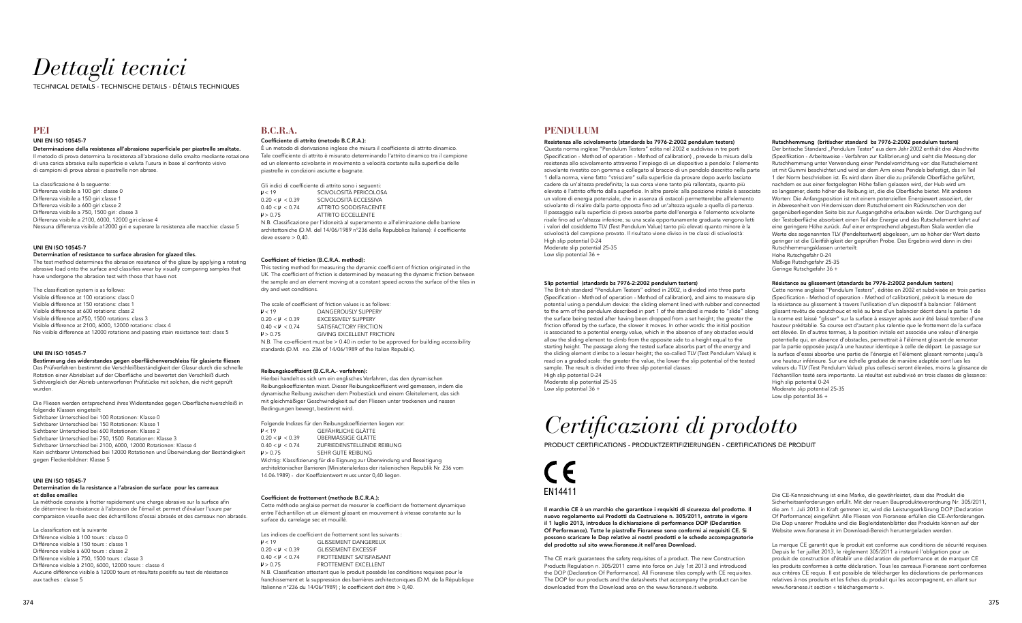## *Dettagli tecnici*

TECHNICAL DETAILS - TECHNISCHE DETAILS - DÉTAILS TECHNIQUES

## **B.C.R.A.**

#### Coefficiente di attrito (metodo B.C.R.A.):

É un metodo di derivazione inglese che misura il coefficiente di attrito dinamico. Tale coefficiente di attrito è misurato determinando l'attrito dinamico tra il campione ed un elemento scivolante in movimento a velocità costante sulla superficie delle piastrelle in condizioni asciutte e bagnate.

Gli indici di coefficiente di attrito sono i seguenti:<br>  $P < 19$  SCIVOLOSITÀ PERICOLOS  $\mu$  < 19 SCIVOLOSITÀ PERICOLOSA<br>0.20 <  $\mu$  < 0.39 SCIVOLOSITÀ ECCESSIVA  $0.20 < \mu < 0.39$ <br>  $0.40 < \mu < 0.74$ <br>  $0.74$ <br>  $0.77$ RITRITO SODDISFACENTE 0.40 < < 0.74 ATTRITO SODDISFACENTE > 0.75 ATTRITO ECCELLENTE N.B. Classificazione per l'idoneità al superamento e all'eliminazione delle barriere

architettoniche (D.M. del 14/06/1989 n°236 della Repubblica Italiana): il coefficiente deve essere > 0,40.

### Coefficient of friction (B.C.R.A. method):

This testing method for measuring the dynamic coefficient of friction originated in the UK. The coefficient of friction is determined by measuring the dynamic friction between the sample and an element moving at a constant speed across the surface of the tiles in dry and wet conditions.

The scale of coefficient of friction values is as follows:

| 14 < 19                                                                                 | DANGEROUSLY SLIPPERY             |  |  |
|-----------------------------------------------------------------------------------------|----------------------------------|--|--|
| $0.20 < \mu < 0.39$                                                                     | <b>EXCESSIVELY SLIPPERY</b>      |  |  |
| $0.40 < \mathsf{U} < 0.74$                                                              | SATISFACTORY FRICTION            |  |  |
| P > 0.75                                                                                | <b>GIVING EXCELLENT FRICTION</b> |  |  |
| N.B. The co-efficient must be > 0.40 in order to be approved for building accessibility |                                  |  |  |
| standards (D M no 236 of 14/06/1989 of the Italian Republic)                            |                                  |  |  |

#### Reibungskoeffizient (B.C.R.A.- verfahren):

Hierbei handelt es sich um ein englisches Verfahren, das den dynamischen Reibungskoeffizienten misst. Dieser Reibungskoeffizient wird gemessen, indem die dynamische Reibung zwischen dem Probestück und einem Gleitelement, das sich mit gleichmäßiger Geschwindigkeit auf den Fliesen unter trockenen und nassen Bedingungen bewegt, bestimmt wird.

Folgende Indizes für den Reibungskoeffizienten liegen vor: < 19 GEFÄHRLICHE GLÄTTE 0.20 < < 0.39 ÜBERMÄSSIGE GLÄTTE  $0.40 < \mu < 0.74$  ZUFRIEDENSTELLENDE REIBUNG  $U > 0.75$  SEHR GUTE REIBUNG Wichtig: Klassifizierung für die Eignung zur Überwindung und Beseitigung

architektonischer Barrieren (Ministerialerlass der italienischen Republik Nr. 236 vom 14.06.1989) - der Koeffizientwert muss unter 0,40 liegen.

#### Coefficient de frottement (methode B.C.R.A.):

Cette méthode anglaise permet de mesurer le coefficient de frottement dynamique entre l'échantillon et un élément glissant en mouvement à vitesse constante sur la surface du carrelage sec et mouillé.

|                                                                          | Les indices de coefficient de frottement sont les suivants :                                                                                                                                                                    |  |
|--------------------------------------------------------------------------|---------------------------------------------------------------------------------------------------------------------------------------------------------------------------------------------------------------------------------|--|
| H < 19                                                                   | <b>GLISSEMENT DANGEREUX</b>                                                                                                                                                                                                     |  |
| $0.20 < \mu < 0.39$                                                      | <b>GLISSEMENT EXCESSIF</b>                                                                                                                                                                                                      |  |
| $0.40 < \mu < 0.74$                                                      | FROTTEMENT SATISFAISANT                                                                                                                                                                                                         |  |
| P > 0.75                                                                 | FROTTEMENT EXCELLENT                                                                                                                                                                                                            |  |
| N.B. Classification attestant que le produit possède les conditions requ |                                                                                                                                                                                                                                 |  |
|                                                                          | $\sim$ . The contract of the contract of the contract of the contract of the contract of the contract of the contract of the contract of the contract of the contract of the contract of the contract of the contract of the co |  |

franchissement et la suppression des barrières architectoniques (D.M. de la République Italienne n°236 du 14/06/1989) ; le coefficient doit être > 0,40.

ises pour le

### **PEI**

### UNI EN ISO 10545-7

Determinazione della resistenza all'abrasione superficiale per piastrelle smaltate. Il metodo di prova determina la resistenza all'abrasione dello smalto mediante rotazione di una carica abrasiva sulla superficie e valuta l'usura in base al confronto visivo di campioni di prova abrasi e piastrelle non abrase.

La classificazione è la seguente: Differenza visibile a 100 giri: classe 0 Differenza visibile a 150 giri:classe 1 Differenza visibile a 600 giri:classe 2 Differenza visibile a 750, 1500 giri: classe 3 Differenza visibile a 2100, 6000, 12000 giri:classe 4 Nessuna differenza visibile a12000 giri e superare la resistenza alle macchie: classe 5

#### UNI EN ISO 10545-7

#### Determination of resistance to surface abrasion for glazed tiles.

The test method determines the abrasion resistance of the glaze by applying a rotating abrasive load onto the surface and classifies wear by visually comparing samples that have undergone the abrasion test with those that have not.

Resistenza allo scivolamento (standards bs 7976-2:2002 pendulum testers) Questa norma inglese "Pendulum Testers" edita nel 2002 e suddivisa in tre parti (Specification - Method of operation - Method of calibration) , prevede la misura della resistenza allo scivolamento attraverso l'impiego di un dispositivo a pendolo: l'elemento scivolante rivestito con gomma e collegato al braccio di un pendolo descritto nella parte 1 della norma, viene fatto "strisciare" sulla superficie da provare dopo averlo lasciato cadere da un'altezza predefinita; la sua corsa viene tanto più rallentata, quanto più elevato è l'attrito offerto dalla superficie. In altre parole: alla posizione iniziale è associato un valore di energia potenziale, che in assenza di ostacoli permetterebbe all'elemento scivolante di risalire dalla parte opposta fino ad un'altezza uguale a quella di partenza. Il passaggio sulla superficie di prova assorbe parte dell'energia e l'elemento scivolante risale fino ad un'altezza inferiore; su una scala opportunamente graduata vengono letti i valori del cosiddetto TLV (Test Pendulum Value) tanto più elevati quanto minore è la scivolosità del campione provato. Il risultato viene diviso in tre classi di scivolosità: High slip potential 0-24 Moderate slip potential 25-35 Low slip potential  $36 +$ 

The classification system is as follows: Visible difference at 100 rotations: class 0 Visible difference at 150 rotations: class 1 Visible difference at 600 rotations: class 2 Visible difference at750, 1500 rotations: class 3 Visible difference at 2100, 6000, 12000 rotations: class 4 No visible difference at 12000 rotations and passing stain resistance test: class 5

#### UNI EN ISO 10545-7

#### Bestimmung des widerstandes gegen oberflächenverschleiss für glasierte fliesen

Das Prüfverfahren bestimmt die Verschleißbeständigkeit der Glasur durch die schnelle Rotation einer Abrieblast auf der Oberfläche und bewertet den Verschleiß durch Sichtvergleich der Abrieb unterworfenen Prüfstücke mit solchen, die nicht geprüft wurden.

The British standard "Pendulum Testers" edited in 2002, is divided into three parts (Specification - Method of operation - Method of calibration), and aims to measure slip potential using a pendulum device: the sliding element lined with rubber and connected to the arm of the pendulum described in part 1 of the standard is made to "slide" along the surface being tested after having been dropped from a set height; the greater the friction offered by the surface, the slower it moves. In other words: the initial position is associated to a potential energy value, which in the absence of any obstacles would allow the sliding element to climb from the opposite side to a height equal to the starting height. The passage along the tested surface absorbs part of the energy and the sliding element climbs to a lesser height; the so-called TLV (Test Pendulum Value) is read on a graded scale: the greater the value, the lower the slip potential of the tested sample. The result is divided into three slip potential classes: High slip potential 0-24 Moderate slip potential 25-35 Low slip potential  $36 +$ 

Die Fliesen werden entsprechend ihres Widerstandes gegen Oberflächenverschleiß in folgende Klassen eingeteilt: Sichtbarer Unterschied bei 100 Rotationen: Klasse 0 Sichtbarer Unterschied bei 150 Rotationen: Klasse 1 Sichtbarer Unterschied bei 600 Rotationen: Klasse 2 Sichtbarer Unterschied bei 750, 1500 Rotationen: Klasse 3 Sichtbarer Unterschied bei 2100, 6000, 12000 Rotationen: Klasse 4 Kein sichtbarer Unterschied bei 12000 Rotationen und Überwindung der Beständigkeit gegen Fleckenbildner: Klasse 5

### UNI EN ISO 10545-7

#### Determination de la resistance a l'abrasion de surface pour les carreaux et dalles emailles

La méthode consiste à frotter rapidement une charge abrasive sur la surface afin de déterminer la résistance à l'abrasion de l'émail et permet d'évaluer l'usure par comparaison visuelle avec des échantillons d'essai abrasés et des carreaux non abrasés.

La classification est la suivante Différence visible à 100 tours : classe 0 Différence visible à 150 tours : classe 1 Différence visible à 600 tours : classe 2 Différence visible à 750, 1500 tours : classe 3 Différence visible à 2100, 6000, 12000 tours : classe 4 Aucune différence visible à 12000 tours et résultats positifs au test de résistance aux taches : classe 5

Der britische Standard "Pendulum Tester" aus dem Jahr 2002 enthält drei Abschnitte (Spezifikation - Arbeitsweise - Verfahren zur Kalibrierung) und sieht die Messung der Rutschhemmung unter Verwendung einer Pendelvorrichtung vor: das Rutschelement ist mit Gummi beschichtet und wird an dem Arm eines Pendels befestigt, das in Teil 1 der Norm beschrieben ist. Es wird dann über die zu prüfende Oberfläche geführt, nachdem es aus einer festgelegten Höhe fallen gelassen wird, der Hub wird um so langsamer, desto höher die Reibung ist, die die Oberfläche bietet. Mit anderen Worten: Die Anfangsposition ist mit einem potenziellen Energiewert assoziiert, der in Abwesenheit von Hindernissen dem Rutschelement ein Rückrutschen von der gegenüberliegenden Seite bis zur Ausgangshöhe erlauben würde. Der Durchgang auf der Testoberfläche absorbiert einen Teil der Energie und das Rutschelement kehrt auf eine geringere Höhe zurück. Auf einer entsprechend abgestuften Skala werden die Werte des sogenannten TLV (Pendeltestwert) abgelesen, um so höher der Wert desto geringer ist die Gleitfähigkeit der geprüften Probe. Das Ergebnis wird dann in drei Rutschhemmungsklassen unterteilt: Hohe Rutschgefahr 0-24

*Certificazioni di prodotto*

PRODUCT CERTIFICATIONS - PRODUKTZERTIFIZIERUNGEN - CERTIFICATIONS DE PRODUIT



Il marchio CE è un marchio che garantisce i requisiti di sicurezza del prodotto. Il nuovo regolamento sui Prodotti da Costruzione n. 305/2011, entrato in vigore il 1 luglio 2013, introduce la dichiarazione di performance DOP (Declaration Of Performance). Tutte le piastrelle Fioranese sono conformi ai requisiti CE. Si possono scaricare le Dop relative ai nostri prodotti e le schede accompagnatorie del prodotto sul sito www.fioranese.it nell'area Download.

The CE mark guarantees the safety requisites of a product. The new Construction Products Regulation n. 305/2011 came into force on July 1st 2013 and introduced the DOP (Declaration Of Performance). All Fioranese tiles comply with CE requisites. The DOP for our products and the datasheets that accompany the product can be downloaded from the Download area on the www.fioranese.it website.

Die CE-Kennzeichnung ist eine Marke, die gewährleistet, dass das Produkt die Sicherheitsanforderungen erfüllt. Mit der neuen Bauprodukteverordnung Nr. 305/2011, die am 1. Juli 2013 in Kraft getreten ist, wird die Leistungserklärung DOP (Declaration Of Performance) eingeführt. Alle Fliesen von Fioranese erfüllen die CE-Anforderungen. Die Dop unserer Produkte und die Begleitdatenblätter des Produkts können auf der Website www.fioranese.it im Download-Bereich heruntergeladen werden.

La marque CE garantit que le produit est conforme aux conditions de sécurité requises. Depuis le 1er juillet 2013, le règlement 305/2011 a instauré l'obligation pour un produit de construction d'établir une déclaration de performance et de marquer CE les produits conformes à cette déclaration. Tous les carreaux Fioranese sont conformes aux critères CE requis. Il est possible de télécharger les déclarations de performances relatives à nos produits et les fiches du produit qui les accompagnent, en allant sur www.fioranese.it section « téléchargements ».

### **PENDULUM**

#### Slip potential (standards bs 7976-2:2002 pendulum testers)

#### Rutschhemmung (britischer standard bs 7976-2:2002 pendulum testers)

Mäßige Rutschgefahr 25-35 Geringe Rutschgefahr 36 +

### Résistance au glissement (standards bs 7976-2:2002 pendulum testers)

Cette norme anglaise "Pendulum Testers", éditée en 2002 et subdivisée en trois parties (Specification - Method of operation - Method of calibration), prévoit la mesure de la résistance au glissement à travers l'utilisation d'un dispositif à balancier: l'élément glissant revêtu de caoutchouc et relié au bras d'un balancier décrit dans la partie 1 de la norme est laissé "glisser" sur la surface à essayer après avoir été laissé tomber d'une hauteur préétablie. Sa course est d'autant plus ralentie que le frottement de la surface est élevée. En d'autres termes, à la position initiale est associée une valeur d'énergie potentielle qui, en absence d'obstacles, permettrait à l'élément glissant de remonter par la partie opposée jusqu'à une hauteur identique à celle de départ. Le passage sur la surface d'essai absorbe une partie de l'énergie et l'élément glissant remonte jusqu'à une hauteur inférieure. Sur une échelle graduée de manière adaptée sont lues les valeurs du TLV (Test Pendulum Value): plus celles-ci seront élevées, moins la glissance de l'échantillon testé sera importante. Le résultat est subdivisé en trois classes de glissance: High slip potential 0-24

Moderate slip potential 25-35 Low slip potential 36 +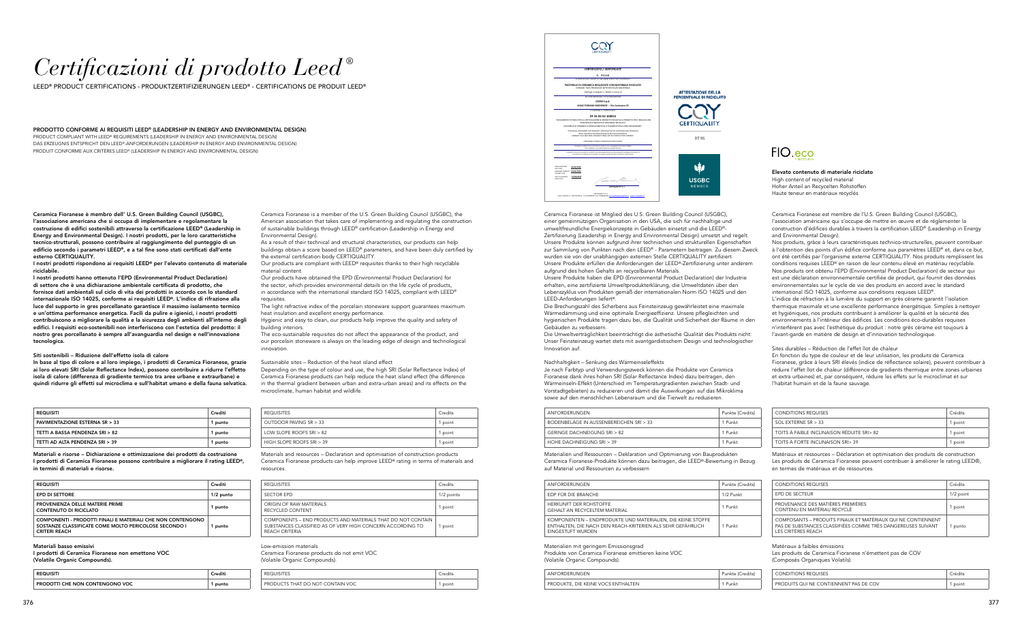## *Certificazioni di prodotto Leed ®*

LEED® PRODUCT CERTIFICATIONS - PRODUKTZERTIFIZIERUNGEN LEED® - CERTIFICATIONS DE PRODUIT LEED®

Ceramica Fioranese è membro dell' U.S. Green Building Council (USGBC), l'associazione americana che si occupa di implementare e regolamentare la costruzione di edifici sostenibili attraverso la certificazione LEED® (Leadership in Energy and Environmental Design). I nostri prodotti, per le loro caratteristiche tecnico-strutturali, possono contribuire al raggiungimento del punteggio di un edificio secondo i parametri LEED®, e a tal fine sono stati certificati dall'ente esterno CERTIQUALITY.

I nostri prodotti rispondono ai requisiti LEED® per l'elevato contenuto di materiale riciclabile.

Ceramica Fioranese est membre de l'U.S. Green Building Council (USGBC), l'association américaine qui s'occupe de mettre en œuvre et de réglementer la construction d'édifices durables à travers la certification LEED® (Leadership in Energy and Environmental Design).

I nostri prodotti hanno ottenuto l'EPD (Environmental Product Declaration) di settore che è una dichiarazione ambientale certificata di prodotto, che fornisce dati ambientali sul ciclo di vita dei prodotti in accordo con lo standard internazionale ISO 14025, conforme ai requisiti LEED®. L'indice di rifrazione alla luce del supporto in gres porcellanato garantisce il massimo isolamento termico e un'ottima performance energetica. Facili da pulire e igienici, i nostri prodotti contribuiscono a migliorare la qualità e la sicurezza degli ambienti all'interno degli edifici. I requisiti eco-sostenibili non interferiscono con l'estetica del prodotto: il nostro gres porcellanato è sempre all'avanguardia nel design e nell'innovazione tecnologica.

#### Siti sostenibili – Riduzione dell'effetto isola di calore

In base al tipo di colore e al loro impiego, i prodotti di Ceramica Fioranese, grazie ai loro elevati SRI (Solar Reflectance Index), possono contribuire a ridurre l'effetto isola di calore (differenza di gradiente termico tra aree urbane e extraurbane) e quindi ridurre gli effetti sul microclima e sull'habitat umano e della fauna selvatica.

Materiali e risorse – Dichiarazione e ottimizzazione dei prodotti da costruzione I prodotti di Ceramica Fioranese possono contribuire a migliorare il rating LEED®, in termini di materiali e risorse.

#### Materiali basso emissivi

I prodotti di Ceramica Fioranese non emettono VOC (Volatile Organic Compounds).

Nos produits, grâce à leurs caractéristiques technico-structurelles, peuvent contribuer à l'obtention des points d'un édifice conforme aux paramètres LEED® et, dans ce but, ont été certifiés par l'organisme externe CERTIQUALITY. Nos produits remplissent les conditions requises LEED® en raison de leur contenu élevé en matériau recyclable. Nos produits ont obtenu l'EPD (Environmental Product Declaration) de secteur qui est une déclaration environnementale certifiée de produit, qui fournit des données environnementales sur le cycle de vie des produits en accord avec le standard international ISO 14025, conforme aux conditions requises LEED®.

L'indice de réfraction à la lumière du support en grès cérame garantit l'isolation thermique maximale et une excellente performance énergétique. Simples à nettoyer et hygiéniques, nos produits contribuent à améliorer la qualité et la sécurité des environnements à l'intérieur des édifices. Les conditions éco-durables requises n'interfèrent pas avec l'esthétique du produit : notre grès cérame est toujours à l'avant-garde en matière de design et d'innovation technologique.

Sites durables – Réduction de l'effet îlot de chaleur

En fonction du type de couleur et de leur utilisation, les produits de Ceramica Fioranese, grâce à leurs SRI élevés (indice de réflectance solaire), peuvent contribuer à réduire l'effet îlot de chaleur (différence de gradients thermique entre zones urbaines et extra urbaines) et, par conséquent, réduire les effets sur le microclimat et sur l'habitat humain et de la faune sauvage.

Matériaux et ressources – Déclaration et optimisation des produits de construction Les produits de Ceramica Fioranese peuvent contribuer à améliorer le rating LEED®, en termes de matériaux et de ressources.

Matériaux à faibles émissions

Les produits de Ceramica Fioranese n'émettent pas de COV (Composés Organiques Volatils).

Ceramica Fioranese is a member of the U.S. Green Building Council (USGBC), the American association that takes care of implementing and regulating the construction of sustainable buildings through LEED® certification (Leadership in Energy and Environmental Design).

As a result of their technical and structural characteristics, our products can help buildings obtain a score based on LEED® parameters, and have been duly certified by the external certification body CERTIQUALITY.

Our products are compliant with LEED® requisites thanks to their high recyclable material content.

Our products have obtained the EPD (Environmental Product Declaration) for the sector, which provides environmental details on the life cycle of products, in accordance with the international standard ISO 14025, compliant with LEED® requisites.

The light refractive index of the porcelain stoneware support guarantees maximum heat insulation and excellent energy performance.

Hygienic and easy to clean, our products help improve the quality and safety of building interiors.

The eco-sustainable requisites do not affect the appearance of the product, and our porcelain stoneware is always on the leading edge of design and technological innovation.

#### Sustainable sites – Reduction of the heat island effect

Depending on the type of colour and use, the high SRI (Solar Reflectance Index) of Ceramica Fioranese products can help reduce the heat island effect (the difference in the thermal gradient between urban and extra-urban areas) and its effects on the microclimate, human habitat and wildlife.

Materials and resources – Declaration and optimisation of construction products Ceramica Fioranese products can help improve LEED® rating in terms of materials and resources.

#### Low-emission materials Ceramica Fioranese products do not emit VOC (Volatile Organic Compounds).

Ceramica Fioranese ist Mitglied des U.S. Green Building Council (USGBC), einer gemeinnützigen Organisation in den USA, die sich für nachhaltige und umweltfreundliche Energiekonzepte in Gebäuden einsetzt und die LEED®- Zertifizierung (Leadership in Energy and Environmental Design) umsetzt und regelt. Unsere Produkte können aufgrund ihrer technischen und strukturellen Eigenschaften zur Sammlung von Punkten nach den LEED® - Parametern beitragen. Zu diesem Zweck wurden sie von der unabhängigen externen Stelle CERTIQUALITY zertifiziert. Unsere Produkte erfüllen die Anforderungen der LEED®-Zertifizierung unter anderem aufgrund des hohen Gehalts an recycelbaren Materials.

Unsere Produkte haben die EPD (Environmental Product Declaration) der Industrie erhalten, eine zertifizierte Umweltprodukterklärung, die Umweltdaten über den Lebenszyklus von Produkten gemäß der internationalen Norm ISO 14025 und den LEED-Anforderungen liefert®.

Die Brechungszahl des Scherbens aus Feinsteinzeug gewährleistet eine maximale Wärmedämmung und eine optimale Energieeffizienz. Unsere pflegleichten und hygienischen Produkte tragen dazu bei, die Qualität und Sicherheit der Räume in den Gebäuden zu verbessern.

Die Umweltverträglichkeit beeinträchtigt die ästhetische Qualität des Produkts nicht: Unser Feinsteinzeug wartet stets mit avantgardistischem Design und technologischer Innovation auf.

#### Nachhaltigkeit – Senkung des Wärmeinseleffekts

Je nach Farbtyp und Verwendungszweck können die Produkte von Ceramica Fioranese dank ihres hohen SRI (Solar Reflectance Index) dazu beitragen, den Wärmeinseln-Effekt (Unterschied im Temperaturgradienten zwischen Stadt- und Vorstadtgebieten) zu reduzieren und damit die Auswirkungen auf das Mikroklima sowie auf den menschlichen Lebensraum und die Tierwelt zu reduzieren.

Materialien und Ressourcen – Deklaration und Optimierung von Bauprodukten Ceramica Fioranese-Produkte können dazu beitragen, die LEED®-Bewertung in Bezug auf Material und Ressourcen zu verbessern

Materialien mit geringem Emissionsgrad Produkte von Ceramica Fioranese emittieren keine VOC (Volatile Organic Compounds).

| ANFORDERUNGEN | Punkte (Credits) |
|---------------|------------------|
|---------------|------------------|

PRODUKTE, DIE KEINE VOCS ENTHALTEN



| <b>REQUISITI</b>                         | Crediti |
|------------------------------------------|---------|
| <b>PAVIMENTAZIONE ESTERNA SR &gt; 33</b> | 1 punto |
| TETTI A BASSA PENDENZA SRI > 82          | 1 punto |
| TETTI AD ALTA PENDENZA SRI > 39          | 1 punto |

| CONDITIONS REQUISES                        | Crédits |
|--------------------------------------------|---------|
| SOL EXTERNE SR $>$ 33                      | 1 point |
| TOITS À FAIBLE INCLINAISON RÉDUITE SRI> 82 | 1 point |
| TOITS À FORTE INCLINAISON SRI> 39          | 1 point |

| <b>REQUISITES</b>          | Credits |
|----------------------------|---------|
| OUTDOOR PAVING SR $>$ 33   | 1 point |
| LOW SLOPE ROOFS SRI $> 82$ | 1 point |
| HIGH SLOPE ROOFS SRI > 39  | 1 point |

| ANFORDERUNGEN                                                             | Punkte (Credits) |  |
|---------------------------------------------------------------------------|------------------|--|
| BODENBELÄGE IN AUSSENBEREICHEN SRL > 33                                   | 1 Punkt          |  |
| GERINGE DACHNEIGUNG SRL > 82                                              | 1 Punkt          |  |
| HOHE DACHNEIGUNG SRI > 39                                                 | 1 Punkt          |  |
| Materialien und Ressourcen - Deklaration und Optimierung von Bauprodukten |                  |  |

| <b>REQUISITI</b>                | Crediti |
|---------------------------------|---------|
| PRODOTTI CHE NON CONTENGONO VOC | punto   |

| <b>CONDITIONS REQUISES</b>             |  |
|----------------------------------------|--|
| PRODUITS QUI NE CONTIENNENT PAS DE COV |  |

| .                                |  |
|----------------------------------|--|
| <b>REQUISITES</b>                |  |
| PRODUCTS THAT DO NOT CONTAIN VOC |  |

| <b>REQUISITI</b>                                                                                                                             | Crediti     |
|----------------------------------------------------------------------------------------------------------------------------------------------|-------------|
| <b>EPD DI SETTORE</b>                                                                                                                        | $1/2$ punto |
| PROVENIENZA DELLE MATERIE PRIME<br>CONTENUTO DI RICICLATO                                                                                    | 1 punto     |
| COMPONENTI - PRODOTTI FINALI E MATERIALI CHE NON CONTENGONO<br>SOSTANZE CLASSIFICATE COME MOLTO PERICOLOSE SECONDO I<br><b>CRITERI REACH</b> | 1 punto     |

| <b>CONDITIONS REQUISES</b>                                                                                                                         | Crédits     |
|----------------------------------------------------------------------------------------------------------------------------------------------------|-------------|
| <b>EPD DE SECTEUR</b>                                                                                                                              | $1/2$ point |
| PROVENANCE DES MATIÈRES PREMIÈRES<br>CONTENU EN MATÉRIAU RECYCLÉ                                                                                   | 1 point     |
| COMPOSANTS - PRODUITS FINAUX ET MATÉRIAUX OUI NE CONTIENNENT<br>PAS DE SUBSTANCES CLASSIFIÉES COMME TRÈS DANGEREUSES SUIVANT<br>LES CRITÈRES REACH | 1 punto     |

| <b>REQUISITES</b>                                                                                                                                  | Credits    |
|----------------------------------------------------------------------------------------------------------------------------------------------------|------------|
| <b>SECTOR EPD</b>                                                                                                                                  | 1/2 points |
| ORIGIN OF RAW MATERIALS<br>RECYCLED CONTENT                                                                                                        | 1 point    |
| COMPONENTS – END PRODUCTS AND MATERIALS THAT DO NOT CONTAIN<br>SUBSTANCES CLASSIFIED AS OF VERY HIGH CONCERN ACCORDING TO<br><b>REACH CRITERIA</b> | point      |

| ANFORDERUNGEN                                                                                                                                   | Punkte (Credits) |
|-------------------------------------------------------------------------------------------------------------------------------------------------|------------------|
| EDP FÜR DIE BRANCHE                                                                                                                             | 1/2 Punkt        |
| HERKUNFT DER ROHSTOFFE<br><b>GEHALT AN RECYCELTEM MATERIAL</b>                                                                                  | 1 Punkt          |
| KOMPONENTEN – ENDPRODUKTE UND MATERIALIEN. DIE KEINE STOFFE<br>ENTHALTEN. DIE NACH DEN REACH-KRITERIEN ALS SEHR GEFÄHRLICH<br>EINGESTUFT WURDEN | 1 Punkt          |
|                                                                                                                                                 |                  |

|    | Punkte (Credits) |
|----|------------------|
|    | 1/2 Punkt        |
|    | 1 Punkt          |
| FF | 1 Punkt          |

| Punkte (Credits) |  |
|------------------|--|
| 1 Punkt          |  |







PRODOTTO CONFORME AI REQUISITI LEED® (LEADERSHIP IN ENERGY AND ENVIRONMENTAL DESIGN) PRODUCT COMPLIANT WITH LEED® REQUIREMENTS (LEADERSHIP IN ENERGY AND ENVIRONMENTAL DESIGN) DAS ERZEUGNIS ENTSPRICHT DEN LEED®-ANFORDERUNGEN (LEADERSHIP IN ENERGY AND ENVIRONMENTAL DESIGN) PRODUIT CONFORME AUX CRITÈRES LEED® (LEADERSHIP IN ENERGY AND ENVIRONMENTAL DESIGN)

> Elevato contenuto di materiale riciclato High content of recycled material Hoher Anteil an Recycelten Rohstoffen Haute teneur en matériaux recyclés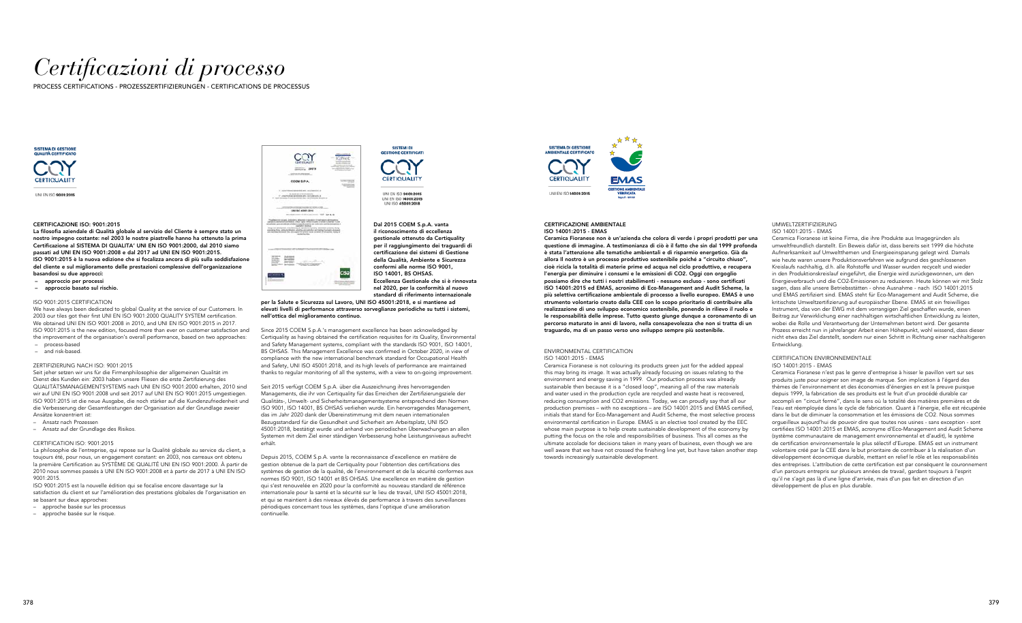# *Certificazioni di processo*

PROCESS CERTIFICATIONS - PROZESSZERTIFIZIERUNGEN - CERTIFICATIONS DE PROCESSUS



UNLEN ISO 9001-2015

#### CERTIFICAZIONE ISO: 9001:2015

La filosofia aziendale di Qualità globale al servizio del Cliente è sempre stato un nostro impegno costante: nel 2003 le nostre piastrelle hanno ha ottenuto la prima Certificazione al SISTEMA DI QUALITA' UNI EN ISO 9001:2000, dal 2010 siamo passati ad UNI EN ISO 9001:2008 e dal 2017 ad UNI EN ISO 9001:2015. ISO 9001:2015 è la nuova edizione che si focalizza ancora di più sulla soddisfazione del cliente e sul miglioramento delle prestazioni complessive dell'organizzazione basandosi su due approcci:

- approccio per processi
- approccio basato sul rischio.

#### ISO 9001:2015 CERTIFICATION

We have always been dedicated to global Quality at the service of our Customers. In 2003 our tiles got their first UNI EN ISO 9001:2000 QUALITY SYSTEM certification. We obtained UNI EN ISO 9001:2008 in 2010, and UNI EN ISO 9001:2015 in 2017. ISO 9001:2015 is the new edition, focused more than ever on customer satisfaction and the improvement of the organisation's overall performance, based on two approaches: – process-based

– and risk-based.

#### ZERTIFIZIERUNG NACH ISO: 9001:2015

Seit jeher setzen wir uns für die Firmenphilosophie der allgemeinen Qualität im Dienst des Kunden ein: 2003 haben unsere Fliesen die erste Zertifizierung des QUALITÄTSMANAGEMENTSYSTEMS nach UNI EN ISO 9001:2000 erhalten, 2010 sind wir auf UNI EN ISO 9001:2008 und seit 2017 auf UNI EN ISO 9001:2015 umgestiegen. ISO 9001:2015 ist die neue Ausgabe, die noch stärker auf die Kundenzufriedenheit und die Verbesserung der Gesamtleistungen der Organisation auf der Grundlage zweier Ansätze konzentriert ist:

- Ansatz nach Prozessen
- Ansatz auf der Grundlage des Risikos.

#### CERTIFICATION ISO: 9001:2015

La philosophie de l'entreprise, qui repose sur la Qualité globale au service du client, a toujours été, pour nous, un engagement constant: en 2003, nos carreaux ont obtenu la première Certification au SYSTÈME DE QUALITÉ UNI EN ISO 9001:2000. À partir de 2010 nous sommes passés à UNI EN ISO 9001:2008 et à partir de 2017 à UNI EN ISO 9001:2015.

ISO 9001:2015 est la nouvelle édition qui se focalise encore davantage sur la satisfaction du client et sur l'amélioration des prestations globales de l'organisation en se basant sur deux approches:

- approche basée sur les processus
- approche basée sur le risque.



## **GESTIONE CERTIFICATI CERTIQUALITY**

**SISTEMI DI** 

UNI EN ISO 9001:2015 UNLEN ISO 14001-2015 UNI ISO 45001:2018

Dal 2015 COEM S.p.A. vanta il riconoscimento di eccellenza gestionale ottenuto da Certiquality per il raggiungimento dei traguardi di certificazione dei sistemi di Gestione della Qualità, Ambiente e Sicurezza conformi alle norme ISO 9001, ISO 14001, BS OHSAS. Eccellenza Gestionale che si è rinnovata nel 2020, per la conformità al nuovo standard di riferimento internazionale

per la Salute e Sicurezza sul Lavoro, UNI ISO 45001:2018, e si mantiene ad elevati livelli di performance attraverso sorveglianze periodiche su tutti i sistemi, nell'ottica del miglioramento continuo.

Since 2015 COEM S.p.A.'s management excellence has been acknowledged by Certiquality as having obtained the certification requisites for its Quality, Environmental and Safety Management systems, compliant with the standards ISO 9001, ISO 14001, BS OHSAS. This Management Excellence was confirmed in October 2020, in view of compliance with the new international benchmark standard for Occupational Health and Safety, UNI ISO 45001:2018, and its high levels of performance are maintained thanks to regular monitoring of all the systems, with a view to on-going improvement.

Seit 2015 verfügt COEM S.p.A. über die Auszeichnung ihres hervorragenden Managements, die ihr von Certiquality für das Erreichen der Zertifizierungsziele der Qualitäts-, Umwelt- und Sicherheitsmanagementsysteme entsprechend den Normen ISO 9001, ISO 14001, BS OHSAS verliehen wurde. Ein hervorragendes Management, das im Jahr 2020 dank der Übereinstimmung mit dem neuen internationalen Bezugsstandard für die Gesundheit und Sicherheit am Arbeitsplatz, UNI ISO 45001:2018, bestätigt wurde und anhand von periodischen Überwachungen an allen Systemen mit dem Ziel einer ständigen Verbesserung hohe Leistungsniveaus aufrecht erhält.

Depuis 2015, COEM S.p.A. vante la reconnaissance d'excellence en matière de gestion obtenue de la part de Certiquality pour l'obtention des certifications des systèmes de gestion de la qualité, de l'environnement et de la sécurité conformes aux normes ISO 9001, ISO 14001 et BS OHSAS. Une excellence en matière de gestion qui s'est renouvelée en 2020 pour la conformité au nouveau standard de référence internationale pour la santé et la sécurité sur le lieu de travail, UNI ISO 45001:2018, et qui se maintient à des niveaux élevés de performance à travers des surveillances périodiques concernant tous les systèmes, dans l'optique d'une amélioration continuelle.



#### CERTIFICAZIONE AMBIENTALE ISO 14001:2015 - EMAS

Ceramica Fioranese non è un'azienda che colora di verde i propri prodotti per una questione di immagine. A testimonianza di ciò è il fatto che sin dal 1999 profonda è stata l'attenzione alle tematiche ambientali e di risparmio energetico. Già da allora Il nostro è un processo produttivo sostenibile poiché a "circuito chiuso", cioè ricicla la totalità di materie prime ed acqua nel ciclo produttivo, e recupera l'energia per diminuire i consumi e le emissioni di CO2. Oggi con orgoglio possiamo dire che tutti i nostri stabilimenti - nessuno escluso - sono certificati ISO 14001:2015 ed EMAS, acronimo di Eco-Management and Audit Scheme, la più selettiva certificazione ambientale di processo a livello europeo. EMAS è uno strumento volontario creato dalla CEE con lo scopo prioritario di contribuire alla realizzazione di uno sviluppo economico sostenibile, ponendo in rilievo il ruolo e le responsabilità delle imprese. Tutto questo giunge dunque a coronamento di un percorso maturato in anni di lavoro, nella consapevolezza che non si tratta di un traguardo, ma di un passo verso uno sviluppo sempre più sostenibile.

#### ENVIRONMENTAL CERTIFICATION ISO 14001:2015 - EMAS

Ceramica Fioranese is not colouring its products green just for the added appeal this may bring its image. It was actually already focusing on issues relating to the environment and energy saving in 1999. Our production process was already sustainable then because it is a "closed loop", meaning all of the raw materials and water used in the production cycle are recycled and waste heat is recovered, reducing consumption and CO2 emissions. Today, we can proudly say that all our production premises – with no exceptions – are ISO 14001:2015 and EMAS certified, initials that stand for Eco-Management and Audit Scheme, the most selective process environmental certification in Europe. EMAS is an elective tool created by the EEC whose main purpose is to help create sustainable development of the economy by putting the focus on the role and responsibilities of business. This all comes as the ultimate accolade for decisions taken in many years of business, even though we are well aware that we have not crossed the finishing line yet, but have taken another step towards increasingly sustainable development.

#### UMWELTZERTIFIZIERUNG ISO 14001:2015 - EMAS

Ceramica Fioranese ist keine Firma, die ihre Produkte aus Imagegründen als umweltfreundlich darstellt. Ein Beweis dafür ist, dass bereits seit 1999 die höchste Aufmerksamkeit auf Umweltthemen und Energieeinsparung gelegt wird. Damals wie heute waren unsere Produktionsverfahren wie aufgrund des geschlossenen Kreislaufs nachhaltig, d.h. alle Rohstoffe und Wasser wurden recycelt und wieder in den Produktionskreislauf eingeführt, die Energie wird zurückgewonnen, um den Energieverbrauch und die CO2-Emissionen zu reduzieren. Heute können wir mit Stolz sagen, dass alle unsere Betriebsstätten - ohne Ausnahme - nach ISO 14001:2015 und EMAS zertifiziert sind. EMAS steht für Eco-Management and Audit Scheme, die kritischste Umweltzertifizierung auf europäischer Ebene. EMAS ist ein freiwilliges Instrument, das von der EWG mit dem vorrangigen Ziel geschaffen wurde, einen Beitrag zur Verwirklichung einer nachhaltigen wirtschaftlichen Entwicklung zu leisten, wobei die Rolle und Verantwortung der Unternehmen betont wird. Der gesamte Prozess erreicht nun in jahrelanger Arbeit einen Höhepunkt, wohl wissend, dass dieser nicht etwa das Ziel darstellt, sondern nur einen Schritt in Richtung einer nachhaltigeren Entwicklung.

#### CERTIFICATION ENVIRONNEMENTALE ISO 14001:2015 - EMAS

Ceramica Fioranese n'est pas le genre d'entreprise à hisser le pavillon vert sur ses produits juste pour soigner son image de marque. Son implication à l'égard des thèmes de l'environnement et des économies d'énergies en est la preuve puisque depuis 1999, la fabrication de ses produits est le fruit d'un procédé durable car accompli en "circuit fermé", dans le sens où la totalité des matières premières et de l'eau est réemployée dans le cycle de fabrication. Quant à l'énergie, elle est récupérée dans le but de diminuer la consommation et les émissions de CO2. Nous sommes orgueilleux aujourd'hui de pouvoir dire que toutes nos usines - sans exception - sont certifiées ISO 14001:2015 et EMAS, acronyme d'Eco-Management and Audit Scheme (système communautaire de management environnemental et d'audit), le système de certification environnementale le plus sélectif d'Europe. EMAS est un instrument volontaire créé par la CEE dans le but prioritaire de contribuer à la réalisation d'un développement économique durable, mettant en relief le rôle et les responsabilités des entreprises. L'attribution de cette certification est par conséquent le couronnement d'un parcours entrepris sur plusieurs années de travail, gardant toujours à l'esprit qu'il ne s'agit pas là d'une ligne d'arrivée, mais d'un pas fait en direction d'un développement de plus en plus durable.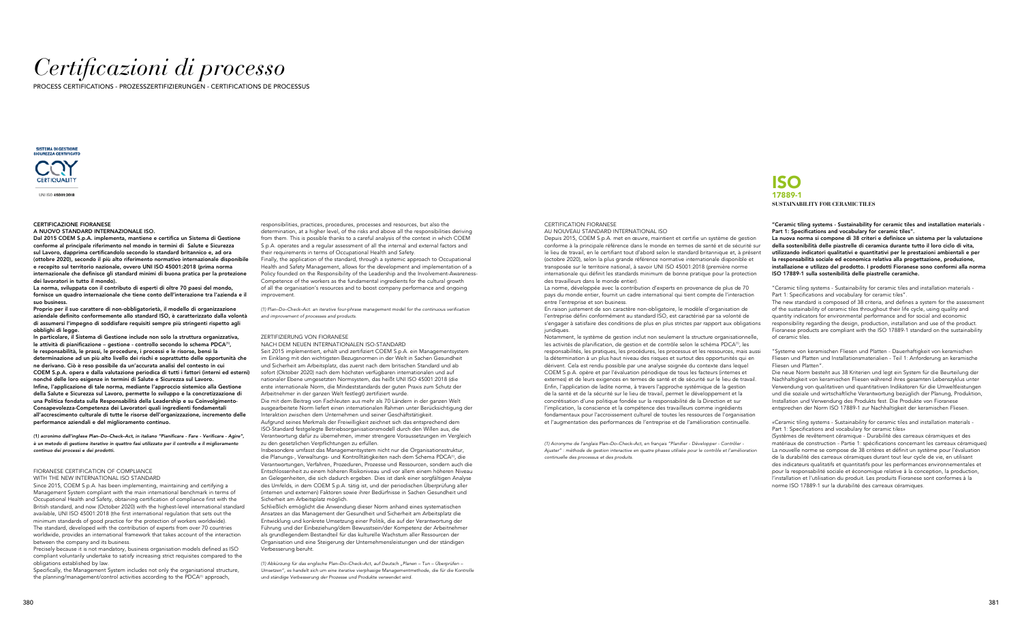# *Certificazioni di processo*

PROCESS CERTIFICATIONS - PROZESSZERTIFIZIERUNGEN - CERTIFICATIONS DE PROCESSUS



UNLISO 45001:2018

#### CERTIFICAZIONE FIORANESE

#### A NUOVO STANDARD INTERNAZIONALE ISO.

Dal 2015 COEM S.p.A. implementa, mantiene e certifica un Sistema di Gestione conforme al principale riferimento nel mondo in termini di Salute e Sicurezza sul Lavoro, dapprima certificandolo secondo lo standard britannico e, ad ora (ottobre 2020), secondo il più alto riferimento normativo internazionale disponibile e recepito sul territorio nazionale, ovvero UNI ISO 45001:2018 (prima norma internazionale che definisce gli standard minimi di buona pratica per la protezione dei lavoratori in tutto il mondo).

La norma, sviluppata con il contributo di esperti di oltre 70 paesi del mondo, fornisce un quadro internazionale che tiene conto dell'interazione tra l'azienda e il suo business.

Proprio per il suo carattere di non-obbligatorietà, il modello di organizzazione aziendale definito conformemente allo standard ISO, è caratterizzato dalla volontà di assumersi l'impegno di soddisfare requisiti sempre più stringenti rispetto agli obblighi di legge.

In particolare, il Sistema di Gestione include non solo la struttura organizzativa, le attività di pianificazione – gestione - controllo secondo lo schema PDCA(1), le responsabilità, le prassi, le procedure, i processi e le risorse, bensì la determinazione ad un più alto livello dei rischi e soprattutto delle opportunità che ne derivano. Ciò è reso possibile da un'accurata analisi del contesto in cui COEM S.p.A. opera e dalla valutazione periodica di tutti i fattori (interni ed esterni) nonché delle loro esigenze in termini di Salute e Sicurezza sul Lavoro. Infine, l'applicazione di tale norma, mediante l'approccio sistemico alla Gestione della Salute e Sicurezza sul Lavoro, permette lo sviluppo e la concretizzazione di una Politica fondata sulla Responsabilità della Leadership e su Coinvolgimento-Consapevolezza-Competenza dei Lavoratori quali ingredienti fondamentali all'accrescimento culturale di tutte le risorse dell'organizzazione, incremento delle performance aziendali e del miglioramento continuo.

Specifically, the Management System includes not only the organisational structure, the planning/management/control activities according to the PDCA<sup>(1)</sup> approach,

(1) acronimo dall'inglese Plan–Do–Check–Act, in italiano "Pianificare - Fare - Verificare - Agire", è un metodo di gestione iterativo in quattro fasi utilizzato per il controllo e il miglioramento continuo dei processi e dei prodotti.

#### FIORANESE CERTIFICATION OF COMPLIANCE WITH THE NEW INTERNATIONAL ISO STANDARD

Since 2015, COEM S.p.A. has been implementing, maintaining and certifying a Management System compliant with the main international benchmark in terms of Occupational Health and Safety, obtaining certification of compliance first with the British standard, and now (October 2020) with the highest-level international standard available, UNI ISO 45001:2018 (the first international regulation that sets out the minimum standards of good practice for the protection of workers worldwide). The standard, developed with the contribution of experts from over 70 countries worldwide, provides an international framework that takes account of the interaction between the company and its business.

Precisely because it is not mandatory, business organisation models defined as ISO compliant voluntarily undertake to satisfy increasing strict requisites compared to the obligations established by law.

(1) Abkürzung für das englische Plan-Do-Check-Act, auf Deutsch "Planen - Tun - Überprüfen -Umsetzen", es handelt sich um eine iterative vierphasige Managementmethode, die für die Kontrolle und ständige Verbesserung der Prozesse und Produkte verwendet wird.

responsibilities, practices, procedures, processes and resources, but also the determination, at a higher level, of the risks and above all the responsibilities deriving from them. This is possible thanks to a careful analysis of the context in which COEM S.p.A. operates and a regular assessment of all the internal and external factors and their requirements in terms of Occupational Health and Safety.

> En raison justement de son caractère non-obligatoire, le modèle d'organisation de l'entreprise défini conformément au standard ISO, est caractérisé par sa volonté de s'engager à satisfaire des conditions de plus en plus strictes par rapport aux obligations juridiques.

Finally, the application of the standard, through a systemic approach to Occupational Health and Safety Management, allows for the development and implementation of a Policy founded on the Responsibility of the Leadership and the Involvement-Awareness-Competence of the workers as the fundamental ingredients for the cultural growth of all the organisation's resources and to boost company performance and ongoing improvement.

(1) Plan–Do–Check–Act: an iterative four-phrase management model for the continuous verification and improvement of processes and products.

### ZERTIFIZIERUNG VON FIORANESE

"Ceramic tiling systems - Sustainability for ceramic tiles and installation materials - Part 1: Specifications and vocabulary for ceramic tiles".

NACH DEM NEUEN INTERNATIONALEN ISO-STANDARD Seit 2015 implementiert, erhält und zertifiziert COEM S.p.A. ein Managementsystem im Einklang mit den wichtigsten Bezugsnormen in der Welt in Sachen Gesundheit und Sicherheit am Arbeitsplatz, das zuerst nach dem britischen Standard und ab sofort (Oktober 2020) nach dem höchsten verfügbaren internationalen und auf nationaler Ebene umgesetzten Normsystem, das heißt UNI ISO 45001:2018 (die erste internationale Norm, die Mindeststandards der guten Praxis zum Schutz der Arbeitnehmer in der ganzen Welt festlegt) zertifiziert wurde. Die mit dem Beitrag von Fachleuten aus mehr als 70 Ländern in der ganzen Welt ausgearbeitete Norm liefert einen internationalen Rahmen unter Berücksichtigung der Interaktion zwischen dem Unternehmen und seiner Geschäftstätigkeit. Aufgrund seines Merkmals der Freiwilligkeit zeichnet sich das entsprechend dem ISO-Standard festgelegte Betriebsorganisationsmodell durch den Willen aus, die Verantwortung dafür zu übernehmen, immer strengere Voraussetzungen im Vergleich

zu den gesetzlichen Verpflichtungen zu erfüllen.

Insbesondere umfasst das Managementsystem nicht nur die Organisationsstruktur, die Planungs-, Verwaltungs- und Kontrolltätigkeiten nach dem Schema PDCA(1), die Verantwortungen, Verfahren, Prozeduren, Prozesse und Ressourcen, sondern auch die Entschlossenheit zu einem höheren Risikoniveau und vor allem einem höheren Niveau an Gelegenheiten, die sich dadurch ergeben. Dies ist dank einer sorgfältigen Analyse des Umfelds, in dem COEM S.p.A. tätig ist, und der periodischen Überprüfung aller (internen und externen) Faktoren sowie ihrer Bedürfnisse in Sachen Gesundheit und Sicherheit am Arbeitsplatz möglich.

Schließlich ermöglicht die Anwendung dieser Norm anhand eines systematischen Ansatzes an das Management der Gesundheit und Sicherheit am Arbeitsplatz die Entwicklung und konkrete Umsetzung einer Politik, die auf der Verantwortung der Führung und der Einbeziehung/dem Bewusstsein/der Kompetenz der Arbeitnehmer als grundlegendem Bestandteil für das kulturelle Wachstum aller Ressourcen der Organisation und eine Steigerung der Unternehmensleistungen und der ständigen Verbesserung beruht.

#### CERTIFICATION FIORANESE

#### AU NOUVEAU STANDARD INTERNATIONAL ISO

Depuis 2015, COEM S.p.A. met en œuvre, maintient et certifie un système de gestion conforme à la principale référence dans le monde en termes de santé et de sécurité sur le lieu de travail, en le certifiant tout d'abord selon le standard britannique et, à présent (octobre 2020), selon la plus grande référence normative internationale disponible et transposée sur le territoire national, à savoir UNI ISO 45001:2018 (première norme internationale qui définit les standards minimum de bonne pratique pour la protection des travailleurs dans le monde entier).

La norme, développée avec la contribution d'experts en provenance de plus de 70 pays du monde entier, fournit un cadre international qui tient compte de l'interaction entre l'entreprise et son business.

Notamment, le système de gestion inclut non seulement la structure organisationnelle, les activités de planification, de gestion et de contrôle selon le schéma PDCA(1), les responsabilités, les pratiques, les procédures, les processus et les ressources, mais aussi la détermination à un plus haut niveau des risques et surtout des opportunités qui en dérivent. Cela est rendu possible par une analyse soignée du contexte dans lequel COEM S.p.A. opère et par l'évaluation périodique de tous les facteurs (internes et externes) et de leurs exigences en termes de santé et de sécurité sur le lieu de travail. Enfin, l'application de ladite norme, à travers l'approche systémique de la gestion de la santé et de la sécurité sur le lieu de travail, permet le développement et la concrétisation d'une politique fondée sur la responsabilité de la Direction et sur l'implication, la conscience et la compétence des travailleurs comme ingrédients fondamentaux pour l'accroissement culturel de toutes les ressources de l'organisation et l'augmentation des performances de l'entreprise et de l'amélioration continuelle.

(1) Acronyme de l'anglais Plan–Do–Check–Act, en français "Planifier - Développer - Contrôler - Ajuster" : méthode de gestion interactive en quatre phases utilisée pour le contrôle et l'amélioration continuelle des processus et des produits.

"Ceramic tiling systems - Sustainability for ceramic tiles and installation materials - Part 1: Specifications and vocabulary for ceramic tiles".

La nuova norma si compone di 38 criteri e definisce un sistema per la valutazione della sostenibilità delle piastrelle di ceramica durante tutto il loro ciclo di vita, utilizzando indicatori qualitativi e quantitativi per le prestazioni ambientali e per la responsabilità sociale ed economica relativa alla progettazione, produzione, installazione e utilizzo del prodotto. I prodotti Fioranese sono conformi alla norma ISO 17889-1 sulla sostenibilità delle piastrelle ceramiche.

The new standard is composed of 38 criteria, and defines a system for the assessment of the sustainability of ceramic tiles throughout their life cycle, using quality and quantity indicators for environmental performance and for social and economic responsibility regarding the design, production, installation and use of the product. Fioranese products are compliant with the ISO 17889-1 standard on the sustainability of ceramic tiles.

"Systeme von keramischen Fliesen und Platten - Dauerhaftigkeit von keramischen Fliesen und Platten und Installationsmaterialien - Teil 1: Anforderung an keramische Fliesen und Platten".

Die neue Norm besteht aus 38 Kriterien und legt ein System für die Beurteilung der Nachhaltigkeit von keramischen Fliesen während ihres gesamten Lebenszyklus unter Verwendung von qualitativen und quantitativen Indikatoren für die Umweltleistungen und die soziale und wirtschaftliche Verantwortung bezüglich der Planung, Produktion, Installation und Verwendung des Produkts fest. Die Produkte von Fioranese entsprechen der Norm ISO 17889-1 zur Nachhaltigkeit der keramischen Fliesen.

«Ceramic tiling systems - Sustainability for ceramic tiles and installation materials - Part 1: Specifications and vocabulary for ceramic tiles»

(Systèmes de revêtement céramique - Durabilité des carreaux céramiques et des matériaux de construction - Partie 1: spécifications concernant les carreaux céramiques) La nouvelle norme se compose de 38 critères et définit un système pour l'évaluation de la durabilité des carreaux céramiques durant tout leur cycle de vie, en utilisant des indicateurs qualitatifs et quantitatifs pour les performances environnementales et pour la responsabilité sociale et économique relative à la conception, la production, l'installation et l'utilisation du produit. Les produits Fioranese sont conformes à la norme ISO 17889-1 sur la durabilité des carreaux céramiques.

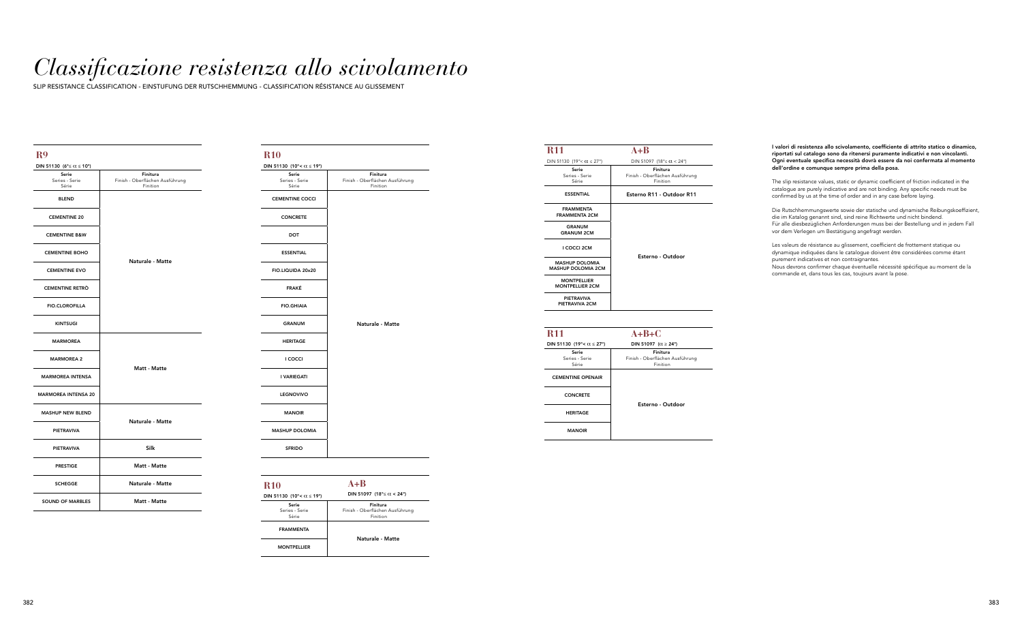# *Classificazione resistenza allo scivolamento*

SLIP RESISTANCE CLASSIFICATION - EINSTUFUNG DER RUTSCHHEMMUNG - CLASSIFICATION RÉSISTANCE AU GLISSEMENT

### **R9**

| DIN 51130 ( $6^{\circ} \le \alpha \le 10^{\circ}$ ) |                                                         |
|-----------------------------------------------------|---------------------------------------------------------|
| Serie<br>Series - Serie<br>Série                    | Finitura<br>Finish - Oberflächen Ausführung<br>Finition |
| <b>BLEND</b>                                        |                                                         |
| <b>CEMENTINE 20</b>                                 |                                                         |
| <b>CEMENTINE B&amp;W</b>                            |                                                         |
| <b>CEMENTINE BOHO</b>                               |                                                         |
| <b>CEMENTINE EVO</b>                                | Naturale - Matte                                        |
| <b>CEMENTINE RETRO</b>                              |                                                         |
| <b>FIO.CLOROFILLA</b>                               |                                                         |
| <b>KINTSUGI</b>                                     |                                                         |
| <b>MARMOREA</b>                                     |                                                         |
| <b>MARMOREA 2</b>                                   | Matt - Matte                                            |
| <b>MARMOREA INTENSA</b>                             |                                                         |
| <b>MARMOREA INTENSA 20</b>                          |                                                         |
| <b>MASHUP NEW BLEND</b>                             | Naturale - Matte                                        |
| <b>PIETRAVIVA</b>                                   |                                                         |
| <b>PIETRAVIVA</b>                                   | <b>Silk</b>                                             |
| <b>PRESTIGE</b>                                     | Matt - Matte                                            |
| <b>SCHEGGE</b>                                      | Naturale - Matte                                        |
| <b>SOUND OF MARBLES</b>                             | Matt - Matte                                            |

| <b>R10</b>                         | $A + B$                                                 |
|------------------------------------|---------------------------------------------------------|
| DIN 51130 (10°< $\alpha \le 19$ °) | DIN 51097 (18° $\leq \alpha$ < 24°)                     |
| Serie<br>Series - Serie<br>Série   | Finitura<br>Finish - Oberflächen Ausführung<br>Finition |
| <b>FRAMMENTA</b>                   | Naturale - Matte                                        |
| <b>MONTPELLIER</b>                 |                                                         |

The slip resistance values, static or dynamic coefficient of friction indicated in the catalogue are purely indicative and are not binding. Any specific needs must be confirmed by us at the time of order and in any case before laying.

| <b>R11</b>                                         | $A + B$                                                 |
|----------------------------------------------------|---------------------------------------------------------|
| DIN 51130 (19°< $\alpha \le 27$ °)                 | DIN 51097 (18° $\le \alpha < 24$ °)                     |
| Serie<br>Series - Serie<br>Série                   | Finitura<br>Finish - Oberflächen Ausführung<br>Finition |
| <b>ESSENTIAL</b>                                   | Esterno R11 - Outdoor R11                               |
| <b>FRAMMENTA</b><br><b>FRAMMENTA 2CM</b>           |                                                         |
| <b>GRANUM</b><br><b>GRANUM 2CM</b>                 |                                                         |
| I COCCI 2CM                                        | Esterno - Outdoor                                       |
| <b>MASHUP DOLOMIA</b><br><b>MASHUP DOLOMIA 2CM</b> |                                                         |
| <b>MONTPELLIER</b><br><b>MONTPELLIER 2CM</b>       |                                                         |
| <b>PIETRAVIVA</b><br>PIETRAVIVA 2CM                |                                                         |

| <b>R11</b>                         | $A+B+C$                                                 |
|------------------------------------|---------------------------------------------------------|
| DIN 51130 (19°< $\alpha \le 27$ °) | DIN 51097 ( $\alpha \ge 24^{\circ}$ )                   |
| Serie<br>Series - Serie<br>Série   | Finitura<br>Finish - Oberflächen Ausführung<br>Finition |
| <b>CEMENTINE OPENAIR</b>           |                                                         |
| <b>CONCRETE</b>                    | Esterno - Outdoor                                       |
| <b>HERITAGE</b>                    |                                                         |
| <b>MANOIR</b>                      |                                                         |

| <b>R10</b>                                                          |                                                         |
|---------------------------------------------------------------------|---------------------------------------------------------|
| DIN 51130 (10°< $\alpha$ ≤ 19°)<br>Serie<br>Series - Serie<br>Série | Finitura<br>Finish - Oberflächen Ausführung<br>Finition |
| <b>CEMENTINE COCCI</b>                                              |                                                         |
| <b>CONCRETE</b>                                                     |                                                         |
| DOT                                                                 |                                                         |
| <b>ESSENTIAL</b>                                                    |                                                         |
| FIO.LIQUIDA 20x20                                                   |                                                         |
| <b>FRAKÉ</b>                                                        |                                                         |
| <b>FIO.GHIAIA</b>                                                   |                                                         |
| <b>GRANUM</b>                                                       | Naturale - Matte                                        |
| <b>HERITAGE</b>                                                     |                                                         |
| <b>I COCCI</b>                                                      |                                                         |
| I VARIEGATI                                                         |                                                         |
| <b>LEGNOVIVO</b>                                                    |                                                         |
| <b>MANOIR</b>                                                       |                                                         |
| <b>MASHUP DOLOMIA</b>                                               |                                                         |
| <b>SFRIDO</b>                                                       |                                                         |
|                                                                     |                                                         |

I valori di resistenza allo scivolamento, coefficiente di attrito statico o dinamico, riportati sul catalogo sono da ritenersi puramente indicativi e non vincolanti. Ogni eventuale specifica necessità dovrà essere da noi confermata al momento dell'ordine e comunque sempre prima della posa.

Die Rutschhemmungswerte sowie der statische und dynamische Reibungskoeffizient, die im Katalog genannt sind, sind reine Richtwerte und nicht bindend. Für alle diesbezüglichen Anforderungen muss bei der Bestellung und in jedem Fall vor dem Verlegen um Bestätigung angefragt werden.

Les valeurs de résistance au glissement, coefficient de frottement statique ou dynamique indiquées dans le catalogue doivent être considérées comme étant purement indicatives et non contraignantes.

Nous devrons confirmer chaque éventuelle nécessité spécifique au moment de la commande et, dans tous les cas, toujours avant la pose.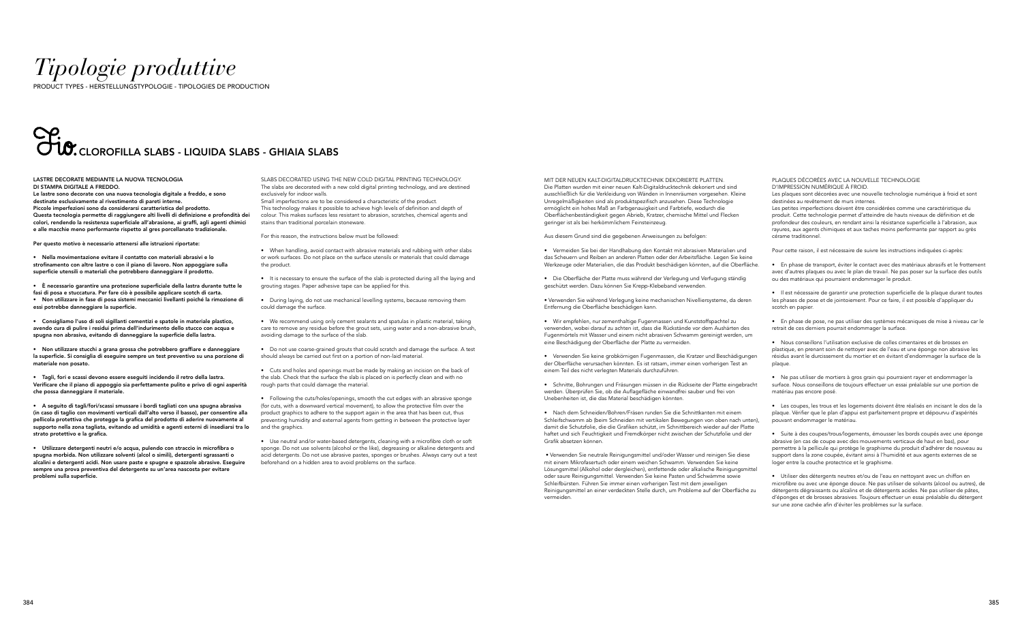# *Tipologie produttive*

PRODUCT TYPES - HERSTELLUNGSTYPOLOGIE - TIPOLOGIES DE PRODUCTION

# ,<br>CLOROFILLA SLABS - LIQUIDA SLABS - GHIAIA SLABS

#### LASTRE DECORATE MEDIANTE LA NUOVA TECNOLOGIA DI STAMPA DIGITALE A FREDDO.

Le lastre sono decorate con una nuova tecnologia digitale a freddo, e sono destinate esclusivamente al rivestimento di pareti interne. Piccole imperfezioni sono da considerarsi caratteristica del prodotto. Questa tecnologia permette di raggiungere alti livelli di definizione e profondità dei colori, rendendo la resistenza superficiale all'abrasione, ai graffi, agli agenti chimici e alle macchie meno performante rispetto al gres porcellanato tradizionale.

Per questo motivo è necessario attenersi alle istruzioni riportate:

• Nella movimentazione evitare il contatto con materiali abrasivi e lo strofinamento con altre lastre o con il piano di lavoro. Non appoggiare sulla superficie utensili o materiali che potrebbero danneggiare il prodotto.

• È necessario garantire una protezione superficiale della lastra durante tutte le

fasi di posa e stuccatura. Per fare ciò è possibile applicare scotch di carta. • Non utilizzare in fase di posa sistemi meccanici livellanti poiché la rimozione di essi potrebbe danneggiare la superficie.

• Consigliamo l'uso di soli sigillanti cementizi e spatole in materiale plastico, avendo cura di pulire i residui prima dell'indurimento dello stucco con acqua e spugna non abrasiva, evitando di danneggiare la superficie della lastra.

• Non utilizzare stucchi a grana grossa che potrebbero graffiare e danneggiare la superficie. Si consiglia di eseguire sempre un test preventivo su una porzione di materiale non posato.

• Tagli, fori e scassi devono essere eseguiti incidendo il retro della lastra. Verificare che il piano di appoggio sia perfettamente pulito e privo di ogni asperità che possa danneggiare il materiale.

• A seguito di tagli/fori/scassi smussare i bordi tagliati con una spugna abrasiva (in caso di taglio con movimenti verticali dall'alto verso il basso), per consentire alla pellicola protettiva che protegge la grafica del prodotto di aderire nuovamente al supporto nella zona tagliata, evitando ad umidità e agenti esterni di insediarsi tra lo strato protettivo e la grafica.

• Following the cuts/holes/openings, smooth the cut edges with an abrasive sponge (for cuts, with a downward vertical movement), to allow the protective film over the product graphics to adhere to the support again in the area that has been cut, thus preventing humidity and external agents from getting in between the protective layer and the graphics

• Utilizzare detergenti neutri e/o acqua, pulendo con straccio in microfibra o spugna morbida. Non utilizzare solventi (alcol o simili), detergenti sgrassanti o alcalini e detergenti acidi. Non usare paste e spugne e spazzole abrasive. Eseguire sempre una prova preventiva del detergente su un'area nascosta per evitare problemi sulla superficie.

SLABS DECORATED USING THE NEW COLD DIGITAL PRINTING TECHNOLOGY. The slabs are decorated with a new cold digital printing technology, and are destined exclusively for indoor walls.

Small imperfections are to be considered a characteristic of the product. This technology makes it possible to achieve high levels of definition and depth of colour. This makes surfaces less resistant to abrasion, scratches, chemical agents and stains than traditional porcelain stoneware.

For this reason, the instructions below must be followed:

• When handling, avoid contact with abrasive materials and rubbing with other slabs or work surfaces. Do not place on the surface utensils or materials that could damage the product.

• It is necessary to ensure the surface of the slab is protected during all the laying and grouting stages. Paper adhesive tape can be applied for this.

• During laying, do not use mechanical levelling systems, because removing them could damage the surface.

• We recommend using only cement sealants and spatulas in plastic material, taking care to remove any residue before the grout sets, using water and a non-abrasive brush, avoiding damage to the surface of the slab.

• Do not use coarse-grained grouts that could scratch and damage the surface. A test should always be carried out first on a portion of non-laid material.

• Cuts and holes and openings must be made by making an incision on the back of the slab. Check that the surface the slab is placed on is perfectly clean and with no rough parts that could damage the material.

• Use neutral and/or water-based detergents, cleaning with a microfibre cloth or soft sponge. Do not use solvents (alcohol or the like), degreasing or alkaline detergents and acid detergents. Do not use abrasive pastes, sponges or brushes. Always carry out a test beforehand on a hidden area to avoid problems on the surface.

MIT DER NEUEN KALT-DIGITALDRUCKTECHNIK DEKORIERTE PLATTEN. Die Platten wurden mit einer neuen Kalt-Digitaldrucktechnik dekoriert und sind ausschließlich für die Verkleidung von Wänden in Innenräumen vorgesehen. Kleine Unregelmäßigkeiten sind als produktspezifisch anzusehen. Diese Technologie ermöglicht ein hohes Maß an Farbgenauigkeit und Farbtiefe, wodurch die Oberflächenbeständigkeit gegen Abrieb, Kratzer, chemische Mittel und Flecken geringer ist als bei herkömmlichem Feinsteinzeug.

Aus diesem Grund sind die gegebenen Anweisungen zu befolgen:

• Vermeiden Sie bei der Handhabung den Kontakt mit abrasiven Materialien und das Scheuern und Reiben an anderen Platten oder der Arbeitsfläche. Legen Sie keine Werkzeuge oder Materialien, die das Produkt beschädigen könnten, auf die Oberfläche.

• Die Oberfläche der Platte muss während der Verlegung und Verfugung ständig geschützt werden. Dazu können Sie Krepp-Klebeband verwenden.

• Verwenden Sie während Verlegung keine mechanischen Nivelliersysteme, da deren Entfernung die Oberfläche beschädigen kann.

• Wir empfehlen, nur zementhaltige Fugenmassen und Kunststoffspachtel zu verwenden, wobei darauf zu achten ist, dass die Rückstände vor dem Aushärten des Fugenmörtels mit Wasser und einem nicht abrasiven Schwamm gereinigt werden, um eine Beschädigung der Oberfläche der Platte zu vermeiden.

• Verwenden Sie keine grobkörnigen Fugenmassen, die Kratzer und Beschädigungen der Oberfläche verursachen könnten. Es ist ratsam, immer einen vorherigen Test an einem Teil des nicht verlegten Materials durchzuführen.

• Schnitte, Bohrungen und Fräsungen müssen in die Rückseite der Platte eingebracht werden. Überprüfen Sie, ob die Auflagefläche einwandfrei sauber und frei von Unebenheiten ist, die das Material beschädigen könnten.

• Nach dem Schneiden/Bohren/Fräsen runden Sie die Schnittkanten mit einem Schleifschwamm ab (beim Schneiden mit vertikalen Bewegungen von oben nach unten), damit die Schutzfolie, die die Grafiken schützt, im Schnittbereich wieder auf der Platte haftet und sich Feuchtigkeit und Fremdkörper nicht zwischen der Schutzfolie und der Grafik absetzen können.

 • Verwenden Sie neutrale Reinigungsmittel und/oder Wasser und reinigen Sie diese mit einem Mikrofasertuch oder einem weichen Schwamm. Verwenden Sie keine Lösungsmittel (Alkohol oder dergleichen), entfettende oder alkalische Reinigungsmittel oder saure Reinigungsmittel. Verwenden Sie keine Pasten und Schwämme sowie Schleifbürsten. Führen Sie immer einen vorherigen Test mit dem jeweiligen Reinigungsmittel an einer verdeckten Stelle durch, um Probleme auf der Oberfläche zu vermeiden.

PLAQUES DÉCORÉES AVEC LA NOUVELLE TECHNOLOGIE D'IMPRESSION NUMÉRIQUE À FROID.

Les plaques sont décorées avec une nouvelle technologie numérique à froid et sont destinées au revêtement de murs internes.

Les petites imperfections doivent être considérées comme une caractéristique du produit. Cette technologie permet d'atteindre de hauts niveaux de définition et de profondeur des couleurs, en rendant ainsi la résistance superficielle à l'abrasion, aux rayures, aux agents chimiques et aux taches moins performante par rapport au grès cérame traditionnel.

Pour cette raison, il est nécessaire de suivre les instructions indiquées ci-après:

• En phase de transport, éviter le contact avec des matériaux abrasifs et le frottement avec d'autres plaques ou avec le plan de travail. Ne pas poser sur la surface des outils ou des matériaux qui pourraient endommager le produit.

• Il est nécessaire de garantir une protection superficielle de la plaque durant toutes les phases de pose et de jointoiement. Pour ce faire, il est possible d'appliquer du scotch en papier.

• En phase de pose, ne pas utiliser des systèmes mécaniques de mise à niveau car le retrait de ces derniers pourrait endommager la surface.

• Nous conseillons l'utilisation exclusive de colles cimentaires et de brosses en plastique, en prenant soin de nettoyer avec de l'eau et une éponge non abrasive les résidus avant le durcissement du mortier et en évitant d'endommager la surface de la plaque.

• Ne pas utiliser de mortiers à gros grain qui pourraient rayer et endommager la surface. Nous conseillons de toujours effectuer un essai préalable sur une portion de matériau pas encore posé.

• Les coupes, les trous et les logements doivent être réalisés en incisant le dos de la plaque. Vérifier que le plan d'appui est parfaitement propre et dépourvu d'aspérités pouvant endommager le matériau.

• Suite à des coupes/trous/logements, émousser les bords coupés avec une éponge abrasive (en cas de coupe avec des mouvements verticaux de haut en bas), pour permettre à la pellicule qui protège le graphisme du produit d'adhérer de nouveau au support dans la zone coupée, évitant ainsi à l'humidité et aux agents externes de se loger entre la couche protectrice et le graphisme.

• Utiliser des détergents neutres et/ou de l'eau en nettoyant avec un chiffon en microfibre ou avec une éponge douce. Ne pas utiliser de solvants (alcool ou autres), de détergents dégraissants ou alcalins et de détergents acides. Ne pas utiliser de pâtes, d'éponges et de brosses abrasives. Toujours effectuer un essai préalable du détergent sur une zone cachée afin d'éviter les problèmes sur la surface.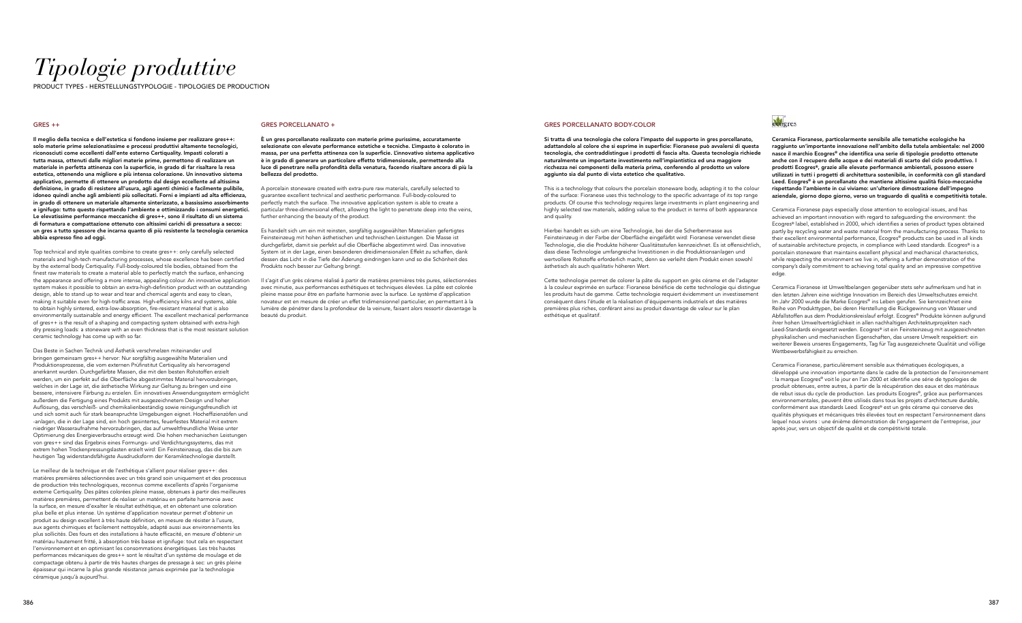## *Tipologie produttive*

PES - HERSTELLUNGSTYPOLOGIE - TIPOLOGIES DE PRODUCTION

#### GRES PORCELLANATO BODY-COLOR

Si tratta di una tecnologia che colora l'impasto del supporto in gres porcellanato, adattandolo al colore che si esprime in superficie: Fioranese può avvalersi di questa tecnologia, che contraddistingue i prodotti di fascia alta. Questa tecnologia richiede naturalmente un importante investimento nell'impiantistica ed una maggiore ricchezza nei componenti della materia prima, conferendo al prodotto un valore aggiunto sia dal punto di vista estetico che qualitativo.

This is a technology that colours the porcelain stoneware body, adapting it to the colour of the surface: Fioranese uses this technology to the specific advantage of its top range products. Of course this technology requires large investments in plant engineering and highly selected raw materials, adding value to the product in terms of both appearance and quality.

Hierbei handelt es sich um eine Technologie, bei der die Scherbenmasse aus Feinsteinzeug in der Farbe der Oberfläche eingefärbt wird: Fioranese verwendet diese Technologie, die die Produkte höherer Qualitätsstufen kennzeichnet. Es ist offensichtlich, dass diese Technologie umfangreiche Investitionen in die Produktionsanlagen und wertvollere Rohstoffe erforderlich macht, denn sie verleiht dem Produkt einen sowohl ästhetisch als auch qualitativ höheren Wert.

Cette technologie permet de colorer la pâte du support en grès cérame et de l'adapter à la couleur exprimée en surface: Fioranese bénéficie de cette technologie qui distingue les produits haut de gamme. Cette technologie requiert évidemment un investissement conséquent dans l'étude et la réalisation d'équipements industriels et des matières premières plus riches, conférant ainsi au produit davantage de valeur sur le plan esthétique et qualitatif.

## *<u>auberes</u>*

#### GRES ++

Il meglio della tecnica e dell'estetica si fondono insieme per realizzare gres++: solo materie prime selezionatissime e processi produttivi altamente tecnologici, riconosciuti come eccellenti dall'ente esterno Certiquality. Impasti colorati a tutta massa, ottenuti dalle migliori materie prime, permettono di realizzare un materiale in perfetta attinenza con la superficie, in grado di far risaltare la resa estetica, ottenendo una migliore e più intensa colorazione. Un innovativo sistema applicativo, permette di ottenere un prodotto dal design eccellente ad altissima definizione, in grado di resistere all'usura, agli agenti chimici e facilmente pulibile, idoneo quindi anche agli ambienti più sollecitati. Forni e impianti ad alta efficienza, in grado di ottenere un materiale altamente sinterizzato, a bassissimo assorbimento e ignifugo: tutto questo rispettando l'ambiente e ottimizzando i consumi energetici. Le elevatissime performance meccaniche di gres++, sono il risultato di un sistema di formatura e compattazione ottenuto con altissimi carichi di pressatura a secco: un gres a tutto spessore che incarna quanto di più resistente la tecnologia ceramica abbia espresso fino ad oggi.

A porcelain stoneware created with extra-pure raw materials, carefully selected to guarantee excellent technical and aesthetic performance. Full-body-coloured to perfectly match the surface. The innovative application system is able to create a particular three-dimensional effect, allowing the light to penetrate deep into the veins, further enhancing the beauty of the product.

Top technical and style qualities combine to create gres++: only carefully selected materials and high-tech manufacturing processes, whose excellence has been certified by the external body Certiquality. Full-body-coloured tile bodies, obtained from the finest raw materials to create a material able to perfectly match the surface, enhancing the appearance and offering a more intense, appealing colour. An innovative application system makes it possible to obtain an extra-high-definition product with an outstanding design, able to stand up to wear and tear and chemical agents and easy to clean, making it suitable even for high-traffic areas. High-efficiency kilns and systems, able to obtain highly sintered, extra-low-absorption, fire-resistant material that is also environmentally sustainable and energy efficient. The excellent mechanical performance of gres++ is the result of a shaping and compacting system obtained with extra-high dry pressing loads: a stoneware with an even thickness that is the most resistant solution ceramic technology has come up with so far.

Das Beste in Sachen Technik und Ästhetik verschmelzen miteinander und bringen gemeinsam gres++ hervor: Nur sorgfältig ausgewählte Materialien und Produktionsprozesse, die vom externen Prüfinstitut Certiquality als hervorragend anerkannt wurden. Durchgefärbte Massen, die mit den besten Rohstoffen erzielt werden, um ein perfekt auf die Oberfläche abgestimmtes Material hervorzubringen, welches in der Lage ist, die ästhetische Wirkung zur Geltung zu bringen und eine bessere, intensivere Färbung zu erzielen. Ein innovatives Anwendungssystem ermöglicht außerdem die Fertigung eines Produkts mit ausgezeichnetem Design und hoher Auflösung, das verschleiß- und chemikalienbeständig sowie reinigungsfreundlich ist und sich somit auch für stark beanspruchte Umgebungen eignet. Hocheffizienzöfen und -anlagen, die in der Lage sind, ein hoch gesintertes, feuerfestes Material mit extrem niedriger Wasseraufnahme hervorzubringen, das auf umweltfreundliche Weise unter Optimierung des Energieverbrauchs erzeugt wird. Die hohen mechanischen Leistungen von gres++ sind das Ergebnis eines Formungs- und Verdichtungssystems, das mit extrem hohen Trockenpressungslasten erzielt wird: Ein Feinsteinzeug, das die bis zum heutigen Tag widerstandsfähigste Ausdrucksform der Keramiktechnologie darstellt.

Le meilleur de la technique et de l'esthétique s'allient pour réaliser gres++: des matières premières sélectionnées avec un très grand soin uniquement et des processus de production très technologiques, reconnus comme excellents d'après l'organisme externe Certiquality. Des pâtes colorées pleine masse, obtenues à partir des meilleures matières premières, permettent de réaliser un matériau en parfaite harmonie avec la surface, en mesure d'exalter le résultat esthétique, et en obtenant une coloration plus belle et plus intense. Un système d'application novateur permet d'obtenir un produit au design excellent à très haute définition, en mesure de résister à l'usure, aux agents chimiques et facilement nettoyable, adapté aussi aux environnements les plus sollicités. Des fours et des installations à haute efficacité, en mesure d'obtenir un matériau hautement fritté, à absorption très basse et ignifuge: tout cela en respectant l'environnement et en optimisant les consommations énergétiques. Les très hautes performances mécaniques de gres++ sont le résultat d'un système de moulage et de compactage obtenu à partir de très hautes charges de pressage à sec: un grès pleine épaisseur qui incarne la plus grande résistance jamais exprimée par la technologie céramique jusqu'à aujourd'hui.

#### GRES PORCELLANATO +

È un gres porcellanato realizzato con materie prime purissime, accuratamente selezionate con elevate performance estetiche e tecniche. L'impasto è colorato in massa, per una perfetta attinenza con la superficie. L'innovativo sistema applicativo è in grado di generare un particolare effetto tridimensionale, permettendo alla luce di penetrare nella profondità della venatura, facendo risaltare ancora di più la bellezza del prodotto.

Es handelt sich um ein mit reinsten, sorgfältig ausgewählten Materialien gefertigtes Feinsteinzeug mit hohen ästhetischen und technischen Leistungen. Die Masse ist durchgefärbt, damit sie perfekt auf die Oberfläche abgestimmt wird. Das innovative System ist in der Lage, einen besonderen dreidimensionalen Effekt zu schaffen, dank dessen das Licht in die Tiefe der Äderung eindringen kann und so die Schönheit des Produkts noch besser zur Geltung bringt.

Il s'agit d'un grès cérame réalisé à partir de matières premières très pures, sélectionnées avec minutie, aux performances esthétiques et techniques élevées. La pâte est colorée pleine masse pour être en parfaite harmonie avec la surface. Le système d'application novateur est en mesure de créer un effet tridimensionnel particulier, en permettant à la lumière de pénétrer dans la profondeur de la veinure, faisant alors ressortir davantage la beauté du produit.

Ceramica Fioranese, particolarmente sensibile alle tematiche ecologiche ha raggiunto un'importante innovazione nell'ambito della tutela ambientale: nel 2000 nasce il marchio Ecogres® che identifica una serie di tipologie prodotto ottenute anche con il recupero delle acque e dei materiali di scarto del ciclo produttivo. I prodotti Ecogres®, grazie alle elevate performance ambientali, possono essere utilizzati in tutti i progetti di architettura sostenibile, in conformità con gli standard Leed. Ecogres® è un porcellanato che mantiene altissime qualità fisico-meccaniche rispettando l'ambiente in cui viviamo: un'ulteriore dimostrazione dell'impegno aziendale, giorno dopo giorno, verso un traguardo di qualità e competitività totale.

Ceramica Fioranese pays especially close attention to ecological issues, and has achieved an important innovation with regard to safeguarding the environment: the Ecogres® label, established in 2000, which identifies a series of product types obtained partly by recycling water and waste material from the manufacturing process. Thanks to their excellent environmental performance, Ecogres® products can be used in all kinds of sustainable architecture projects, in compliance with Leed standards. Ecogres® is a porcelain stoneware that maintains excellent physical and mechanical characteristics, while respecting the environment we live in, offering a further demonstration of the company's daily commitment to achieving total quality and an impressive competitive edge.

Ceramica Fioranese ist Umweltbelangen gegenüber stets sehr aufmerksam und hat in den letzten Jahren eine wichtige Innovation im Bereich des Umweltschutzes erreicht. Im Jahr 2000 wurde die Marke Ecogres® ins Leben gerufen. Sie kennzeichnet eine Reihe von Produkttypen, bei deren Herstellung die Rückgewinnung von Wasser und Abfallstoffen aus dem Produktionskreislauf erfolgt. Ecogres® Produkte können aufgrund ihrer hohen Umweltverträglichkeit in allen nachhaltigen Architekturprojekten nach Leed-Standards eingesetzt werden. Ecogres® ist ein Feinsteinzeug mit ausgezeichneten physikalischen und mechanischen Eigenschaften, das unsere Umwelt respektiert: ein weiterer Beweis unseres Engagements, Tag für Tag ausgezeichnete Qualität und völlige Wettbewerbsfähigkeit zu erreichen.

Ceramica Fioranese, particulièrement sensible aux thématiques écologiques, a développé une innovation importante dans le cadre de la protection de l'environnement : la marque Ecogres® voit le jour en l'an 2000 et identifie une série de typologies de produit obtenues, entre autres, à partir de la récupération des eaux et des matériaux de rebut issus du cycle de production. Les produits Ecogres®, grâce aux performances environnementales, peuvent être utilisés dans tous les projets d'architecture durable, conformément aux standards Leed. Ecogres® est un grès cérame qui conserve des qualités physiques et mécaniques très élevées tout en respectant l'environnement dans lequel nous vivons : une énième démonstration de l'engagement de l'entreprise, jour après jour, vers un objectif de qualité et de compétitivité totale.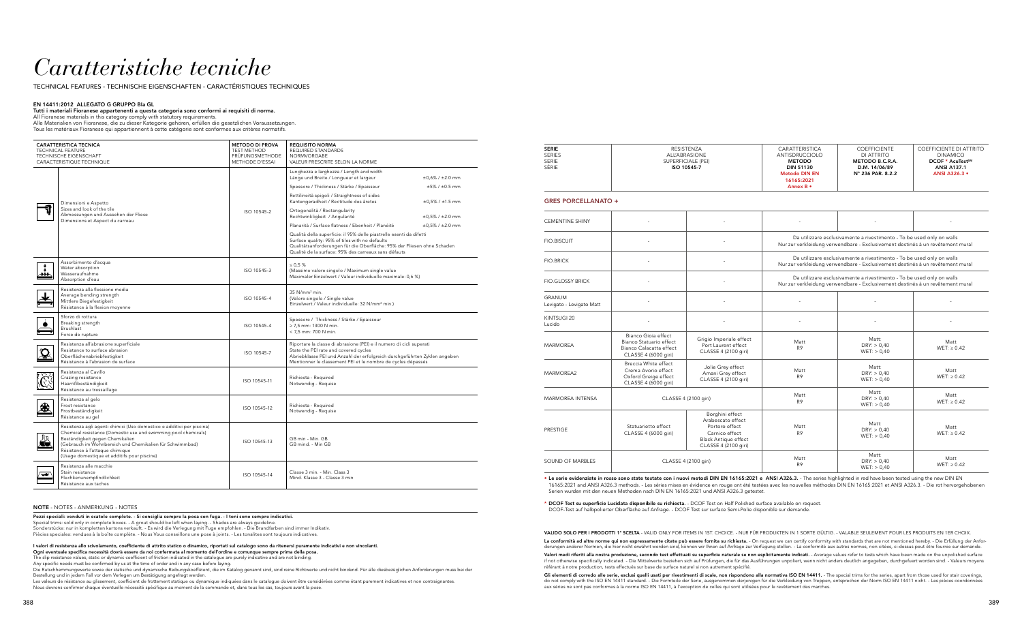## *Caratteristiche tecniche*

TECHNICAL FEATURES - TECHNISCHE EIGENSCHAFTEN - CARACTÉRISTIQUES TECHNIQUES

#### EN 14411:2012 ALLEGATO G GRUPPO BIa GL

### Tutti i materiali Fioranese appartenenti a questa categoria sono conformi ai requisiti di norma.

All Fioranese materials in this category comply with statutory requirements.

Alle Materialien von Fioranese, die zu dieser Kategorie gehören, erfüllen die gesetzlichen Voraussetzungen.

Tous les matériaux Fioranese qui appartiennent à cette catégorie sont conformes aux critères normatifs.

|          | <b>CARATTERISTICA TECNICA</b><br>TECHNICAL FEATURE<br>TECHNISCHE EIGENSCHAFT<br>CARACTERISTIQUE TECHNIQUE                                                                                                                                                                                                                | <b>METODO DI PROVA</b><br><b>TEST METHOD</b><br>PRÜFUNGSMETHODE<br>METHODE D'ESSAI | <b>REQUISITO NORMA</b><br>REQUIRED STANDARDS<br><b>NORMVORGABE</b><br>VALEUR PRESCRITE SELON LA NORME                                                                                                                                                      |                            |
|----------|--------------------------------------------------------------------------------------------------------------------------------------------------------------------------------------------------------------------------------------------------------------------------------------------------------------------------|------------------------------------------------------------------------------------|------------------------------------------------------------------------------------------------------------------------------------------------------------------------------------------------------------------------------------------------------------|----------------------------|
|          |                                                                                                                                                                                                                                                                                                                          |                                                                                    | Lunghezza e larghezza / Length and width<br>Länge und Breite / Longueur et largeur                                                                                                                                                                         | $±0,6% / ±2.0$ mm          |
|          |                                                                                                                                                                                                                                                                                                                          |                                                                                    | Spessore / Thickness / Stärke / Epaisseur                                                                                                                                                                                                                  | $±5\% / ±0.5$ mm           |
|          | Dimensioni e Aspetto                                                                                                                                                                                                                                                                                                     |                                                                                    | Rettilineità spigoli / Straightness of sides<br>Kantengeradheit / Rectitude des âretes                                                                                                                                                                     | $\pm 0.5\%$ / $\pm 1.5$ mm |
|          | Sizes and look of the tile<br>Abmessungen und Aussehen der Fliese<br>Dimensions et Aspect du carreau                                                                                                                                                                                                                     | ISO 10545-2                                                                        | Ortogonalità / Rectangularity<br>Rechtwinkligkeit / Angularité                                                                                                                                                                                             | $\pm 0.5\%$ / $\pm 2.0$ mm |
|          |                                                                                                                                                                                                                                                                                                                          |                                                                                    | Planarità / Surface flatness / Ebenheit / Planéité                                                                                                                                                                                                         | $±0,5\% / ±2.0$ mm         |
|          |                                                                                                                                                                                                                                                                                                                          |                                                                                    | Qualità della superficie: il 95% delle piastrelle esenti da difetti<br>Surface quality: 95% of tiles with no defaults<br>Qualitätsanforderungen für die Oberfläche: 95% der Fliesen ohne Schaden<br>Qualité de la surface: 95% des carreaux sans défauts   |                            |
| $-111$   | Assorbimento d'acqua<br>Water absorption<br>Wasseraufnahme<br>Absorption d'eau                                                                                                                                                                                                                                           | ISO 10545-3                                                                        | $\leq 0.5$ %<br>(Massimo valore singolo / Maximum single value<br>Maximaler Einzelwert / Valeur individuelle maximale: 0,6 %)                                                                                                                              |                            |
|          | Resistenza alla flessione media<br>Average bending strength<br>Mittlere Biegefestigkeit<br>Résistance à la flexion moyenne                                                                                                                                                                                               | ISO 10545-4                                                                        | 35 $N/mm2 min.$<br>(Valore singolo / Single value<br>Einzelwert / Valeur individuelle: 32 N/mm <sup>2</sup> min.)                                                                                                                                          |                            |
|          | Sforzo di rottura<br>Breaking strength<br>Bruchlast<br>Force de rupture                                                                                                                                                                                                                                                  | ISO 10545-4                                                                        | Spessore / Thickness / Stärke / Epaisseur<br>$\geq$ 7,5 mm: 1300 N min.<br>< 7,5 mm: 700 N min.                                                                                                                                                            |                            |
| <u>ହ</u> | Resistenza all'abrasione superficiale<br>Resistance to surface abrasion<br>Oberflächenabriebfestigkeit<br>Résistance à l'abrasion de surface                                                                                                                                                                             | ISO 10545-7                                                                        | Riportare la classe di abrasione (PEI) e il numero di cicli superati<br>State the PEI rate and covered cycles<br>Abriebklasse PEI und Anzahl der erfolgreich durchgeführten Zyklen angeben<br>Mentionner le classement PEI et le nombre de cycles dépassés |                            |
|          | Resistenza al Cavillo<br>Crazing resistance<br>Haarrißbeständigkeit<br>Résistance au tressaillage                                                                                                                                                                                                                        | ISO 10545-11                                                                       | Richiesta - Required<br>Notwendig - Requise                                                                                                                                                                                                                |                            |
| 豢        | Resistenza al gelo<br>Frost resistance<br>Frostbeständigkeit<br>Résistance au gel                                                                                                                                                                                                                                        | ISO 10545-12                                                                       | Richiesta - Required<br>Notwendig - Requise                                                                                                                                                                                                                |                            |
| Щ٦<br>Æ  | Resistenza agli agenti chimici (Uso domestico e additivi per piscina)<br>Chemical resistance (Domestic use and swimming pool chemicals)<br>Beständigkeit gegen Chemikalien<br>(Gebrauch im Wohnbereich und Chemikalien für Schwimmbad)<br>Résistance à l'attaque chimique<br>(Usage domestique et additifs pour piscine) | ISO 10545-13                                                                       | GB min - Min. GB<br>GB mind. - Min GB                                                                                                                                                                                                                      |                            |
| ⊷        | Resistenza alle macchie<br>Stain resistance<br>Flechkenunempfindlichkeit<br>Résistance aux taches                                                                                                                                                                                                                        | ISO 10545-14                                                                       | Classe 3 min. - Min. Class 3<br>Mind. Klasse 3 - Classe 3 min                                                                                                                                                                                              |                            |

#### NOTE - NOTES - ANMERKUNG - NOTES

Pezzi speciali: venduti in scatole complete. - Si consiglia sempre la posa con fuga. - I toni sono sempre indicativi.

Special trims: sold only in complete boxes. - A grout should be left when laying. - Shades are always guideline.

La conformità ad altre norme qui non espressamente citate può essere fornita su richiesta. - On request we can certify conformity with standards that are not mentioned hereby. - Die Erfüllung der Anforderungen anderer Normen, die hier nicht erwähnt worden sind, können wir Ihnen auf Anfrage zur Verfügung stellen. - La conformité aux autres normes, non citées, ci-dessus peut être fournie sur demande.

Sonderstücke: nur in kompletten kartons verkauft. - Es wird die Verlegung mit Fuge empfohlen. - Die Brandfarben sind immer Indikativ. Piècies speciales: vendues à la boîte complète. - Nous Vous conseillons une pose à joints. - Les tonalites sont toujours indicatives.

Valori medi riferiti alla nostra produzione, secondo test effettuati su superficie naturale se non esplicitamente indicati. - Average values refer to tests which have been made on the unpolished surface if not otherwise specifically indicated. - Die Mittelwerte beziehen sich auf Prüfungen, die für das Ausführungen unpoliert, wenn nicht anders deutlich angegeben, durchgefuert worden sind. - Valeurs moyens référant à notre production, tests effectués sur base de surface naturel si non autrement spécifié.

I valori di resistenza allo scivolamento, coefficiente di attrito statico o dinamico, riportati sul catalogo sono da ritenersi puramente indicativi e non vincolanti. Ogni eventuale specifica necessità dovrà essere da noi confermata al momento dell'ordine e comunque sempre prima della posa.

> Gli elementi di corredo alle serie, esclusi quelli usati per rivestimenti di scale, non rispondono alla normativa ISO EN 14411. - The special trims for the series, apart from those used for stair coverings, do not comply with the ISO EN 14411 standard. - Die Formteile der Serie, ausgenommen derjenigen für die Verkleidung von Treppen, entsprechen der Norm ISO EN 14411 nicht. - Les pièces coordonnées aux séries ne sont pas conformes à la norme ISO EN 14411, à l'exception de celles qui sont utilisées pour le revêtement des marches.

The slip resistance values, static or dynamic coefficient of friction indicated in the catalogue are purely indicative and are not binding.

Any specific needs must be confirmed by us at the time of order and in any case before laying.

Die Rutschhemmungswerte sowie der statische und dynamische Reibungskoeffizient, die im Katalog genannt sind, sind reine Richtwerte und nicht bindend. Für alle diesbezüglichen Anforderungen muss bei der Bestellung und in jedem Fall vor dem Verlegen um Bestätigung angefragt werden.

#### \* DCOF Test su superficie Lucidata disponibile su richiesta. - DCOF Test on Half Polished surface available on request. DCOF-Test auf halbpolierter Oberfläche auf Anfrage. - DCOF Test sur surface Semi-Polie disponible sur demande.

VALIDO SOLO PER I PRODOTTI 1ª SCELTA - VALID ONLY FOR ITEMS IN 1

Les valeurs de résistance au glissement, coefficient de frottement statique ou dynamique indiquées dans le catalogue doivent être considérées comme étant purement indicatives et non contraignantes. Nous devrons confirmer chaque éventuelle nécessité spécifique au moment de la commande et, dans tous les cas, toujours avant la pose.

SERIE SERIES RESISTENZA

| RESISTENZA         | CARATTERISTICA       | <b>COEFFICIENTE</b>        | COEFFICIENTE DI ATTRITO      |
|--------------------|----------------------|----------------------------|------------------------------|
| ALL'ABRASIONE      | ANTISDRUCCIOLO       | DI ATTRITO                 | <b>DINAMICO</b>              |
| SUPERFICIALE (PEI) | <b>METODO</b>        | METODO B.C.R.A.            | DCOF * AcuTest <sup>SM</sup> |
| ISO 10545-7        | <b>DIN 51130</b>     | D.M. 14/06/89              | <b>ANSI A137.1</b>           |
|                    | <b>Metodo DIN EN</b> | $N^{\circ}$ 236 PAR. 8.2.2 | <b>ANSI A326.3 •</b>         |
|                    | 16165:2021           |                            |                              |
|                    | Annex B •            |                            |                              |
|                    |                      |                            |                              |
|                    |                      |                            |                              |

| IST. CHOICE. - NUR FÜR PRODUKTEN IN 1 SORTE GÜLTIG. - VALABLE SEULEMENT POUR LES PRODUITS EN 1ER CHOIX. |  |
|---------------------------------------------------------------------------------------------------------|--|
|                                                                                                         |  |

| SERIE<br>SÉRIE                            |                                                                                                   | SUPERFICIALE (PEI)<br>ISO 10545-7                                                                                               | <b>METODO</b><br><b>DIN 51130</b><br><b>Metodo DIN EN</b><br>16165:2021<br>Annex B •                                                                     | METODO B.C.R.A.<br>D.M. 14/06/89<br>N° 236 PAR. 8.2.2 | DCOF * AcuTest <sup>SM</sup><br><b>ANSI A137.1</b><br>ANSI A326.3 . |  |
|-------------------------------------------|---------------------------------------------------------------------------------------------------|---------------------------------------------------------------------------------------------------------------------------------|----------------------------------------------------------------------------------------------------------------------------------------------------------|-------------------------------------------------------|---------------------------------------------------------------------|--|
| <b>GRES PORCELLANATO +</b>                |                                                                                                   |                                                                                                                                 |                                                                                                                                                          |                                                       |                                                                     |  |
| <b>CEMENTINE SHINY</b>                    |                                                                                                   |                                                                                                                                 |                                                                                                                                                          |                                                       |                                                                     |  |
| <b>FIO.BISCUIT</b>                        |                                                                                                   |                                                                                                                                 | Da utilizzare esclusivamente a rivestimento - To be used only on walls<br>Nur zur verkleidung verwendbare - Exclusivement destinés à un revêtement mural |                                                       |                                                                     |  |
| <b>FIO.BRICK</b>                          |                                                                                                   |                                                                                                                                 | Da utilizzare esclusivamente a rivestimento - To be used only on walls<br>Nur zur verkleidung verwendbare - Exclusivement destinés à un revêtement mural |                                                       |                                                                     |  |
| <b>FIO.GLOSSY BRICK</b>                   |                                                                                                   |                                                                                                                                 | Da utilizzare esclusivamente a rivestimento - To be used only on walls<br>Nur zur verkleidung verwendbare - Exclusivement destinés à un revêtement mural |                                                       |                                                                     |  |
| <b>GRANUM</b><br>Levigato - Levigato Matt |                                                                                                   |                                                                                                                                 |                                                                                                                                                          |                                                       |                                                                     |  |
| KINTSUGI 20<br>Lucido                     |                                                                                                   |                                                                                                                                 |                                                                                                                                                          |                                                       |                                                                     |  |
| <b>MARMOREA</b>                           | Bianco Gioia effect<br>Bianco Statuario effect<br>Bianco Calacatta effect<br>CLASSE 4 (6000 giri) | Grigio Imperiale effect<br>Port Laurent effect<br>CLASSE 4 (2100 giri)                                                          | Matt<br>R <sub>9</sub>                                                                                                                                   | Matt:<br>DRY: > 0,40<br>WET: > 0,40                   | Matt<br>$WET: \geq 0.42$                                            |  |
| MARMOREA2                                 | Breccia White effect<br>Crema Avorio effect<br>Oxford Greige effect<br>CLASSE 4 (6000 giri)       | Jolie Grey effect<br>Amani Grey effect<br>CLASSE 4 (2100 giri)                                                                  | Matt<br>R <sub>9</sub>                                                                                                                                   | Matt:<br>DRY: > 0,40<br>WET: > 0,40                   | Matt<br>$WET: \geq 0.42$                                            |  |
| <b>MARMOREA INTENSA</b>                   |                                                                                                   | CLASSE 4 (2100 giri)                                                                                                            | Matt<br>R <sub>9</sub>                                                                                                                                   | Matt:<br>DRY: > 0,40<br>WET: > 0,40                   | Matt<br>$WET: \geq 0.42$                                            |  |
| PRESTIGE                                  | Statuarietto effect<br>CLASSE 4 (6000 giri)                                                       | Borghini effect<br>Arabescato effect<br>Portoro effect<br>Carnico effect<br><b>Black Antique effect</b><br>CLASSE 4 (2100 giri) | Matt<br>R <sub>9</sub>                                                                                                                                   | Matt:<br>DRY: > 0,40<br>WET: > 0,40                   | Matt<br>WET: $\geq 0.42$                                            |  |
| SOUND OF MARBLES                          |                                                                                                   | CLASSE 4 (2100 giri)                                                                                                            | Matt<br>R <sub>9</sub>                                                                                                                                   | Matt:<br>DRY: > 0,40<br>WET: > 0,40                   | Matt<br>$WET: \geq 0.42$                                            |  |

• Le serie evidenziate in rosso sono state testate con i nuovi metodi DIN EN 16165:2021 e ANSI A326.3. - The series highlighted in red have been tested using the new DIN EN 16165:2021 and ANSI A326.3 methods. - Les séries mises en évidence en rouge ont été testées avec les nouvelles méthodes DIN EN 16165:2021 et ANSI A326.3. - Die rot hervorgehobenen Serien wurden mit den neuen Methoden nach DIN EN 16165:2021 und ANSI A326.3 getestet.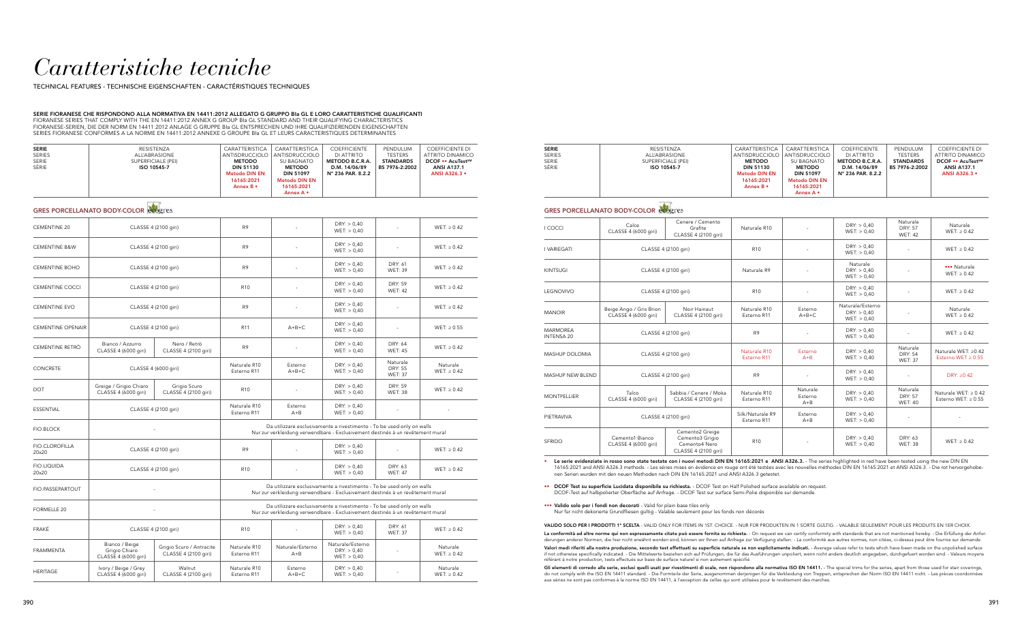## *Caratteristiche tecniche*

TECHNICAL FEATURES - TECHNISCHE EIGENSCHAFTEN - CARACTÉRISTIQUES TECHNIQUES

#### SERIE FIORANESE CHE RISPONDONO ALLA NORMATIVA EN 14411:2012 ALLEGATO G GRUPPO BIa GL E LORO CARATTERISTICHE QUALIFICANTI FIORANESE SERIES THAT COMPLY WITH THE EN 14411:2012 ANNEX G GROUP BIa GL STANDARD AND THEIR QUALIFYING CHARACTERISTICS FIORANESE-SERIEN, DIE DER NORM EN 14411:2012 ANLAGE G GRUPPE BIa GL ENTSPRECHEN UND IHRE QUALIFIZIERENDEN EIGENSCHAFTEN SERIES FIORANESE CONFORMES A LA NORME EN 14411:2012 ANNEXE G GROUPE BIa GL ET LEURS CARACTERISTIQUES DETERMINANTES

| <b>SERIE</b><br><b>SERIES</b> | RESISTENZA<br><b>ALL'ABRASIONE</b> | CARATTERISTICA<br>ANTISDRUCCIOLO | CARATTERISTICA<br>ANTISDRUCCIOLO   | <b>COEFFICIENTE</b><br>DI ATTRITO | PENDULUM<br><b>TESTERS</b> | COEFFICIENTE DI<br>ATTRITO DINAMICO |
|-------------------------------|------------------------------------|----------------------------------|------------------------------------|-----------------------------------|----------------------------|-------------------------------------|
| SERIE                         | SUPERFICIALE (PEI)                 | <b>METODO</b>                    | SU BAGNATO                         | METODO B.C.R.A.                   | <b>STANDARDS</b>           | <b>DCOF •• AcuTestSM</b>            |
| SÉRIE                         | ISO 10545-7                        | <b>DIN 51130</b>                 | <b>METODO</b>                      | D.M. 14/06/89                     | BS 7976-2:2002             | <b>ANSI A137.1</b>                  |
|                               |                                    | <b>Metodo DIN EN</b>             | <b>DIN 51097</b>                   | N° 236 PAR. 8.2.2                 |                            | <b>ANSI A326.3 •</b>                |
|                               |                                    | 16165:2021<br>Annex B •          | <b>Metodo DIN EN</b><br>16165:2021 |                                   |                            |                                     |
|                               |                                    |                                  | Annex A •                          |                                   |                            |                                     |

## GRES PORCELLANATO BODY-COLOR **COO**gres

| <b>CEMENTINE 20</b>            |                                                         | CLASSE 4 (2100 giri)                             | R <sub>9</sub>                                                                                                                                           |                             | DRY: > 0,40<br>WET: > 0,40                                                                                                                               |                                              | WET: $\geq 0.42$             |
|--------------------------------|---------------------------------------------------------|--------------------------------------------------|----------------------------------------------------------------------------------------------------------------------------------------------------------|-----------------------------|----------------------------------------------------------------------------------------------------------------------------------------------------------|----------------------------------------------|------------------------------|
| <b>CEMENTINE B&amp;W</b>       |                                                         | CLASSE 4 (2100 giri)                             | R <sub>9</sub>                                                                                                                                           |                             | DRY: > 0,40<br>WET: > 0,40                                                                                                                               | ÷                                            | $WET: \geq 0.42$             |
| <b>CEMENTINE BOHO</b>          |                                                         | CLASSE 4 (2100 giri)                             | R <sub>9</sub>                                                                                                                                           |                             | DRY: > 0,40<br>WET: > 0,40                                                                                                                               | <b>DRY: 61</b><br><b>WET: 39</b>             | $WET: \geq 0.42$             |
| <b>CEMENTINE COCCI</b>         |                                                         | CLASSE 4 (2100 giri)                             | R <sub>10</sub>                                                                                                                                          |                             | DRY: > 0,40<br>WET: > 0,40                                                                                                                               | <b>DRY: 59</b><br><b>WET: 42</b>             | $WET: \geq 0.42$             |
| <b>CEMENTINE EVO</b>           |                                                         | CLASSE 4 (2100 giri)                             | R <sub>9</sub>                                                                                                                                           |                             | DRY: > 0,40<br>WET: > 0,40                                                                                                                               | ä,                                           | $WET: \geq 0.42$             |
| <b>CEMENTINE OPENAIR</b>       | CLASSE 4 (2100 giri)                                    |                                                  | R <sub>11</sub>                                                                                                                                          | $A+B+C$                     | DRY: > 0,40<br>WET: > 0,40                                                                                                                               |                                              | WET: $\geq 0.55$             |
| CEMENTINE RETRÒ                | Bianco / Azzurro<br>CLASSE 4 (6000 giri)                | Nero / Retrò<br>CLASSE 4 (2100 giri)             | R <sub>9</sub>                                                                                                                                           |                             | DRY: > 0,40<br>WET: > 0,40                                                                                                                               | DRY: 64<br><b>WET: 45</b>                    | WET: $\geq 0.42$             |
| <b>CONCRETE</b>                |                                                         | CLASSE 4 (6000 giri)                             | Naturale R10<br>Esterno R11                                                                                                                              | Esterno<br>$A+B+C$          | DRY: > 0,40<br>WET: > 0,40                                                                                                                               | Naturale<br><b>DRY: 55</b><br><b>WET: 37</b> | Naturale<br>$WET: \geq 0.42$ |
| <b>DOT</b>                     | Greige / Grigio Chiaro<br>CLASSE 4 (6000 giri)          | Grigio Scuro<br>CLASSE 4 (2100 giri)             | R <sub>10</sub>                                                                                                                                          |                             | DRY: > 0,40<br>WET: > 0,40                                                                                                                               | DRY: 59<br><b>WET: 38</b>                    | $WET: \geq 0.42$             |
| <b>ESSENTIAL</b>               |                                                         | CLASSE 4 (2100 giri)                             | Naturale R10<br>Esterno R11                                                                                                                              | Esterno<br>$A + B$          | DRY: > 0,40<br>WET: > 0,40                                                                                                                               | $\sim$                                       |                              |
| <b>FIO.BLOCK</b>               |                                                         |                                                  | Da utilizzare esclusivamente a rivestimento - To be used only on walls<br>Nur zur verkleidung verwendbare - Exclusivement destinés à un revêtement mural |                             |                                                                                                                                                          |                                              |                              |
| <b>FIO.CLOROFILLA</b><br>20×20 |                                                         | CLASSE 4 (2100 giri)                             | R <sub>9</sub>                                                                                                                                           |                             | DRY: > 0,40<br>WET: > 0,40                                                                                                                               |                                              | $WET: \geq 0.42$             |
| FIO.LIQUIDA<br>20×20           |                                                         | CLASSE 4 (2100 giri)                             | R <sub>10</sub>                                                                                                                                          |                             | DRY: > 0,40<br>WET: > 0,40                                                                                                                               | DRY: 63<br><b>WET: 47</b>                    | $WET: \geq 0.42$             |
| FIO.PASSEPARTOUT               |                                                         |                                                  | Da utilizzare esclusivamente a rivestimento - To be used only on walls<br>Nur zur verkleidung verwendbare - Exclusivement destinés à un revêtement mural |                             |                                                                                                                                                          |                                              |                              |
| <b>FORMELLE 20</b>             |                                                         |                                                  |                                                                                                                                                          |                             | Da utilizzare esclusivamente a rivestimento - To be used only on walls<br>Nur zur verkleidung verwendbare - Exclusivement destinés à un revêtement mural |                                              |                              |
| FRAKÉ                          |                                                         | CLASSE 4 (2100 giri)                             | R <sub>10</sub>                                                                                                                                          | ÷.                          | DRY: > 0,40<br>WET: > 0,40                                                                                                                               | DRY: 61<br><b>WET: 37</b>                    | $WET: \geq 0.42$             |
| <b>FRAMMENTA</b>               | Bianco / Beige<br>Grigio Chiaro<br>CLASSE 4 (6000 giri) | Grigio Scuro / Antracite<br>CLASSE 4 (2100 giri) | Naturale R10<br>Esterno R11                                                                                                                              | Naturale/Esterno<br>$A + B$ | Naturale/Esterno<br>DRY: > 0,40<br>WET: > 0,40                                                                                                           |                                              | Naturale<br>$WET: \geq 0.42$ |
| <b>HERITAGE</b>                | Ivory / Beige / Grey<br>CLASSE 4 (6000 giri)            | Walnut<br>CLASSE 4 (2100 giri)                   | Naturale R10<br>Esterno R11                                                                                                                              | Esterno<br>$A+B+C$          | DRY: > 0.40<br>WET: > 0,40                                                                                                                               |                                              | Naturale<br>$WET: \geq 0.42$ |

La conformità ad altre norme qui non espressamente citate può essere fornita su richiesta. - On request we can certify conformity with standards that are not mentioned hereby. - Die Erfüllung der Anforderungen anderer Normen, die hier nicht erwähnt worden sind, können wir Ihnen auf Anfrage zur Verfügung stellen. - La conformité aux autres normes, non citées, ci-dessus peut être fournie sur demande.

Valori medi riferiti alla nostra produzione, secondo test effettuati su superficie naturale se non esplicitamente indicati. - Average values refer to tests which have been made on the unpolished surface if not otherwise specifically indicated. - Die Mittelwerte beziehen sich auf Prüfungen, die für das Ausführungen unpoliert, wenn nicht anders deutlich angegeben, durchgefuert worden sind. - Valeurs moyens référant à notre production, tests effectués sur base de surface naturel si non autrement spécifié.

Gli elementi di corredo alle serie, esclusi quelli usati per rivestimenti di scale, non rispondono alla normativa ISO EN 14411. - The special trims for the series, apart from those used for stair coverings, do not comply with the ISO EN 14411 standard. - Die Formteile der Serie, ausgenommen derjenigen für die Verkleidung von Treppen, entsprechen der Norm ISO EN 14411 nicht. - Les pièces coordonnées<br>aux séries ne sont pas conf

| <b>SERIE</b>  | RESISTENZA           | CARATTERISTICA       | CARATTERISTICA       | <b>COEFFICIENTE</b>        | PENDULUM         | <b>COEFFICIENTE DI</b>   |
|---------------|----------------------|----------------------|----------------------|----------------------------|------------------|--------------------------|
| <b>SERIES</b> | <b>ALL'ABRASIONE</b> | ANTISDRUCCIOLO       | ANTISDRUCCIOLO       | DI ATTRITO                 | <b>TESTERS</b>   | ATTRITO DINAMICO         |
| SERIE         | SUPERFICIALE (PEI)   | <b>METODO</b>        | SU BAGNATO           | METODO B.C.R.A.            | <b>STANDARDS</b> | <b>DCOF •• AcuTestSM</b> |
| SÉRIE         | ISO 10545-7          | <b>DIN 51130</b>     | <b>METODO</b>        | D.M. 14/06/89              | BS 7976-2:2002   | <b>ANSI A137.1</b>       |
|               |                      | <b>Metodo DIN EN</b> | <b>DIN 51097</b>     | $N^{\circ}$ 236 PAR. 8.2.2 |                  | <b>ANSI A326.3 •</b>     |
|               |                      | 16165:2021           | <b>Metodo DIN EN</b> |                            |                  |                          |
|               |                      | Annex B •            | 16165:2021           |                            |                  |                          |
|               |                      |                      | Annex A •            |                            |                  |                          |
|               |                      |                      |                      |                            |                  |                          |

## GRES PORCELLANATO BODY-COLOR everyons

• Le serie evidenziate in rosso sono state testate con i nuovi metodi DIN EN 16165:2021 e ANSI A326.3. - The series highlighted in red have been tested using the new DIN EN 16165:2021 and ANSI A326.3 methods. - Les séries mises en évidence en rouge ont été testées avec les nouvelles méthodes DIN EN 16165:2021 et ANSI A326.3. - Die rot hervorgehobenen Serien wurden mit den neuen Methoden nach DIN EN 16165:2021 und ANSI A326.3 getestet.

••• Valido solo per i fondi non decorati - Valid for plain base tiles only Nur für nicht dekorierte Grundfliesen gültig - Valable seulement pour les fonds non décorés

| <b>I COCCI</b>                       | Calce<br>CLASSE 4 (6000 giri)                   | Cenere / Cemento<br>Grafite<br>CLASSE 4 (2100 giri)                         | Naturale R10                    |                                | DRY: > 0.40<br>WET: > 0,40                     | Naturale<br><b>DRY: 57</b><br><b>WET: 42</b> | Naturale<br>$WET: \geq 0.42$                     |
|--------------------------------------|-------------------------------------------------|-----------------------------------------------------------------------------|---------------------------------|--------------------------------|------------------------------------------------|----------------------------------------------|--------------------------------------------------|
| <b>I VARIEGATI</b>                   |                                                 | CLASSE 4 (2100 giri)                                                        | R <sub>10</sub>                 |                                | DRY: > 0,40<br>WET: > 0,40                     |                                              | $WET: \geq 0.42$                                 |
| <b>KINTSUGI</b>                      | CLASSE 4 (2100 giri)                            |                                                                             | Naturale R9                     | $\sim$                         | Naturale<br>DRY: > 0,40<br>WET: > 0,40         |                                              | ••• Naturale<br>$WET: \geq 0.42$                 |
| <b>LEGNOVIVO</b>                     |                                                 | CLASSE 4 (2100 giri)                                                        | R <sub>10</sub>                 |                                | DRY: > 0.40<br>WET: > 0,40                     |                                              | $WET: \geq 0.42$                                 |
| <b>MANOIR</b>                        | Beige Ango / Gris Brion<br>CLASSE 4 (6000 giri) | Noir Hainaut<br>CLASSE 4 (2100 giri)                                        | Naturale R10<br>Esterno R11     | Esterno<br>$A+B+C$             | Naturale/Esterno<br>DRY: > 0,40<br>WET: > 0,40 |                                              | Naturale<br>$WET: \geq 0.42$                     |
| <b>MARMOREA</b><br><b>INTENSA 20</b> |                                                 | CLASSE 4 (2100 giri)                                                        | R <sub>9</sub>                  |                                | DRY: > 0,40<br>WET: > 0,40                     |                                              | WET: $\geq 0.42$                                 |
| <b>MASHUP DOLOMIA</b>                | CLASSE 4 (2100 giri)                            |                                                                             | Naturale R10<br>Esterno R11     | Esterno<br>$A + B$             | DRY: > 0.40<br>WET: > 0,40                     | Naturale<br><b>DRY: 54</b><br><b>WET: 37</b> | Naturale WET: ≥0.42<br>Esterno WET $\geq 0.55$   |
| <b>MASHUP NEW BLEND</b>              |                                                 | CLASSE 4 (2100 giri)                                                        | R <sub>9</sub>                  |                                | DRY: > 0,40<br>WET: > 0,40                     | ÷.                                           | DRY: $\geq 0.42$                                 |
| <b>MONTPELLIER</b>                   | Talco<br>CLASSE 4 (6000 giri)                   | Sabbia / Cenere / Moka<br>CLASSE 4 (2100 giri)                              | Naturale R10<br>Esterno R11     | Naturale<br>Esterno<br>$A + B$ | DRY: > 0,40<br>WET: > 0,40                     | Naturale<br><b>DRY: 57</b><br><b>WET: 40</b> | Naturale WET: $\geq 0.42$<br>Esterno WET: ≥ 0.55 |
| PIETRAVIVA                           |                                                 | CLASSE 4 (2100 giri)                                                        | Silk/Naturale R9<br>Esterno R11 | Esterno<br>$A + B$             | DRY: > 0,40<br>WET: > 0,40                     |                                              |                                                  |
| SFRIDO                               | Cemento1 Bianco<br>CLASSE 4 (6000 giri)         | Cemento2 Greige<br>Cemento3 Grigio<br>Cemento4 Nero<br>CLASSE 4 (2100 giri) | R <sub>10</sub>                 |                                | DRY: > 0,40<br>WET: > 0,40                     | DRY: 63<br><b>WET: 38</b>                    | $WET: \geq 0.42$                                 |

VALIDO SOLO PER I PRODOTTI 1ª SCELTA - VALID ONLY FOR ITEMS IN 1ST. CHOICE. - NUR FÜR PRODUKTEN IN 1 SORTE GÜLTIG. - VALABLE SEULEMENT POUR LES PRODUITS EN 1ER CHOIX.

•• DCOF Test su superficie Lucidata disponibile su richiesta. - DCOF Test on Half Polished surface available on request. DCOF-Test auf halbpolierter Oberfläche auf Anfrage. - DCOF Test sur surface Semi-Polie disponible sur demande.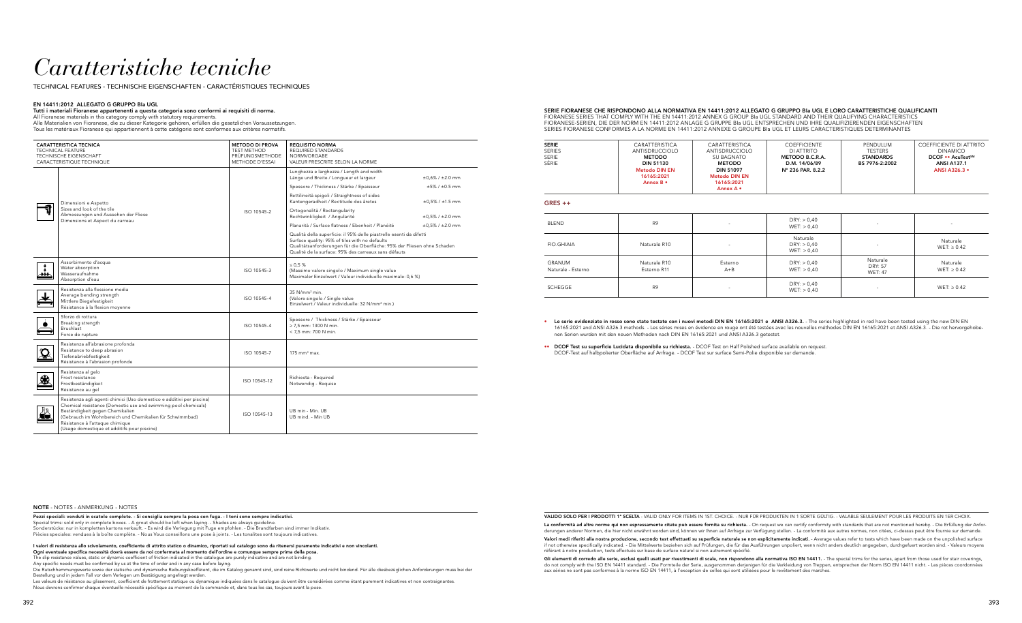## *Caratteristiche tecniche*

TECHNICAL FEATURES - TECHNISCHE EIGENSCHAFTEN - CARACTÉRISTIQUES TECHNIQUES

#### EN 14411:2012 ALLEGATO G GRUPPO BIa UGL

### Tutti i materiali Fioranese appartenenti a questa categoria sono conformi ai requisiti di norma.

All Fioranese materials in this category comply with statutory requirements. Alle Materialien von Fioranese, die zu dieser Kategorie gehören, erfüllen die gesetzlichen Voraussetzungen.

Tous les matériaux Fioranese qui appartiennent à cette catégorie sont conformes aux critères normatifs.

| <b>CARATTERISTICA TECNICA</b><br><b>TECHNICAL FEATURE</b><br>TECHNISCHE EIGENSCHAFT<br>CARACTERISTIQUE TECHNIQUE |                                                                                                                                                                                                                                                                                                                          | <b>METODO DI PROVA</b><br><b>TEST METHOD</b><br>PRÜFUNGSMETHODE<br><b>METHODE D'ESSAI</b> | <b>REQUISITO NORMA</b><br><b>REQUIRED STANDARDS</b><br>NORMVORGABE<br>VALEUR PRESCRITE SELON LA NORME                                                                                                                                                    |                            |
|------------------------------------------------------------------------------------------------------------------|--------------------------------------------------------------------------------------------------------------------------------------------------------------------------------------------------------------------------------------------------------------------------------------------------------------------------|-------------------------------------------------------------------------------------------|----------------------------------------------------------------------------------------------------------------------------------------------------------------------------------------------------------------------------------------------------------|----------------------------|
|                                                                                                                  |                                                                                                                                                                                                                                                                                                                          |                                                                                           | Lunghezza e larghezza / Length and width<br>Länge und Breite / Longueur et largeur                                                                                                                                                                       | $±0,6% / ±2.0$ mm          |
|                                                                                                                  | Dimensioni e Aspetto                                                                                                                                                                                                                                                                                                     |                                                                                           | Spessore / Thickness / Stärke / Epaisseur                                                                                                                                                                                                                | $±5\% / ±0.5$ mm           |
|                                                                                                                  |                                                                                                                                                                                                                                                                                                                          |                                                                                           | Rettilineità spigoli / Straightness of sides<br>Kantengeradheit / Rectitude des âretes                                                                                                                                                                   | $±0,5\% / ±1.5$ mm         |
|                                                                                                                  | Sizes and look of the tile<br>Abmessungen und Aussehen der Fliese<br>Dimensions et Aspect du carreau                                                                                                                                                                                                                     | ISO 10545-2                                                                               | Ortogonalità / Rectangularity<br>Rechtwinkligkeit / Angularité                                                                                                                                                                                           | $\pm 0.5\%$ / $\pm 2.0$ mm |
|                                                                                                                  |                                                                                                                                                                                                                                                                                                                          |                                                                                           | Planarità / Surface flatness / Ebenheit / Planéité                                                                                                                                                                                                       | $\pm 0.5\%$ / $\pm 2.0$ mm |
|                                                                                                                  |                                                                                                                                                                                                                                                                                                                          |                                                                                           | Qualità della superficie: il 95% delle piastrelle esenti da difetti<br>Surface quality: 95% of tiles with no defaults<br>Qualitätsanforderungen für die Oberfläche: 95% der Fliesen ohne Schaden<br>Qualité de la surface: 95% des carreaux sans défauts |                            |
| $\rightarrow$                                                                                                    | Assorbimento d'acqua<br>Water absorption<br>Wasseraufnahme<br>Absorption d'eau                                                                                                                                                                                                                                           | ISO 10545-3                                                                               | $\leq 0.5$ %<br>(Massimo valore singolo / Maximum single value<br>Maximaler Einzelwert / Valeur individuelle maximale: 0.6 %)                                                                                                                            |                            |
|                                                                                                                  | Resistenza alla flessione media<br>Average bending strength<br>Mittlere Biegefestigkeit<br>Résistance à la flexion moyenne                                                                                                                                                                                               | ISO 10545-4                                                                               | $35$ N/mm <sup>2</sup> min.<br>(Valore singolo / Single value<br>Einzelwert / Valeur individuelle: 32 N/mm <sup>2</sup> min.)                                                                                                                            |                            |
|                                                                                                                  | Sforzo di rottura<br>Breaking strength<br>Bruchlast<br>Force de rupture                                                                                                                                                                                                                                                  | ISO 10545-4                                                                               | Spessore / Thickness / Stärke / Epaisseur<br>$\geq$ 7.5 mm: 1300 N min.<br>< 7,5 mm: 700 N min.                                                                                                                                                          |                            |
|                                                                                                                  | Resistenza all'abrasione profonda<br>Resistance to deep abrasion<br>Tiefenabriebfestigkeit<br>Résistance à l'abrasion profonde                                                                                                                                                                                           | ISO 10545-7                                                                               | $175$ mm <sup>3</sup> max.                                                                                                                                                                                                                               |                            |
| 鈭                                                                                                                | Resistenza al gelo<br>Frost resistance<br>Frostbeständigkeit<br>Résistance au gel                                                                                                                                                                                                                                        | ISO 10545-12                                                                              | Richiesta - Required<br>Notwendig - Requise                                                                                                                                                                                                              |                            |
| Лл<br>T)                                                                                                         | Resistenza agli agenti chimici (Uso domestico e additivi per piscina)<br>Chemical resistance (Domestic use and swimming pool chemicals)<br>Beständigkeit gegen Chemikalien<br>(Gebrauch im Wohnbereich und Chemikalien für Schwimmbad)<br>Résistance à l'attaque chimique<br>(Usage domestique et additifs pour piscine) | ISO 10545-13                                                                              | UB min - Min. UB<br>UB mind. - Min UB                                                                                                                                                                                                                    |                            |

NOTE - NOTES - ANMERKUNG - NOTES

Pezzi speciali: venduti in scatole complete. - Si consiglia sempre la posa con fuga. - I toni sono sempre indicativi. Special trims: sold only in complete boxes. - A grout should be left when laying. - Shades are always guideline. Sonderstücke: nur in kompletten kartons verkauft. - Es wird die Verlegung mit Fuge empfohlen. - Die Brandfarben sind immer Indikativ. Piècies speciales: vendues à la boîte complète. - Nous Vous conseillons une pose à joints. - Les tonalites sont toujours indicatives.

La conformità ad altre norme qui non espressamente citate può essere fornita su richiesta. - On request we can certify conformity with standards that are not mentioned hereby. - Die Erfüllung der Anforderungen anderer Normen, die hier nicht erwähnt worden sind, können wir Ihnen auf Anfrage zur Verfügung stellen. - La conformité aux autres normes, non citées, ci-dessus peut être fournie sur demande.

Valori medi riferiti alla nostra produzione, secondo test effettuati su superficie naturale se non esplicitamente indicati. - Average values refer to tests which have been made on the unpolished surface if not otherwise specifically indicated. - Die Mittelwerte beziehen sich auf Prüfungen, die für das Ausführungen unpoliert, wenn nicht anders deutlich angegeben, durchgefuert worden sind. - Valeurs moyens référant à notre production, tests effectués sur base de surface naturel si non autrement spécifié.

I valori di resistenza allo scivolamento, coefficiente di attrito statico o dinamico, riportati sul catalogo sono da ritenersi puramente indicativi e non vincolanti.

Ogni eventuale specifica necessità dovrà essere da noi confermata al momento dell'ordine e comunque sempre prima della posa.

**Gli elementi di corredo alle serie, esclusi quelli usati per rivestimenti di scale, non rispondono alla normativa ISO EN 14411. - The special trims for the series, apart from those used for stair coverings,<br>do not comply** aux séries ne sont pas conformes à la norme ISO EN 14411, à l'exception de celles qui sont utilisées pour le revêtement des marches.

The slip resistance values, static or dynamic coefficient of friction indicated in the catalogue are purely indicative and are not binding.

Any specific needs must be confirmed by us at the time of order and in any case before laying.

• Le serie evidenziate in rosso sono state testate con i nuovi metodi DIN EN 16165:2021 e ANSI A326.3. - The series highlighted in red have been tested using the new DIN EN 16165:2021 and ANSI A326.3 methods. - Les séries mises en évidence en rouge ont été testées avec les nouvelles méthodes DIN EN 16165:2021 et ANSI A326.3. - Die rot hervorgehobe-

Die Rutschhemmungswerte sowie der statische und dynamische Reibungskoeffizient, die im Katalog genannt sind, sind reine Richtwerte und nicht bindend. Für alle diesbezüglichen Anforderungen muss bei der Bestellung und in jedem Fall vor dem Verlegen um Bestätigung angefragt werden.

Les valeurs de résistance au glissement, coefficient de frottement statique ou dynamique indiquées dans le catalogue doivent être considérées comme étant purement indicatives et non contraignantes. Nous devrons confirmer chaque éventuelle nécessité spécifique au moment de la commande et, dans tous les cas, toujours avant la pose.

#### SERIE FIORANESE CHE RISPONDONO ALLA NORMATIVA EN 14411:2012 ALLEGATO G GRUPPO BIa UGL E LORO CARATTERISTICHE QUALIFICANTI FIORANESE SERIES THAT COMPLY WITH THE EN 14411:2012 ANNEX G GROUP BIa UGL STANDARD AND THEIR QUALIFYING CHARACTERISTICS FIORANESE-SERIEN, DIE DER NORM EN 14411:2012 ANLAGE G GRUPPE BIa UGL ENTSPRECHEN UND IHRE QUALIFIZIERENDEN EIGENSCHAFTEN SERIES FIORANESE CONFORMES A LA NORME EN 14411:2012 ANNEXE G GROUPE BIa UGL ET LEURS CARACTERISTIQUES DETERMINANTES

| <b>SERIE</b>  | CARATTERISTICA       |  |
|---------------|----------------------|--|
| <b>SERIES</b> | ANTISDRUCCIOLO       |  |
| SERIE         | <b>METODO</b>        |  |
| SÉRIF         | <b>DIN 51130</b>     |  |
|               | <b>Metodo DIN EN</b> |  |
|               | 16165:2021           |  |
|               | Annex B •            |  |
|               |                      |  |

| COEFFICIENTE DI ATTRITO<br>CARATTERISTICA<br><b>COEFFICIENTE</b><br>PENDULUM<br>DI ATTRITO<br><b>TESTERS</b><br><b>DINAMICO</b><br>DCOF • AcuTestSM<br>SU BAGNATO<br>METODO B.C.R.A.<br><b>STANDARDS</b><br><b>METODO</b><br>D.M. 14/06/89<br><b>ANSI A137.1</b><br>BS 7976-2:2002<br>N° 236 PAR. 8.2.2<br><b>DIN 51097</b><br><b>ANSI A326.3 •</b><br><b>Metodo DIN EN</b><br>16165:2021 |                |  |  |
|-------------------------------------------------------------------------------------------------------------------------------------------------------------------------------------------------------------------------------------------------------------------------------------------------------------------------------------------------------------------------------------------|----------------|--|--|
| Annex A •                                                                                                                                                                                                                                                                                                                                                                                 | ANTISDRUCCIOLO |  |  |

#### GRES ++

| <b>BLEND</b>                 | R <sub>9</sub>              | $\overline{\phantom{a}}$ | DRY: > 0,40<br>WET: > 0,40             | $\overline{\phantom{a}}$                     | $\overline{\phantom{a}}$     |
|------------------------------|-----------------------------|--------------------------|----------------------------------------|----------------------------------------------|------------------------------|
| FIO.GHIAIA                   | Naturale R10                | $\overline{\phantom{a}}$ | Naturale<br>DRY: > 0,40<br>WET: > 0,40 | ۰                                            | Naturale<br>$WET: \geq 0.42$ |
| GRANUM<br>Naturale - Esterno | Naturale R10<br>Esterno R11 | Esterno<br>$A + B$       | DRY: > 0,40<br>WET: > 0,40             | Naturale<br><b>DRY: 57</b><br><b>WET: 47</b> | Naturale<br>$WET: \geq 0.42$ |
| SCHEGGE                      | R <sub>9</sub>              | $\overline{\phantom{a}}$ | DRY: > 0,40<br>WET: > 0,40             |                                              | $WET: \geq 0.42$             |

VALIDO SOLO PER I PRODOTTI 1ª SCELTA - VALID ONLY FOR ITEMS IN 1ST. CHOICE. - NUR FÜR PRODUKTEN IN 1 SORTE GÜLTIG. - VALABLE SEULEMENT POUR LES PRODUITS EN 1ER CHOIX.

- nen Serien wurden mit den neuen Methoden nach DIN EN 16165:2021 und ANSI A326.3 getestet.
- •• DCOF Test su superficie Lucidata disponibile su richiesta. DCOF Test on Half Polished surface available on request. DCOF-Test auf halbpolierter Oberfläche auf Anfrage. - DCOF Test sur surface Semi-Polie disponible sur demande.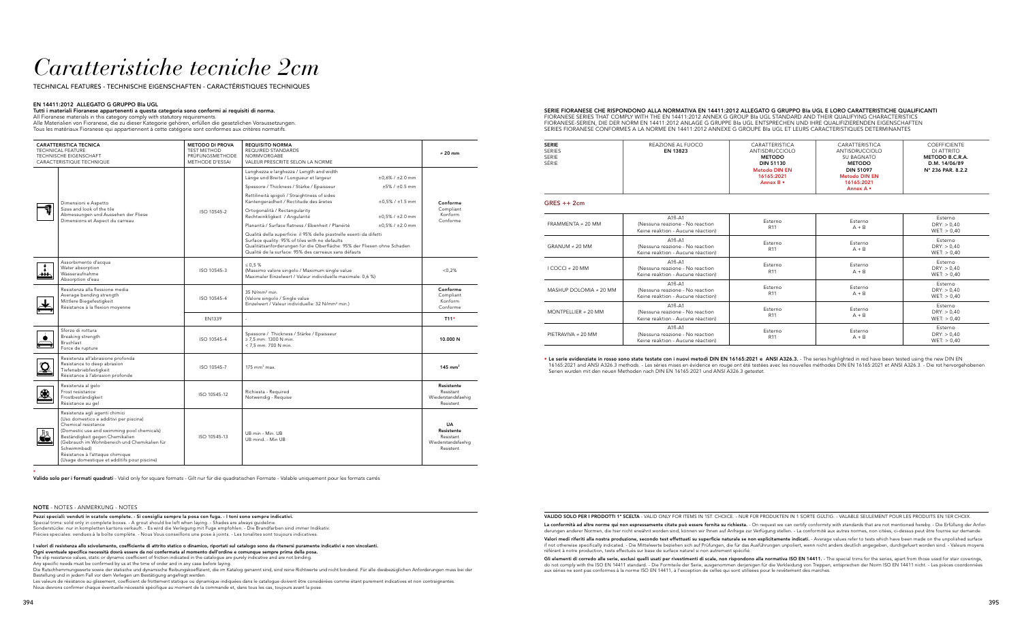## *Caratteristiche tecniche 2cm*

TECHNICAL FEATURES - TECHNISCHE EIGENSCHAFTEN - CARACTÉRISTIQUES TECHNIQUES

#### EN 14411:2012 ALLEGATO G GRUPPO BIa UGL

#### Tutti i materiali Fioranese appartenenti a questa categoria sono conformi ai requisiti di norma. All Fioranese materials in this category comply with statutory requirements.

Alle Materialien von Fioranese, die zu dieser Kategorie gehören, erfüllen die gesetzlichen Voraussetzungen. Tous les matériaux Fioranese qui appartiennent à cette catégorie sont conformes aux critères normatifs.

|    | <b>CARATTERISTICA TECNICA</b><br><b>TECHNICAL FEATURE</b><br><b>TECHNISCHE EIGENSCHAFT</b><br>CARACTERISTIQUE TECHNIQUE                                                                                                                                                                                                           | <b>METODO DI PROVA</b><br><b>TEST METHOD</b><br>PRÜFUNGSMETHODE<br><b>METHODE D'ESSAI</b> | <b>REQUISITO NORMA</b><br><b>REQUIRED STANDARDS</b><br><b>NORMVORGABE</b><br>VALEUR PRESCRITE SELON LA NORME                                                                                                                                                                                                                                                                                                                                                                                                                                                                                                                                                                                                                                      | $\neq$ 20 mm                                                            |
|----|-----------------------------------------------------------------------------------------------------------------------------------------------------------------------------------------------------------------------------------------------------------------------------------------------------------------------------------|-------------------------------------------------------------------------------------------|---------------------------------------------------------------------------------------------------------------------------------------------------------------------------------------------------------------------------------------------------------------------------------------------------------------------------------------------------------------------------------------------------------------------------------------------------------------------------------------------------------------------------------------------------------------------------------------------------------------------------------------------------------------------------------------------------------------------------------------------------|-------------------------------------------------------------------------|
|    | Dimensioni e Aspetto<br>Sizes and look of the tile<br>Abmessungen und Aussehen der Fliese<br>Dimensions et Aspect du carreau                                                                                                                                                                                                      | ISO 10545-2                                                                               | Lunghezza e larghezza / Length and width<br>Länge und Breite / Longueur et largeur<br>$\pm 0.6\%$ / $\pm 2.0$ mm<br>Spessore / Thickness / Stärke / Epaisseur<br>$±5\% / ±0.5$ mm<br>Rettilineità spigoli / Straightness of sides<br>Kantengeradheit / Rectitude des âretes<br>$\pm 0.5\%$ / $\pm 1.5$ mm<br>Ortogonalità / Rectangularity<br>Rechtwinkligkeit / Angularité<br>$±0,5\% / ±2.0$ mm<br>Planarità / Surface flatness / Ebenheit / Planéité<br>$\pm 0.5\%$ / $\pm 2.0$ mm<br>Qualità della superficie: il 95% delle piastrelle esenti da difetti<br>Surface quality: 95% of tiles with no defaults<br>Qualitätsanforderungen für die Oberfläche: 95% der Fliesen ohne Schaden<br>Qualité de la surface: 95% des carreaux sans défauts | Conforme<br>Compliant<br>Konform<br>Conforme                            |
|    | Assorbimento d'acqua<br>Water absorption<br>Wasseraufnahme<br>Absorption d'eau                                                                                                                                                                                                                                                    | ISO 10545-3                                                                               | $\leq 0.5 \%$<br>(Massimo valore singolo / Maximum single value<br>Maximaler Einzelwert / Valeur individuelle maximale: 0,6 %)                                                                                                                                                                                                                                                                                                                                                                                                                                                                                                                                                                                                                    | < 0.2%                                                                  |
|    | Resistenza alla flessione media<br>Average bending strength<br>Mittlere Biegefestigkeit<br>Résistance à la flexion moyenne                                                                                                                                                                                                        | ISO 10545-4                                                                               | 35 N/mm <sup>2</sup> min.<br>(Valore singolo / Single value<br>Einzelwert / Valeur individuelle: 32 N/mm <sup>2</sup> min.)                                                                                                                                                                                                                                                                                                                                                                                                                                                                                                                                                                                                                       | Conforme<br>Compliant<br>Konform<br>Conforme                            |
|    |                                                                                                                                                                                                                                                                                                                                   | EN1339                                                                                    |                                                                                                                                                                                                                                                                                                                                                                                                                                                                                                                                                                                                                                                                                                                                                   | $T11*$                                                                  |
|    | Sforzo di rottura<br>Breaking strength<br>Bruchlast<br>Force de rupture                                                                                                                                                                                                                                                           | ISO 10545-4                                                                               | Spessore / Thickness / Stärke / Epaisseur<br>$\geq$ 7,5 mm: 1300 N min.<br>$<$ 7.5 mm: 700 N min.                                                                                                                                                                                                                                                                                                                                                                                                                                                                                                                                                                                                                                                 | 10.000 N                                                                |
|    | Resistenza all'abrasione profonda<br>Resistance to deep abrasion<br>Tiefenabriebfestigkeit<br>Résistance à l'abrasion profonde                                                                                                                                                                                                    | ISO 10545-7                                                                               | $175 \text{ mm}^3 \text{ max}$ .                                                                                                                                                                                                                                                                                                                                                                                                                                                                                                                                                                                                                                                                                                                  | $145$ mm <sup>3</sup>                                                   |
|    | Resistenza al gelo<br>Frost resistance<br>Frostbeständigkeit<br>Résistance au gel                                                                                                                                                                                                                                                 | ISO 10545-12                                                                              | Richiesta - Required<br>Notwendig - Requise                                                                                                                                                                                                                                                                                                                                                                                                                                                                                                                                                                                                                                                                                                       | Resistente<br>Resistant<br>Wiederstandsfaehig<br>Resistent              |
| Лπ | Resistenza agli agenti chimici<br>(Uso domestico e additivi per piscina)<br>Chemical resistance<br>(Domestic use and swimming pool chemicals)<br>Beständigkeit gegen Chemikalien<br>(Gebrauch im Wohnbereich und Chemikalien für<br>Schwimmbad)<br>Résistance à l'attaque chimique<br>(Usage domestique et additifs pour piscine) | ISO 10545-13                                                                              | UB min - Min. UB<br>UB mind. - Min UB                                                                                                                                                                                                                                                                                                                                                                                                                                                                                                                                                                                                                                                                                                             | <b>UA</b><br>Resistente<br>Resistant<br>Wiederstandsfaehig<br>Resistent |

#### NOTE - NOTES - ANMERKUNG - NOTES

Pezzi speciali: venduti in scatole complete. - Si consiglia sempre la posa con fuga. - I toni sono sempre indicativi. Special trims: sold only in complete boxes. - A grout should be left when laying. - Shades are always guideline. Sonderstücke: nur in kompletten kartons verkauft. - Es wird die Verlegung mit Fuge empfohlen. - Die Brandfarben sind immer Indikativ. Piècies speciales: vendues à la boîte complète. - Nous Vous conseillons une pose à joints. - Les tonalites sont toujours indicatives.

La conformità ad altre norme qui non espressamente citate può essere fornita su richiesta. - On request we can certify conformity with standards that are not mentioned hereby. - Die Erfüllung der Anforderungen anderer Normen, die hier nicht erwähnt worden sind, können wir Ihnen auf Anfrage zur Verfügung stellen. - La conformité aux autres normes, non citées, ci-dessus peut être fournie sur demande.

I valori di resistenza allo scivolamento, coefficiente di attrito statico o dinamico, riportati sul catalogo sono da ritenersi puramente indicativi e non vincolanti.

Ogni eventuale specifica necessità dovrà essere da noi confermata al momento dell'ordine e comunque sempre prima della posa.

Valori medi riferiti alla nostra produzione, secondo test effettuati su superficie naturale se non esplicitamente indicati. - Average values refer to tests which have been made on the unpolished surface if not otherwise specifically indicated. - Die Mittelwerte beziehen sich auf Prüfungen, die für das Ausführungen unpoliert, wenn nicht anders deutlich angegeben, durchgefuert worden sind. - Valeurs moyens référant à notre production, tests effectués sur base de surface naturel si non autrement spécifié.

The slip resistance values, static or dynamic coefficient of friction indicated in the catalogue are purely indicative and are not binding.

Any specific needs must be confirmed by us at the time of order and in any case before laying.

**Gli elementi di corredo alle serie, esclusi quelli usati per rivestimenti di scale, non rispondono alla normativa ISO EN 14411. - The special trims for the series, apart from those used for stair coverings,<br>do not comply** aux séries ne sont pas conformes à la norme ISO EN 14411, à l'exception de celles qui sont utilisées pour le revêtement des marches.

Die Rutschhemmungswerte sowie der statische und dynamische Reibungskoeffizient, die im Katalog genannt sind, sind reine Richtwerte und nicht bindend. Für alle diesbezüglichen Anforderungen muss bei der Bestellung und in jedem Fall vor dem Verlegen um Bestätigung angefragt werden.

Les valeurs de résistance au glissement, coefficient de frottement statique ou dynamique indiquées dans le catalogue doivent être considérées comme étant purement indicatives et non contraignantes. Nous devrons confirmer chaque éventuelle nécessité spécifique au moment de la commande et, dans tous les cas, toujours avant la pose.

#### SERIE FIORANESE CHE RISPONDONO ALLA NORMATIVA EN 14411:2012 ALLEGATO G GRUPPO BIa UGL E LORO CARATTERISTICHE QUALIFICANTI FIORANESE SERIES THAT COMPLY WITH THE EN 14411:2012 ANNEX G GROUP BIa UGL STANDARD AND THEIR QUALIFYING CHARACTERISTICS FIORANESE-SERIEN, DIE DER NORM EN 14411:2012 ANLAGE G GRUPPE BIa UGL ENTSPRECHEN UND IHRE QUALIFIZIERENDEN EIGENSCHAFTEN SERIES FIORANESE CONFORMES A LA NORME EN 14411:2012 ANNEXE G GROUPE BIa UGL ET LEURS CARACTERISTIQUES DETERMINANTES

| <b>SERIE</b>  | REAZIONE AL FUOCO | CARATTERISTICA       | CARATTERISTICA   | <b>COEFFICIENTE</b>        |
|---------------|-------------------|----------------------|------------------|----------------------------|
| <b>SERIES</b> | EN 13823          | ANTISDRUCCIOLO       | ANTISDRUCCIOLO   | DI ATTRITO                 |
| <b>SERIE</b>  |                   | <b>METODO</b>        | SU BAGNATO       | METODO B.C.R.A.            |
| SÉRIE         |                   | <b>DIN 51130</b>     | <b>METODO</b>    | D.M. 14/06/89              |
|               |                   | <b>Metodo DIN EN</b> | <b>DIN 51097</b> | $N^{\circ}$ 236 PAR, 8.2.2 |
|               |                   | 16165:2021           | Metodo DIN EN    |                            |
|               |                   | Annex B •            | 16165:2021       |                            |
|               |                   |                      | Annex A •        |                            |
|               |                   |                      |                  |                            |

#### GRES ++ 2cm

| FRAMMENTA $\neq$ 20 MM      | $A1fl - A1$<br>(Nessuna reazione - No reaction<br>Keine reaktion - Aucune réaction) | Esterno<br>R <sub>11</sub> | Esterno<br>$A + B$ | Esterno<br>DRY: > 0,40<br>WET: > 0,40 |
|-----------------------------|-------------------------------------------------------------------------------------|----------------------------|--------------------|---------------------------------------|
| GRANUM $\neq$ 20 MM         | $A1fl - A1$<br>(Nessuna reazione - No reaction<br>Keine reaktion - Aucune réaction) | Esterno<br>R <sub>11</sub> | Esterno<br>$A + B$ | Esterno<br>DRY: > 0,40<br>WET: > 0,40 |
| I COCCI ≠ 20 MM             | $A1fl - A1$<br>(Nessuna reazione - No reaction<br>Keine reaktion - Aucune réaction) | Esterno<br>R <sub>11</sub> | Esterno<br>$A + B$ | Esterno<br>DRY: > 0,40<br>WET: > 0,40 |
| MASHUP DOLOMIA $\neq$ 20 MM | $A1fl - A1$<br>(Nessuna reazione - No reaction<br>Keine reaktion - Aucune réaction) | Esterno<br>R <sub>11</sub> | Esterno<br>$A + B$ | Esterno<br>DRY: > 0,40<br>WET: > 0,40 |
| MONTPELLIER $\neq$ 20 MM    | $A1fl - A1$<br>(Nessuna reazione - No reaction<br>Keine reaktion - Aucune réaction) | Esterno<br>R <sub>11</sub> | Esterno<br>$A + B$ | Esterno<br>DRY: > 0,40<br>WET: > 0,40 |
| PIETRAVIVA ≠ 20 MM          | $A1fl - A1$<br>(Nessuna reazione - No reaction<br>Keine reaktion - Aucune réaction) | Esterno<br>R <sub>11</sub> | Esterno<br>$A + B$ | Esterno<br>DRY: > 0,40<br>WET: > 0,40 |

\* Valido solo per i formati quadrati - Valid only for square formats - Gilt nur für die quadratischen Formate - Valable uniquement pour les formats carrés

VALIDO SOLO PER I PRODOTTI 1ª SCELTA - VALID ONLY FOR ITEMS IN 1ST. CHOICE. - NUR FÜR PRODUKTEN IN 1 SORTE GÜLTIG. - VALABLE SEULEMENT POUR LES PRODUITS EN 1ER CHOIX.

• Le serie evidenziate in rosso sono state testate con i nuovi metodi DIN EN 16165:2021 e ANSI A326.3. - The series highlighted in red have been tested using the new DIN EN 16165:2021 and ANSI A326.3 methods. - Les séries mises en évidence en rouge ont été testées avec les nouvelles méthodes DIN EN 16165:2021 et ANSI A326.3. - Die rot hervorgehobenen

## Serien wurden mit den neuen Methoden nach DIN EN 16165:2021 und ANSI A326.3 getestet.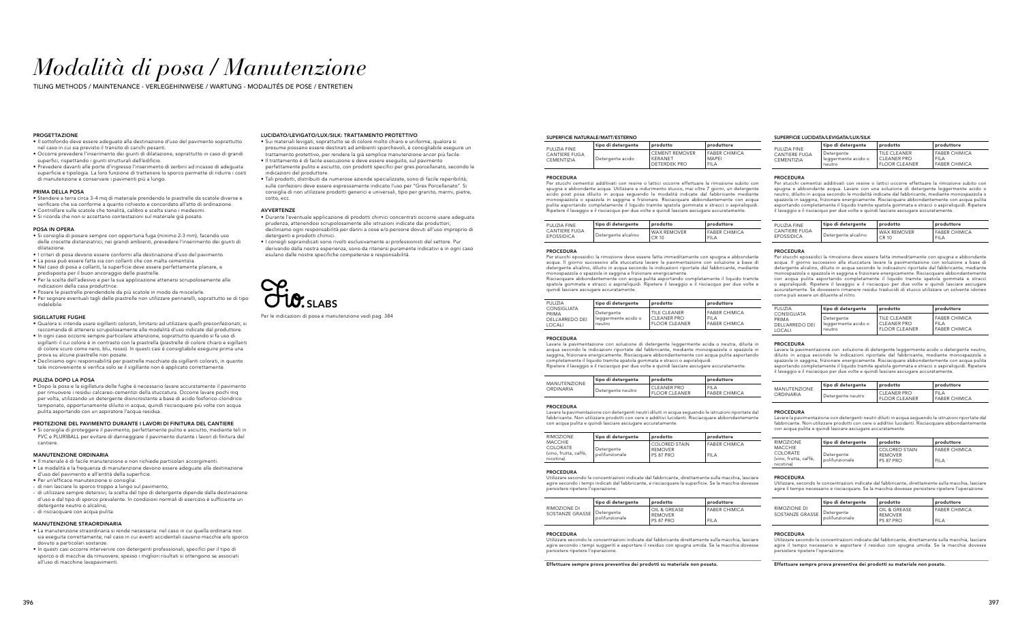#### SUPERFICIE LUCIDATA/LEVIGATA/LUX/SILK

# *Modalità di posa / Manutenzione*

TILING METHODS / MAINTENANCE - VERLEGEHINWEISE / WARTUNG - MODALITÉS DE POSE / ENTRETIEN

#### SUPERFICIE NATURALE/MATT/ESTERNO

| PULIZIA FINE                              | tipo di deteraente | prodotto                                         | produttore                                       |
|-------------------------------------------|--------------------|--------------------------------------------------|--------------------------------------------------|
| <b>CANTIERE FUGA</b><br><b>CEMENTIZIA</b> | Detergente acido   | <b>CEMENT REMOVER</b><br>KFRANFT<br>DETERDEK PRO | <b>FABER CHIP</b><br><b>MAPFI</b><br><b>FILA</b> |

| produttore           |  |  |
|----------------------|--|--|
| <b>FABER CHIMICA</b> |  |  |
| MAPFI                |  |  |
| FII A                |  |  |

#### PROCEDURA

Per stucchi cementizi additivati con resine o lattici occorre effettuare la rimozione subito con spugna e abbondante acqua. Utilizzare a indurimento stucco, mai oltre 7 giorni, un detergente acido post posa diluito in acqua seguendo le modalità indicate dal fabbricante mediante<br>monospazzola o spazzola in saggina e frizionare. Risciacquare abbondantemente con acqua<br>pulita asportando completamente il liquido tra Ripetere il lavaggio e il risciacquo per due volte e quindi lasciare asciugare accuratamente.

| PULIZIA FINE  | tipo di detergente  | prodotto    | produttore        |
|---------------|---------------------|-------------|-------------------|
| CANTIERE FUGA | Detergente alcalino | WAX REMOVER | <b>FABER CHIP</b> |
| EPOSSIDICA    |                     | CR 10       | <b>FILA</b>       |

| produttore    |
|---------------|
| FABER CHIMICA |
| FIL A         |

#### PROCEDURA

Per stucchi epossidici la rimozione deve essere fatta immeditamente con spugna e abbondante acqua. Il giorno successivo alla stuccatura lavare la pavimentazione con soluzione a base di detergente alcalino, diluito in acqua secondo le indicazioni riportate dal fabbricante, mediante monospazzola o spazzola in saggina e frizionare energicamente. Risciacquare abbondantemente con acqua pulita asportando completamente il liquido tramite spatola gommata e stracci o aspiraliquidi. Ripetere il lavaggio e il risciacquo per due volte e quindi lasciare asciugare accuratamente.

| PULIZIA                                           | tipo di detergente                          | prodotto                                                   | produttore                                            |
|---------------------------------------------------|---------------------------------------------|------------------------------------------------------------|-------------------------------------------------------|
| CONSIGLIATA<br>PRIMA<br>DELL'ARREDO DEI<br>LOCALI | Detergente<br>leggermente acido o<br>neutro | TILE CLEANER<br><b>CLEANER PRO</b><br><b>FLOOR CLEANER</b> | <b>FABER CHIP</b><br><b>FILA</b><br><b>FABER CHIP</b> |

#### **PROCEDURA**

| produttore                                            |
|-------------------------------------------------------|
| <b>FABER CHIMICA</b><br>FII A<br><b>FABER CHIMICA</b> |
|                                                       |

Lavare la pavimentazione con soluzione di detergente leggermente acida o neutra, diluita in acqua secondo le indicazioni riportate dal fabbricante, mediante monospazzola o spazzola in saggina, frizionare energicamente. Risciacquare abbondantemente con acqua pulita asportando completamente il liquido tramite spatola gommata e stracci o aspiraliquid Ripetere il lavaggio e il risciacquo per due volte e quindi lasciare asciugare accuratamente.

| MANUTENZIONE | tipo di detergente | prodotto                              | produttore                       |
|--------------|--------------------|---------------------------------------|----------------------------------|
| ORDINARIA    | Detergente neutro  | <b>CLEANER PRO</b><br>' FLOOR CLEANER | <b>FILA</b><br><b>FABER CHIP</b> |

| produttore           |
|----------------------|
| FII A                |
| <b>FABER CHIMICA</b> |

#### PROCEDURA

Lavare la pavimentazione con detergenti neutri diluiti in acqua seguendo le istruzioni riportate dal fabbricante. Non utilizzare prodotti con cere o additivi lucidanti. Risciacquare abbondantemente con acqua pulita e quindi lasciare asciugare accuratamente.

| <b>RIMOZIONE</b>                                                 | tipo di detergente           | prodotto                                            | produttore                       |
|------------------------------------------------------------------|------------------------------|-----------------------------------------------------|----------------------------------|
| <b>MACCHIE</b><br>COLORATE<br>(vino, frutta, caffè,<br>nicotina) | Detergente<br>polifunzionale | <b>COLORED STAIN</b><br><b>REMOVER</b><br>PS 87 PRO | <b>FABER CHIP</b><br><b>FILA</b> |

#### **PROCEDURA**

FABER CHIMICA

Utilizzare secondo le concentrazioni indicate dal fabbricante, direttamente sulla macchia, lasciare agire secondo i tempi indicati dal fabbricante, e risciacquare la superficie. Se la macchia dovesse persistere ripetere l'operazione.

|                                 | tipo di detergente           | prodotto                                    | produttore                       |
|---------------------------------|------------------------------|---------------------------------------------|----------------------------------|
| RIMOZIONE DI<br>SOSTANZE GRASSE | Detergente<br>polifunzionale | OIL & GREASE<br><b>REMOVER</b><br>PS 87 PRO | <b>FABER CHIP</b><br><b>FILA</b> |

#### **PROCEDURA**

| produttore           |
|----------------------|
| <b>FABER CHIMICA</b> |
| FII A                |

Utilizzare secondo le concentrazioni indicate dal fabbricante direttamente sulla macchia, lasciare agire secondo i tempi suggeriti e asportare il residuo con spugna umida. Se la macchia dovesse persistere ripetere l'operazione.

Effettuare sempre prova preventiva dei prodotti su materiale non posato.

|             | PULIZIA FINE                              | tipo di detergente                          | prodotto                                                         | produttore                                                  |
|-------------|-------------------------------------------|---------------------------------------------|------------------------------------------------------------------|-------------------------------------------------------------|
| <b>MICA</b> | <b>CANTIERE FUGA</b><br><b>CEMENTIZIA</b> | Detergente<br>leggermente acido o<br>neutro | TILE CLEANER<br><sup>i</sup> CLEANER PRO<br><b>FLOOR CLEANER</b> | <b>FABER CHIMICA</b><br><b>FILA</b><br><b>FABER CHIMICA</b> |

PROCEDURA

Per stucchi cementizi additivati con resine o lattici occorre effettuare la rimozione subito con spugna e abbondante acqua. Lavare con una soluzione di detergente leggermente acido o neutro, diluito in acqua secondo le modalità indicate dal fabbricante, mediante monospazzola o spazzola in saggina, frizionare energicamente. Risciacquare abbondantemente con acqua pulita asportando completamente il liquido tramite spatola gommata e stracci o aspiraliquidi. Ripetere il lavaggio e il risciacquo per due volte e quindi lasciare asciugare accuratamente.

| PULIZIA FINE         | tipo di detergente  | prodotto           | produttore           |
|----------------------|---------------------|--------------------|----------------------|
| <b>CANTIERE FUGA</b> | Detergente alcalino | <b>WAX REMOVER</b> | <b>FABER CHIMICA</b> |
| <b>EPOSSIDICA</b>    |                     | CR 10              | <b>FILA</b>          |

#### PROCEDURA

Per stucchi epossidici la rimozione deve essere fatta immeditamente con spugna e abbondante acqua. Il giorno successivo alla stuccatura lavare la pavimentazione con soluzione a base di detergente alcalino, diluito in acqua secondo le indicazioni riportate dal fabbricante, mediante pronospazzola in saggina e frizionare energicamente. Risciacquare abbondantemente con acqua pulita asportando completamente il liquido tramite spatola gommata e stracci o aspiraliquidi. Ripetere il lavaggio e il risciacquo per due volte e quindi lasciare asciugare accuratamente. Se dovessero rimanere residui traslucidi di stucco utilizzare un solvente idoneo come può essere un diluente al nitro.

| <b>PULIZIA</b>                                    | tipo di detergente                          | prodotto                                                   | produttore                                                  |
|---------------------------------------------------|---------------------------------------------|------------------------------------------------------------|-------------------------------------------------------------|
| CONSIGLIATA<br>PRIMA<br>DELL'ARREDO DEI<br>LOCALI | Detergente<br>leggermente acido o<br>neutro | TILE CLEANER<br><b>CLEANER PRO</b><br><b>FLOOR CLEANER</b> | <b>FABER CHIMICA</b><br><b>FILA</b><br><b>FABER CHIMICA</b> |

#### **PROCEDURA**

Lavare la pavimentazione con soluzione di detergente leggermente acido o detergente neutro, diluito in acqua secondo le indicazioni riportate dal fabbricante, mediante monospazzola o spazzola in saggina, frizionare energicamente. Risciacquare abbondantemente con acqua pulita asportando completamente il liquido tramite spatola gommata e stracci o aspiraliquidi. Ripetere il lavaggio e il risciacquo per due volte e quindi lasciare asciugare accuratamente.

|                     | tipo di detergente | prodotto             | produttore           |
|---------------------|--------------------|----------------------|----------------------|
| <b>MANUTENZIONE</b> | Detergente neutro  | CLEANER PRO          | <b>FILA</b>          |
| ORDINARIA           |                    | <b>FLOOR CLEANER</b> | <b>FABER CHIMICA</b> |

#### **PROCEDURA**

Lavare la pavimentazione con detergenti neutri diluiti in acqua seguendo le istruzioni riportate dal fabbricante. Non utilizzare prodotti con cere o additivi lucidanti. Risciacquare abbonda con acqua pulita e quindi lasciare asciugare accuratamente.

| <b>RIMOZIONE</b>                                                        | tipo di detergente           | prodotto                                            | produttore                          |
|-------------------------------------------------------------------------|------------------------------|-----------------------------------------------------|-------------------------------------|
| <b>MACCHIE</b><br><b>COLORATE</b><br>(vino, frutta, caffè,<br>nicotina) | Detergente<br>polifunzionale | <b>COLORED STAIN</b><br><b>REMOVER</b><br>PS 87 PRO | <b>FABER CHIMICA</b><br><b>FILA</b> |

#### PROCEDURA

Utilizzare, secondo le concentrazioni indicate dal fabbricante, direttamente sulla macchia, lasciare agire il tempo necessario e risciacquare. Se la macchia dovesse persistere ripetere l'operazione.

|                                              | tipo di detergente | prodotto                                    | produttore                          |
|----------------------------------------------|--------------------|---------------------------------------------|-------------------------------------|
| RIMOZIONE DI<br>SOSTANZE GRASSE   Detergente | polifunzionale     | OIL & GREASE<br><b>REMOVER</b><br>PS 87 PRO | <b>FABER CHIMICA</b><br><b>FILA</b> |

#### PROCEDURA

Utilizzare secondo le concentrazioni indicate dal fabbricante, direttamente sulla macchia, lasciare agire il tempo necessario e asportare il residuo con spugna umida. Se la macchia dovesse persistere ripetere l'operazione.

Effettuare sempre prova preventiva dei prodotti su materiale non posato.

#### PROGETTAZIONE

- Il sottofondo deve essere adeguato alla destinazione d'uso del pavimento soprattutto nel caso in cui sia previsto il transito di carichi pesanti.
- Occorre prevedere l'inserimento dei giunti di dilatazione, soprattutto in caso di grandi superfici, rispettando i giunti strutturali dell'edificio.
- Prevedere davanti alle porte d'ingresso l'inserimento di zerbini ad incasso di adeguata superficie e tipologia. La loro funzione di trattenere lo sporco permette di ridurre i costi di manutenzione e conservare i pavimenti più a lungo.

#### PRIMA DELLA POSA

- Stendere a terra circa 3-4 mq di materiale prendendo le piastrelle da scatole diverse e
- verificare che sia conforme a quanto richiesto e concordato all'atto di ordinazione. • Controllare sulle scatole che tonalità, calibro e scelta siano i medesimi.
- Si ricorda che non si accettano contestazioni sul materiale già posato.

#### POSA IN OPERA

- Si consiglia di posare sempre con opportuna fuga (minimo 2-3 mm), facendo uso delle crocette distanziatrici; nei grandi ambienti, prevedere l'inserimento dei giunti di dilatazione.
- I criteri di posa devono essere conformi alla destinazione d'uso del pavimento.
- La posa può essere fatta sia con collanti che con malta cementizia.
- Nel caso di posa a collanti, la superficie deve essere perfettamente planare, e predisposta per il buon ancoraggio delle piastrelle.
- Per la scelta dell'adesivo e per la sua applicazione attenersi scrupolosamente alle indicazioni della casa produttrice.
- Posare le piastrelle prendendole da più scatole in modo da miscelarle.
- Per segnare eventuali tagli delle piastrelle non utilizzare pennarelli, soprattutto se di tipo indelebile.

#### SIGILLATURE FUGHE

- Qualora si intenda usare sigillanti colorati, limitarsi ad utilizzare quelli preconfezionati; si raccomanda di attenersi scrupolosamente alle modalità d'uso indicate dal produttore.
- In ogni caso occorre sempre particolare attenzione, soprattutto quando si fa uso di sigillanti il cui colore è in contrasto con la piastrella (piastrelle di colore chiaro e sigillanti di colore scuro come nero, blu, rosso). In questi casi è consigliabile eseguire prima una prova su alcune piastrelle non posate.
- Decliniamo ogni responsabilità per piastrelle macchiate da sigillanti colorati, in quanto tale inconveniente si verifica solo se il sigillante non è applicato correttamente.

#### PULIZIA DOPO LA POSA

• Dopo la posa e la sigillatura delle fughe è necessario lavare accuratamente il pavimento per rimuovere i residui calcareo-cementizi della stuccatura. Occorre lavare pochi mq per volta, utilizzando un detergente disincrostante a base di acido fosforico-cloridrico tamponato, opportunamente diluito in acqua; quindi risciacquare più volte con acqua pulita asportando con un aspiratore l'acqua residua.

#### PROTEZIONE DEL PAVIMENTO DURANTE I LAVORI DI FINITURA DEL CANTIERE

• Si consiglia di proteggere il pavimento, perfettamente pulito e asciutto, mediante teli in PVC e PLURIBALL per evitare di danneggiare il pavimento durante i lavori di finitura del cantiere.

#### MANUTENZIONE ORDINARIA

- Il materiale è di facile manutenzione e non richiede particolari accorgimenti.
- Le modalità e la frequenza di manutenzione devono essere adeguate alla destinazione d'uso del pavimento e all'entità della superficie.
- Per un'efficace manutenzione si consiglia:
- di non lasciare lo sporco troppo a lungo sul pavimento;
- di utilizzare sempre detersivi; la scelta del tipo di detergente dipende dalla destinazione d'uso e dal tipo di sporco prevalente. In condizioni normali di esercizio è sufficiente un detergente neutro o alcalino;
- di risciacquare con acqua pulita.

#### MANUTENZIONE STRAORDINARIA

- La manutenzione straordinaria si rende necessaria: nel caso in cui quella ordinaria non sia eseguita correttamente; nel caso in cui eventi accidentali causino macchie e/o sporco dovuto a particolari sostanze.
- In questi casi occorre intervenire con detergenti professionali, specifici per il tipo di sporco o di macchie da rimuovere; spesso i migliori risultati si ottengono se associati all'uso di macchine lavapavimenti.

#### LUCIDATO/LEVIGATO/LUX/SILK: TRATTAMENTO PROTETTIVO

- Sui materiali levigati, soprattutto se di colore molto chiaro e uniforme, qualora si presume possano essere destinati ad ambienti sporchevoli, è consigliabile eseguire un trattamento protettivo, per rendere la già semplice manutenzione ancor più facile.
- Il trattamento è di facile esecuzione e deve essere eseguito, sul pavimento perfettamente pulito e asciutto, con prodotti specifici per gres porcellanato, secondo le indicazioni del produttore.
- Tali prodotti, distribuiti da numerose aziende specializzate, sono di facile reperibilità; sulle confezioni deve essere espressamente indicato l'uso per "Gres Porcellanato". Si consiglia di non utilizzare prodotti generici e universali, tipo per granito, marmi, pietre, cotto, ecc.

#### AVVERTENZE

- Durante l'eventuale applicazione di prodotti chimici concentrati occorre usare adeguata prudenza, attenendosi scrupolosamente alle istruzioni indicate dai produttori; decliniamo ogni responsabilità per danni a cose e/o persone dovuti all'uso improprio di detergenti e prodotti chimici.
- I consigli sopraindicati sono rivolti esclusivamente ai professionisti del settore. Pur derivando dalla nostra esperienza, sono da ritenersi puramente indicativi e in ogni caso esulano dalle nostre specifiche competenze e responsabilità.

Per le indicazioni di posa e manutenzione vedi pag. 384

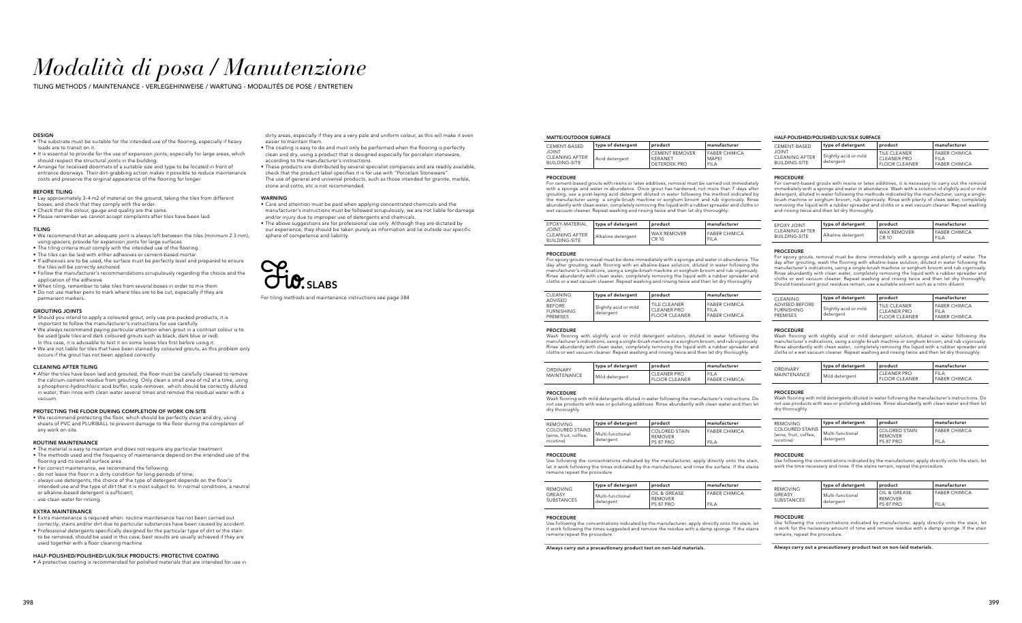## *Modalità di posa / Manutenzione*

TILING METHODS / MAINTENANCE - VERLEGEHINWEISE / WARTUNG - MODALITÉS DE POSE / ENTRETIEN

#### **DESIGN**

#### MATTE/OUTDOOR SURFACE

#### $n$ anufacturer FABER CHIMICA MAPEI FILA

#### $n_{\text{matter}}$

| CEMENT-BASED                                                  | type of detergent | product                                                        |
|---------------------------------------------------------------|-------------------|----------------------------------------------------------------|
| <b>JOINT</b><br><b>CLEANING AFTER</b><br><b>BUILDING-SITE</b> | Acid detergent    | <b>CEMENT REMOVER</b><br><b>KERANET</b><br><b>DETERDEK PRO</b> |

#### PROCEDURE

For cement-based grouts with resins or latex additives, removal must be carried out immediately with a sponge and water in abundance. Once grout has hardened, not more than 7 days after grouting, use a post-laying acid detergent diluted in water following the method indicated by the manufacturer using a single-brush machine or sorghum broom and rub vigorously. Rinse abundantly with clean water, completely removing the liquid with a rubber spreader and cloths or wet vacuum cleaner. Repeat washing and rinsing twice and then let dry thoroughly.

#### $n_{\text{anufacturer}}$ FABER CHIMICA FILA

| EPOXY-MATERIAL                                         | type of detergent  | product                     |
|--------------------------------------------------------|--------------------|-----------------------------|
| <b>TUIOL</b><br>CLEANING AFTER<br><b>BUILDING-SITE</b> | Alkaline detergent | <b>WAX REMOVER</b><br>CR 10 |

#### **PROCEDURE**

FABER CHIMICA FILA

#### manufacturer FILA

For epoxy grouts removal must be done immediately with a sponge and water in abundance. The day after grouting, wash flooring with an alkaline-base solution, diluted in water following the manufacturer's indications, using a single-brush machine or sorghum broom and rub vigorously. Rinse abundantly with clean water, completely removing the liquid with a rubber spreader and cloths or a wet vacuum cleaner. Repeat washing and rinsing twice and then let dry thoroughly.

| CLEANING.                                   | type of detergent                  | product                                                                   |
|---------------------------------------------|------------------------------------|---------------------------------------------------------------------------|
| ADVISED<br>BEFORE<br>FURNISHING<br>PREMISES | Slightly acid or mild<br>detergent | <b>I TILE CLEANER</b><br><b>CLEANER PRO</b><br><sup>I</sup> FLOOR CLEANER |

FABER CHIMICA

#### PROCEDURE

Wash flooring with slightly acid or mild detergent solution, diluted in water following the manufacturer's indications, using a single-brush machine or a sorghum broom, and rub vigorously. Rinse abundantly with clean water, completely removing the liquid with a rubber spreader and cloths or wet vacuum cleaner. Repeat washing and rinsing twice and then let dry thoroughly.

For epoxy grouts, removal must be done immediately with a sponge and plenty of water. The day after grouting, wash the flooring with alkaline-base solution, diluted in water following the manufacturer's indications, using a single-brush machine or sorghum broom and rub vigorously. Rinse abundantly with clean water, completely removing the liquid with a rubber spreader and cloths or wet vacuum cleaner. Repeat washing and rinsing twice and then let dry thoroughly. Should translucent grout residues remain, use a suitable solvent such as a nitro diluent

| ORDINARY    | type of detergent | product                             |
|-------------|-------------------|-------------------------------------|
| MAINTENANCE | Mild detergent    | <b>CLEANER PRO</b><br>FLOOR CLEANER |

#### **PROCEDURE**

FABER CHIMICA

Wash flooring with mild detergents diluted in water following the manufacturer's instructions. Do not use products with wax or polishing additives. Rinse abundantly with clean water and then let dry thoroughly.

| <b>REMOVING</b>                                 | type of detergent | l product                         | manufacturer       |
|-------------------------------------------------|-------------------|-----------------------------------|--------------------|
| <b>COLOURED STAINS</b><br>(wine, fruit, coffee, | Multi-functional  | I COLORED STAIN<br><b>REMOVER</b> | <b>FABER CHIMI</b> |
| nicotine)                                       | detergent         | PS 87 PRO                         | <b>FILA</b>        |

#### **PROCEDURE**

| manufacturer         |  |  |
|----------------------|--|--|
| <b>FABER CHIMICA</b> |  |  |
| FIL A                |  |  |

Use following the concentrations indicated by the manufacturer, apply directly onto the stain, let it work following the times indicated by the manufacturer, and rinse the surface. If the stains remains repeat the procedure.

| <b>REMOVING</b>      | type of detergent             | product                                     | manufacturer                       |
|----------------------|-------------------------------|---------------------------------------------|------------------------------------|
| GREASY<br>SUBSTANCES | Multi-functional<br>detergent | OIL & GREASE<br><b>REMOVER</b><br>PS 87 PRO | <b>FABER CHIMIO</b><br><b>FILA</b> |

Use following the concentrations indicated by the manufacturer, apply directly onto the stain, let work the time necessary and rinse. If the stains remain, repeat the procedure

| manufacturer         |  |
|----------------------|--|
| <b>FABER CHIMICA</b> |  |

#### PROCEDURE

Use following the concentrations indicated by the manufacturer, apply directly onto the stain, let it work following the times suggested and remove the residue with a damp sponge. If the stains remains repeat the procedure.

Always carry out a precautionary product test on non-laid materials.

### HALF-POLISHED/POLISHED/LUX/SILK SURFACE

| CEMENT-BASED                                           | type of detergent                    | product                                                   | manufacturer                                                |  |
|--------------------------------------------------------|--------------------------------------|-----------------------------------------------------------|-------------------------------------------------------------|--|
| <b>TUIOL</b><br>CLEANING AFTER<br><b>BUILDING-SITE</b> | I Slightly acid or mild<br>detergent | TILE CLEANER<br>CLEANER PRO<br><sup>'</sup> FLOOR CLEANER | <b>FABER CHIMICA</b><br><b>FILA</b><br><b>FABER CHIMICA</b> |  |

#### PROCEDURE

For cement-based grouts with resins or latex additives, it is necessary to carry out the removal immediately with a sponge and water in abundance. Wash with a solution of slightly acid or mild detergent, diluted in water following the methods indicated by the manufacturer, using a singlebrush machine or sorghum broom, rub vigorously. Rinse with plenty of clean water, completely removing the liquid with a rubber spreader and cloths or a wet vacuum cleaner. Repeat washing and rinsing twice and then let dry thoroughly.

| <b>EPOXY JOINT</b> | type of detergent  | product            | manufacturer         |
|--------------------|--------------------|--------------------|----------------------|
| CLEANING AFTER     | Alkaline detergent | <b>WAX REMOVER</b> | <b>FABER CHIMICA</b> |
| BUILDING-SITE      |                    | CR 10              | <b>FILA</b>          |

#### PROCEDURE

| CLEANING                                               | type of detergent                    | product                                                           | manufacturer                                                |
|--------------------------------------------------------|--------------------------------------|-------------------------------------------------------------------|-------------------------------------------------------------|
| ADVISED BEFORE<br><b>FURNISHING</b><br><b>PREMISES</b> | ' Slightly acid or mild<br>detergent | <b>TILE CLEANER</b><br><b>CLEANER PRO</b><br><b>FLOOR CLEANER</b> | <b>FABER CHIMICA</b><br><b>FILA</b><br><b>FABER CHIMICA</b> |

#### **PROCEDURE**

Wash flooring with slightly acid or mild detergent solution, diluted in water following the manufacturer's indications, using a single-brush machine or sorghum broom, and rub vigorously. Rinse abundantly with clean water, completely removing the liquid with a rubber spreader and cloths or a wet vacuum cleaner. Repeat washing and rinsing twice and then let dry thoroughly.

dirty areas, especially if they are a very pale and uniform colour, as this will make it even easier to maintain then

| <b>ORDINARY</b><br>MAINTENANCE | type of detergent | product                      | manufacturer                        |
|--------------------------------|-------------------|------------------------------|-------------------------------------|
|                                | Mild detergent    | CLEANER PRO<br>FLOOR CLEANER | <b>FILA</b><br><b>FABER CHIMICA</b> |

#### PROCEDURE

Wash flooring with mild detergents diluted in water following the manufacturer's instructions. Do not use products with wax or polishing additives. Rinse abundantly with clean water and then let dry thoroughly.

| <b>REMOVING</b>                                              | type of detergent             | product                                      | manufacturer                        |
|--------------------------------------------------------------|-------------------------------|----------------------------------------------|-------------------------------------|
| <b>COLOURED STAINS</b><br>(wine, fruit, coffee,<br>nicotine) | Multi-functional<br>detergent | COLORED STAIN<br><b>REMOVER</b><br>PS 87 PRO | <b>FABER CHIMICA</b><br><b>FILA</b> |

#### PROCEDURE

| <b>REMOVING</b>             | type of detergent             | product                                            | manufacturer                        |
|-----------------------------|-------------------------------|----------------------------------------------------|-------------------------------------|
| GREASY<br><b>SUBSTANCES</b> | Multi-functional<br>detergent | OIL & GREASE<br><b>REMOVER</b><br><b>PS 87 PRO</b> | <b>FABER CHIMICA</b><br><b>FILA</b> |

#### PROCEDURE

Use following the concentrations indicated by manufacturer, apply directly onto the stain, let it work for the necessary amount of time and remove residue with a damp sponge. If the stain remains, repeat the procedure.

Always carry out a precautionary product test on non-laid materials.

- The substrate must be suitable for the intended use of the flooring, especially if heavy loads are to transit on it.
- It is essential to provide for the use of expansion joints, especially for large areas, which should respect the structural joints in the building.
- Arrange for recessed doormats of a suitable size and type to be located in front of entrance doorways. Their dirt-grabbing action makes it possible to reduce maintenance costs and preserve the original appearance of the flooring for longer.

#### BEFORE TILING

- Lay approximately 3-4 m2 of material on the ground, taking the tiles from different boxes, and check that they comply with the order.
- Check that the colour, gauge and quality are the same.
- Please remember we cannot accept complaints after tiles have been laid.

#### TILING

- We recommend that an adequate joint is always left between the tiles (minimum 2 3 mm), using spacers; provide for expansion joints for large surfaces.
- The tiling criteria must comply with the intended use of the flooring.
- The tiles can be laid with either adhesives or cement-based mortar.
- If adhesives are to be used, the surface must be perfectly level and prepared to ensure the tiles will be correctly anchored.
- Follow the manufacturer's recommendations scrupulously regarding the choice and the application of the adhesive.
- When tiling, remember to take tiles from several boxes in order to mix them.
- Do not use marker pens to mark where tiles are to be cut, especially if they are permanent markers.

#### GROUTING JOINTS

- Should you intend to apply a coloured grout, only use pre-packed products; it is important to follow the manufacturer's instructions for use carefully. • We always recommend paying particular attention when grout in a contrast colour is to
- be used (pale tiles and dark coloured grouts such as black, dark blue or red). In this case, it is advisable to test it on some loose tiles first before using it.
- We are not liable for tiles that have been stained by coloured grouts, as this problem only occurs if the grout has not been applied correctly.

#### CLEANING AFTER TILING

• After the tiles have been laid and grouted, the floor must be carefully cleaned to remove the calcium-cement residue from grouting. Only clean a small area of m2 at a time, using a phosphoric-hydrochloric acid buffer, scale-remover, which should be correctly diluted in water; then rinse with clean water several times and remove the residual water with a vacuum.

#### PROTECTING THE FLOOR DURING COMPLETION OF WORK ON-SITE

• We recommend protecting the floor, which should be perfectly clean and dry, using sheets of PVC and PLURIBALL to prevent damage to the floor during the completion of any work on-site.

#### ROUTINE MAINTENANCE

- The material is easy to maintain and does not require any particular treatment.
- The methods used and the frequency of maintenance depend on the intended use of the flooring and its overall surface area.
- For correct maintenance, we recommend the following:
- do not leave the floor in a dirty condition for long periods of time;
- always use detergents; the choice of the type of detergent depends on the floor's intended use and the type of dirt that it is most subject to. In normal conditions, a neutral or alkaline-based detergent is sufficient;

- use clean water for rinsing.

#### EXTRA MAINTENANCE

- Extra maintenance is required when: routine maintenance has not been carried out
- correctly; stains and/or dirt due to particular substances have been caused by accident. • Professional detergents specifically designed for the particular type of dirt or the stain to be removed, should be used in this case; best results are usually achieved if they are
- used together with a floor cleaning machine.

#### HALF-POLISHED/POLISHED/LUX/SILK PRODUCTS: PROTECTIVE COATING

• A protective coating is recommended for polished materials that are intended for use in

- The coating is easy to do and must only be performed when the flooring is perfectly clean and dry, using a product that is designed especially for porcelain stoneware,
- according to the manufacturer's instructions. • These products are distributed by several specialist companies and are readily available; check that the product label specifies it is for use with "Porcelain Stoneware". The use of general and universal products, such as those intended for granite, marble, stone and cotto, etc is not recommended.

#### **WARNING**

- Care and attention must be paid when applying concentrated chemicals and the manufacturer's instructions must be followed scrupulously; we are not liable for damage and/or injury due to improper use of detergents and chemicals.
- The above suggestions are for professional use only. Although they are dictated by our experience, they should be taken purely as information and lie outside our specific sphere of competence and liability.

For tiling methods and maintenance instructions see page 384

SLABS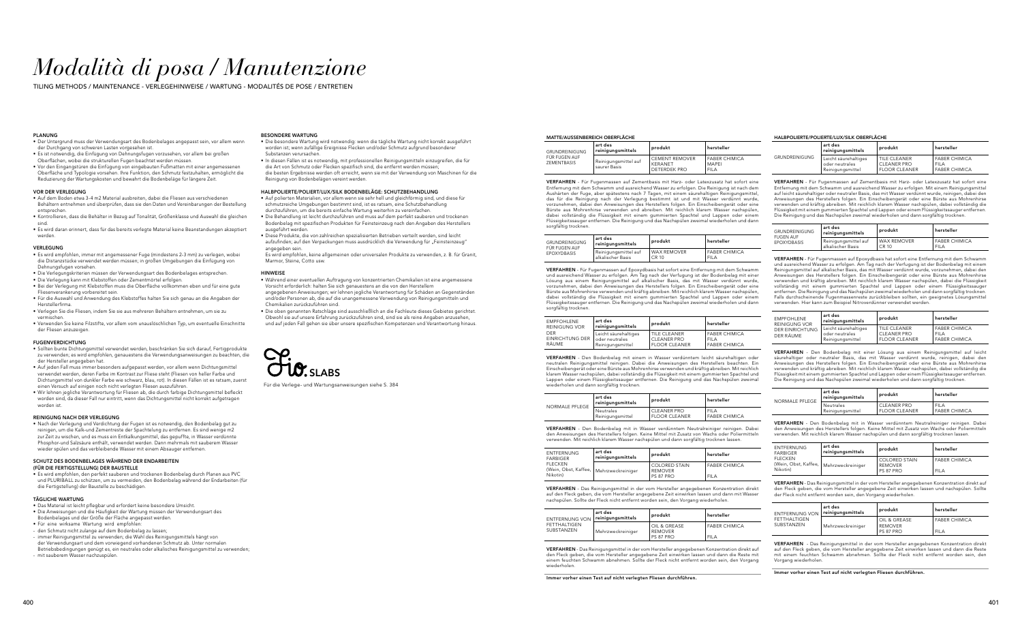# *Modalità di posa / Manutenzione*

TILING METHODS / MAINTENANCE - VERLEGEHINWEISE / WARTUNG - MODALITÉS DE POSE / ENTRETIEN

#### MATTE/AUSSENBEREICH OBERFLÄCHE

| <b>GRUNDREINIGUNG</b><br>FÜR FUGEN AUF<br><b>ZEMENTBASIS</b> | art des<br>reinigungsmittels         | produkt                                                 | hersteller                                          |
|--------------------------------------------------------------|--------------------------------------|---------------------------------------------------------|-----------------------------------------------------|
|                                                              | Reinigungsmittel auf<br>saurer Basis | <b>CEMENT REMOVER</b><br>KFRANFT<br><b>DETERDEK PRO</b> | <b>FABER CHIMICA</b><br><b>MAPFI</b><br><b>FILA</b> |

VERFAHREN - Für Fugenmassen auf Zementbasis mit Harz- oder Latexzusatz hat sofort eine Entfernung mit dem Schwamm und ausreichend Wasser zu erfolgen. Die Reinigung ist nach dem Aushärten der Fuge, aber spätestens nach 7 Tagen, mit einem säurehaltigen Reinigungsmittel, nigung nach der Verlegung bestimmt ist und mit Wasser verdünnt wurde, vorzunehmen, dabei den Anweisungen des Herstellers folgen. Ein Einscheibengerät oder eine Bürste aus Mohrenhirse verwenden und abreiben. Mit reichlich klarem Wasser nachspülen, dabei vollständig die Flüssigkeit mit einem gummierten Spachtel und Lappen oder einem<br>Flüssigkeitssaugerentfernen. Die Reinigung und das Nachspülen zweimal wiederholen und dann sorgfältig trocknen.

| <b>GRUNDREINIGUNG</b><br>FÜR FUGEN AUF | art des<br>reinigungsmittels | produkt       | hersteller      |
|----------------------------------------|------------------------------|---------------|-----------------|
| <b>EPOXYDBASIS</b>                     | Reinigungsmittel auf         | I WAX REMOVER | <b>FABER CH</b> |
|                                        | alkalischer Basis            | " CR 10       | <b>FILA</b>     |

FABER CHIMICA FILA

VERFAHREN - Für Fugenmassen auf Epoxydbasis hat sofort eine Entfernung mit dem Schwamm und ausreichend Wasser zu erfolgen. Am Tag nach der Verfugung ist der Bodenbelag mit einer Lösung aus einem Reinigungsmittel auf alkalischer Basis, das mit Wasser verdünnt wurde, vorzunehmen, dabei den Anweisungen des Herstellers folgen. Ein Einscheibengerät oder eine Bürste aus Mohrenhirse verwenden und kräftig abreiben. Mit reichlich klarem Wasser nachspülen, dabei vollständig die Flüssigkeit mit einem gummierten Spachtel und Lappen oder einem<br>Flüssigkeitssaugerentfernen. Die Reinigung und das Nachspülen zweimal wiederholen und dann sorgfältig trocknen.

| <b>EMPEOHLENE</b><br><b>REINIGUNG VOR</b><br><b>DER</b><br><b>EINRICHTUNG DER</b><br>RÄUME | art des<br>reinigungsmittels                               | produkt                                                    | hersteller                                                  |
|--------------------------------------------------------------------------------------------|------------------------------------------------------------|------------------------------------------------------------|-------------------------------------------------------------|
|                                                                                            | Leicht säurehaltiges<br>oder neutrales<br>Reinigungsmittel | TILE CLEANER<br><b>CLEANER PRO</b><br><b>FLOOR CLEANER</b> | <b>FABER CHIMICA</b><br><b>FILA</b><br><b>FABER CHIMICA</b> |

VERFAHREN - Für Fugenmassen auf Zementbasis mit Harz- oder Latexzusatz hat sofort eine Entfernung mit dem Schwamm und ausreichend Wasser zu erfolgen. Mit einem Reinigungsmittel auf leicht säurehaltiger oder neutraler Basis, das mit Wasser verdünnt wurde, reinigen, dabei den Anweisungen des Herstellers folgen. Ein Einscheibengerät oder eine Bürste aus Mohrenhirse verwenden und kräftig abreiben. Mit reichlich klarem Wasser nachspülen, dabei vollständig die Flüssigkeit mit einem gummierten Spachtel und Lappen oder einem Flüssigkeitssauger entfernen. Die Reinigung und das Nachspülen zweimal wiederholen und dann sorgfältig trockner.

VERFAHREN - Den Bodenbelag mit einem in Wasser verdünntem leicht säurehaltigen oder neutralen Reinigungsmittel reinigen. Dabei die Anweisungen des Herstellers beachten. Ein Einscheibengerät oder eine Bürste aus Mohrenhirse verwenden und kräftig abreiben. Mit reichlich klarem Wasser nachspülen, dabei vollständig die Flüssigkeit mit einem gummierten Spachtel und Lappen oder einem Flüssigkeitssauger entfernen. Die Reinigung und das Nachspülen zweimal wiederholen und dann sorgfältig trocknen.

VERFAHREN - Für Fugenmassen auf Epoxydbasis hat sofort eine Entfernung mit dem Schwamm und ausreichend Wasser zu erfolgen. Am Tag nach der Verfugung ist der Bodenbelag mit einem Reinigungsmittel auf alkalischer Basis, das mit Wasser verdünnt wurde, vorzunehmen, dabei den Anweisungen des Herstellers folgen. Ein Einscheibengerät oder eine Bürste aus Mohrenhirse verwenden und kräftig abreiben. Mit reichlich klarem Wasser nachspülen, dabei die Flüssigkeit vollständig mit einem gummierten Spachtel und Lappen oder einem Flüssigkeitssauger entfernen. Die Reinigung und das Nachspülen zweimal wiederholen und dann sorgfältig trocknen Falls durchscheinende Fugenmassenreste zurückbleiben sollten, ein geeignetes Lösungsmittel verwenden. Hier kann zum Beispiel Nitroverdünner verwendet werd

| NORMALE PFLEGE | art des<br>reinigungsmittels         | produkt                                    | hersteller                     |
|----------------|--------------------------------------|--------------------------------------------|--------------------------------|
|                | <b>Neutrales</b><br>Reinigungsmittel | <b>CLEANER PRO</b><br><b>FLOOR CLEANER</b> | <b>FILA</b><br><b>FABER CH</b> |

| hersteller                    |  |  |
|-------------------------------|--|--|
| FII A<br><b>FABER CHIMICA</b> |  |  |
|                               |  |  |

VERFAHREN - Den Bodenbelag mit in Wasser verdünntem Neutralreiniger reinigen. Dabei den Anweisungen des Herstellers folgen. Keine Mittel mit Zusatz von Wachs oder Poliermitteln verwenden. Mit reichlich klarem Wasser nachspülen und dann sorgfältig trocknen lassen.

| <b>ENTFERNUNG</b><br><b>FARBIGER</b><br><b>FLECKEN</b><br>(Wein, Obst, Kaffee,   Mehrzweckreiniger<br>Nikotin) | art des<br>reinigungsmittels | produkt                                             | hersteller                     |
|----------------------------------------------------------------------------------------------------------------|------------------------------|-----------------------------------------------------|--------------------------------|
|                                                                                                                |                              | <b>COLORED STAIN</b><br><b>REMOVER</b><br>PS 87 PRO | <b>FABER CH</b><br><b>FILA</b> |

FABER CHIMICA FILA

| hersteller |  |
|------------|--|
|            |  |

VERFAHREN - Das Reinigungsmittel in der vom Hersteller angegebenen Konzentration direkt auf den Fleck geben, die vom Hersteller angegebene Zeit einwirken lassen und dann mit Wasser nachspülen. Sollte der Fleck nicht entfernt worden sein, den Vorgang wiederholen.

VERFAHREN - Den Bodenbelag mit in Wasser verdünntem Neutralreiniger reinigen. Dabei den Anweisungen des Herstellers folgen. Keine Mittel mit Zusatz von Wachs oder Poliermitteln<br>verwenden. Mit reichlich klarem Wasser nachspülen und dann sorgfältig trocknen lassen.

| <b>ENTFERNUNG VON</b>             | art des<br>reinigungsmittels | produkt                                     | hersteller                     |
|-----------------------------------|------------------------------|---------------------------------------------|--------------------------------|
| <b>FETTHALTIGEN</b><br>SUBSTANZEN | Mehrzweckreiniger            | OIL & GREASE<br><b>REMOVER</b><br>PS 87 PRO | <b>FABER CH</b><br><b>FILA</b> |

FABER CHIMICA

FILA

VERFAHREN - Das Reinigungsmittel in der vom Hersteller angegebenen Konzentration direkt auf den Fleck geben, die vom Hersteller angegebene Zeit einwirken lassen und dann die Reste mit einem feuchten Schwamm abnehmen. Sollte der Fleck nicht entfernt worden sein, den Vorgang wiederholen.

#### Immer vorher einen Test auf nicht verlegten Fliesen durchführen.

#### HALBPOLIERTE/POLIERTE/LUX/SILK OBERFLÄCHE

|                       | art des<br>reinigungsmittels                               | produkt                                                    | hersteller                                                  |
|-----------------------|------------------------------------------------------------|------------------------------------------------------------|-------------------------------------------------------------|
| <b>GRUNDREINIGUNG</b> | Leicht säurehaltiges<br>oder neutrales<br>Reinigungsmittel | TILE CLEANER<br><b>CLEANER PRO</b><br><b>FLOOR CLEANER</b> | <b>FABER CHIMICA</b><br><b>FILA</b><br><b>FABER CHIMICA</b> |

| GRUNDREINIGUNG<br><b>FUGEN AUF</b><br><b>EPOXYDBASIS</b> | art des<br>reinigungsmittels              | produkt              | hersteller                          |
|----------------------------------------------------------|-------------------------------------------|----------------------|-------------------------------------|
|                                                          | Reinigungsmittel auf<br>alkalischer Basis | WAX REMOVER<br>CR 10 | <b>FABER CHIMICA</b><br><b>FILA</b> |

- Das Material ist leicht pflegbar und erfordert keine besondere Umsicht.
- Die Anweisungen und die Häufigkeit der Wartung müssen der Verwendungsart des
- Bodenbelages und der Größe der Fläche angepasst werden.
- Für eine wirksame Wartung wird empfohlen:
- den Schmutz nicht zulange auf dem Bodenbelag zu lassen; - immer Reinigungsmittel zu verwenden; die Wahl des Reinigungsmittels hängt von
- der Verwendungsart und dem vorwiegend vorhandenen Schmutz ab. Unter normalen
- Betriebsbedingungen genügt es, ein neutrales oder alkalisches Reinigungsmittel zu verwenden; - mit sauberem Wasser nachzuspüler

| <b>EMPFOHLENE</b><br><b>REINIGUNG VOR</b><br><b>DER EINRICHTUNG</b><br>DER RÄUME | art des<br>reinigungsmittels                               | produkt                                                    | hersteller <b>be</b>                                        |
|----------------------------------------------------------------------------------|------------------------------------------------------------|------------------------------------------------------------|-------------------------------------------------------------|
|                                                                                  | Leicht säurehaltiges<br>oder neutrales<br>Reinigungsmittel | <b>TILE CLEANER</b><br>CLEANER PRO<br><b>FLOOR CLEANER</b> | <b>FABER CHIMICA</b><br><b>FILA</b><br><b>FABER CHIMICA</b> |

VERFAHREN - Den Bodenbelag mit einer Lösung aus einem Reinigungsmittel auf leicht säurehaltiger oder neutraler Basis, das mit Wasser verdünnt wurde, reinigen, dabei den Anweisungen des Herstellers folgen. Ein Einscheibengerät oder eine Bürste aus Mohrenhirse verwenden und kräftig abreiben. Mit reichlich klarem Wasser nachspülen, dabei vollständig die Flüssigkeit mit einem gummierten Spachtel und Lappen oder einem Flüssigkeitssauger entfernen. Die Reinigung und das Nachspülen zweimal wiederholen und dann sorgfältig trocknen.

| <b>NORMALE PFLEGE</b> | art des<br>reinigungsmittels | produkt              | hersteller           |
|-----------------------|------------------------------|----------------------|----------------------|
|                       | Neutrales                    | <b>CLEANER PRO</b>   | <b>FILA</b>          |
|                       | Reinigungsmittel             | <b>FLOOR CLEANER</b> | <b>FABER CHIMICA</b> |

| <b>ENTFERNUNG</b><br><b>FARBIGER</b><br><b>FLECKEN</b><br>(Wein, Obst, Kaffee,   Mehrzweckreiniger<br>Nikotin) | art des<br>reinigungsmittels | produkt                                             | hersteller                          |
|----------------------------------------------------------------------------------------------------------------|------------------------------|-----------------------------------------------------|-------------------------------------|
|                                                                                                                |                              | <b>COLORED STAIN</b><br><b>REMOVER</b><br>PS 87 PRO | <b>FABER CHIMICA</b><br><b>FILA</b> |

VERFAHREN - Das Reinigungsmittel in der vom Hersteller angegebenen Konzentration direkt auf den Fleck geben, die vom Hersteller angegebene Zeit einwirken lassen und nachspülen. Sollte der Fleck nicht entfernt worden sein, den Vorgang wiederholen.

| <b>ENTFERNUNG VON</b><br><b>FETTHALTIGEN</b><br><b>SUBSTANZEN</b> | art des<br>reinigungsmittels | produkt                                | hersteller                          |
|-------------------------------------------------------------------|------------------------------|----------------------------------------|-------------------------------------|
|                                                                   | Mehrzweckreiniger            | OIL & GREASE<br>l REMOVER<br>PS 87 PRO | <b>FABER CHIMICA</b><br><b>FILA</b> |

VERFAHREN - Das Reinigungsmittel in der vom Hersteller angegebenen Konzentration direkt auf den Fleck geben, die vom Hersteller angegebene Zeit einwirken lassen und dann die Reste mit einem feuchten Schwamm abnehmen. Sollte der Fleck nicht entfernt worden sein, den Vorgang wiederholen.

Immer vorher einen Test auf nicht verlegten Fliesen durchführen.

#### PLANUNG

- Der Untergrund muss der Verwendungsart des Bodenbelages angepasst sein, vor allem wenn der Durchgang von schweren Lasten vorgesehen ist.
- Es ist notwendig, die Einfügung von Dehnungsfugen vorzusehen, vor allem bei großen Oberflächen, wobei die strukturellen Fugen beachtet werden müssen.
- Vor den Eingangstüren die Einfügung von eingebauten Fußmatten mit einer angemessenen Oberfläche und Typologie vorsehen. Ihre Funktion, den Schmutz festzuhalten, ermöglicht die Reduzierung der Wartungskosten und bewahrt die Bodenbeläge für längere Zeit.

#### VOR DER VERLEGUNG

- Auf dem Boden etwa 3-4 m2 Material ausbreiten, dabei die Fliesen aus verschiedenen Behältern entnehmen und überprüfen, dass sie den Daten und Vereinbarungen der Bestellung entsprechen.
- Kontrollieren, dass die Behälter in Bezug auf Tonalität, Größenklasse und Auswahl die gleichen sind.
- Es wird daran erinnert, dass für das bereits verlegte Material keine Beanstandungen akzeptiert werden.

#### VERLEGUNG

- Es wird empfohlen, immer mit angemessener Fuge (mindestens 2-3 mm) zu verlegen, wobei die Distanzstücke verwendet werden müssen; in großen Umgebungen die Einfügung von Dehnungsfugen vorsehen.
- Die Verlegungskriterien müssen der Verwendungsart des Bodenbelages entsprechen.
- Die Verlegung kann mit Klebstoffen oder Zementmörtel erfolgen.
- Bei der Verlegung mit Klebstoffen muss die Oberfläche vollkommen eben und für eine gute Fliesenverankerung vorbereitet sein.
- Für die Auswahl und Anwendung des Klebstoffes halten Sie sich genau an die Angaben der Herstellerfirma.
- Verlegen Sie die Fliesen, indem Sie sie aus mehreren Behältern entnehmen, um sie zu vermischen.
- Verwenden Sie keine Filzstifte, vor allem vom unauslöschlichen Typ, um eventuelle Einschnitte der Fliesen anzuzeigen.

#### FUGENVERDICHTUNG

- Sollten bunte Dichtungsmittel verwendet werden, beschränken Sie sich darauf, Fertigprodukte zu verwenden; es wird empfohlen, genauestens die Verwendungsanweisungen zu beachten, die der Hersteller angegeben hat.
- Auf jeden Fall muss immer besonders aufgepasst werden, vor allem wenn Dichtungsmittel verwendet werden, deren Farbe im Kontrast zur Fliese steht (Fliesen von heller Farbe und Dichtungsmittel von dunkler Farbe wie schwarz, blau, rot). In diesen Fällen ist es ratsam, zuerst einen Versuch auf einigen noch nicht verlegten Fliesen auszuführen.
- Wir lehnen jegliche Verantwortung für Fliesen ab, die durch farbige Dichtungsmittel befleckt worden sind, da dieser Fall nur eintritt, wenn das Dichtungsmittel nicht korrekt aufgetragen worden ist.

#### REINIGUNG NACH DER VERLEGUNG

• Nach der Verlegung und Verdichtung der Fugen ist es notwendig, den Bodenbelag gut zu reinigen, um die Kalk-und Zementreste der Spachtelung zu entfernen. Es sind wenige m2 zur Zeit zu wischen, und es muss ein Entkalkungsmittel, das gepuffte, in Wasser verdünnte Phosphor-und Salzsäure enthält, verwendet werden. Dann mehrmals mit sauberem Wasser wieder spülen und das verbleibende Wasser mit einem Absauger entfernen.

#### SCHUTZ DES BODENBELAGES WÄHREND DER ENDARBEITEN

#### (FÜR DIE FERTIGSTELLUNG) DER BAUSTELLE

• Es wird empfohlen, den perfekt sauberen und trockenen Bodenbelag durch Planen aus PVC und PLURIBALL zu schützen, um zu vermeiden, den Bodenbelag während der Endarbeiten (für die Fertigstellung) der Baustelle zu beschädigen.

#### TÄGLICHE WARTUNG

#### BESONDERE WARTUNG

- Die besondere Wartung wird notwendig: wenn die tägliche Wartung nicht korrekt ausgeführt worden ist; wenn zufällige Ereignisse Flecken und/oder Schmutz aufgrund besondere Substanzen verursachen.
- In diesen Fällen ist es notwendig, mit professionellen Reinigungsmitteln einzugreifen, die für die Art von Schmutz oder Flecken spezifisch sind, die entfernt werden müssen; die besten Ergebnisse werden oft erreicht, wenn sie mit der Verwendung von Maschinen für die Reinigung von Bodenbelägen vereint werden.

#### HALBPOLIERTE/POLIERT/LUX/SILK BODENBELÄGE: SCHUTZBEHANDLUNG

- Auf polierten Materialien, vor allem wenn sie sehr hell und gleichförmig sind, und diese für schmutzreiche Umgebungen bestimmt sind, ist es ratsam, eine Schutzbehandlung durchzuführen, um die bereits einfache Wartung weiterhin zu vereinfachen.
- Die Behandlung ist leicht durchzuführen und muss auf dem perfekt sauberen und trockenen Bodenbelag mit spezifischen Produkten für Feinsteinzeug nach den Angaben des Herstellers ausgeführt werder
- Diese Produkte, die von zahlreichen spezialisierten Betrieben verteilt werden, sind leicht aufzufinden; auf den Verpackungen muss ausdrücklich die Verwendung für "Feinsteinzeug" angegeben sein.
- Es wird empfohlen, keine allgemeinen oder universalen Produkte zu verwenden, z. B. für Granit, Marmor, Steine, Cotto usw.

#### HINWEISE

- Während einer eventuellen Auftragung von konzentrierten Chemikalien ist eine angemessene Vorsicht erforderlich: halten Sie sich genauestens an die von den Herstellern angegebenen Anweisungen; wir lehnen jegliche Verantwortung für Schäden an Gegenständen
- und/oder Personen ab, die auf die unangemessene Verwendung von Reinigungsmitteln und Chemikalien zurückzuführen sind.
- Die oben genannten Ratschläge sind ausschließlich an die Fachleute dieses Gebietes gerichtet. Obwohl sie auf unsere Erfahrung zurückzuführen sind, sind sie als reine Angaben anzusehen, und auf jeden Fall gehen sie über unsere spezifischen Kompetenzen und Verantwortung hinaus.
- 

Für die Verlege- und Wartungsanweisungen siehe S. 384

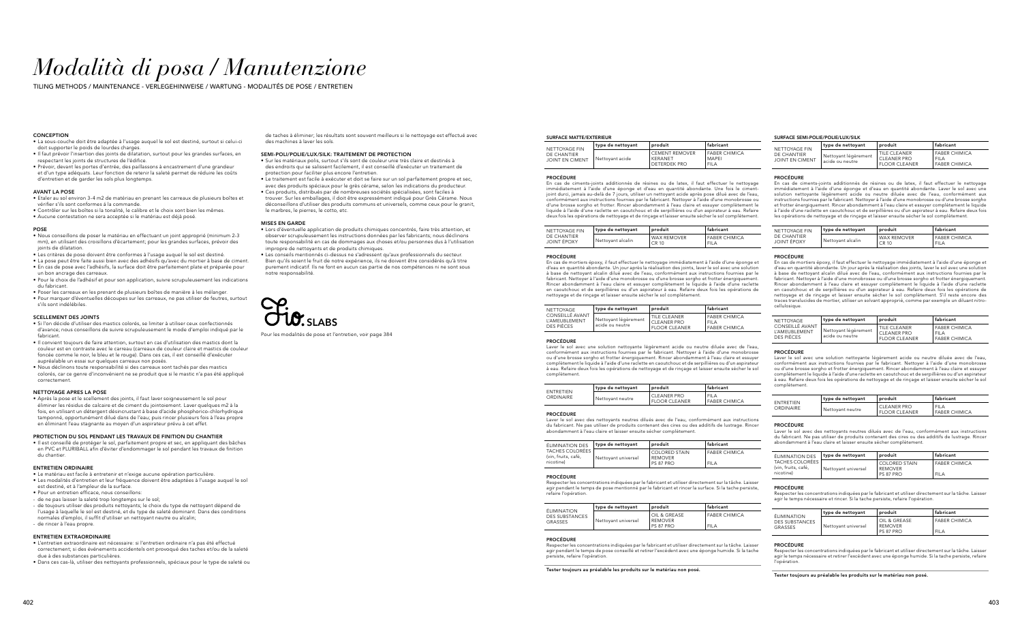## *Modalità di posa / Manutenzione*

TILING METHODS / MAINTENANCE - VERLEGEHINWEISE / WARTUNG - MODALITÉS DE POSE / ENTRETIEN

#### **CONCEPTION**

#### SURFACE MATTE/EXTERIEUR

#### PROCÉDURE

En cas de ciments-joints additionnés de résines ou de latex, il faut effectuer le nettoyage immédiatement à l'aide d'une éponge et d'eau en quantité abondante. Une fois le cimentjoint durci, jamais au-delà de 7 jours, utiliser un nettoyant acide après pose dilué avec de l'eau, conformément aux instructions fournies par le fabricant. Nettoyer à l'aide d'une monobrosse ou d'une brosse sorgho et frotter. Rincer abondamment à l'eau claire et essuyer complètement le liquide à l'aide d'une raclette en caoutchouc et de serpillières ou d'un aspirateur à eau. Refaire deux fois les opérations de nettoyage et de rinçage et laisser ensuite sécher le sol complètement.

| NETTOYAGE FIN<br>DE CHANTIER<br>JOINT ÉPOXY | type de nettoyant | ∣ produit                         |  |
|---------------------------------------------|-------------------|-----------------------------------|--|
|                                             | Nettoyant alcalin | WAX REMOVER<br><sup>1</sup> CR 10 |  |

FABER CHIMICA FILA

| NETTOYAGE FIN<br>DE CHANTIER<br>JOINT ÉPOXY | type de nettoyant | produit                     | fabricant                           |
|---------------------------------------------|-------------------|-----------------------------|-------------------------------------|
|                                             | Nettoyant alcalin | <b>WAX REMOVER</b><br>CR 10 | <b>FABER CHIMICA</b><br><b>FILA</b> |

#### PROCÉDURE

En cas de mortiers époxy, il faut effectuer le nettoyage immédiatement à l'aide d'une éponge et d'eau en quantité abondante. Un jour après la réalisation des joints, laver le sol avec une solution à base de nettoyant alcalin dilué avec de l'eau, conformément aux instructions fournies par le fabricant. Nettoyer à l'aide d'une monobrosse ou d'une brosse sorgho et frotter énergiquement. Rincer abondamment à l'eau claire et essuyer complètement le liquide à l'aide d'une raclette en caoutchouc et de serpillières ou d'un aspirateur à eau. Refaire deux fois les opérations de nettoyage et de rinçage et laisser ensuite sécher le sol complètement.

Respecter les concentrations indiquées par le fabricant et utiliser directement sur la tâche. Laisser agir pendant le temps de pose conseillé et retirer l'excédent avec une éponge humide. Si la tache persiste, refaire l'opération

| NETTOYAGE                                      | type de nettoyant                       | produit                                                             |
|------------------------------------------------|-----------------------------------------|---------------------------------------------------------------------|
| CONSEILLÉ AVANT<br>L'AMEUBLEMENT<br>DES PIÈCES | Nettoyant légèrement<br>acide ou neutre | <b>I TILE CLEANER</b><br><b>CLEANER PRO</b><br><b>FLOOR CLEANER</b> |

FABER CHIMICA FILA FABER CHIMICA

#### PROCÉDURE

| NETTOYAGE FIN | type de nettovant              | produit         | fabricant                                               | NETTOYAGE FIN                                      | ∣tvpe de nettovant                    | produit                                              | fabricant                                                  |                                                      |
|---------------|--------------------------------|-----------------|---------------------------------------------------------|----------------------------------------------------|---------------------------------------|------------------------------------------------------|------------------------------------------------------------|------------------------------------------------------|
|               | DE CHANTIER<br>JOINT EN CIMENT | Nettoyant acide | <b>CEMENT REMOVER</b><br>KERANET<br><b>DETERDEK PRO</b> | <b>FABER CHIMICA</b><br><b>MAPE</b><br><b>FILA</b> | DE CHANTIER<br><b>JOINT EN CIMENT</b> | <sup>I</sup> Nettoyant légèrement<br>acide ou neutre | TILE CLEANER<br><b>CLEANER PRO</b><br><b>FLOOR CLEANER</b> | <b>FABER CHIMICA</b><br>FILA<br><b>FABER CHIMICA</b> |

Laver le sol avec une solution nettoyante légèrement acide ou neutre diluée avec de l'eau, conformément aux instructions fournies par le fabricant. Nettoyer à l'aide d'une monobrosse ou d'une brosse sorgho et frotter énergiquement. Rincer abondamment à l'eau claire et essuyer complètement le liquide à l'aide d'une raclette en caoutchouc et de serpillières ou d'un aspirateur à eau. Refaire deux fois les opérations de nettoyage et de rinçage et laisser ensuite sécher le sol complètement.

| <b>FNTRETIEN</b> | type de nettoyant | l produit                                  |  |
|------------------|-------------------|--------------------------------------------|--|
| ORDINAIRE        | Nettoyant neutre  | <b>CLEANER PRO</b><br><b>FLOOR CLEANER</b> |  |

FILA FABER CHIMICA

#### PROCÉDURE

Laver le sol avec des nettoyants neutres dilués avec de l'eau, conformément aux instructions du fabricant. Ne pas utiliser de produits contenant des cires ou des additifs de lustrage. Rincer abondamment à l'eau claire et laisser ensuite sécher complètement.

| <b>ÉLIMINATION DES</b>                                     | type de nettoyant   | produit                                      |  |
|------------------------------------------------------------|---------------------|----------------------------------------------|--|
| <b>TACHES COLORÉES</b><br>(vin, fruits, café,<br>nicotine) | Nettoyant universel | COLORED STAIN<br><b>REMOVER</b><br>PS 87 PRO |  |

FABER CHIMICA

#### PROCÉDURE

Respecter les concentrations indiquées par le fabricant et utiliser directement sur la tâche. Laisser agir pendant le temps de pose mentionné par le fabricant et rincer la surface. Si la tache persiste, refaire l'opération.

| ÉLIMINATION                      | type de nettoyant   | produit                                            |
|----------------------------------|---------------------|----------------------------------------------------|
| <b>DES SUBSTANCES</b><br>GRASSES | Nettovant universel | OIL & GREASE<br><b>REMOVER</b><br><b>PS 87 PRO</b> |

FABER CHIMICA

FILA

FILA

#### PROCÉDURE

#### Tester toujours au préalable les produits sur le matériau non posé.

#### SURFACE SEMI-POLIE/POLIE/LUX/SILK

PROCÉDURE

En cas de ciments-joints additionnés de résines ou de latex, il faut effectuer le nettoyage immédiatement à l'aide d'une éponge et d'eau en quantité abondante. Laver le sol avec une solution nettoyante légèrement acide ou neutre diluée avec de l'eau, conformément aux instructions fournies par le fabricant. Nettoyer à l'aide d'une monobrosse ou d'une brosse sorgho et frotter énergiquement. Rincer abondamment à l'eau claire et essuyer complètement le liquide à l'aide d'une raclette en caoutchouc et de serpillières ou d'un aspirateur à eau. Refaire deux fois les opérations de nettoyage et de rinçage et laisser ensuite sécher le sol complètement.

| NETTOYAGE FIN<br>DE CHANTIER<br>JOINT ÉPOXY | ∣type de nettoyant | produit                     | fabricant                     |
|---------------------------------------------|--------------------|-----------------------------|-------------------------------|
|                                             | Nettoyant alcalin  | <b>WAX REMOVER</b><br>CR 10 | <b>FABER CHIMICA</b><br>FIL A |

#### PROCÉDURE

En cas de mortiers époxy, il faut effectuer le nettoyage immédiatement à l'aide d'une éponge et d'eau en quantité abondante. Un jour après la réalisation des joints, laver le sol avec une solution à base de nettoyant alcalin dilué avec de l'eau, conformément aux instructions fournies par le fabricant. Nettoyer à l'aide d'une monobrosse ou d'une brosse sorgho et frotter énergiquement. Rincer abondamment à l'eau claire et essuyer complètement le liquide à l'aide d'une raclette en caoutchouc et de serpillières ou d'un aspirateur à eau. Refaire deux fois les opérations de nettoyage et de rinçage et laisser ensuite sécher le sol complètement. S'il reste encore des traces translucides de mortier, utiliser un solvant approprié, comme par exemple un diluant nitro-

cellulosique.

| eutres dilués avec de l'eau, conformément aux instructions<br>duits contenant des cires ou des additifs de lustrage. Rincer<br>er ensuite sécher complètement. |  |
|----------------------------------------------------------------------------------------------------------------------------------------------------------------|--|

| NETTOYAGE<br>CONSEILLÉ AVANT<br>L'AMFUBLEMENT<br>DES PIÈCES | type de nettoyant                       | produit                                                    | fabricant                                                   |
|-------------------------------------------------------------|-----------------------------------------|------------------------------------------------------------|-------------------------------------------------------------|
|                                                             | Nettoyant légèrement<br>acide ou neutre | TILE CLEANER<br><b>CLEANER PRO</b><br><b>FLOOR CLEANER</b> | <b>FABER CHIMICA</b><br><b>FILA</b><br><b>FABER CHIMICA</b> |

#### PROCÉDURE

Laver le sol avec une solution nettoyante légèrement acide ou neutre diluée avec de l'eau, conformément aux instructions fournies par le fabricant. Nettoyer à l'aide d'une monobrosse ou d'une brosse sorgho et frotter énergiquement. Rincer abondamment à l'eau claire et essuyer complètement le liquide à l'aide d'une raclette en caoutchouc et de serpillières ou d'un aspirateur à eau. Refaire deux fois les opérations de nettoyage et de rinçage et laisser ensuite sécher le sol complètement.

- Lors d'éventuelle application de produits chimiques concentrés, faire très attention, et observer scrupuleusement les instructions données par les fabricants; nous déclinons toute responsabilité en cas de dommages aux choses et/ou personnes dus à l'utilisation impropre de nettoyants et de produits chimiques.
- Les conseils mentionnés ci-dessus ne s'adressent qu'aux professionnels du secteur. Bien qu'ils soient le fruit de notre expérience, ils ne doivent être considérés qu'à titre purement indicatif. Ils ne font en aucun cas partie de nos compétences ni ne sont sous .<br>notre responsabilité

| FNTRETIEN<br>ORDINAIRE | type de nettoyant | produit                                    | fabricant                           |
|------------------------|-------------------|--------------------------------------------|-------------------------------------|
|                        | Nettoyant neutre  | <b>CLEANER PRO</b><br><b>FLOOR CLEANER</b> | <b>FILA</b><br><b>FABER CHIMICA</b> |

#### PROCÉDURE

Laver le sol avec des nettoyants n du fabricant. Ne pas utiliser de pro abondamment à l'eau claire et laiss

| ÉLIMINATION DES                                            | type de nettoyant   | produit                                             | fabricant                           |
|------------------------------------------------------------|---------------------|-----------------------------------------------------|-------------------------------------|
| <b>TACHES COLORÉES</b><br>(vin, fruits, café,<br>nicotine) | Nettoyant universel | <b>COLORED STAIN</b><br><b>REMOVER</b><br>PS 87 PRO | <b>FABER CHIMICA</b><br><b>FILA</b> |

#### PROCÉDURE

Respecter les concentrations indiquées par le fabricant et utiliser directement sur la tâche. Laisser agir le temps nécessaire et rincer. Si la tache persiste, refaire l'opération.

| ÉLIMINATION<br><b>DES SUBSTANCES</b><br>GRASSES | type de nettoyant   | produit                                | fabricant                           |
|-------------------------------------------------|---------------------|----------------------------------------|-------------------------------------|
|                                                 | Nettoyant universel | OIL & GREASE<br>I REMOVER<br>PS 87 PRO | <b>FABER CHIMICA</b><br><b>FILA</b> |

#### PROCÉDURE

Respecter les concentrations indiquées par le fabricant et utiliser directement sur la tâche. Laisser agir le temps nécessaire et retirer l'excédent avec une éponge humide. Si la tache persiste, refaire l'opération.

Tester toujours au préalable les produits sur le matériau non posé.

fabricant

 $\sqrt{\frac{1}{1}}$ fabricant

fabricant

fabricant

 $t$ abricant

- La sous-couche doit être adaptée à l'usage auquel le sol est destiné, surtout si celui-ci doit supporter le poids de lourdes charges
- Il faut prévoir l'insertion des joints de dilatation, surtout pour les grandes surfaces, en respectant les joints de structures de l'édifice.
- Prévoir, devant les portes d'entrée, des paillassons à encastrement d'une grandeur et d'un type adéquats. Leur fonction de retenir la saleté permet de réduire les coûts d'entretien et de garder les sols plus longtemps.

#### AVANT LA POSE

- Etaler au sol environ 3-4 m2 de matériau en prenant les carreaux de plusieurs boîtes et vérifier s'ils sont conformes á la commande.
- Contrôler sur les boîtes si la tonalité, le calibre et le choix sont bien les mêmes.
- Aucune contestation ne sera acceptée si le matériau est déjà posé.

#### POSE

- Nous conseillons de poser le matériau en effectuant un joint approprié (minimum 2-3 mm), en utilisant des croisillons d'écartement; pour les grandes surfaces, prévoir des joints de dilatation.
- Les critères de pose doivent être conformes à l'usage auquel le sol est destiné.
- La pose peut être faite aussi bien avec des adhésifs qu'avec du mortier à base de ciment.
- En cas de pose avec l'adhésifs, la surface doit être parfaitement plate et préparée pour un bon ancrage des carreaux.
- Pour le choix de l'adhésif et pour son application, suivre scrupuleusement les indications du fabricant.
- Poser les carreaux en les prenant de plusieurs boîtes de manière à les mélanger.
- Pour marquer d'éventuelles découpes sur les carreaux, ne pas utiliser de feutres, surtout s'ils sont indélébiles.

#### SCELLEMENT DES JOINTS

- Si l'on décide d'utiliser des mastics colorés, se limiter à utiliser ceux confectionnés d'avance; nous conseillons de suivre scrupuleusement le mode d'emploi indiqué par le fabricant.
- Il convient toujours de faire attention, surtout en cas d'utilisation des mastics dont la couleur est en contraste avec le carreau (carreaux de couleur claire et mastics de couleur foncée comme le noir, le bleu et le rouge). Dans ces cas, il est conseillé d'exécuter aupréalable un essai sur quelques carreaux non posés.
- Nous déclinons toute responsabilité si des carreaux sont tachés par des mastics colorés, car ce genre d'inconvénient ne se produit que si le mastic n'a pas été appliqué correctement.

#### NETTOYAGE APRES LA POSE

• Après la pose et le scellement des joints, il faut laver soigneusement le sol pour éliminer les résidus de calcaire et de ciment du jointoiement. Laver quelques m2 à la fois, en utilisant un détergent désincrustant à base d'acide phosphorico-chlorhydrique tamponné, opportunément dilué dans de l'eau; puis rincer plusieurs fois à l'eau propre en éliminant l'eau stagnante au moyen d'un aspirateur prévu à cet effet.

#### PROTECTION DU SOL PENDANT LES TRAVAUX DE FINITION DU CHANTIER

• Il est conseillé de protéger le sol, parfaitement propre et sec, en appliquant des bâches en PVC et PLURIBALL afin d'éviter d'endommager le sol pendant les travaux de finition du chantier.

#### ENTRETIEN ORDINAIRE

- Le matériau est facile à entretenir et n'exige aucune opération particulière.
- Les modalités d'entretien et leur fréquence doivent être adaptées à l'usage auquel le sol est destiné, et à l'ampleur de la surface.
- Pour un entretien efficace, nous conseillons:
- de ne pas laisser la saleté trop longtemps sur le sol;
- de toujours utiliser des produits nettoyants; le choix du type de nettoyant dépend de l'usage à laquelle le sol est destiné, et du type de saleté dominant. Dans des conditions normales d'emploi, il suffit d'utiliser un nettoyant neutre ou alcalin; - de rincer à l'eau propre.

#### ENTRETIEN EXTRAORDINAIRE

- L'entretien extraordinaire est nécessaire: si l'entretien ordinaire n'a pas été effectué correctement; si des événements accidentels ont provoqué des taches et/ou de la saleté due à des substances particulières.
- Dans ces cas-là, utiliser des nettoyants professionnels, spéciaux pour le type de saleté ou

de taches à éliminer; les résultats sont souvent meilleurs si le nettoyage est effectué avec des machines à laver les sols.

#### SEMI-POLI/POLIE/LUX/SILK: TRAITEMENT DE PROTECTION

- Sur les matériaux polis, surtout s'ils sont de couleur unie très claire et destinés à des endroits qui se salissent facilement, il est conseillé d'exécuter un traitement de protection pour faciliter plus encore l'entretien.
- Le traitement est facile à exécuter et doit se faire sur un sol parfaitement propre et sec, avec des produits spéciaux pour le grès cérame, selon les indications du producteur.
- Ces produits, distribués par de nombreuses sociétés spécialisées, sont faciles à trouver. Sur les emballages, il doit être expressément indiqué pour Grès Cérame. Nous déconseillons d'utiliser des produits communs et universels, comme ceux pour le granit, le marbres, le pierres, le cotto, etc.

#### MISES EN GARDE

Pour les modalités de pose et l'entretien, voir page 384

SLABS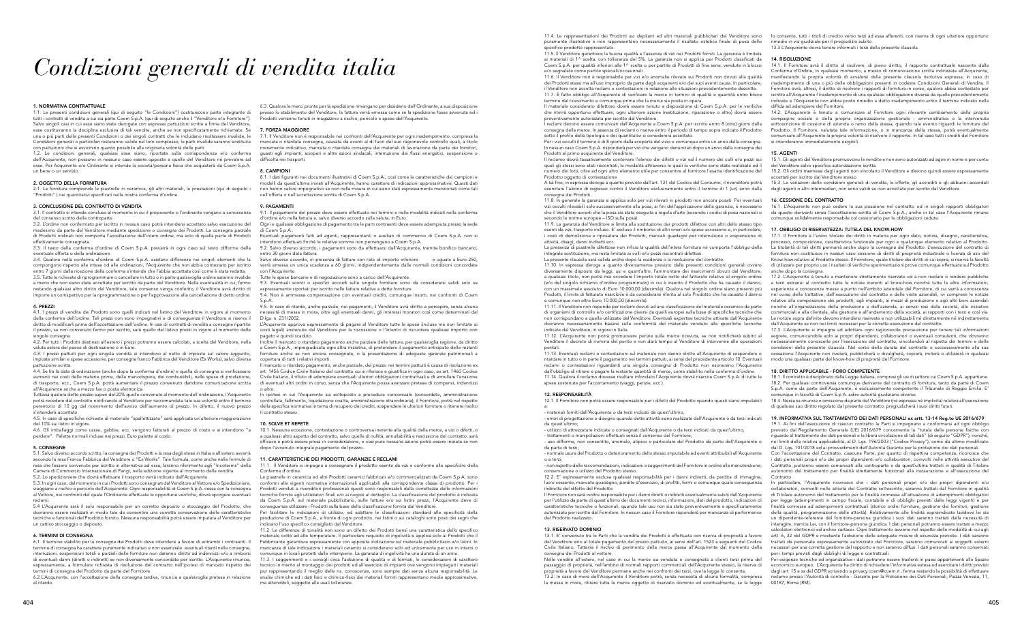## *Condizioni generali di vendita italia*

#### 1. NORMATIVA CONTRATTUALE

1.1. Le presenti condizioni generali (qui di seguito "le Condizioni") costituiscono parte integrante di tutti i contratti di vendita a cui sia parte Coem S.p.A. (qui di seguito anche il "Venditore e/o Fornitore"). Salvo singoli casi in cui esse siano state derogate con espresse pattuizioni scritte a firma del Venditore, esse costituiranno la disciplina esclusiva di tali vendite, anche se non specificatamente richiamate. Se una o più parti delle presenti Condizioni o dei singoli contratti che le includano risultassero invalide, le Condizioni generali o particolari resteranno valide nel loro complesso; le parti invalide saranno sostituite con pattuizioni che si avvicinino quanto possibile alla originaria volontà delle parti.

Le condizioni generali, qualsiasi esse siano, riportate sulla corrispondenza e/o conferma dell'Acquirente, non possono in nessuno caso essere opposte a quelle del Venditore né prevalere ad esse. Per Acquirente e/o Ordinante si intende la società/persona fisica che acquisterà da Coem S.p.A. un bene o un servizio.

#### 2. OGGETTO DELLA FORNITURA

2.1. La fornitura comprende le piastrelle in ceramica, gli altri materiali, le prestazioni (qui di seguito i "Prodotti" ) nei quantitativi specificati nella nostra conferma d'ordine.

#### 3. CONCLUSIONE DEL CONTRATTO DI VENDITA

3.1. Il contratto si intende concluso al momento in cui il proponente o l'ordinante vengano a conoscenza del consenso scritto della controparte.

3.2. L'ordine non confermato per iscritto in nessun caso potrà intendersi accettato salvo esecuzione del medesimo da parte del Venditore mediante spedizione o consegna dei Prodotti. La consegna parziale di Prodotti ordinati non comporta l'accettazione dell'intero ordine, ma solo di quella parte di Prodotti effettivamente consegnata.

3.3. Il testo della conferma d'ordine di Coem S.p.A. prevarrà in ogni caso sul testo difforme della eventuale offerta o della ordinazione.

.<br>4.4. Se fra la data di ordinazione (anche dopo la conferma d'ordine) e quella di consegna si verificassero aumenti nei costi delle materie prime, della manodopera, dei combustibili, nelle spese di produzione, di trasporto, ecc., Coem S.p.A. potrà aumentare il prezzo convenuto dandone comunicazione scritta all'Acquirente anche a mezzo fax o posta elettronica.

4.6. Gli imballaggi come casse, gabbie, ecc. vengono fatturati al prezzo di costo e si intendono "a perdere". Palette normali incluse nei prezzi, Euro palette al costo.

3.4. Qualora nella conferma d'ordine di Coem S.p.A. esistano differenze nei singoli elementi che la compongono rispetto alle intese od alle ordinazioni, l'Acquirente che non abbia contestato per iscritto entro 7 giorni dalla ricezione della conferma s'intende che l'abbia accettata così come è stata redatta. 3.5. Tutte le richieste di riprogrammare o cancellare in tutto o in parte qualsivoglia ordine saranno invalide a meno che non siano state accettate per iscritto da parte del Venditore. Nella eventualità in cui, fermo restando qualsiasi altro diritto del Venditore, tale consenso venga conferito, il Venditore avrà diritto di imporre un corrispettivo per la riprogrammazione o per l'approvazione alla cancellazione di detto ordine.

#### 4. PREZZI

4.1. I prezzi di vendita dei Prodotti sono quelli indicati nel listino del Venditore in vigore al momento della conferma dell'ordine. Tali prezzi non sono impegnativi e di conseguenza il Venditore si riserva il diritto di modificarli prima dell'accettazione dell'ordine. In casi di contratti di vendita a consegne ripartite il prezzo, se non convenuto fermo per iscritto, sarà quello del listino prezzi in vigore al momento delle singole consegne.

4.2. Per tutti i Prodotti destinati all'estero i prezzi potranno essere calcolati, a scelta del Venditore, nella valuta estera del paese di destinazione o in Euro.

4.3. I prezzi pattuiti per ogni singola vendita si intendono al netto di imposte sul valore aggiunto, imposte similari e spese accessorie, per consegna franco Fabbrica del Venditore (Ex Works), salvo diversa pattuizione scritta.

Tuttavia qualora detto prezzo superi del 20% quello convenuto al momento dell'ordinazione, l'Acquirente potrà recedere dal contratto notificando al Venditore per raccomandata tale sua volontà entro il termine perentorio di 10 gg dal ricevimento dell'avviso dell'aumento di prezzo. In difetto, il nuovo prezzo s'intenderà accettato.

4.5. In caso di specifiche richieste di materiale "spallettizzato" sarà applicata un'ulteriore maggiorazione del 10% sui listini in vigore.

9.5. In caso di ritardo, anche parziale, nei pagamenti, il Venditore avrà diritto a percepire, senza alcuna necessità di messa in mora, oltre agli eventuali danni, gli interessi moratori così come determinati dal D.lgs. n. 231/2002.

#### 5. CONSEGNE

5.1. Salvo diverso accordo scritto, la consegna dei Prodotti e la resa degli stessi in Italia e all'estero avverrà secondo la resa Franco Fabbrica del Venditore o "Ex Works". Tale formula, come anche nelle formule di resa che fossero convenute per iscritto in alternativa ad essa, faranno riferimento agli "Incoterms" della Camera di Commercio Internazionale di Parigi, nella edizione vigente al momento della vendita. 5.2. Lo spedizioniere che dovrà effettuare il trasporto verrà indicato dall'Acquirente.

In ipotesi in cui l'Acquirente sia sottoposto a procedura concorsuale (concordato, amministrazione controllata, fallimento, liquidazione coatta, amministrazione straordinaria), il Fornitore, potrà nel rispetto della specifica normativa in tema di recupero dei crediti, sospendere le ulteriori forniture o ritenere risolto contratto stesso.

5.3. In ogni caso, dal momento in cui i Prodotti sono consegnati dal Venditore al Vettore e/o Spedizioniere, viaggiano a rischio e pericolo dell'Acquirente. Ogni responsabilità di Coem S.p.A. cessa con la consegna al Vettore, nei confronti del quale l'Ordinante effettuate le opportune verifiche, dovrà sporgere eventuali reclami.

5.4 L'Acquirente sarà il solo responsabile per un corretto deposito o stoccaggio del Prodotto, che dovranno essere realizzati in modo tale da consentire una corretta conservazione delle caratteristiche tecniche e funzionali del Prodotto fornito. Nessuna responsabilità potrà essere imputata al Venditore per un cattivo stoccaggio o deposito.

#### 6. TERMINI DI CONSEGNA

Per facilitare le indicazioni di utilizzo, ed adattare le classificazioni standard alle specificità della produzione di Coem S.p.A., a fronte di ogni prodotto, nei listini o sui cataloghi sono posti dei segni che indicano l'uso specifico consigliato dal Venditore.

6.1. Il termine stabilito per la consegna dei Prodotti deve intendersi a favore di entrambi i contraenti. Il termine di consegna ha carattere puramente indicativo e non essenziale: eventuali ritardi nelle consegne, interruzioni, sospensioni totali o parziali delle forniture non daranno diritto ad indennizzi e/o a rimborsi di eventuali danni (diretti o indiretti) se non diversamente concordato per iscritto. L'Acquirente rinuncia, espressamente, a formulare richiesta di risoluzione del contratto nell'ipotesi di mancato rispetto dei termini di consegna del Prodotto da parte del Fornitore.

6.2 L'Acquirente, con l'accettazione della consegna tardiva, rinuncia a qualsivoglia pretesa in relazione al ritardo.

6.3. Qualora le merci pronte per la spedizione rimangano per desiderio dell'Ordinante, a sua disposizione presso lo stabilimento del Venditore, la fattura verrà emessa come se la spedizione fosse avvenuta ed i Prodotti verranno tenuti in magazzino a rischio, pericolo e spese dell'Acquirente.

#### 7. FORZA MAGGIORE

7.1. Il Venditore non è responsabile nei confronti dell'Acquirente per ogni inadempimento, compresa la mancata o ritardata consegna, causata da eventi al di fuori del suo ragionevole controllo quali, a titolo meramente indicativo, mancata o ritardata consegna dei materiali di lavorazione da parte dei fornitori, guasti agli impianti, scioperi e altre azioni sindacali, interruzione dei flussi energetici, sospensione o difficoltà nei trasporti.

#### 8. CAMPIONI

8.1. I dati figuranti nei documenti illustrativi di Coem S.p.A., così come le caratteristiche dei campioni e modelli da quest'ultima inviati all'Acquirente, hanno carattere di indicazioni approssimative. Questi dati non hanno valore impegnativo se non nella misura in cui siano stati espressamente menzionati come tali nell'offerta o nell'accettazione scritta di Coem S.p.A..

#### 9. PAGAMENTI

9.1. Il pagamento del prezzo deve essere effettuato nei termini e nelle modalità indicati nella conferma d'ordine e/o nella fattura e, salvo diverso accordo sulla valuta, in Euro.

11.9. La garanzia del Venditore si limita alla sostituzione dei prodotti difettosi con altri dello stesso tipo esenti da vizi, trasporto incluso. E' escluso il rimborso di altri oneri e/o spese accessorie e, in particolare, i costi di demolizione e riposatura dei Prodotti, mancati guadagni per interruzione o sospensione di attività, disagi, danni indiretti ecc

Ogni e qualsiasi obbligazione di pagamento tra le parti contraenti deve essere adempiuta presso la sede di Coem S.p.A..

Eventuali pagamenti fatti ad agenti, rappresentanti o ausiliari di commercio di Coem S.p.A. non si intendono effettuati finché le relative somme non pervengano a Coem S.p.A..

9.2. Salvo diverso accordo, i pagamenti sono da effettuarsi dall'Acquirente, tramite bonifico bancario, entro 30 giorni data fattura.

Salvo diverso accordo, in presenza di fatture con rate di importo inferiore o uguale a Euro 250, verrà emessa un unica scadenza a 60 giorni, indipendentemente dalle normali condizioni concordate con l'Acquirente

Tutte le spese bancarie e di negoziazione sono a carico dell'Acquirente.

9.3. Eventuali sconti o specifici accordi sulle singole forniture sono da considerarsi validi solo se espressamente riportati per iscritto nelle fatture relative a dette forniture.

9.4. Non è ammessa compensazione con eventuali crediti, comunque insorti, nei confronti di Coem S.p.A..

L'Acquirente approva espressamente di pagare al Venditore tutte le spese (incluse ma non limitate ai costi legali) sostenute dal Venditore per la riscossione o l'intento di riscuotere qualsiasi importo non pagato e quindi scaduto.

Inoltre il mancato o ritardato pagamento anche parziale delle fatture, per qualsivoglia ragione, da diritto a Coem S.p.A., impregiudicata ogni altra iniziativa, di pretendere il pagamento anticipato delle restanti forniture anche se non ancora consegnate, o la presentazione di adeguate garanzie patrimoniali a copertura di tutti i relativi importi.

Il mancato o ritardato pagamento, anche parziale, del prezzo nei termini pattuiti è causa di risoluzione ex art. 1456 Codice Civile Italiano del contratto cui si riferisce e giustifica in ogni caso, ex art. 1460 Codice Civile Italiano, il rifiuto di adempiere eventuali ulteriori obbligazioni contrattuali e di annullare l'evasione di eventuali altri ordini in corso, senza che l'Acquirente possa avanzare pretese di compensi, indennizzi o altro.

#### 10. SOLVE ET REPETE

10.1. Nessuna eccezione, contestazione o controversia inerente alla qualità della merce, a vizi o difetti, o a qualsiasi altro aspetto del contratto, salvo quelle di nullità, annullabilità e rescissione del contratto, sarà efficace e potrà essere presa in considerazione, e così pure nessuna azione potrà essere iniziata se non dopo l'avvenuto integrale pagamento del prezzo.

#### 11. CARATTERISTICHE DEI PRODOTTI, GARANZIE E RECLAMI

11.1. Il Venditore si impegna a consegnare il prodotto esente da vizi e conforme alle specifiche della Conferma d'ordine.

Le piastrelle in ceramica ed altri Prodotti ceramici fabbricati e/o commercializzati da Coem S.p.A. sono conformi alle vigenti normative internazionali applicabili alla corrispondente classe di prodotto. Per i Prodotti venduti a rivenditori professionali questi sono responsabili della correttezza delle informazioni tecniche fornite agli utilizzatori finali e/o ai negozi al dettaglio. La classificazione del prodotto è indicata da Coem S.p.A. sul materiale pubblicitario, sulle fatture e/o sui listini prezzi, l'Acquirente deve di conseguenza utilizzare i Prodotti sulla base della classificazione fornita dal Venditore.

11.2. Le differenze di tonalità non sono un difetto dei Prodotti bensì una caratteristica dello specifico materiale cotto ad alte temperature. Il particolare requisito di ingelività si applica solo ai Prodotti che il Fabbricante garantisce espressamente con apposita indicazione sul materiale pubblicitario e/o listini. In mancanza di tale indicazione i materiali ceramici si considerano solo ed unicamente per uso in interni o comunque in locali protetti dalle intemperie. La garanzia di ingelività ha una durata di un anno.

11.3. I suggerimenti e i consigli circa l'adozione di qualità e di formati, le considerazioni di carattere tecnico in merito al montaggio dei prodotti ed all'esercizio di impianti ove vengono impiegati i materiali pur rappresentando il meglio delle ns. conoscenze, sono sempre dati senza alcuna responsabilità. Le analisi chimiche ed i dati fisici e chimico-fisici dei materiali forniti rappresentano medie approssimative, ma attendibili, soggette alle usali tolleranze.

11.4. Le rappresentazioni dei Prodotti sui depliant ed altri materiali pubblicitari del Venditore sono puramente illustrative e non rappresentano necessariamente il risultato estetico finale di posa dello specifico prodotto rappresentato.

11.5. Il Venditore garantisce la buona qualità e l'assenza di vizi nei Prodotti forniti. La garanzia è limitata ai materiali di 1^ scelta, con tolleranza del 5%. La garanzia non si applica per Prodotti classificati da Coem S.p.A. per qualità inferiori alla 1^ scelta o per partite di Prodotti di fine serie, vendute in blocco e/o segnalate come partite speciali/occasionali.

> In particolare, l'Acquirente riconosce che i dati personali propri e/o dei propri dipendenti e/o collaboratori, coinvolti nelle attività del Contratto sottoscritto, saranno trattati dal Fornitore in qualità di Titolare autonomo del trattamento per le finalità connesse all'attuazione di adempimenti obbligatori per legge (adempimenti in campo fiscale, contabile e di obblighi previsti dalle leggi vigenti) e per finalità connesse ad adempimenti contrattuali (storico ordini forniture, gestione dei fornitori, gestione della qualità, programmazione delle attività). Relativamente alle finalità sopraindicate laddove lei sia un dipendente-referente del fornitore-persona giuridica i suoi dati saranno trattati dalla necessità di interagire, tramite Lei, con il fornitore-persona giuridica. I dati personali potranno essere trattati a mezzo calcolatori elettronici ed archivi cartacei. Ogni trattamento avviene nel rispetto delle modalità di cui agli artt. 6, 32 del GDPR e mediante l'adozione delle adeguate misure di sicurezza previste. I dati saranno trattati da personale espressamente autorizzato dal Fornitore, saranno comunicati ai soggetti esterni necessari per una corretta gestione del rapporto e non saranno diffusi. I dati personali saranno conservati per i tempi previsti dagli obblighi di legge e contrattuali.

In nessun caso Coem S.p.A. risponderà per vizi che vengano denunciati dopo un anno dalla consegna dei Prodotti al primo acquirente del Venditore.

Il reclamo dovrà tassativamente contenere l'elenco dei difetti o vizi ed il numero dei colli e/o pezzi sui quali gli stessi sono stati riscontrati, le modalità attraverso le quali le verifiche sono state realizzate ed il numero dei lotti, oltre ad ogni altro elemento utile per consentire al fornitore l'esatta identificazione del Prodotto oggetto di contestazione.

La presenza di piastrelle difettose non inficia la qualità dell'intera fornitura né comporta l'obbligo della integrale sostituzione, ma resta limitata ai colli e/o pezzi riscontrati difettosi. La presente clausola sarà valida anche dopo la scadenza o la risoluzione del contratto. 11.10. In espressa deroga a quanto diversamente previsto dalle presenti condizioni generali ovvero diversamente disposto da leggi, usi e quant'altro, l'ammontare dei risarcimenti dovuti dal Venditore, a qualsiasi titolo, non potrà mai eccedere l'importo totale netto del fatturato relativo al singolo ordine

11.6. Il Venditore non è responsabile per vizi e/o anomalie rilevate sui Prodotti non dovuti alla qualità dei Prodotti stessi ma all'uso improprio da parte degli acquirenti e/o dei suoi aventi causa. In particolare, il Venditore non accetta reclami o contestazioni in relazione alle situazioni precedentemente descritte. 11.7. È fatto obbligo all'Acquirente di verificare la merce in termini di qualità e quantità entro breve termine dal ricevimento e comunque prima che la merce sia posta in opera. Il materiale considerato difettoso dovrà essere tenuto a disposizione di Coem S.p.A. per le verifiche che riterrà opportuno effettuare; ogni ulteriore azione (restituzione, riparazione o altro) dovrà essere 14.1. Il Fornitore avrà il diritto di risolvere, di pieno diritto, il rapporto contrattuale nascente dalla Conferma d'Ordine, in qualsiasi momento, a mezzo di comunicazione scritta indirizzata all'Acquirente, manifestando la propria volontà di avvalersi della presente clausola risolutiva espressa, in caso di inadempimento di una o più delle obbligazioni presenti in codeste Condizioni Generali di Vendita. Il Fornitore avrà, altresì, il diritto di risolvere i rapporti di fornitura in corso, qualora abbia contestato per iscritto all'Acquirente l'inadempimento di una qualsiasi obbligazione diversa da quelle precedentemente indicate e l'Acquirente non abbia posto rimedio a detto inadempimento entro il termine indicato nella diffida ad adempiere del Fornitore. 14.2. L'Acquirente è tenuto a comunicare al Fornitore ogni rilevante cambiamento della propria

reclami o contestazioni riguardanti una singola consegna di Prodotto non esonerano l'Acquirente dall'obbligo di ritirare e pagare la restante quantità di merce, come stabilito nella conferma d'ordine. 11.14. Qualora il reclamo dovesse risultare infondato l'Acquirente dovrà risarcire Coem S.p.A. di tutte le spese sostenute per l'accertamento (viaggi, perizie, ecc.).

preventivamente autorizzata per iscritto dal Venditore. I reclami devono essere comunicati dall'Acquirente a Coem S.p.A. per iscritto entro 8 (otto) giorni dalla consegna della merce. In assenza di reclami o riserve entro il periodo di tempo sopra indicato il Prodotto sotto il profilo della tipologia e dei quantitativi si considererà accettato. Per i vizi occulti il termine è di 8 giorni dalla scoperta del vizio e comunque entro un anno dalla consegna. compagine sociale o della propria organizzazione gestionale - amministrativa o la intervenuta sottoscrizione di cessione di azienda o ramo della stessa, quando tale evento riguardi le forniture del Prodotto. Il Fornitore, valutata tale informazione, o in mancanza della stessa, potrà eventualmente comunicare all'Acquirente la propria volontà di risolvere il rapporto. In tal caso tutti i crediti del Fornitore si intenderanno immediatamente esigibili.

#### 12. RESPONSABILITÀ

- materiali forniti dall'Acquirente o da terzi indicati da quest'ultimo; - errori di progettazione o disegno quando dette attività siano realizzate dall'Acquirente o da terzi indicati da quest'ultimo;

da parte di terzi; - normale usura del Prodotto o deterioramento dello stesso imputabile ad eventi attribuibili all'Acquirente

A tal fine, in espressa deroga a quanto previsto dall'art. 131 del Codice del Consumo, il rivenditore potrà esercitare l'azione di regresso contro il Venditore esclusivamente entro il termine di 1 (un) anno dalla consegna dei Prodotti. 15.3. Le variazioni delle condizioni generali di vendita, le offerte, gli accrediti o gli abbuoni accordati dagli agenti o altri intermediari, non sono validi se non accettate per iscritto dal Venditore.

o a terzi;

- non rispetto delle raccomandazioni, indicazioni o suggerimenti del Fornitore in ordine alla manutenzione, conservazione o utilizzo del Prodotto stesso.

11.8. In generale la garanzia si applica solo per vizi rilevati in prodotti non ancora posati. Per eventuali vizi occulti rilevabili solo successivamente alla posa, ai fini dell'applicazione della garanzia, è necessario che il Venditore accerti che la posa sia stata eseguita a regola d'arte (secondo i codici di posa nazionali o secondo le norme europee – ISO sulla posa). 16.1. L'Acquirente non può cedere la sua posizione nel contratto od in singoli rapporti obbligatori da questo derivanti senza l'accettazione scritta di Coem S.p.A.; anche in tal caso l'Acquirente rimane comunque solidalmente responsabile col cessionario per le obbligazioni cedute.

12.2. E' espressamente esclusa qualsiasi responsabilità per i danni indiretti, da perdita di immagine, lucro cessante, mancato guadagno, perdite d'esercizio, di profitti, fermi o comunque quale conseguenza indiretta del difetto del Prodotto.

Il Fornitore non sarà inoltre responsabile per i danni diretti o indiretti eventualmente subiti dall'Acquirente per l'utilizzo da parte di quest'ultimo dei documenti tecnici, informazioni, dati del prodotto, indicazioni di caratteristiche tecniche o funzionali, quando tale uso non sia stato preventivamente e specificatamente autorizzato per iscritto dal Fornitore. In nessun caso il Fornitore risponderà per mancanza di performance del Prodotto realizzato.

#### 13. RISERVATO DOMINIO

13.1. E' convenuto tra le Parti che la vendita dei Prodotti è effettuata con riserva di proprietà a favore del Venditore sino al totale pagamento del prezzo pattuito, ai sensi dell'art. 1523 e seguenti del Codice Civile Italiano. Tuttavia il rischio di perimento della merce passa all'Acquirente dal momento della consegna dei Prodotti al vettore.

(e/o del singolo richiamo d'ordine programmato) in cui è inserito il Prodotto che ha causato il danno, con un massimale assoluto di Euro 10.000,00 (diecimila). Qualora nel singolo ordine siano presenti più Prodotti, il limite di fatturato risarcibile è da considerarsi riferito al solo Prodotto che ha causato il danno e comunque non oltre Euro 10.000,00 (diecimila). 11.11. Il Venditore non risponde per reclami dovuti ad una classificazione del materiale ceramico da parte di organismi di controllo e/o certificazione diversi da quelli europei sulla base di specifiche tecniche che non corrispondano a quelle utilizzate dal Venditore. Eventuali expertise tecniche attivate dall'Acquirente dovranno necessariamente basarsi sulla conformità del materiale venduto alle specifiche tecniche indicate dal Venditore, in vigore in Italia. 17.2. L'Acquirente è tenuto a mantenere strettamente riservate ed a non rivelare o rendere pubbliche a terzi estranei al contratto tutte le notizie inerenti al know-how nonché tutte le altre informazioni, esperienze e conoscenze messe a punto nell'ambito aziendale del Fornitore, di cui verrà a conoscenza nel corso delle trattative, dell'esecuzione del contratto e delle visite aziendali, ivi comprese le notizie relative alla composizione dei prodotti, agli impianti, ai mezzi di produzione e agli altri beni aziendali nonché all'organizzazione della produzione e dell'azienda, ai servizi resi dalla società, alle iniziative commerciali e alla clientela, alla gestione e all'andamento della società, ai rapporti con i terzi e così via. Le notizie sopra definite devono intendersi riservate e non utilizzabili né direttamente né indirettamente dall'Acquirente se non nei limiti necessari per la corretta esecuzione del contratto. 17.3. L'Acquirente si impegna ad adottare ogni ragionevole precauzione per tenere tali informazioni

lo consente, tutti i titoli di credito verso terzi ad essa afferenti, con riserva di ogni ulteriore opportuno rimedio in via giudiziale per il pregiudizio subito.

13.3 L'Acquirente dovrà tenere informati i terzi della presente clausola.

#### 14. RISOLUZIONE

11.12. L'Acquirente non potrà promuovere perizie sulla merce ricevuta, se non notificherà subito al Venditore il decreto di nomina del perito e non darà tempo al Venditore di intervenire alle operazioni peritali. 11.13. Eventuali reclami o contestazioni sul materiale non danno diritto all'Acquirente di sospendere o ritardare in tutto o in parte il pagamento nei termini pattuiti, ai sensi del precedente articolo 10. Eventuali segrete, comunicandole solo ai propri dipendenti, collaboratori o eventuali consulenti, che dovranno necessariamente conoscerle per l'esecuzione del contratto, vincolandoli al rispetto dei termini e delle condizioni della presente clausola. Nel corso della durata del contratto e successivamente alla sua cessazione l'Acquirente non rivelerà, pubblicherà o divulgherà, copierà, imiterà o utilizzerà in qualsiasi modo una qualsiasi parte del know-how di proprietà del Fornitore.

12.1. Il Fornitore non potrà essere responsabile per i difetti del Prodotto quando questi siano imputabili a: 18.3. Nessuna rinuncia o omissione da parte del Venditore (né espressa né implicita) relativa all'esecuzione di qualsiasi suo diritto regolato dal presente contratto, pregiudicherà i suoi diritti futuri.

#### 15. AGENTI

15.1. Gli agenti del Venditore promuovono le vendite e non sono autorizzati ad agire in nome e per conto del Venditore salvo specifica autorizzazione scritta.

15.2. Gli ordini trasmessi dagli agenti non vincolano il Venditore e devono quindi essere espressamente accettati per iscritto dal Venditore stesso.

- utilizzo di attrezzature indicate o consegnati dall'Acquirente o da terzi indicati da quest'ultimo; - trattamenti o manipolazioni effettuati senza il consenso del Fornitore; - uso difforme, non consentito, anomalo, atipico o particolare del Prodotto da parte dell'Acquirente o 19.1. Ai fini dell'esecuzione di ciascun contratto le Parti si impegnano a conformarsi ad ogni obbligo previsto dal Regolamento Generale (UE) 2016/679 concernente la "tutela delle persone fisiche con riguardo al trattamento dei dati personali e la libera circolazione di tali dati" (di seguito "GDPR"), nonché, nei limiti della relativa applicabilità, al D. Lgs. 196/2003 ("Codice Privacy"), come da ultimo modificato dal D. Lgs. 101/2018 ed ai provvedimenti dell'Autorità Garante per la protezione dei dati personali.

#### 16. CESSIONE DEL CONTRATTO

#### 17. OBBLIGO DI RISERVATEZZA: TUTELA DEL KNOW-HOW

17.1. Il Fornitore è l'unico titolare dei diritti in materia per ogni dato, notizia, disegno, caratteristica, processo, composizione, caratteristica funzionale per ogni e qualunque elemento relativo al Prodotto. La titolarità di tali diritti permarrà anche dopo la consegna del Prodotto. L'esecuzione del contratto di fornitura non costituisce in nessun caso cessione di diritti di proprietà industriale o licenza di uso del Know-how relativo al Prodotto stesso. Il Fornitore, quale titolare dei diritti di cui sopra, si riserva la facoltà di utilizzare per proprio uso i risultati di verifiche sperimentazioni prove comunque effettuate sul Prodotto anche dopo la consegna.

Nelle vendite all'estero, nel caso in cui la merce sia venduta e consegnata a clienti terzi prima del passaggio di proprietà, nell'ambito di normali rapporti commerciali dell'Acquirente stesso, la riserva di proprietà a favore del Venditore permane anche nei confronti dei terzi, ove la legge lo consenta. 13.2. In caso di mora dell'Acquirente il Venditore potrà, senza necessità di alcuna formalità, compresa la messa in mora, ritirare tutta la merce oggetto di riservato dominio ed eventualmente, se la legge Per esigenze tecniche ed organizzative i dati potranno essere trasferiti in paesi appartenenti allo Spazio economico europeo. L'Acquirente ha diritto di richiedere l'informativa estesa ed esercitare i diritti previsti dagli art. 15 e ss del GDPR scrivendo a privacy.coem@coem.it , ferma restando la possibilità di effettuare reclamo presso l'Autorità di controllo - Garante per la Protezione dei Dati Personali, Piazza Venezia, 11, 00187, Roma (RM).

#### 18. DIRITTO APPLICABILE - FORO COMPETENTE

18.1. Il contratto è disciplinato dalla Legge italiana, compresi gli usi di settore cui Coem S.p.A. appartiene. 18.2. Per qualsiasi controversia comunque derivante dal contratto di fornitura, tanto da parte di Coem S.p.A. come da parte dell'Acquirente, è esclusivamente competente il Tribunale di Reggio Emilia. E' comunque in facoltà di Coem S.p.A. adire autorità giudiziarie diverse.

#### 19. INFORMATIVA SUL TRATTAMENTO DEI DATI PERSONALI ex artt. 13-14 Reg.to UE 2016/679

Con l'accettazione del Contratto, ciascuna Parte, per quanto di rispettiva competenza, riconosce che i dati personali propri e/o dei propri dipendenti e/o collaboratori, coinvolti nelle attività esecutive del Contratto, potranno essere comunicati alla controparte e da quest'ultima trattati in qualità di Titolare autonomo del trattamento per finalità strettamente funzionali alla instaurazione e all'esecuzione del Contratto.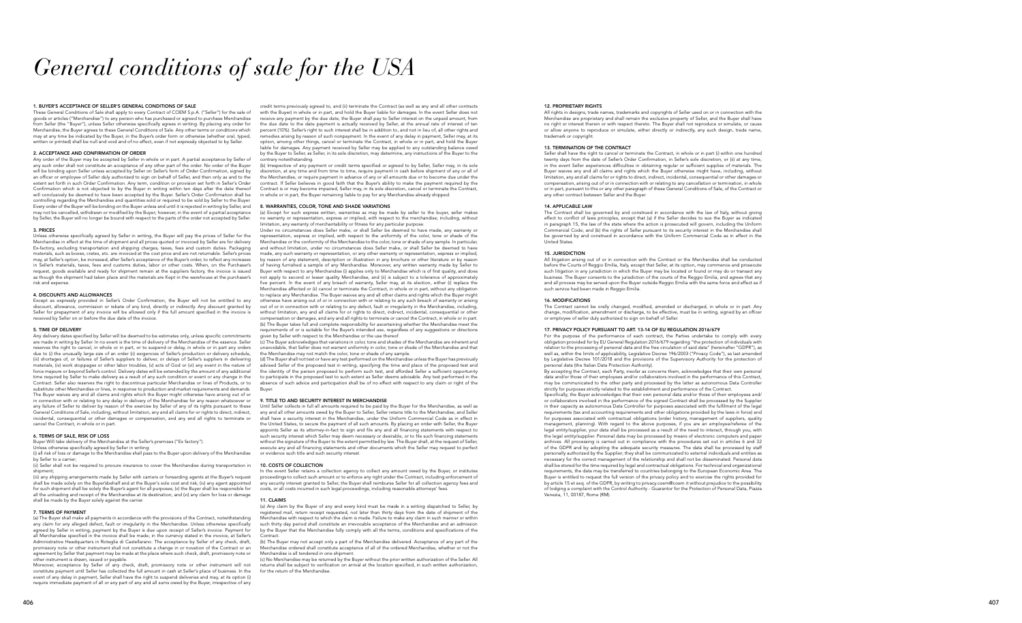# *General conditions of sale for the USA*

These General Conditions of Sale shall apply to every Contract of COEM S.p.A. ("Seller") for the sale of goods or articles ("Merchandise") to any person who has purchased or agreed to purchase Merchandise from Seller (the "Buyer"), unless Seller otherwise specifically agrees in writing. By placing any order for Merchandise, the Buyer agrees to these General Conditions of Sale. Any other terms or conditions which may at any time be indicated by the Buyer in the Buyer's order form or otherwise (whether oral, typed, written or printed) shall be null and void and of no effect, even if not expressly objected to by Seller.

#### 1. BUYER'S ACCEPTANCE OF SELLER'S GENERAL CONDITIONS OF SALE

#### 2. ACCEPTANCE AND CONFIRMATION OF ORDER

Any order of the Buyer may be accepted by Seller in whole or in part. A partial acceptance by Seller of any such order shall not constitute an acceptance of any other part of the order. No order of the Buyer will be binding upon Seller unless accepted by Seller on Seller's form of Order Confirmation, signed by an officer or employee of Seller duly authorized to sign on behalf of Seller, and then only as and to the extent set forth in such Order Confirmation. Any term, condition or provision set forth in Seller's Order Confirmation which is not objected to by the Buyer in writing within ten days after the date thereof will conclusively be deemed to have been accepted by the Buyer. Seller's Order Confirmation shall be controlling regarding the Merchandise and quantities sold or required to be sold by Seller to the Buyer. Every order of the Buyer will be binding on the Buyer unless and until it is rejected in writing by Seller, and may not be cancelled, withdrawn or modified by the Buyer; however, in the event of a partial acceptance by Seller, the Buyer will no longer be bound with respect to the parts of the order not accepted by Seller.

#### 3. PRICES

Unless otherwise specifically agreed by Seller in writing, the Buyer will pay the prices of Seller for the Merchandise in effect at the time of shipment and all prices quoted or invoiced by Seller are for delivery Ex-factory, excluding transportation and shipping charges, taxes, fees and custom duties. Packaging materials, such as boxes; crates, etc. are invoiced at the cost price and are not returnable. Seller's prices may, at Seller's option, be increased, after Seller's acceptance of the Buyer's order, to reflect any increases in Seller's materials, taxes, fees and customs duties, labor or other costs. When, on the Purchaser's request, goods available and ready for shipment remain at the suppliers factory, the invoice is issued as though the shipment had taken place and the materials are Kept in the warehouse at the purchaser's risk and expense.

#### 4. DISCOUNTS AND ALLOWANCES

Except as expressly provided in Seller's Order Confirmation, the Buyer will not be entitled to any discount, allowance, commission or rebate of any kind, directly or indirectly. Any discount granted by Seller for prepayment of any invoice will be allowed only if the full amount specified in the invoice is received by Seller on or before the due date of the invoice.

#### 5. TIME OF DELIVERY

Any delivery dates specified by Seller will be deemed to be estimates only, unless specific commitments are made in writing by Seller. In no event is the time of delivery of the Merchandise of the essence. Seller reserves the right to cancel, in whole or in part, or to suspend or delay, in whole or in part any orders due to (i) the unusually large size of an order (ii) exigencies of Seller's production or delivery schedule, (iii) shortages of, or failures of Seller's suppliers to deliver, or delays of Seller's suppliers in delivering materials, (iv) work stoppages or other labor troubles, (v) acts of God or (vi) any event in the nature of force majeure or beyond Seller's control. Delivery dates will be extended by the amount of any additional time required by Seller to make delivery as a result of any such condition or event or any change in the Contract. Seller also reserves the right to discontinue particular Merchandise or lines of Products, or to substitute other Merchandise or lines, in response to production and market requirements and demands. The Buyer waives any and all claims and rights which the Buyer might otherwise have arising out of or in connection with or relating to any delay in delivery of the Merchandise for any reason whatsoever or any failure of Seller to deliver by reason of the exercise by Seller of any of its rights pursuant to these General Conditions of Sale, including, without limitation, any and all claims for or rights to direct, indirect, incidental, consequential or other damages or compensation, and any and all rights to terminate or cancel the Contract, in whole or in part.

#### 6. TERMS OF SALE, RISK OF LOSS

Buyer Will take delivery of the Merchandise at the Seller's premises ("Ex factory").

Unless otherwise speci fically agreed by Seller in writing: (i) all risk of loss or damage to the Merchandise shall pass to the Buyer upon delivery of the Merchandise by Seller to a carrier;

(ii) Seller shall not be required to procure insurance to cover the Merchandise during transportation in shipment;

Under no circumstances does Seller make, or shall Seller be deemed to have made, any warranty or resentation, express or implied, with respect to the uniformity of the color, tone or shade of the Merchandise or the conformity of the Merchandise to the color, tone or shade of any sample. In particular, and without limitation, under no circumstances does Seller make, or shall Seller be deemed to have made, any such warranty or representation, or any other warranty or representation, express or implied, by reason of any statement, description or illustration in any brochure or other literature or by reason of having furnished a sample of any Merchandise. Moreover, any written warranty made by Seller to Buyer with respect to any Merchandise (i) applies only to Merchandise which is of first quality, and does not apply to second or lesser quality Merchandise, and (ii) is subject to a tolerance of approximately five percent. ln the event of any breach of warranty, Seller may, at its election, either (i) replace the Merchandise affected or (ii) cancel or terminate the Contract, in whole or in part, without any obligation to replace any Merchandise. The Buyer waives any and all other claims and rights which the Buyer might otherwise have arising out of or in connection with or relating to any such breach of warranty or arising out of or in connection with or relating to any defect, fault or irregularity in the Merchandise, including, without limitation, any and all claims for or rights to direct, indirect, incidental, consequential or other compensation or damages, and any and all rights to terminate or cancel the Contract, in whole or in part. (b) The Buyer takes full and complete responsibility for ascertaining whether the Merchandise meet the requirements of or is suitable for the Buyer's intended use, regardless of any suggestions or directions given by Seller with respect to the Merchandise or the use thereof.

(iii) any shipping arrangements made by Seller with carriers or forwarding agents at the Buyer's request shall be made solely on the Buyer'sbehalf and at the Buyer's sole cost and risk; (iv) any agent appointed for such shipment shall be solely the Buyer's agent for all purposes; (v) the Buyer shall be responsible for all the unloading and receipt of the Merchandise at its destination; and (vi) any claim for loss or damage shall be made by the Buyer solely against the carrier.

#### 7. TERMS OF PAYMENT

(a) The Buyer shall make all payments in accordance with the provisions of the Contract, notwithstanding any claim for any alleged defect, fault or irregularity in the Merchandise. Unless otherwise specifically agreed by Seller in writing, payment by the Buyer is due upon receipt of Seller's invoice. Payment for all Merchandise specified in the invoice shall be made; in the currency stated in the invoice, at Seller's Administrative Headquarters in Roteglia di Castellarano. The acceptance by Seller of any check, draft, promissory note or other instrument shall not constitute a change in or novation of the Contract or an agreement by Seller that payment may be made at the place where such check, draft, promissory note or other instrument is drawn, issued or payable.

In the event Seller retains a collection agency to collect any amount owed by the Buyer, or institutes proceedings to collect such amount or to enforce any right under the Contract, including enforcement of any security interest granted to Seller, the Buyer shall reimburse Seller for all collection agency fees and costs, or all costs incurred in such legal proceedings, including reasonable attorneys' fees.

Moreover, acceptance by Seller of any check, draft, promissory note or other instrument will not constitute payment until Seller has collected the full amount in cash at Seller's place of business. In the event of any delay in payment, Seller shall have the right to suspend deliveries and may, at its option (i) require immediate payment of all or any part of any and all sums owed by the Buyer, irrespective of any

credit terms previously agreed to, and (ii) terminate the Contract (as well as any and all other contracts with the Buyer) in whole or in part, and hold the Buyer liable for damages. ln the event Seller does not receive any payment by the due date, the Buyer shall pay to Seller interest on the unpaid amount, from the due date to the date payment is actually received by Seller, at the annual rate of interest of ten percent (10%). Seller's right to such interest shall be in addition to, and not in lieu of, all other rights and remedies arising by reason of such nonpayment. In the event of any delay in payment, Seller may, at its option, among other things, cancel or terminate the Contract, in whole or in part, and hold the Buyer liable for damages. Any payment received by Seller may be applied to any outstanding balance owed by the Buyer to Seller, as Seller, in its sole discretion, may determine, any instructions of the Buyer to the contrary notwithstanding.

> All litigation arising out of or in connection with the Contract or the Merchandise shall be conducted before the Courts of Reggio Emilia, Italy, except that Seller, at its option, may commence and prosecute such litigation in any jurisdiction in which the Buyer may be located or found or may do or transact any business. The Buyer consents to the jurisdiction of the courts of the Reggio Emilia, and agrees that any and all process may be served upon the Buyer outside Reggio Emilia with the same force and effect as if such service had been made in Reggio Emilia.

(b) Irrespective of any payment or credit terms speci fied or agreed to by Seller, Seller may, in its sole discretion, at any time and from time to time, require payment in cash before shipment of any or all of the Merchandise, or require payment in advance of any or all amounts due or to become due under the contract. If Seller believes in good faith that the Buyer's ability to make the payment required by the Contract is or may become impaired, Seller may, in its sole discretion, cancel or terminate the Contract, in whole or in part, the Buyer remaining liable to pay for any Merchandise already shipped.

> The Contract cannot be orally changed, modified, amended or discharged, in whole or in part. Any change, modification, amendment or discharge, to be effective, must be in writing, signed by an officer or employee of seller duly authorized to sign on behalf of Seller.

#### 8. WARRANTIES, COLOR, TONE AND SHADE VARIATIONS

(a) Except for such express written, warranties as may be made by seller to the buyer, seller makes no warranty or representation, express or implied, with respect to the merchandise; including, without limitation, any warranty of merchantability or fitness for any particular purpose.

(c) The Buyer acknowledges that variations in color, tone and shades of the Merchandise are inherent and avoidable, that Seller does not warrant uniformity in color, tone or shade of the Merchandise and that the Merchandise may not match the color, tone or shade of any sample.

(d) The Buyer shall not test or have any test performed on the Merchandise unless the Buyer has previously advised Seller of the proposed test in writing, specifying the time and place of the proposed test and the identity of the person proposed to perform such test, and afforded Seller a sufficient opportunity to participate in the proposed test to such extent as Seller deems advisable. Any test performed in the absence of such advice and participation shall be of no effect with respect to any claim or right of the Buyer.

#### 9. TITLE TO AND SECURITY INTEREST IN MERCHANDISE

Until Seller collects in full all amounts required to be paid by the Buyer for the Merchandise, as well as any and all other amounts owed by the Buyer to Seller, Seller retains title to the Merchandise; and Seller shall have a security interest in the Merchandise, under the Uniform Commercial Code as in effect in the United States, to secure the payment of all such amounts. By placing an order with Seller, the Buyer appoints Seller as its attorney-in-fact to sign and file any and all financing statements with respect to such security interest which Seller may deem necessary or desirable, or to file such financing statements without the signature of the Buyer to the extent permitted by law. The Buyer shall, at the request of Seller, execute any and all financing statements and other documents which the Seller may request to perfect or evidence such title and such security interest.

#### 10. COSTS OF COLLECTION

#### 11. CLAIMS

(a) Any claim by the Buyer of any and every kind must be made in a writing dispatched to Seller, by registered mail, return receipt requested, not later than thirty days from the date of shipment of the chandise with respect to which the claim is made. Failure to make any claim in such manner or within such thirty day period shall constitute an irrevocable acceptance of the Merchandise and an admission by the Buyer that the Merchandise fully comply with all the terms, conditions and specifications of the Contract.

(b) The Buyer may not accept only a part of the Merchandise delivered. Acceptance of any part of the Merchandise ordered shall constitute acceptance of all of the ordered Merchandise, whether or not the Merchandise is all tendered in one shipment.

(c) No Merchandise may be returned by the Buyer without the prior written authorization of the Seller. All returns shall be subject to verification on arrival at the location specified, in such written authorization, for the return of the Merchandise.

#### 12. PROPRIETARY RIGHTS

All rights in designs, trade names, trademarks and copyrights of Seller used on or in connection with the Merchandise are proprietary and shall remain the exclusive property of Seller, and the Buyer shall have no right or interest therein or with respect thereto. The Buyer shall not reproduce or simulate, or cause or allow anyone to reproduce or simulate, either directly or indirectly, any such design, trade name, trademark or copyright.

#### 13. TERMINATION OF THE CONTRACT

Seller shall have the right to cancel or terminate the Contract, in whole or in part (i) within one hundred twenty days from the date of Seller's Order Confirmation, in Seller's sole discretion; or (ii) at any time, in the event Seller experiences difficulties in obtaining regular or sufficient supplies of materials. The Buyer waives any and all claims and rights which the Buyer otherwise might have, including, without limitation, any and all claims for or rights to direct, indirect, incidental, consequential or other damages or compensation, arising out of or in connection with or relating to any cancellation or termination, in whole or in part, pursuant to this or any other paragraph of these General Conditions of Sale, of the Contract or any other contract between Seller and the Buyer.

#### 14. APPLICABLE LAW

The Contract shall be governed by and construed in accordance with the law of ltaly, without giving effect to conflict of laws principles, except that (a) if the Seller decides to sue the Buyer as indicated in paragraph 15, the law of the state where the action is prosecuted will govern, including the Uniform Commercial Code; and (b) the rights of Seller pursuant to its security interest in the Merchandise shall be governed by and construed in accordance with the Uniform Commercial Code as in effect in the United States.

#### 15. JURISDICTION

#### 16. MODIFICATIONS

#### 17. PRIVACY POLICY PURSUANT TO ART. 13-14 OF EU REGULATION 2016/679

For the purpose of the performance of each contract, the Parties undertake to comply with every obligation provided for by EU General Regulation 2016/679 regarding "the protection of individuals with relation to the processing of personal data and the free circulation of said data" (hereinafter "GDPR"), as well as, within the limits of applicability, Legislative Decree 196/2003 ("Privacy Code"), as last amended by Legislative Decree 101/2018 and the provisions of the Supervisory Authority for the protection of personal data (the Italian Data Protection Authority).

.<br>By accepting the Contract, each Party, insofar as concerns them, acknowledges that their own personal data and/or those of their employees and/or collaborators involved in the performance of this Contract, may be communicated to the other party and processed by the latter as autonomous Data Controller strictly for purposes strictly related to the establishment and performance of the Contract. Specifically, the Buyer acknowledges that their own personal data and/or those of their employees and/ or collaborators involved in the performance of the signed Contract shall be processed by the Supplier in their capacity as autonomous Data Controller for purposes associated with the fulfilment of the legal requirements (tax and accounting requirements and other obligations provided by the laws in force) and for purposes associated with contractual obligations (order history, management of suppliers, quality management, planning). With regard to the above purposes, if you are an employee/referee of the legal entity/supplier, your data shall be processed as a result of the need to interact, through you, with the legal entity/supplier. Personal data may be processed by means of electronic computers and paper archives. All processing is carried out in compliance with the procedures set out in articles 6 and 32 of the GDPR and by adopting the adequate security measures. The data shall be processed by staff personally authorized by the Supplier; they shall be communicated to external individuals and entities as necessary for the correct management of the relationship and shall not be disseminated. Personal data shall be stored for the time required by legal and contractual obligations. For technical and organizational requirements, the data may be transferred to countries belonging to the European Economic Area. The Buyer is entitled to request the full version of the privacy policy and to exercise the rights provided for by article 15 et seq. of the GDPR, by writing to privacy.coem@coem.it without prejudice to the possibility of lodging a complaint with the Control Authority - Guarantor for the Protection of Personal Data, Piazza Venezia, 11, 00187, Rome (RM).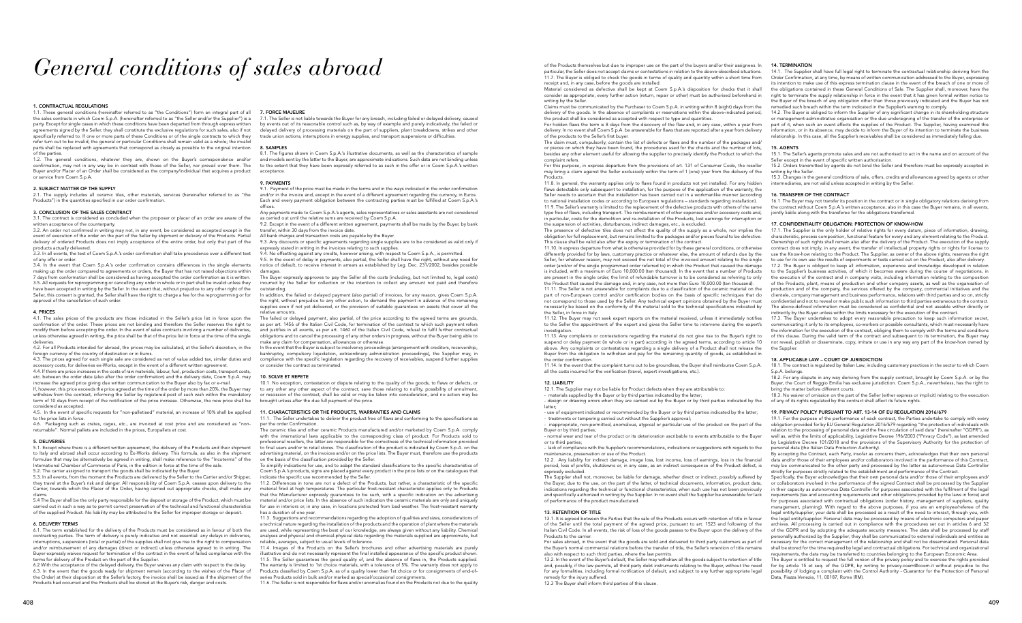## *General conditions of sales abroad*

#### 1. CONTRACTUAL REGULATIONS

1.1. These general conditions (hereinafter referred to as "the Conditions") form an integral part of all the sales contracts in which Coem S.p.A. (hereinafter referred to as "the Seller and/or the Supplier") is a party. Except for single cases in which these conditions have been departed from through express written agreements signed by the Seller, they shall constitute the exclusive regulations for such sales, also if not specifically referred to. If one or more parts of these Conditions or of the single contracts to which they refer turn out to be invalid, the general or particular Conditions shall remain valid as a whole; the invalid parts shall be replaced with agreements that correspond as closely as possible to the original intention of the parties.

1.2. The general conditions, whatever they are, shown on the Buyer's correspondence and/or confirmation, may not in any way be in contrast with those of the Seller, nor prevail over them. The Buyer and/or Placer of an Order shall be considered as the company/individual that acquires a product or service from Coem S.p.A.

#### 2. SUBJECT MATTER OF THE SUPPLY

2.1. The supply includes all ceramic tiles, other materials, services (hereinafter referred to as "the Products") in the quantities specified in our order confirmation.

#### 3. CONCLUSION OF THE SALES CONTRACT

3.1. The contract is considered as concluded when the proposer or placer of an order are aware of the written acceptance of the counterparty.

3.2. An order not confirmed in writing may not, in any event, be considered as accepted except in the event of execution of the order on the part of the Seller by shipment or delivery of the Products. Partial delivery of ordered Products does not imply acceptance of the entire order, but only that part of the products actually delivered.

3.3. In all events, the text of Coem S.p.A.'s order confirmation shall take precedence over a different text of any offer or order.

4.5. In the event of specific requests for "non-palletised" material, an increase of 10% shall be applied to the price lists in force.

3.4. In the event that Coem S.p.A.'s order confirmation contains differences in the single elements making up the order compared to agreements or orders, the Buyer that has not raised objections within 7 days from conformation shall be considered as having accepted the order confirmation as it is written. 3.5. All requests for reprogramming or cancelling any order in whole or in part shall be invalid unless they have been accepted in writing by the Seller. In the event that, without prejudice to any other right of the Seller, this consent is granted, the Seller shall have the right to charge a fee for the reprogramming or for approval of the cancellation of such order.

#### 4. PRICES

4.1. The sales prices of the products are those indicated in the Seller's price list in force upon the confirmation of the order. These prices are not binding and therefore the Seller reserves the right to modify them before accepting the order. In the event of sales contracts involving a number of deliveries, unless otherwise agreed in writing, the price shall be that of the price list in force at the time of the single deliveries.

4.2. For all Products intended for abroad, the prices may be calculated, at the Seller's discretion, in the foreign currency of the country of destination or in Euros.

4.3. The prices agreed for each single sale are considered as net of value added tax, similar duties and accessory costs, for deliveries ex-Works, except in the event of a different written agreement.

4.4. If there are price increases in the costs of raw materials, labour, fuel, production costs, transport costs, etc. between the order date (also after the order confirmation) and the delivery date, Coem S.p.A. may increase the agreed price giving due written communication to the Buyer also by fax or e-mail.

If, however, this price exceeds the price agreed at the time of the order by more than 20%, the Buyer may withdraw from the contract, informing the Seller by registered post of such wish within the mandatory term of 10 days from receipt of the notification of the price increase. Otherwise, the new price shall be considered as accepted.

9.4. No offsetting against any credits, however arising, with respect to Coem S.p.A., is permitted. 9.5. In the event of delay in payments, also partial, the Seller shall have the right, without any need for

4.6. Packaging such as crates, cages, etc., are invoiced at cost price and are considered as "nonreturnable". Normal pallets are included in the prices, Europallets at cost.

#### 5. DELIVERIES

5.1. Except where there is a different written agreement, the delivery of the Products and their shipment to Italy and abroad shall occur according to Ex-Works delivery. This formula, as also in the shipment formulae that may be alternatively be agreed in writing, shall make reference to the "Incoterms" of the International Chamber of Commerce of Paris, in the edition in force at the time of the sale. 5.2. The carrier assigned to transport the goods shall be indicated by the Buyer.

5.3. In all events, from the moment the Products are delivered by the Seller to the Carrier and/or Shipper, they travel at the Buyer's risk and danger. All responsibility of Coem S.p.A. ceases upon delivery to the Carrier, towards which the Placer of the Order, having carried out appropriate checks, shall make any claims.

5.4 The Buyer shall be the only party responsible for the deposit or storage of the Product, which must be carried out in such a way as to permit correct preservation of the technical and functional characteristics of the supplied Product. No liability may be attributed to the Seller for improper storage or deposit.

#### 6. DELIVERY TERMS

6.1. The term established for the delivery of the Products must be considered as in favour of both the contracting parties. The term of delivery is purely indicative and not essential: any delays in deliveries, interruptions, suspensions (total or partial) of the supplies shall not give rise to the right to compensation and/or reimbursement of any damages (direct or indirect) unless otherwise agreed to in writing. The Buyer expressly waives request for termination of the contract in the event of failed compliance with the terms for delivery of the Product on the part of the Supplier.

11.4. Images of the Products on the Seller's brochures and other advertising materials are purely illustrative and do not necessarily represent the final installed appearance of the specific product shown. 11.5. The Seller guarantees the good quality of, and the absence of flaws in, the Products supplied. The warranty is limited to 1st choice materials, with a tolerance of 5%. The warranty does not apply to Products classified by Coem S.p.A. as of a quality lower than 1st choice or for consignments of end-ofseries Products sold in bulk and/or marked as special/occasional consignments.

6.2 With the acceptance of the delayed delivery, the Buyer waives any claim with respect to the delay. 6.3. In the event that the goods ready for shipment remain (according to the wishes of the Placer of the Order) at their disposition at the Seller's factory, the invoice shall be issued as if the shipment of the Products had occurred and the Products shall be stored at the Buyer's risk, danger and costs.

#### 7. FORCE MAJEURE

7.1. The Seller is not liable towards the Buyer for any breach, including failed or delayed delivery, caused by events out of its reasonable control such as, by way of example and purely indicatively, the failed or delayed delivery of processing materials on the part of suppliers, plant breakdowns, strikes and other trade union actions, interruptions in energy supplies, and transport suspensions or difficulties.

#### 8. SAMPLES

The claim must, compulsorily, contain the list of defects or flaws and the number of the packages and/ or pieces on which they have been found, the procedures used for the checks and the number of lots, besides any other element useful for allowing the supplier to precisely identify the Product to which the complaint refers. 15. AGENTS 15.1. The Seller's agents promote sales and are not authorised to act in the name and on account of the Seller except in the event of specific written authorisation.

8.1. The figures shown in Coem S.p.A.'s illustrative documents, as well as the characteristics of sample and models sent by the latter to the Buyer, are approximate indications. Such data are not binding unless to the extent that they have been expressly referred to as such in the offer or in Coem S.p.A.'s written acceptance.

#### 9. PAYMENTS

9.1. Payment of the price must be made in the terms and in the ways indicated in the order confirmation and/or in the invoice and, except in the event of a different agreement regarding the currency, in Euros. Each and every payment obligation between the contracting parties must be fulfilled at Coem S.p.A.'s offices.

Any payments made to Coem S.p.A.'s agents, sales representatives or sales assistants are not considered as carried out until the relative sums are received by Coem S.p.A.

9.2. Except in the event of a different written agreement, payments shall be made by the Buyer, by bank transfer, within 30 days from the invoice date.

All bank charges and transaction costs are payable by the Buyer.

9.3. Any discounts or specific agreements regarding single supplies are to be considered as valid only if expressly stated in writing in the invoices relating to such supplies.

notice of default, to receive interest in arrears as established by Leg. Dec. 231/2002, besides possible damages.

The Buyer expressly approves to pay the Seller all the costs (including, but not limited to, legal costs) incurred by the Seller for collection or the intention to collect any amount not paid and therefore outstanding.

In addition, the failed or delayed payment (also partial) of invoices, for any reason, gives Coem S.p.A.

The failed or delayed payment, also partial, of the price according to the agreed terms are grounds

In the event that the Buyer is subject to insolvency proceedings (arrangement with creditors, receivership

the right, without prejudice to any other action, to demand the payment in advance of the remaining supplies even if not yet delivered, or the provision of suitable guarantees on assets that cover all the relative amounts.

as per art. 1456 of the Italian Civil Code, for termination of the contract to which such payment refers and justifies in all events, as per art. 1460 of the Italian Civil Code, refusal to fulfil further contractual obligations and to cancel the processing of any other orders in progress, without the Buyer being able to make any claim for compensation, allowances or otherwise.

bankruptcy, compulsory liquidation, extraordinary administration proceedings), the Supplier may, in compliance with the specific legislation regarding the recovery of receivables, suspend further supplies or consider the contract as terminated.

#### 10. SOLVE ET REPETE

For sales abroad, in the event that the goods are sold and delivered to third party customers as part of the Buyer's normal commercial relations before the transfer of title, the Seller's retention of title remains also with respect to such third parties, where the law permits.

10.1. No exception, contestation or dispute relating to the quality of the goods, to flaws or defects, or to any other any other aspect of the contract, save those relating to nullity, possibility of annulment, or rescission of the contract, shall be valid or may be taken into consideration, and no action may be brought unless after the due full payment of the price.

#### 11. CHARACTERISTICS OR THE PRODUCTS, WARRANTIES AND CLAIMS

11.1. The Seller undertakes to deliver the product free of flaws and conforming to the specifications as per the order Confirmation.

The ceramic tiles and other ceramic Products manufactured and/or marketed by Coem S.p.A. comply with the international laws applicable to the corresponding class of product. For Products sold to professional resellers, the latter are responsible for the correctness of the technical information provided to final users and/or to retail stores. The classification of the product is indicated by Coem S.p.A. on the advertising material, on the invoices and/or on the price lists. The Buyer must, therefore use the products on the basis of the classification provided by the Seller.

To simplify indications for use, and to adapt the standard classifications to the specific characteristics of Coem S.p.A.'s products, signs are placed against every product in the price lists or on the catalogues that indicate the specific use recommended by the Seller.

11.2. Differences in tone are not a defect of the Products, but rather, a characteristic of the specific material fired at high temperatures. The particular frost-resistant characteristic applies only to Products that the Manufacturer expressly guarantees to be such, with a specific indication on the advertising material and/or price lists. In the absence of such indication the ceramic materials are only and uniquely for use in interiors or, in any case, in locations protected from bad weather. The frost-resistant warranty has a duration of one year.

17.3. The Buyer undertakes to adopt every reasonable precaution to keep such information secret, communicating it only to its employees, co-workers or possible consultants, which must necessarily have the information for the execution of the contract, obliging them to comply with the terms and conditions of this clause. During the valid term of the contract and subsequent to its termination, the Buyer may not reveal, publish or disseminate, copy, imitate or use in any way any part of the know-how owned by the Supplier

11.3. Suggestions and recommendations regarding the adoption of qualities and sizes, considerations of a technical nature regarding the installation of the products and the operation of plant where the materials are used, while representing the best of our knowledge, are always given without any liability. Chemical analyses and physical and chemical-physical data regarding the materials supplied are approximate, but reliable, averages, subject to usual levels of tolerance.

11.6. The Seller is not responsible for flaws and/or anomalies found on the Products not due to the quality

Specifically, the Buyer acknowledges that their own personal data and/or those of their employees and/ or collaborators involved in the performance of the signed Contract shall be processed by the Supplier in their capacity as autonomous Data Controller for purposes associated with the fulfilment of the legal requirements (tax and accounting requirements and other obligations provided by the laws in force) and for purposes associated with contractual obligations (order history, management of suppliers, quality management, planning). With regard to the above purposes, if you are an employee/referee of the legal entity/supplier, your data shall be processed as a result of the need to interact, through you, with the legal entity/supplier. Personal data may be processed by means of electronic computers and paper archives. All processing is carried out in compliance with the procedures set out in articles 6 and 32 of the GDPR and by adopting the adequate security measures. The data shall be processed by staff personally authorized by the Supplier; they shall be communicated to external individuals and entities as necessary for the correct management of the relationship and shall not be disseminated. Personal data shall be stored for the time required by legal and contractual obligations. For technical and organizational equirements, the data may be transferred to countries belonging to the European Economic Area.

of the Products themselves but due to improper use on the part of the buyers and/or their assignees. In particular, the Seller does not accept claims or contestations in relation to the above-described situations.

the Seller, in force in Italy. 11.12. The Buyer may not seek expert reports on the material received, unless it immediately notifies

to the Seller the appointment of the expert and gives the Seller time to intervene during the expert's investigation.

11.7. The Buyer is obliged to check the goods in terms of quality and quantity within a short time from receipt and, in any case, before the goods are installed. Material considered as defective shall be kept at Coem S.p.A.'s disposition for checks that it shall consider as appropriate; every further action (return, repair or other) must be authorised beforehand in writing by the Seller. Claims must be communicated by the Purchaser to Coem S.p.A. in writing within 8 (eight) days from the 14.1. The Supplier shall have full legal right to terminate the contractual relationship deriving from the Order Confirmation, at any time, by means of written communication addressed to the Buyer, expressing its intention to make use of this express termination clause in the event of the breach of one or more of the obligations contained in these General Conditions of Sale. The Supplier shall, moreover, have the right to terminate the supply relationship in force in the event that it has given formal written notice to the Buyer of the breach of any obligation other than those previously indicated and the Buyer has not remedied such breach within the term indicated in the Supplier's warning to comply.

11.13. Any complaints or contestations regarding the material do not give rise to the Buyer's right to suspend or delay payment (in whole or in part) according in the agreed terms, according to article 10 above. Any complaints or contestations regarding a single delivery of a Product shall not release the Buyer from the obligation to withdraw and pay for the remaining quantity of goods, as established in the order confirmation.

delivery of the goods. In the absence of complaints or reservations within the above-indicated period, the product shall be considered as accepted with respect to type and quantities. For hidden flaws the term is 8 days from the discovery of the flaw and, in any case, within a year from delivery. In no event shall Coem S.p.A. be answerable for flaws that are reported after a year from delivery of the products to the Seller's first buyer. 14.2. The Buyer is obliged to inform the Supplier of any significant change in its shareholding structure or management-administrative organisation or the due undersigning of the transfer of the enterprise or part of it, when such an event affects the supplies of the Product. The Supplier, having examined this information, or in its absence, may decide to inform the Buyer of its intention to terminate the business relationship. In this case, all the Supplier's receivables shall be considered as immediately falling due.

11.14. In the event that the complaint turns out to be groundless, the Buyer shall reimburse Coem S.p.A. all the costs incurred for the verification (travel, expert investigations, etc.).

#### 12. LIABILITY

12.1. The Supplier may not be liable for Product defects when they are attributable to: - materials supplied by the Buyer or by third parties indicated by the latter; - design or drawing errors when they are carried out by the Buyer or by third parties indicated by the latter;

- use of equipment indicated or recommended by the Buyer or by third parties indicated by the latter; - treatments or tampering carried out without the Supplier's approval;

For this purpose, in express departure from the provisions of art. 131 of Consumer Code, the reseller may bring a claim against the Seller exclusively within the term of 1 (one) year from the delivery of the Products. 11.8. In general, the warranty applies only to flaws found in products not yet installed. For any hidden 15.2. Orders transmitted by agents do not bind the Seller and therefore must be expressly accepted in writing by the Seller 15.3. Changes in the general conditions of sale, offers, credits and allowances agreed by agents or other intermediaries, are not valid unless accepted in writing by the Seller.

flaws detectable only subsequent to installation, for the purpose of the application of the warranty, the Seller needs to ascertain that the installation has been carried out in a workmanlike manner (according to national installation codes or according to European regulations – standards regarding installation). 11.9. The Seller's warranty is limited to the replacement of the defective products with others of the same type free of flaws, including transport. The reimbursement of other expenses and/or accessory costs and, in particular, costs for the demolition and re-installation of the Products, lost earnings for interruption or the suspension of activities, disturbances, indirect damages, etc., is excluded. The presence of defective tiles does not affect the quality of the supply as a whole, nor implies the obligation for full replacement, but remains limited to the packages and/or pieces found to be defective. This clause shall be valid also after the expiry or termination of the contract. 11.10. In express departure from what is otherwise provided for by these general conditions, or otherwise differently provided for by laws, customary practice or whatever else, the amount of refunds due by the Seller, for whatever reason, may not exceed the net total of the invoiced amount relating to the single order (and/or of the single programmed order referred to) in which the Product that caused the damage is included, with a maximum of Euro 10,000.00 (ten thousand). In the event that a number of Products are present in the single order, the limit of refundable turnover is to be considered as referring to only the Product that caused the damage and, in any case, not more than Euro 10,000.00 (ten thousand). 11.11. The Seller is not answerable for complaints due to a classification of the ceramic material on the part of non-European control and/or certification bodies on the basis of specific techniques that do not correspond to those used by the Seller. Any technical expert opinions obtained by the Buyer must necessarily be based on the conformity of the material sold to the technical specifications indicated by 16. TRANSFER OF THE CONTRACT 16.1. The Buyer may not transfer its position in the contract or in single obligatory relations deriving from the contract without Coem S.p.A.'s written acceptance; also in this case the Buyer remains, in all events, jointly liable along with the transferee for the obligations transferred. 17. CONFIDENTIALITY OBLIGATION: PROTECTION OF KNOW-HOW 17.1. The Supplier is the only holder of relative rights for every datum, piece of information, drawing, characteristic, process composition, functional feature for every and any element relating to the Product. Ownership of such rights shall remain also after the delivery of the Product. The execution of the supply contract does not imply, in any event, the transfer of intellectual property rights or rights for license to use the Know-how relating to the Product. The Supplier, as owner of the above rights, reserves the right to use for its own use the results of experiments or tests carried out on the Product, also after delivery. 17.2. The Buyer is obliged to keep all information, experience and knowledge developed in relation to the Supplier's business activities, of which it becomes aware during the course of negotiations, in the execution of the contract and in company visits, including information relating to the composition of the Products, plant, means of production and other company assets, as well as the organisation of production and of the company, the services offered by the company, commercial initiatives and the clientele, company management and business performance, relations with third parties and so on, strictly confidential and not to reveal or make public such information to third parties extraneous to the contract. The above-defined information must be considered as confidential and not useable wither directly or ndirectly by the Buyer unless within the limits necessary for the execution of the contract.

- inappropriate, non-permitted, anomalous, atypical or particular use of the product on the part of the Buyer or by third parties;

- normal wear and tear of the product or its deterioration ascribable to events attributable to the Buyer or to third parties;

- lack of compliance with the Supplier's recommendations, indications or suggestions with regards to the maintenance, preservation or use of the Product.

The Supplier shall not, moreover, be liable for damage, whether direct or indirect, possibly suffered by the Buyer, due to the use, on the part of the latter, of technical documents, information, product data, indications regarding the technical or functional characteristics, when such use has not been previously and specifically authorized in writing by the Supplier. In no event shall the Supplier be answerable for lack of performance of the product manufactured.

#### 13. RETENTION OF TITLE

13.1. It is agreed between the Parties that the sale of the Products occurs with retention of title in favour of the Seller until the total payment of the agreed price, pursuant to art. 1523 and following of the Italian Civil Code. In all events, the risk of loss of the goods passes to the Buyer upon the delivery of the Products to the carrier.

13.3 The Buyer shall inform third parties of this clause.

#### 14. TERMINATION

12.2. Any liability for indirect damage, image loss, lost income, loss of earnings, loss in the financial period, loss of profits, shutdowns or, in any case, as an indirect consequence of the Product defect, is expressly excluded. By accepting the Contract, each Party, insofar as concerns them, acknowledges that their own personal data and/or those of their employees and/or collaborators involved in the performance of this Contract, may be communicated to the other party and processed by the latter as autonomous Data Controller strictly for purposes strictly related to the establishment and performance of the Contract.

13.2. In the event of the Buyer's default, the Seller may withdraw all the goods subject to retention of title and, possibly, if the law permits, all third party debt instruments relating to the Buyer, without the need for any formalities, including formal notification of default, and subject to any further appropriate legal remedy for the injury suffered. The Buyer is entitled to request the full version of the privacy policy and to exercise the rights provided for by article 15 et seq. of the GDPR, by writing to privacy.coem@coem.it without prejudice to the possibility of lodging a complaint with the Control Authority - Guarantor for the Protection of Personal Data, Piazza Venezia, 11, 00187, Rome (RM).

#### 18. APPLICABLE LAW – COURT OF JURISDICTION

18.1. The contract is regulated by Italian Law, including customary practices in the sector to which Coem S.p.A. belongs.

18.2. For any dispute in any way deriving from the supply contract, brought by Coem S.p.A. or by the Buyer, the Court of Reggio Emilia has exclusive jurisdiction. Coem S.p.A., nevertheless, has the right to bring the matter before different courts.

18.3. No waiver of omission on the part of the Seller (either express or implicit) relating to the execution of any of its rights regulated by this contract shall affect its future rights.

#### 19. PRIVACY POLICY PURSUANT TO ART. 13-14 OF EU REGULATION 2016/679

19.1. For the purpose of the performance of each contract, the Parties undertake to comply with every obligation provided for by EU General Regulation 2016/679 regarding "the protection of individuals with relation to the processing of personal data and the free circulation of said data" (hereinafter "GDPR"), as well as, within the limits of applicability, Legislative Decree 196/2003 ("Privacy Code"), as last amended by Legislative Decree 101/2018 and the provisions of the Supervisory Authority for the protection of personal data (the Italian Data Protection Authority).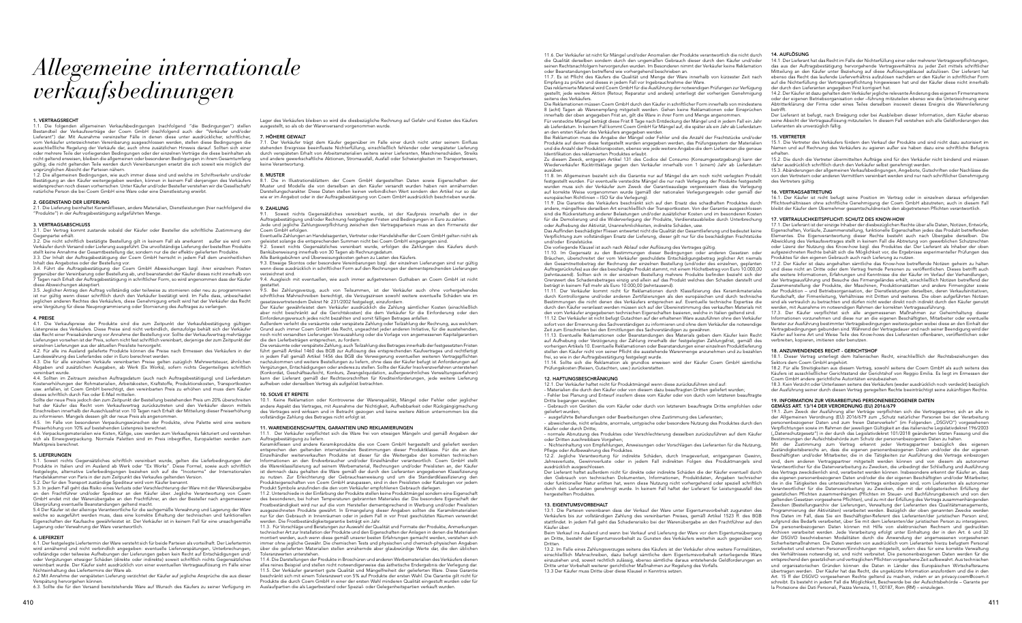## *Allegemeine internationale verkaufsbedinungen*

#### 1. VERTRAGSRECHT

1.1. Die folgenden allgemeinen Verkaufsbedingungen (nachfolgend "die Bedingungen") stellen Bestandteil der Verkaufsverträge der Coem GmbH (nachfolgend auch der "Verkäufer und/oder Lieferant") dar. Mit Ausnahme vereinzelter Fälle in denen diese unter ausdrücklicher, schriftlicher, vom Verkäufer unterzeichneten Vereinbarung ausgeschlossen werden, stellen diese Bedingungen die ausschließliche Regelung der Verkäufe dar, auch ohne zusätzlichen Hinweis darauf. Sollten sich einer oder mehrere Teile der vorliegenden Bedingungen oder der einzelnen Verträge die diese beinhalten als nicht geltend erweisen, bleiben die allgemeinen oder besonderen Bedingungen in ihrem Gesamtumfang gültig; die nicht geltenden Teile werden durch Vereinbarungen ersetzt die sich soweit wie möglich der ursprünglichen Absicht der Parteien nähern.

1.2. Die allgemeinen Bedingungen, wie auch immer diese sind und welche im Schriftverkehr und/oder Bestätigung an den Käufer weitergegeben werden, können in keinem Fall denjenigen des Verkäufers rechen noch diesen vorherrschen. Unter Käufer und/oder Besteller verstehen wir die Gesellschaft/ natürliche Person die bei Coem GmbH eine Ware oder eine Dienstleistung erwirbt.

3.5. Jeglicher Antrag den Auftrag vollständig oder teilweise zu stornieren oder neu zu programmieren ist nur gültig wenn dieser schriftlich durch den Verkäufer bestätigt wird. Im Falle dass, unbeschadet<br>jeglichen anderen Rechtes des Verkäufers, diese Genehmigung erteilt wird hat der Verkäufer das Recht<br>eine Vergütung für

#### 2. GEGENSTAND DER LIEFERUNG

2.1. Die Lieferung beinhaltet Keramikfliesen, andere Materialien, Dienstleistungen (hier nachfolgend die "Produkte") in der Auftragsbestätigung aufgeführten Menge.

#### 3. VERTRAGSABSCHLUSS

3.1. Der Vertrag kommt zustande sobald der Käufer oder Besteller die schriftliche Zustimmung der Gegenpartei erhält.

4.1. Die Verkaufspreise der Produkte sind die zum Zeitpunkt der Verkaufsbestätigung gültigen Listenpreise des Verkäufers. Diese Preise sind nicht verbindlich, demzufolge behält sich der Verkäufer das Recht einer Preisabänderung vor Annahme der Bestellung vor. Sollte der Verkaufsvertrag mehrtägige Lieferungen vorsehen ist der Preis, sofern nicht fest schriftlich vereinbart, derjenige der zum Zeitpunkt der einzelnen Lieferungen aus der aktuellen Preisliste hervorgeht.

4.2. Für alle ins Ausland gelieferte Produkte können die Preise nach Ermessen des Verkäufers in der Landeswährung des Lieferlandes oder in Euro berechnet werden.

3.2. Die nicht schriftlich bestätigte Bestellung gilt in keinem Fall als anerkannt außer sie wird vom Verkäufer durch Versand oder Lieferung ausgeführt. Die unvollständige Lieferung der bestellten Produkte stellt keine Annahme der Gesamtbestellung dar, sondern nur die der effektiv gelieferten Produkte. 3.3. Der Inhalt der Auftragsbestätigung der Coem GmbH herrscht in jedem Fall dem uneinheitlichen Inhalt des Angebotes oder der Bestellung vor.

3.4. Führt die Auftragsbestätigung der Coem GmbH Abweichungen bzgl. ihrer einzelnen Posten gegenüber der Vereinbarung oder Bestellung ab, und beanstandet der Käufer dieses nicht innerhalb von 7 Tagen nach Erhalt der Auftragsbestätigung in schriftlicher Form, so wird angenommen dass der Käufer diese Abweichungen akzeptiert.

#### 4. PREISE

Lager des Verkäufers bleiben so wird die diesbezügliche Rechnung auf Gefahr und Kosten des Käufers ausgestellt, so als ob der Warenversand vorgenommen wurde.

4.3. Die für alle einzelnen Verkäufe vereinbarten Preise gelten zuzüglich Mehrwertsteuer, ähnlichen Abgaben und zusätzlichen Ausgaben, ab Werk (Ex Works), sofern nichts Gegenteiliges schriftlich vereinbart wurde.

4.4. Sollten im Zeitraum zwischen Auftragsdatum (auch nach Auftragsbestätigung) und Lieferdatum Kostenerhöhungen der Rohmaterialien, Arbeitskosten, Kraftstoffe, Produktionskosten, Transportkosten usw. anfallen, ist Coem GmbH berechtigt, den vereinbarten Preis zu erhöhen und muss dem Käufer dieses schriftlich durch Fax oder E-Mail mitteilen.

Eventuelle Zahlungen an Handelsagenten, Vertreter oder Handelshelfer der Coem GmbH gelten nicht als eistet solange die entsprechenden Summen nicht bei Coem GmbH eingegangen sind.

Sollte der neue Preis jedoch den zum Zeitpunkt der Bestellung bestehenden Preis um 20% überschreiten hat der Käufer das Recht vom Verkaufsvertrag zurückzutreten und den Verkäufer davon mittels Einschreiben innerhalb der Ausschlussfrist von 10 Tagen nach Erhalt der Mitteilung dieser Preiserhöhung zu informieren. Mangels dessen gilt der neue Preis als angenommen. 4.5. Im Falle von besonderen Verpackungswünschen der Produkte, ohne Palette wird eine weitere

Preiserhöhung von 10% auf bestehenden Listenpreis berechnet.

Der Käufer gewährleistet dem Verkäufer ausdrücklich die Zahlung sämtlicher Kosten (einschließlich aber nicht beschränkt auf die Gerichtskosten) die dem Verkäufer für die Einforderung oder den<br>Einforderungsversuch jedes nicht bezahlten und somit fälligen Betrages anfallen.

4.6. Verpackungsmaterialien wie Kisten, Käfige, usw. werden zum Verkaufspreis fakturiert und verstehen sich als Einwegverpackung. Normale Paletten sind im Preis inbegriffen, Europaletten werden zum Marktpreis berechnet.

#### 5. LIEFERUNGEN

5.1. Soweit nichts Gegensätzliches schriftlich vereinbart wurde, gelten die Lieferbedingungen der Produkte in Italien und im Ausland ab Werk oder "Ex Works". Diese Formel, sowie auch schriftlich festgelegte, alternative Lieferbedingungen beziehen sich auf die "Incoterms" der Internationalen Handelskammer von Paris in der zum Zeitpunkt des Verkaufes geltenden Version. 5.2. Der für den Transport zuständige Spediteur wird vom Käufer benannt.

10.1. Keine Reklamation oder Kontroverse der Warenqualität, Mängel oder Fehler oder jeglicher andere Aspekt des Vertrages, mit Ausnahme der Nichtigkeit, Aufhebbarkeit oder Rückgängigmachung des Vertrages wird wirksam und in Betracht gezogen und keine weitere Aktion unternommen bis die vollständige Zahlung des Betrages nicht erfolgt ist.

5.3. In jedem Fall geht das Risiko eines Verlusts oder Verschlechterung der Ware mit der Warenübergabe an den Frachtführer und/oder Spediteur an den Käufer über. Jegliche Verantwortung von Coem GmbH endet mit der Warenübergabe an den Frachtführer, an den der Besteller nach angemessener

Überprüfung eventuelle Beanstandungen geltend macht. 5.4 Der Käufer ist der alleinige Verantwortliche für die sachgemäße Verwahrung und Lagerung der Ware welche so ausgeführt werden muss, dass eine korrekte Erhaltung der technischen und funktionellen Eigenschaften der Kaufsache gewährleistet ist. Der Verkäufer ist in keinem Fall für eine unsachgemäße Lagerung oder Verwahrung der Ware verantwortlich.

11.2. Unterschiede in der Einfärbung der Produkte stellen keine Produktmängel sondern eine Eigenschaft des besonderen, bei hohen Temperaturen gebrannten Materiales dar. Die besondere Eigenschaft der Frostbeständigkeit wird nur auf die vom Hersteller dementsprechend in Werbung und/oder Preislisten ausgezeichneten Produkte gewährt. In Ermangelung dieser Angaben sollten die Keramikmaterialien nur für den Gebrauch in Innenräumen oder in jedem Fall in vor Frost geschützten Räumen verwendet werden. Die Frostbeständigkeitsgarantie beträgt ein Jahr.

#### 6. LIEFERZEIT

11.3. Für Vorschläge und Beratungen zur Auswahl der Qualität und Formate der Produkte, Anmerkungen technischer Art zur Installation der Produkte und den Eigenschaften der Anlagen in denen die Materialien montiert werden, auch wenn diese gemäß unserer besten Erfahrungen gemacht werden, verstehen sich immer ohne jegliche Gewähr. Die chemischen Tests und physischen und chemisch-physischen Angaben über die gelieferten Materialien stellen annähernde aber glaubwürdige Werte dar, die den üblichen eranzwerten unterstehen.

6.1. Der festgelegte Liefertermin der Ware versteht sich für beide Parteien als vorteilhaft. Der Liefertermin wird annähernd und nicht verbindlich angegeben: eventuelle Lieferverspätungen, Unterbrechungen, vollständige oder teilweise Aufhebungen der Lieferungen geben kein Recht auf Entschädigungen und/ oder Vergütungen etwaiger Schäden (direkte oder indirekte) soweit schriftlich nichts Gegensätzliches vereinbart wurde. Der Käufer sieht ausdrücklich von einer eventuellen Vertragsauflösung im Falle einer Nichteinhaltung des Liefertermins der Ware ab.

6.2 Mit Annahme der verspäteten Lieferung verzichtet der Käufer auf jegliche Ansprüche die aus dieser Verspätung hervorgehen können.

6.3. Sollte die für den Versand bereitstehende Ware auf Wunsch des Käufers zu seiner Verfügung im

#### 7. HÖHERE GEWALT

7.1. Der Verkäufer trägt dem Käufer gegenüber im Falle einer durch nicht unter seinem Einfluss stehenden Ereignisse beeinflusste Nichterfüllung, einschließlich fehlender oder verspäteter Lieferung durch verspäteten Erhalt von Arbeitsmaterialien seitens seiner Lieferanten, Maschinenschäden, Streiks und andere gewerkschaftliche Aktionen, Stromausfall, Ausfall oder Schwierigkeiten im Transportwesen, keine Verantwortung.

#### 8. MUSTER

8.1. Die in Illustrationsblättern der Coem GmbH dargestellten Daten sowie Eigenschaften der Muster und Modelle die von derselben an den Käufer versandt wurden haben rein annähernden Darstellungscharakter. Diese Daten stellen keinen verbindlichen Wert sondern den Artikel nur so dar wie er im Angebot oder in der Auftragsbestätigung von Coem GmbH ausdrücklich beschrieben wurde.

#### 9. ZAHLUNG

9.1. Soweit nichts Gegensätzliches vereinbart wurde, ist der Kaufpreis innerhalb der in der Auftragsbestätigung und/oder Rechnung festgelegten Fristen und Bedingungen in Euro zu zahlen. Jede und jegliche Zahlungsverpflichtung zwischen den Vertragsparteien muss an den Firmensitz der Coem GmbH erfolgen.

9.2. Soweit nichts Gegensätzliches vereinbart wurde, erfolgen die Zahlungen des Käufers durch Banküberweisung innerhalb von 30 Tagen ab Rechnungsdatum.

Alle Bankgebühren und Überweisungskosten gehen zu Lasten des Käufers.

9.3. Etwaige Skontos oder besondere Vereinbarungen bzgl. der einzelnen Lieferungen sind nur gültig wenn diese ausdrücklich in schriftlicher Form auf den Rechnungen der dementsprechenden Lieferungen verzeichnet sind.

9.4. Ausgleich mit eventuellen, wie auch immer aufgetretenen Guthaben an Coem GmbH ist nicht gestattet. 9.5. Bei Zahlungsverzug, auch von Teilsummen, ist der Verkäufer auch ohne vorhergehendes

schriftliches Mahnschreiben berechtigt, die Verzugszinsen sowohl weitere eventuelle Schäden wie im gesetzesvertretendem Dekret Nr. 231/2002 festgelegt, einzufordern.

Außerdem verleiht die versäumte oder verspätete Zahlung oder Teilzahlung der Rechnung, aus welchem Grund auch immer Coem GmbH das Recht, ungeachtet jeder anderen Initiative, für die ausstehenden, noch nicht versandten Lieferungen Vorauszahlung oder die Vorlage von angemessenen Kapitalgarantien die den Lieferbeträgen entsprechen, zu fordern.

> - Nichteinhaltung von Empfehlungen, Anweisungen oder Vorschlägen des Lieferanten für die Nutzung, Pflege oder Aufbewahrung des Produktes. 12.2. Jegliche Verantwortung für indirekte Schäden, durch Imageverlust, entgangenen Gewinn, Jahresverluste, Gewinnverluste oder in jedem Fall indirekten Folgen des Produktmangels sind Der Lieferant haftet außerdem nicht für direkte oder indirekte Schäden die der Käufer eventuell durch den Gebrauch von technischen Dokumenten, Informationen, Produktdaten, Angaben technischer oder funktioneller Natur erlitten hat, wenn diese Nutzung nicht vorhergehend oder speziell schriftlich durch den Lieferanten genehmigt wurde. In keinem Fall haftet der Lieferant für Leistungsausfall des 13. EIGENTUMSVORBEHALT 13.1. Die Parteien vereinbaren dass der Verkauf der Ware unter Eigentumsvorbehalt zugunsten des Verkäufers bis zur vollständigen Zahlung des vereinbarten Preises, gemäß Artikel 1523 ff. des BGB stattfindet. In jedem Fall geht das Schadensrisiko bei der Warenübergabe an den Frachtführer auf den Käufer über. Beim Verkauf ins Ausland und wenn bei Verkauf und Lieferung der Ware vor dem Eigentumsübergang an Dritte, besteht der Eigentumsvorbehalt zu Gunsten des Verkäufers weiterhin auch gegenüber von Dritten. 13.2. Im Falle eines Zahlungsverzuges seitens des Käufers ist der Verkäufer ohne weitere Formalitäten, einschließlich Mahnschreiben, dazu befugt sämtliche dem Eigentumsvorbehalt unterliegende Ware einzuziehen und, soweit rechtlich zulässig, ebenso sämtliche daraus entstehende Geldforderungen an Dritte unter Vorbehalt weiterer gerichtlicher Maßnahmen zur Regelung des Vorfalls. 13.3 Der Käufer muss Dritte über diese Klausel in Kenntnis setze Mit der Zustimmung zum Vertrag erkennt jeder Vertragspartner bezüglich des eigenen Zuständigkeitsbereichs an, dass die eigenen personenbezogenen Daten und/oder die der eigenen Beschäftigten und/oder Mitarbeiter, die in die Tätigkeiten zur Ausführung des Vertrags einbezogen sind, dem anderen Vertragspartner mitgeteilt werden können und von diesem als autonomer Verantwortlicher für die Datenverarbeitung zu Zwecken, die unbedingt der Schließung und Ausführung des Vertrags zweckdienlich sind, verarbeitet werden können. Insbesondere erkennt der Käufer an, dass die eigenen personenbezogenen Daten und/oder die der eigenen Beschäftigten und/oder Mitarbeiter, die in die Tätigkeiten des unterzeichneten Vertrags einbezogen sind, vom Lieferanten als autonomer Verantwortlicher für die Datenverarbeitung zu Zwecken, die mit der obligatorischen Erfüllung der gesetzlichen Pflichten zusammenhängen (Pflichten im Steuer- und Buchführungsbereich und von den eltenden Gesetzen vorgesehene Pflichten), und zu mit der Erfüllung des Vertrags zusammenhängender Zwecken (Bestellungsarchiv der Lieferungen, Verwaltung der Lieferanten des Qualitätsmanagements, Programmierung der Aktivitäten) verarbeitet werden. Bezüglich der oben genannten Zwecke werden Ihre Daten im Fall, dass Sie ein Beschäftigter-Referent des Lieferanten/der juristischen Person sind, aufgrund des Bedarfs verarbeitet, über Sie mit dem Lieferanten/der juristischen Person zu interagieren. Die personenbezogenen Daten können mit Hilfe von elektronischen Rechnern und gedruckten Archiven verarbeitet werden. Jede Verarbeitung erfolgt unter Einhaltung der in den Art. 6 und 32 der DSGVO beschriebenen Modalitäten durch die Anwendung der angemessenen vorgesehenen Sicherheitsmaßnahmen. Die Daten werden von ausdrücklich vom Lieferanten hierzu befugtem Personal verarbeitet und externen Personen/Einrichtungen mitgeteilt, sofern dies für eine korrekte Verwaltung des Verhältnisses notwendig ist, und nicht verbreitet. Die personenbezogenen Daten werden für die entsprechend den gesetzlichen und vertraglichen Pflichten vorgesehene Zeit aufbewahrt. Aus technischen und organisatorischen Gründen können die Daten in Länder des Europäischen Wirtschaftsraums übertragen werden. Der Käufer hat das Recht, die ungekürzte Information anzufordern und die in den Art. 15 ff der DSGVO vorgesehenen Rechte geltend zu machen, indem er an privacy.coem@coem.it schreibt. Es besteht in jedem Fall die Möglichkeit, Beschwerde bei der Aufsichtsbehörde – Garante per<br>la Protezione dei Dati Personali, Piazza Venezia, 11, 00187, Rom (RM) – einzulegen.

Die versäumte oder verspätete Zahlung, auch Teilzahlung des Betrages innerhalb der festgesetzten Fristen führt gemäß Artikel 1460 des BGB zur Auflösung des entsprechenden Kaufvertrages und rechtfertigt in jedem Fall gemäß Artikel 1456 des BGB die Verweigerung eventuellen weiteren Vertragspflichten nachzukommen und weitere Bestellungen zu liefern, ohne dass der Käufer befugt ist Anforderungen auf<br>Vergütungen, Entschädigungen oder anderes zu stellen. Sollte der Käufer Insolvenzverfahren unterstehen (Konkordat, Geschäftsaufsicht, Konkurs, Zwangsliquidation, außergewöhnliches Verwaltungsverfahren) kann der Lieferant gemäß der Rechtsvorschriften für Krediteinforderungen, jede weitere Lieferung aufheben oder denselben Vertrag als aufgelöst betrachten.

#### 10. SOLVE ET REPETE

#### 11. WARENEIGENSCHAFTEN, GARANTIEN UND REKLAMIERUNGEN

14.2. Der Käufer ist dazu gehalten dem Verkäufer jegliche relevante Änderung des eigenen Firmennamens oder der eigenen Betriebsorganisation oder –führung mitzuteilen ebenso wie die Unterzeichnung einer<br>Abtritterklärung der Firma oder eines Teiles derselben insoweit dieses Ereignis die Warenlieferung

11.1. Der Verkäufer verpflichtet sich die Ware frei von etwaigen Mängeln und gemäß Angaben der Auftragsbestätigung zu liefern.

Keramikfliesen und andere Keramikprodukte die von Coem GmbH hergestellt und geliefert werden entsprechen den geltenden internationalen Bestimmungen dieser Produktklasse. Für die an den Einzelhändler weiterverkauften Produkte ist dieser für die Weitergabe der korrekten technischen Informationen an den Endverbraucher und/oder Einzelhändler verantwortlich. Coem GmbH stellt die Warenklassifizierung auf seinem Werbematerial, Rechnungen und/oder Preislisten an, der Käufer ist demnach dazu gehalten die Ware gemäß der durch den Lieferanten angegebenen Klassifizierung zu nutzen. Zur Erleichterung der Gebrauchsanweisung und um die Standardklassifizierung der Produkteigenschaften von Coem GmbH anzupassen, sind in den Preislisten oder Katalogen vor jedem Produkt Symbole anzufinden die den vom Verkäufer empfohlenen Gebrauch darlegen.

11.4. Die Darstellungen der Produkte in Broschüren und anderen Werbematerialien des Verkäufers dienen alles reines Beispiel und stellen nicht notwendigerweise das ästhetische Endergebnis der Verlegung dar. 11.5. Der Verkäufer garantiert gute Qualität und Mängelfreiheit der gelieferten Ware. Diese Garantie beschränkt sich mit einem Toleranzwert von 5% auf Produkte der ersten Wahl. Die Garantie gilt nicht für Produkte die durch Coem GmbH in einer der ersten Wahl minderen Qualität eingestuft wurden oder für Auslaufpartien die als Lagerbestand oder Spezial- oder Gelegenheitspartien verkauft wurden.

19.1. Zum Zweck der Ausführung aller Verträge verpflichten sich die Vertragspartner, sich an alle in<br>der Allgemeinen Verordnung (EU) 2016/679 zum "Schutz natürlicher Personen bei der Verarbeitung personenbezogener Daten und zum freien Datenverkehr" (im Folgenden "DSGVO") vorgeseh Verpflichtungen sowie im Rahmen der jeweiligen Gültigkeit an das italienische Legislativdekret 196/2003 ("Datenschutzgesetz") in der durch das Legislativdekret 101/2018 geänderten letzten Fassung und die Bestimmungen der Aufsichtsbehörde zum Schutz der personenbezogenen Daten zu halten.

11.6. Der Verkäufer ist nicht für Mängel und/oder Anomalien der Produkte verantwortlich die nicht durch die Qualität derselben sondern durch den ungemäßen Gebrauch dieser durch den Käufer und/oder seinen Rechtsnachfolgern hervorgerufen wurden. Im Besonderen nimmt der Verkäufer keine Reklamation

oder Beanstandungen betreffend wie vorhergehend beschrieben an. 11.7. Es ist Pflicht des Käufers die Qualität und Menge der Ware innerhalb von kürzester Zeit nach Empfang zu prüfen und dieses in jedem Fall vor Ingebrauchnahme der Ware. Das reklamierte Material wird Coem GmbH für die Ausführung der notwendigen Prüfungen zur Verfügung gestellt; jede weitere Aktion (Retour, Reparatur und andere) unterliegt der vorherigen Genehmigung seitens des Verkäufers.

Zu diesem Zweck, entgegen Artikel 131 des Codice del Consumo (Konsumgesetzgebung) kann der Wiederverkäufer Rücktrittsklage gegen den Verkäufer innerhalb von 1 (einem) Jahr ab Lieferdatum

ausüben. 11.8. Im Allgemeinen bezieht sich die Garantie nur auf Mängel die am noch nicht verlegten Produkt festgestellt wurden. Für eventuelle versteckte Mängel die nur nach Verlegung der Produkte festgestellt<br>wurden muss sich der Verkäufer zum Zweck der Garantieauslage vergewissern dass die Verlegung auf korrekte Weise vorgenommen wurde (gemäß der nationalen Verlegungsregeln oder gemäß der

europäischen Richtlinien – ISO für die Verlegung). 11.9. Die Garantie des Verkäufers beschränkt sich auf den Ersatz des schadhaften Produktes durch andere, mängelfreie derselben Art einschließlich der Transportkosten. Von der Garantie ausgeschlossen sind die Rückerstattung anderer Belastungen und/oder zusätzlicher Kosten und im besonderen Kosten für die Demolierung und die Widerverlegung der Produkte, Verdienstausbleibe durch Unterbrechung oder Aufhebung der Aktivität, Unannehmlichkeiten, indirekte Schäden, usw. Das Auffinden beschädigter Fliesen entwertet nicht die Qualität der Gesamtlieferung und bedeutet keine Verpflichtung zum vollständigen Ersatz der Lieferung, dieser gilt nur für die beschädigten Frachtstücke und/oder Einzelstücke.

Die vorliegende Klausel ist auch nach Ablauf oder Auflösung des Vertrages gültig. 11.10. Im Gegensatz zu den Bestimmungen dieser Bedingungen oder anderen Gesetzen oder Bräuchen, überschreitet der vom Verkäufer geschuldete Entschädigungsbetrag jeglicher Art niemals den Gesamtnettobetrag der Rechnung der einzelnen Bestellung (und/oder des einzelnen, geplanten Auftragsrückrufes) aus der das beschädigte Produkt stammt, mit einem Höchstbetrag von Euro 10.000,00 (zehntausend). Sollten sich in der einzelnen Bestellung mehrere Produkte befinden bezieht sich der Grenzwert des Schadensbetrages einzig und allein auf das Produkt welches den Schaden darstellt und

Die Reklamationen müssen Coem GmbH durch den Käufer in schriftlicher Form innerhalb von mindestens 8 (acht) Tagen ab Warenempfang mitgeteilt werden. Gehen keine Reklamationen oder Einsprüchen innerhalb der oben angegeben Frist an, gilt die Ware in ihrer Form und Menge angenommen. Für versteckte Mängel beträgt diese Frist 8 Tage nach Entdeckung der Mängel und in jedem Fall ein Jahr ab Lieferdatum. In keinem Fall kommt Coem GmbH für Mängel auf, die später als ein Jahr ab Lieferdatum an den ersten Käufer des Verkäufers angegeben werden. betrifft. Der Lieferant ist befugt, nach Erwägung oder bei Ausbleiben dieser Information, dem Käufer ebenso seine Absicht der Vertragsauflösung mitzuteilen. In diesem Fall verstehen sich alle Geldforderungen des Lieferanten als unverzüglich fällig.

#### 12. HAFTUNGSBESCHRÄNKUNG

Bei Reklamation muss die Angabe der Mängel oder Fehler und die Anzahl der Frachtstücke und/oder Produkte auf denen diese festgestellt wurden angegeben werden, das Prüfungssystem der Materialien und die Anzahl der Produktionsposten, ebenso wie jede weitere Angabe die dem Lieferanten die genaue Identifikation des reklamierten Produktes erlaubt. 15. VERTRETER 15.1. Die Vertreter des Verkäufers fördern den Verkauf der Produkte und sind nicht dazu autorisiert im Namen und auf Rechnung des Verkäufers zu agieren außer sie haben dazu eine schriftliche Befugnis

12.1. Der Verkäufer haftet nicht für Produktmängel wenn diese zurückzuführen sind auf: - Materialien die durch den Käufer oder von diesem dazu beauftragten Dritten geliefert wurden; - Fehler bei Planung und Entwurf insofern diese vom Käufer oder von durch vom letzteren beauftragte Dritte begangen wurden;

- Gebrauch von Geräten die vom Käufer oder durch von letzterem beauftragte Dritte empfohlen oder geliefert wurden;

- ausgeführte Behandlungen oder Bearbeitungen ohne Zustimmung des Lieferanten; - abweichende, nicht erlaubte, anormale, untypische oder besondere Nutzung des Produktes durch den Käufer oder durch Dritte;

- normale Abnutzung des Produktes oder Verschlechterung desselben zurückzuführen auf dem Käufer oder Dritten zuschreibbare Vorgehen;

ausdrücklich ausgeschlossen.

hergestellten Produktes.

#### 14. AUFLÖSUNG

beträgt in keinem Fall mehr als Euro 10.000,00 (zehntausend). 11.11. Der Verkäufer kommt nicht für Reklamationen durch Klassifizierung des Keramikmateriales durch Kontrollorgane und/oder anderen Zertifizierungen als den europäischen und durch technische Bestimmungen die nicht denen des Verkäufers entsprechen auf. Eventuelle technische Expertise die durch den Käufer veranlasst werden müssen sich auf der Übereinstimmung des verkauften Materials mit den vom Verkäufer angegebenen technischen Eigenschaften basieren, welche in Italien geltend sind. 11.12. Der Verkäufer ist nicht befugt Gutachten auf der erhaltenen Ware auszuführen ohne den Verkäufer sofort von der Ernennung des Sachverständigen zu informieren und ohne dem Verkäufer die notwendige Zeit zum Einschreiten bei den Ermittlungen des Sachverständigen zu gewähren. 11.13. Eventuelle Reklamationen oder Beanstandungen des Materials geben dem Käufer kein Recht auf Aufhebung oder Verzögerung der Zahlung innerhalb der festgelegten Zahlungsfrist, gemäß des vorherigen Artikels 10. Eventuelle Reklamationen oder Beanstandungen einer einzelnen Produktlieferung stellen den Käufer nicht von seiner Pflicht die ausstehende Warenmenge anzunehmen und zu bezahlen der Produktion – und Betriebsorganisation, der Dienstleistungen derselben, deren Verkaufsinitiativen, Kundschaft, der Firmenleitung, Verhältnisse mit Dritten und weiteres. Die oben aufgeführten Notizen sind als vertraulich zu betrachten und dürfen nicht weder direkt noch indirekt durch den Käufer genutzt werden, mit Ausnahme im notwendigen Rahmen der korrekten Vertragsausführung. 17.3. Der Käufer verpflichtet sich alle angemessenen Maßnahmen zur Geheimhaltung dieser Informationen vorzunehmen und diese nur an die eigenen Beschäftigten, Mitarbeiter oder eventuelle Berater zur Ausführung bestimmter Vertragsbedingungen weiterzugeben wobei diese an den Einhalt der Vertragsbedingungen gebunden sind. Während der Vertragsdauer und nach seiner Beendigung wird der Käufer auf keine Art und Weise Teile des Know-hows des Lieferanten offenbaren, veröffentlichen oder verbreiten, kopieren, imitieren oder benutzen. 18. ANZUWENDENDES RECHT - GERICHTSHOF 18.1. Dieser Vertrag unterliegt dem Italienischen Recht, einschließlich der Rechtsbeziehungen des

14.1. Der Lieferant hat das Recht im Falle der Nichterfüllung einer oder mehrerer Vertragsverpflichtungen, das aus der Auftragsbestätigung hervorgehende Vertragsverhältnis zu jeder Zeit mittels schriftlicher Mitteilung an den Käufer unter Beziehung auf diese Auflösungsklausel aufzulösen. Der Lieferant hat ebenso das Recht das laufende Lieferverhältnis aufzulösen nachdem er den Käufer in schriftlicher Form auf die Nichterfüllung der Vertragsverpflichtung hingewiesen hat und der Käufer diese nicht innerhalb der durch den Lieferanten angegeben Frist korrigiert hat.

frei, so wie in der Auftragsbestätigung festgelegt wurde. 11.14. Sollte sich die Reklamation als grundlos erweisen wird der Käufer Coem GmbH sämtliche Prüfungskosten (Reisen, Gutachten, usw.) zurückerstatten. Sektors dem Coem GmbH angehört. 18.2. Für alle Streitigkeiten aus diesem Vertrag, sowohl seitens der Coem GmbH als auch seitens des

erhalten. 15.2. Die durch die Vertreter übermittelten Aufträge sind für den Verkäufer nicht bindend und müssen daher ausdrücklich schriftlich durch den Verkäufer selbst genehmigt werden.

15.3. Abänderungen der allgemeinen Verkaufsbedingungen, Angebote, Gutschriften oder Nachlässe die von den Vertretern oder anderen Vermittlern vereinbart werden sind nur nach schriftlicher Genehmigung des Vertreters gültig.

#### 16. VERTRAGSABTRETUNG

16.1. Der Käufer ist nicht befugt seine Position im Vertrag oder in einzelnen daraus erfolgenden Pflichtverhältnissen ohne schriftliche Genehmigung der Coem GmbH abzutreten; auch in diesem Fall bleibt der Käufer dem Übernehmer gesamtschuldnerisch den abgetretenen Pflichten verantwortlich.

#### 17. VERTRAULICHKEITSPFLICHT: SCHUTZ DES KNOW-HOW

17.1. Der Lieferant ist der einzige Inhaber der diesbezüglichen Rechte über alle Daten, Notizen, Entwürfe, Eigenschaften, Vorläufe, Zusammenstellung, funktionelle Eigenschaften jedes das Produkt betreffenden Elementes. Die Eigenverantwortung dieser Rechte besteht auch nach Übergabe derselben. Die Abwicklung des Verkaufsvertrages stellt in keinem Fall die Abtretung von gewerblichen Schutzrechten oder Lizenz der Nutzung des Know-how bzgl. des Produktes dar. Der Lieferant als Inhaber der oben aufgezeichneten Rechte behält sich die Möglichkeit vor, die Ergebnisse experimenteller Prüfungen des Produktes für den eigenen Gebrauch auch nach Lieferung zu nutzen. 17.2. Der Käufer ist dazu angehalten sämtliche das Know-how betreffende Notizen geheim zu halten

und diese nicht an Dritte oder dem Vertrag fremde Personen zu veröffentlichen. Dieses betrifft auch alle weitere Informationen, Erfahrungen und Kenntnisse die der Käufer im Verlauf der Verhandlungen, der Vertragsausführung und Besuche des Firmengeländes erhält, einschließlich Notizen betreffend der Zusammenstellung der Produkte, der Maschinen, Produktionsstätten und andere Firmengüter sowie

Käufers ist ausschließlicher Gerichtsstand der Gerichtshof von Reggio Emilia. Es liegt im Ermessen der Coem GmbH andere gerichtliche Autoritäten einzubeziehen.

18.3. Kein Verzicht oder Unterlassen seitens des Verkäufers (weder ausdrücklich noch verdeckt) bezüglich der Ausführung seiner durch diesen Vertrag geregelten Rechte beeinträchtigt seine zukünftigen Rechte.

#### 19. INFORMATION ZUR VERARBEITUNG PERSONENBEZOGENER DATEN GEMÄSS ART. 13/14 DER VERORDNUNG (EU) 2016/679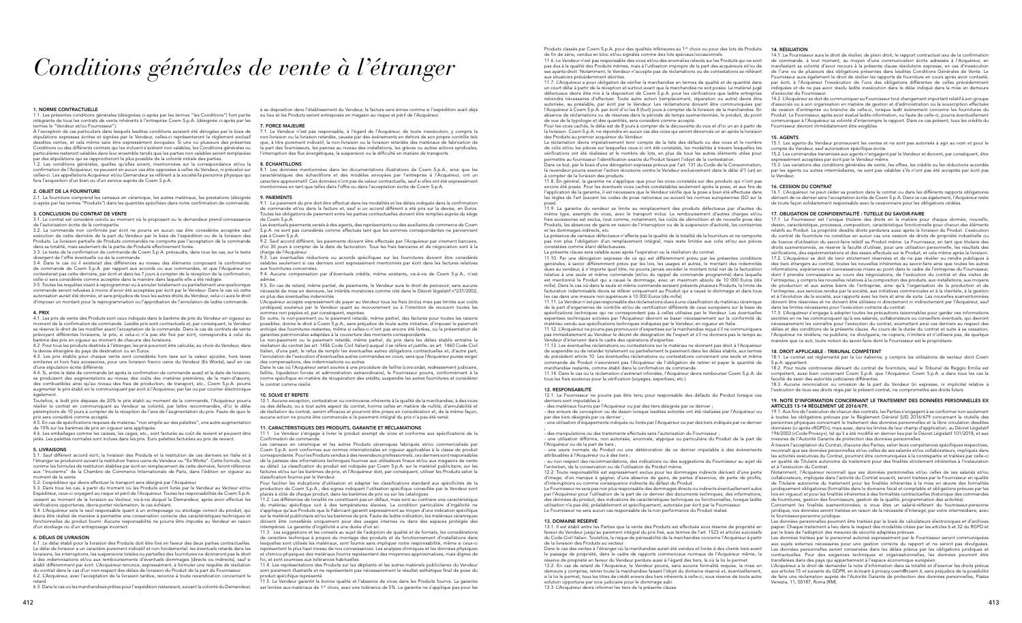# *Conditions générales de vente à l'étranger*

#### 1. NORME CONTRACTUELLE

1.1. Les présentes conditions générales (désignées ci-après par les termes "les Conditions") font partie intégrante de tous les contrats de vente inhérents à l'entreprise Coem S.p.A. (désignée ci-après par les termes le "Vendeur et/ou Fournisseur").

À l'exception de cas particuliers dans lesquels lesdites conditions auraient été dérogées par le biais de stipulations expresses écrites et signées par le Vendeur, celles-ci représenteront le règlement exclusif desdites ventes, et cela même sans être expressément évoquées. Si une ou plusieurs des présentes Conditions ou des différents contrats qui les incluent s'avèrent non valables, les Conditions générales ou particulières resteront valables dans leur ensemble tandis que les parties non valables seront remplacées par des stipulations qui se rapprocheront le plus possible de la volonté initiale des parties.

3.2. La commande non confirmée par écrit ne pourra en aucun cas être considérée acceptée sauf exécution de cette dernière de la part du Vendeur par le biais de l'expédition ou de la livraison des<br>Produits. La livraison partielle de Produits commandés ne comporte pas l'acceptation de la commande dans sa totalité, mais seulement de la partie de Produits effectivement livrée.

1.2. Les conditions générales, quelles qu'elles soient, mentionnées sur la correspondance et/ou la confirmation de l'Acquéreur, ne peuvent en aucun cas être opposées à celles du Vendeur, ni prévaloir sur celles-ci. Les appellations Acquéreur et/ou Demandeur se réfèrent à la société/la personne physique qui fera l'acquisition d'un bien ou d'un service auprès de Coem S.p.A.

#### 2. OBJET DE LA FOURNITURE

2.1. La fourniture comprend les carreaux en céramique, les autres matériaux, les prestations (désignés ci-après par les termes "Produits") dans les quantités spécifiées dans notre confirmation de commande.

4.1. Les prix de vente des Produits sont ceux indiqués dans le barème de prix du Vendeur en vigueur au moment de la confirmation de commande. Lesdits prix sont contractuels et, par conséquent, le Vendeur se réserve le droit de les modifier avant l'acceptation de la commande. Dans le cas de contrats de vente prévoyant différentes livraisons, le prix, si celui-ci n'a pas été fixé par écrit, correspondra à celui du rème des prix en vigueur au moment de chacune des livraisons.

#### 3. CONCLUSION DU CONTRAT DE VENTE

3.1. Le contrat est considéré conclu au moment où le proposant ou le demandeur prend connaissance de l'autorisation écrite de la contrepartie.

3.3. Le texte de la confirmation de commande de Coem S.p.A. prévaudra, dans tous les cas, sur le texte divergent de l'offre éventuelle ou de la commande.

.<br>4.5. En cas de spécifications requises de matériau "non empilé sur des palettes", une autre augmentation de 10% sur les barèmes de prix en vigueur sera appliquée.

3.4. Dans le cas où il existerait des différences au niveau des éléments composant la confirmation de commande de Coem S.p.A. par rapport aux accords ou aux commandes, et que l'Acquéreur ne contesterait pas cette dernière, par écrit et dans les 7 jours à compter de la réception de la confirmation, celle-ci sera considérée comme acceptée dans la manière dans laquelle elle a été rédigée.

3.5. Toutes les requêtes visant à reprogrammer ou à annuler totalement ou partiellement une quelconque commande seront refusées à moins d'avoir été acceptées par écrit par le Vendeur. Dans le cas où cette autorisation aurait été donnée, et sans préjudice de tous les autres droits du Vendeur, celui-ci aura le droit d'imposer un montant pour la reprogrammation ou l'approbation de l'annulation de ladite commande.

#### 4. PRIX

4.2. Pour tous les produits destinés à l'étranger, les prix pourront être calculés, au choix du Vendeur, dans la devise étrangère du pays de destination ou en Euros.

4.3. Les prix établis pour chaque vente sont considérés hors taxe sur la valeur ajoutée, hors taxes similaires et hors frais accessoires, pour une livraison franco usine du Vendeur (Ex Works), sauf en cas d'une stipulation écrite différente.

8.1. Les données mentionnées dans les documentations illustratives de Coem S.p.A., ainsi que les caractéristiques des échantillons et des modèles envoyées par l'entreprise à l'Acquéreur, ont un caractère approximatif. Ces données n'ont pas de valeur contractuelle, sauf si elles ont été expressément ntionnées en tant que telles dans l'offre ou dans l'acceptation écrite de Coem S.p.A.

4.4. Si, entre la date de commande (et après la confirmation de commande aussi) et la date de livraison, se produisent des augmentations au niveau des coûts des matières premières, de la main-d'œuvre, des combustibles ainsi qu'au niveau des frais de production, de transport, etc., Coem S.p.A. pourra augmenter le prix établi en le communiquant par écrit à l'Acquéreur, par fax ou par courrier électronique

également. Toutefois, si ledit prix dépasse de 20% le prix établi au moment de la commande, l'Acquéreur pourra résilier le contrat en communiquant au Vendeur sa volonté, par lettre recommandée, d'ici le délai péremptoire de 10 jours à compter de la réception de l'avis de l'augmentation du prix. Faute de quoi le prix sera considéré comme accepté.

L'Acquéreur accepte expressément de payer au Vendeur tous les frais (inclus mais pas limités aux coûts juridiques) soutenus par le Vendeur quant au recouvrement ou à l'intention de recouvrir toutes les mes non payées et, par conséquent, expirées.

4.6. Les emballages comme les caisses, les cages, etc., sont facturés au coût de revient et peuvent être jetés. Les palettes normales sont inclues dans les prix. Euro palettes facturées au prix de revient.

#### 5. LIVRAISONS

5.1. Sauf différent accord écrit, la livraison des Produits et la restitution de ces derniers en Italie et à l'étranger se produiront suivant la restitution franco usine du Vendeur ou "Ex Works". Cette formule, tout comme les formules de restitution établies par écrit en remplacement de cette dernière, feront référence aux "Incoterms" de la Chambre de Commerce Internationale de Paris, dans l'édition en vigueur au moment de la vente.

Le non-paiement ou le paiement retardé, même partiel, du prix dans les délais établis entraîne la résiliation du contrat (ex art. 1456 Code Civil Italien) auquel il se réfère et justifie, ex art. 1460 Code Civil Italien, d'une part, le refus de remplir les éventuelles autres obligations contractuelles et, d'autre part, l'annulation de l'exécution d'éventuelles autres commandes en cours, sans que l'Acquéreur puisse exiger des compensations, des indemnisations ou autres.

5.2. L'expéditeur qui devra effectuer le transport sera désigné par l'Acquéreur.

5.3. Dans tous les cas, à partir du moment où les Produits sont livrés par le Vendeur au Vecteur et/ou Expéditeur, ceux-ci voyagent au risque et péril de l'Acquéreur. Toutes les responsabilités de Coem S.p.A. cessent au moment de la livraison au Vecteur, vis-à-vis duquel le Demandeur, après avoir effectué les vérifications opportunes, devra porter réclamation, le cas échéant.

5.4. L'Acquéreur sera le seul responsable quant à un entreposage ou stockage correct du produit, qui devra être réalisé de manière à permettre une conservation correcte des caractéristiques techniques et fonctionnelles du produit fourni. Aucune responsabilité ne pourra être imputée au Vendeur en raison d'un stockage ou d'un entreposage incorrect.

#### 6. DÉLAIS DE LIVRAISON

11.2. Les différences de tonalité ne constituent pas un défaut, mais sont au contraire une caractéristique du matériau spécifique cuit à des températures élevées. La condition particulière d'ingélivité ne s'applique qu'aux Produits que le Fabricant garantit expressément au moyen d'une indication spécifique sur le matériel publicitaire et/ou les barèmes de prix. Faute de ladite indication, les matériaux céramiques doivent être considérés uniquement pour des usages internes ou dans des espaces protégés des npéries. La garantie d'ingélivité a une durée d'un an.

6.1. Le délai établi pour la livraison des Produits doit être fixé en faveur des deux parties contractuelles. Le délai de livraison a un caractère purement indicatif et non fondamental: les éventuels retards dans les livraisons, les interruptions, les suspensions totales ou partielles des fournitures ne donneront pas le droit à des indemnisations et/ou aux remboursements d'éventuels dommages (directs ou indirects), sauf si établi différemment par écrit. L'Acquéreur renonce, expressément, à formuler une requête de résiliation du contrat dans le cas d'un non-respect des délais de livraison du Produit de la part du Fournisseur. 6.2. L'Acquéreur, avec l'acceptation de la livraison tardive, renonce à toute revendication concernant le

11.5. Le Vendeur garantit la bonne qualité et l'absence de vices dans les Produits fournis. La garantie est limitée aux matériaux de 1^ choix, avec une tolérance de 5%. La garantie ne s'applique pas pour les

retard. 6.3. Dans le cas où les marchandises prêtes pour l'expédition resteraient, suivant la volonté du Demandeur,

à sa disposition dans l'établissement du Vendeur, la facture sera émise comme si l'expédition avait déjà eu lieu et les Produits seront entreposés en magasin au risque et péril de l'Acquéreur.

#### 7. FORCE MAJEURE

Produits classés par Coem S.p.A. pour des qualités inférieures au 1^ choix ou pour des lots de Produits de fin de série, vendus en bloc et/ou signalés comme des lots spéciaux/occasionnels. 11.6. Le Vendeur n'est pas responsable des vices et/ou des anomalies relevés sur les Produits qui ne sont pas dus à la qualité des Produits mêmes, mais à l'utilisation impropre de la part des acquéreurs et/ou de ses ayants-droit. Notamment, le Vendeur n'accepte pas de réclamations ou de contestations se référant aux situations précédemment décrites.

7.1. Le Vendeur n'est pas responsable, à l'égard de l'Acquéreur, de toute inexécution, y compris la non-livraison ou la livraison retardée, causée par des événements en dehors de son propre contrôle tels que, à titre purement indicatif, la non-livraison ou la livraison retardée des matériaux de fabrication de la part des fournisseurs, les pannes au niveau des installations, les grèves ou autres actions syndicales, l'interruption des flux énergétiques, la suspension ou la difficulté en matière de transports.

#### 8. ÉCHANTILLONS

#### 9. PAIEMENTS

9.1. Le paiement du prix doit être effectué dans les modalités et les délais indiqués dans la confirmation de commande et/ou dans la facture et, sauf si un accord différent a été pris sur la devise, en Euros. outes les obligations de paiement entre les parties contractuelles doivent être remplies auprès du siège de Coem S.p.A.

La présence de carreaux défectueux n'affecte pas la qualité de la totalité de la fourniture et ne comporte pas non plus l'obligation d'un remplacement intégral, mais reste limitée aux colis et/ou aux pièces constatées comme étant défectueuses. La présente clause sera valable aussi après l'expiration ou la résiliation du contrat. 11.10. Par une dérogation expresse de ce qui est différemment prévu par les présentes conditions générales, à savoir différemment prévu par les lois, les usages et autres, le montant des indemnités dues au vendeur, à n'importe quel titre, ne pourra jamais excéder le montant total net de la facturation relative à une seule et même commande (et/ou du rappel de commande programmé) dans laquelle est mentionné le Produit qui a causé le dommage, avec un maximum absolu de 10 000 Euros (dix mille). Dans le cas où dans la seule et même commande seraient présents plusieurs Produits, la limite de facturation indemnisable devra se référer uniquement au Produit qui a causé le dommage et dans tous les cas dans une mesure non supérieure à 10 000 Euros (dix mille). 11.11. Le Vendeur n'est pas responsable des réclamations dues à une classification du matériau céramique 17.1. Le Fournisseur est l'unique titulaire des droits en la matière pour chaque donnée, nouvelle, dessin, caractéristique, processus, composition, caractéristique fonctionnelle pour chacun des éléments relatifs au Produit. La propriété desdits droits perdurera aussi après la livraison du Produit. L'exécution du contrat de fourniture ne constitue en aucun cas une cession de droits de propriété industrielle ou de licence d'utilisation du savoir-faire relatif au Produit même. Le Fournisseur, en tant que titulaire des droits susmentionnés, se réserve la faculté d'utiliser, pour une utilisation personnelle, les résultats des vérifications, des expérimentations et des essais effectués sur le Produit, et cela même après la livraison. 17.2. L'Acquéreur se doit de tenir strictement réservées et de ne pas révéler ou rendre publiques à des tiers étrangers au contrat, toutes les nouvelles inhérentes au savoir-faire ainsi que toutes les autres informations, expériences et connaissances mises au point dans le cadre de l'entreprise du Fournisseur dont il prendra connaissance au cours des négociations, de l'exécution du contrat et des visites de l'entreprise, y compris les nouvelles relatives à la composition des produits, aux installations, aux moyens de production et aux autres biens de l'entreprise, ainsi qu'à l'organisation de la production et de l'entreprise, aux services rendus par la société, aux initiatives commerciales et à la clientèle, à la gestion et à l'évolution de la société, aux rapports avec les tiers et ainsi de suite. Les nouvelles susmentionnées doivent être réservées et ne doivent être utilisées ni directement ni indirectement par l'Acquéreur, sauf

Les éventuels paiements versés à des agents, des représentants ou des auxiliaires de commerce de Coem S.p.A. ne sont pas considérés comme effectués tant que les sommes correspondantes ne parviennent pas à Coem S.p.A.

9.2. Sauf accord différent, les paiements doivent être effectués par l'Acquéreur par virement bancaire, d'ici 30 jours à compter de la date de facturation. Tous les frais bancaires et de négociation sont à la charge de l'Acquéreur.

9.3. Les éventuelles réductions ou accords spécifiques sur les fournitures doivent être considérés valables seulement si ces derniers sont expressément mentionnés par écrit dans les factures relatives aux fournitures concernées.

> de la part d'organismes de contrôle et/ou de certification différents de ceux européens sur la base de spécifications techniques qui ne correspondent pas à celles utilisées par le Vendeur. Les éventuelles expertises techniques activées par l'Acquéreur devront se baser nécessairement sur la conformité du matériau vendu aux spécifications techniques indiquées par le Vendeur, en vigueur en Italie. 11.12. L'Acquéreur ne pourra pas promouvoir d'expertises sur la marchandise reçue s'il ne communiquera pas immédiatement au Vendeur le décret de désignation de l'expert et s'il ne donnera pas le temps au deur d'intervenir dans le cadre des opérations d'expertise. dans les limites nécessaires pour l'exécution correcte du contrat. 17.3. L'Acquéreur s'engage à adopter toutes les précautions raisonnables pour garder ces informations secrètes en ne les communiquant qu'à ses salariés, collaborateurs ou conseillers éventuels, qui devront nécessairement les connaître pour l'exécution du contrat, soumettant ainsi ces derniers au respect des délais et des conditions de la présente clause. Au cours de la durée du contrat et suite à sa cessation, l'Acquéreur ne révèlera, ne publiera, ne divulguera, ne copiera, n'imitera et n'utilisera pas, de quelque<br>manière que ce soit, toute notion du savoir-faire dont le Fournisseur est le propriétaire.

9.4. Aucune compensation par d'éventuels crédits, même existants, vis-à-vis de Coem S.p.A., n'est admise. 9.5. En cas de retard, même partiel, de paiements, le Vendeur aura le droit de percevoir, sans aucune

nécessité de mise en demeure, les intérêts moratoires comme cité dans le Décret législatif n°231/2002, en plus des éventuelles indemnités.

En outre, le non-paiement ou le paiement retardé, même partiel, des factures pour toutes les raisons possibles, donne le droit à Coem S.p.A., sans préjudice de toute autre initiative, d'imposer le paiement anticipé des fournitures restantes, même si celles-ci n'ont pas encore été livrées, ou la présentation de garanties patrimoniales adaptées à la couverture des montants correspondants.

Dans le cas où l'Acquéreur serait soumis à une procédure de faillite (concordat, redressement judiciaire, faillite, liquidation forcée et administration extraordinaire), le Fournisseur pourra, conformément à la norme spécifique en matière de récupération des crédits, suspendre les autres fournitures et considérer le contrat comme résilié.

#### 10. SOLVE ET REPETE

10.1. Aucune exception, contestation ou controverse inhérente à la qualité de la marchandise, à des vices ou des défauts, ou à tout autre aspect du contrat, hormis celles en matière de nullité, d'annulabilité et de résiliation du contrat, seront efficaces et pourront être prises en considération et, de la même façon, aucune action ne pourra être commencée si le paiement intégral du prix n'a pas été versé.

### 11. CARACTÉRISTIQUES DES PRODUITS, GARANTIE ET RÉCLAMATIONS

11.1. Le Vendeur s'engage à livrer le produit exempt de vices et conforme aux spécifications de la Confirmation de commande.

Les carreaux en céramique et les autres Produits céramiques fabriqués et/ou commercialisés par Coem S.p.A. sont conformes aux normes internationales en vigueur applicables à la classe de produit correspondante. Pour les Produits vendus à des revendeurs professionnels, ces derniers sont responsables de la justesse des informations techniques fournies aux utilisateurs finaux et/ou aux magasins de vente au détail. La classification du produit est indiquée par Coem S.p.A. sur le matériel publicitaire, sur les factures et/ou sur les barèmes de prix, et l'Acquéreur doit, par conséquent, utiliser les Produits selon la classification fournie par le Vendeur.

Pour faciliter les indications d'utilisation et adapter les classifications standard aux spécificités de la production de Coem S.p.A., des signes indiquant l'utilisation spécifique conseillée par le Vendeur sont placés à côté de chaque produit, dans les barèmes de prix ou sur les catalogues.

11.3. Les suggestions et les conseils au sujet de l'adoption de qualité et de formats, les considérations de caractère technique à propos du montage des produits et du fonctionnement d'installations dans esquelles sont utilisés les matériaux, sont fournis sans impliquer notre responsabilité, même si ceux-ci représentent le plus haut niveau de nos connaissances. Les analyses chimiques et les données physiques et chimico-physiques des matériaux fournis représentent des moyennes approximatives, mais dignes de foi, et sont soumises aux tolérances habituelles.

11.4. Les représentations des Produits sur les dépliants et les autres matériels publicitaires du Vendeur sont purement illustratifs et ne représentent pas nécessairement le résultat esthétique final de pose du produit spécifique représenté.

la livraison. Coem S.p.A. ne répondra en aucun cas des vices qui seront dénoncés un an après la livraison des Produits au premier acquéreur du Vendeur.

11.9. La garantie du vendeur se limite au remplacement des produits défectueux par d'autres du même type, exempts de vices, avec le transport inclus. Le remboursement d'autres charges et/ou frais accessoires est exclus, tout comme, notamment, les coûts de démolition et de nouvelle pose des Produits, les absences de gains en raison de l'interruption ou de la suspension d'activité, les contraintes et les dommages indirects, etc.

11.7. L'Acquéreur a pour obligation de vérifier la marchandise en termes de qualité et de quantité dans un court délai à partir de la réception et surtout avant que la marchandise ne soit posée. Le matériel jugé défectueux devra être mis à la disposition de Coem S.p.A. pour les vérifications que ladite entreprise retiendra nécessaires d'effectuer. Toute autre action (remplacement, réparation ou autre) devra être autorisée, au préalable, par écrit par le Vendeur. Les réclamations doivent être communiquées par l'Acquéreur à Coem S.p.A. par écrit d'ici les 8 (huit) jours à compter de la livraison de la marchandise. En absence de réclamations ou de réserves dans la période de temps susmentionnée, le produit, du point de vue de la typologie et des quantités, sera considéré comme accepté. Pour les vices cachés, le délai est de 8 jours à compter de la découverte du vice et d'ici un an à partir de indiquées et de ne pas avoir résolu ladite inexécution dans le délai indiqué dans la mise en demeure d'exécuter du Fournisseur. 14.2. L'Acquéreur se doit de communiquer au Fournisseur tout changement important relatif à son groupe d'associés ou à son organisation en matière de gestion et d'administration ou la souscription effectuée de cession d'entreprise ou branche de celle-ci, lorsque ledit évènement concerne les fournitures du Produit. Le Fournisseur, après avoir évalué ladite information, ou faute de celle-ci, pourra éventuellement communiquer à l'Acquéreur sa volonté d'interrompre le rapport. Dans ce cas présent, tous les crédits du Fournisseur devront immédiatement être exigibles.

#### 12. RESPONSABILITÉ

12.1. Le Fournisseur ne pourra pas être tenu pour responsable des défauts du Produit lorsque ces derniers sont imputables à : - des matériaux fournis par l'Acquéreur ou par des tiers désignés par ce dernier ;

La réclamation devra impérativement tenir compte de la liste des défauts ou des vices et le nombre de colis et/ou les pièces sur lesquelles ceux-ci ont été constatés, les modalités à travers lesquelles les vérifications ont été réalisées et le nombre de lots, en plus de tous les autres éléments utiles pour permettre au fournisseur l'identification exacte du Produit faisant l'objet de la contestation. Dans ce but, par le biais d'une dérogation expresse prévue par l'art. 131 du Code de la Consommation, le revendeur pourra exercer l'action récursoire contre le Vendeur exclusivement dans le délai d'1 (un) an à compter de la livraison des produits. 15.1. Les agents du Vendeur promeuvent les ventes et ne sont pas autorisés à agir au nom et pour le compte du Vendeur, sauf autorisation spécifique écrite. 15.2. Les commandes transmises aux agents n'engagent par le Vendeur et doivent, par conséquent, être ressément acceptées par écrit par le Vendeur mên 15.3. Les variations des conditions générales de vente, les offres, les crédits ou les réductions accordés par les agents ou autres intermédiaires, ne sont pas valables s'ils n'ont pas été acceptés par écrit pas le Vendeur.

l'Acquéreur ou de la part de tiers ;

11.8. En général, la garantie ne s'applique que pour les vices constatés sur des produits qui n'ont pas encore été posés. Pour les éventuels vices cachés constatables seulement après la pose, et aux fins de l'application de la garantie, il est nécessaire que le Vendeur vérifie que la pose a bien été effectuée dans les règles de l'art (suivant les codes de pose nationaux ou suivant les normes européennes ISO sur la pose). 16. CESSION DU CONTRAT 16.1. L'Acquéreur ne peut céder sa position dans le contrat ou dans les différents rapports obligatoires dérivant de ce dernier sans l'acceptation écrite de Coem S.p.A. Dans ce cas également, l'Acquéreur reste de toute façon solidairement responsable avec le cessionnaire pour les obligations cédées.

l'entretien, de la conservation ou de l'utilisation du Produit même. 12.2. Toute responsabilité est expressément exclue pour les dommages indirects dérivant d'une perte

d'image, d'un manque à gagner, d'une absence de gains, de pertes d'exercice, de perte de profits, d'interruptions ou comme conséquence indirecte du défaut du Produit. Le Fournisseur ne sera pas non plus responsable des dommages directs ou indirects éventuellement subis

par l'Acquéreur pour l'utilisation de la part de ce dernier des documents techniques, des informations, des données du produit, des indications de caractéristiques techniques ou fonctionnelles, lorsque ladite utilisation n'a pas été, préalablement et spécifiquement, autorisée par écrit par le Fournisseur. Le Fournisseur ne sera aucun cas responsable de la non performance du Produit réalisé.

#### 13. DOMAINE RÉSERVÉ

13.1. Il est établi entre les Parties que la vente des Produits est effectuée sous réserve de propriété en faveur du Vendeur jusqu'au paiement intégral du prix fixé, aux termes de l'art. 1523 et articles successifs du Code Civil Italien. Toutefois, le risque de périssabilité de la marchandise concerne l'Acquéreur à partir de la livraison des Produits au vecteur.

#### 14. RÉSILIATION

14.1. Le Fournisseur aura le droit de résilier, de plein droit, le rapport contractuel issu de la confirmation de commande, à tout moment, au moyen d'une communication écrite adressée à l'Acquéreur, en manifestant sa volonté d'avoir recours à la présente clause résolutoire expresse, en cas d'inexécution de l'une ou de plusieurs des obligations présentes dans lesdites Conditions Générales de Vente. Le Fournisseur aura également le droit de résilier les rapports de fourniture en cours après avoir contesté, par écrit, à l'Acquéreur l'inexécution de l'une des obligations différentes de celles précédemment

11.13. Les éventuelles réclamations ou contestations sur le matériau ne donnent pas droit à l'Acquéreur de suspendre ou de retarder totalement ou partiellement le paiement dans les délais établis, aux termes du précédent article 10. Les éventuelles réclamations ou contestations concernant une seule et même commande de Produit n'exonèrent pas l'Acquéreur de l'obligation de retirer et payer la quantité de marchandise restante, comme établi dans la confirmation de commande. 11.14. Dans le cas où la réclamation s'avérerait infondée, l'Acquéreur devra rembourser Coem S.p.A. de tous les frais soutenus pour la vérification (voyages, expertises, etc.). 18. DROIT APPLICABLE - TRIBUNAL COMPÉTENT 18.1. Le contrat est réglementé par la Loi italienne, y compris les utilisations de secteur dont Coem S.p.A. appartient. 18.2. Pour toute controverse dérivant du contrat de fourniture, seul le Tribunal de Reggio Emilia est compétent, aussi bien concernant Coem S.p.A. que l'Acquéreur. Coem S.p.A. a dans tous les cas la faculté de saisir des autorités judiciaires différentes.

#### 15. AGENTS

- des erreurs de conception ou de dessin lorsque lesdites activités ont été réalisées par l'Acquéreur ou par des tiers désignés par ce dernier ; - une utilisation d'équipements indiqués ou livrés par l'Acquéreur ou par des tiers indiqués par ce dernier ; - des manipulations ou des traitements effectués sans l'autorisation du Fournisseur ; - une utilisation difforme, non autorisée, anormale, atypique ou particulière du Produit de la part de 19.1. Aux fins de l'exécution de chacun des contrats, les Parties s'engagent à se conformer non seulement à toutes les obligations prévues par le Règlement Général (UE) 2016/679 concernant la «tutelle des personnes physiques concernant le traitement des données personnelles et la libre circulation desdites données» (ci-après «RGPD»), mais aussi, dans les limites de leur champ d'application, au Décret Législatif 196/2003 («Code Privacy»), tel qu'il a été modifié en dernier lieu par le Décret Législatif 101/2018, et aux mesures de l'Autorité Garante de protection des données personnelles.

- une usure normale du Produit ou une détérioration de ce dernier imputable à des évènements attribuables à l'Acquéreur ou à des tiers ; - au non respect des recommandations, des indications ou des suggestions du Fournisseur au sujet de À travers l'acceptation du Contrat, chacune des Parties, selon leurs compétences spécifiques respectives, reconnaît que ses données personnelles et/ou celles de ses salariés et/ou collaborateurs, impliqués dans les activités exécutives du Contrat, pourront être communiquées à la contrepartie et traitées par celle-ci en qualité de Titulaire autonome du traitement pour des finalités strictement inhérentes à l'instauration et à l'exécution du Contrat.

#### 17. OBLIGATION DE CONFIDENTIALITÉ : TUTELLE DU SAVOIR-FAIRE

Dans le cas des ventes à l'étranger où la marchandise aurait été vendue et livrée à des clients tiers avant le passage de propriété, dans le cadre de rapports commerciaux normaux de l'Acquéreur même, la réserve de propriété en faveur du Vendeur perdure aussi à l'égard des tiers, là où la loi le permet. 13.2. En cas de retard de l'Acquéreur, le Vendeur pourra, sans aucune formalité requise, la mise en demeure y comprise, retirer toute la marchandise faisant l'objet du domaine réservé et, éventuellement, si la loi le permet, tous les titres de crédit envers des tiers inhérents à celle-ci, sous réserve de toute autre solution opportune par voie judiciaire pour le dommage subi. 13.3 L'Acquéreur devra informer les tiers de la présente clause. contractuelles. Pour des exigences techniques et organisationnelles, les données pourront être transférées dans des pays qui appartiennent à l'espace économique européen. L'Acquéreur a le droit de demander la note d'information dans sa totalité et d'exercer les droits prévus aux articles 15 et suivants du GDPR, en écrivant à privacy.coem@coem.it, sans préjudice de la possibilité de faire une réclamation auprès de l'Autorité Garante de protection des données personnelles, Piazza Venezia, 11, 00187, Roma (RM).

18.3. Aucune renonciation ou omission de la part du Vendeur (ni expresse, ni implicite) relative à l'exécution de tous ses droits régis par le présent contrat, ne compromettra ses droits futurs.

#### 19. NOTE D'INFORMATION CONCERNANT LE TRAITEMENT DES DONNÉES PERSONNELLES EX ARTICLES 13-14 RÈGLEMENT UE 2016/679.

Notamment, l'Acquéreur reconnaît que ses données personnelles et/ou celles de ses salariés et/ou collaborateurs, impliqués dans l'activité du Contrat souscrit, seront traitées par le Fournisseur en qualité de Titulaire autonome du traitement pour les finalités inhérentes à la mise en œuvre des formalités juridiquement obligatoires (formalités dans le domaine fiscal et comptable et obligations prévues par les lois en vigueur) et pour les finalités inhérentes à des formalités contractuelles (historique des commandes de fournitures, gestion des fournisseurs, gestion de la qualité, programmation des activités).

Concernant les finalités susmentionnées, si vous êtes un salarié-référent du fournisseur-personne juridique, vos données seront traitées en raison de la nécessité d'interagir, par votre intermédiaire, avec le fournisseur-personne juridique.

Les données personnelles pourront être traitées par le biais de calculateurs électroniques et d'archives papier. Chaque traitement a lieu dans le respect des modalités citées par les articles 6 et 32 du RGPD et par le biais de l'adoption des mesures de sécurité adaptées prévues.

Les données traitées par le personnel autorisé expressément par le Fournisseur seront communiquées aux sujets externes nécessaires pour une gestion correcte du rapport et ne seront pas divulguées. Les données personnelles seront conservées dans les délais prévus par les obligations juridiques et